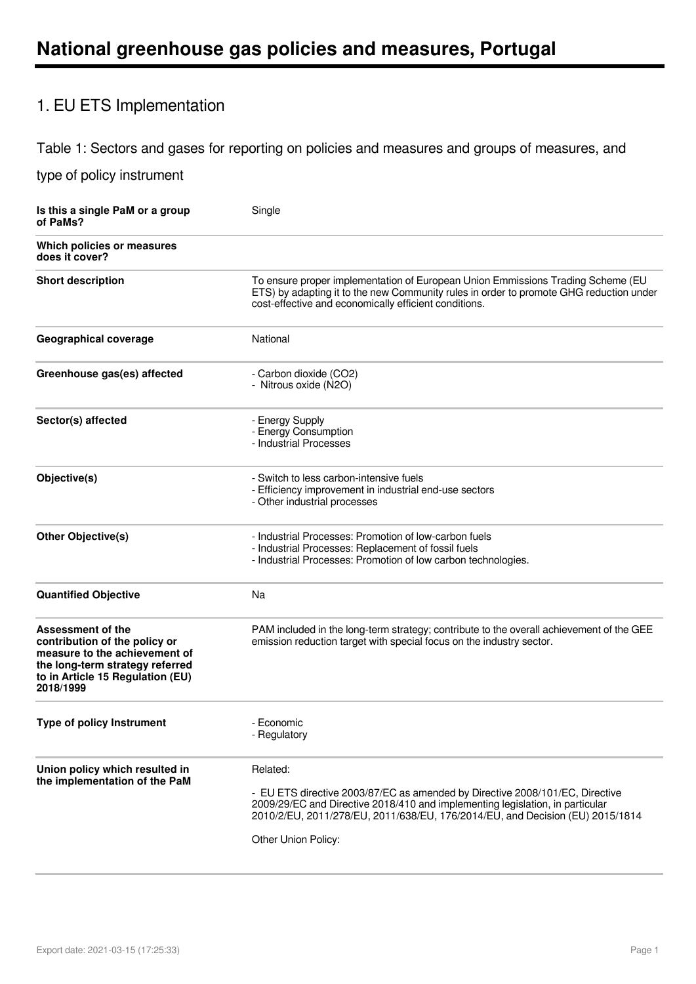# 1. EU ETS Implementation

### Table 1: Sectors and gases for reporting on policies and measures and groups of measures, and

| Is this a single PaM or a group<br>of PaMs?                                                                                                                                    | Single                                                                                                                                                                                                                                                                            |
|--------------------------------------------------------------------------------------------------------------------------------------------------------------------------------|-----------------------------------------------------------------------------------------------------------------------------------------------------------------------------------------------------------------------------------------------------------------------------------|
| Which policies or measures<br>does it cover?                                                                                                                                   |                                                                                                                                                                                                                                                                                   |
| <b>Short description</b>                                                                                                                                                       | To ensure proper implementation of European Union Emmissions Trading Scheme (EU<br>ETS) by adapting it to the new Community rules in order to promote GHG reduction under<br>cost-effective and economically efficient conditions.                                                |
| <b>Geographical coverage</b>                                                                                                                                                   | National                                                                                                                                                                                                                                                                          |
| Greenhouse gas(es) affected                                                                                                                                                    | - Carbon dioxide (CO2)<br>- Nitrous oxide (N2O)                                                                                                                                                                                                                                   |
| Sector(s) affected                                                                                                                                                             | - Energy Supply<br>- Energy Consumption<br>- Industrial Processes                                                                                                                                                                                                                 |
| Objective(s)                                                                                                                                                                   | - Switch to less carbon-intensive fuels<br>- Efficiency improvement in industrial end-use sectors<br>- Other industrial processes                                                                                                                                                 |
| <b>Other Objective(s)</b>                                                                                                                                                      | - Industrial Processes: Promotion of low-carbon fuels<br>- Industrial Processes: Replacement of fossil fuels<br>- Industrial Processes: Promotion of low carbon technologies.                                                                                                     |
| <b>Quantified Objective</b>                                                                                                                                                    | Na                                                                                                                                                                                                                                                                                |
| <b>Assessment of the</b><br>contribution of the policy or<br>measure to the achievement of<br>the long-term strategy referred<br>to in Article 15 Regulation (EU)<br>2018/1999 | PAM included in the long-term strategy; contribute to the overall achievement of the GEE<br>emission reduction target with special focus on the industry sector.                                                                                                                  |
| <b>Type of policy Instrument</b>                                                                                                                                               | - Economic<br>- Regulatory                                                                                                                                                                                                                                                        |
| Union policy which resulted in<br>the implementation of the PaM                                                                                                                | Related:<br>- EU ETS directive 2003/87/EC as amended by Directive 2008/101/EC, Directive<br>2009/29/EC and Directive 2018/410 and implementing legislation, in particular<br>2010/2/EU, 2011/278/EU, 2011/638/EU, 176/2014/EU, and Decision (EU) 2015/1814<br>Other Union Policy: |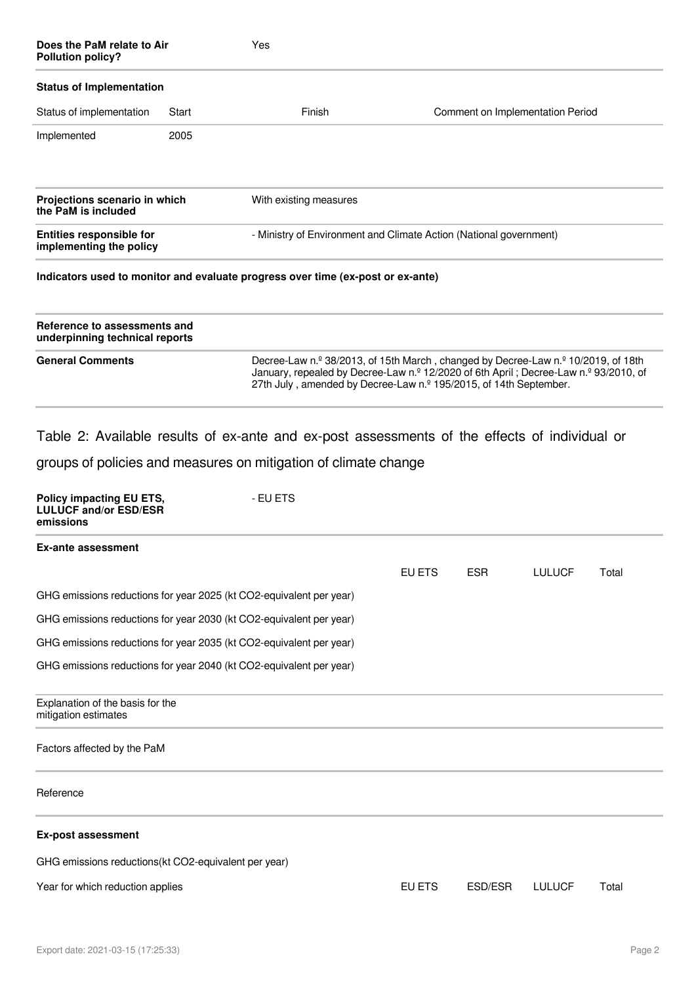| Does the PaM relate to Air<br><b>Pollution policy?</b>                       |       | Yes                                                                                                                                                                                                                                            |        |                                  |               |       |
|------------------------------------------------------------------------------|-------|------------------------------------------------------------------------------------------------------------------------------------------------------------------------------------------------------------------------------------------------|--------|----------------------------------|---------------|-------|
| <b>Status of Implementation</b>                                              |       |                                                                                                                                                                                                                                                |        |                                  |               |       |
| Status of implementation                                                     | Start | Finish                                                                                                                                                                                                                                         |        | Comment on Implementation Period |               |       |
| Implemented                                                                  | 2005  |                                                                                                                                                                                                                                                |        |                                  |               |       |
| Projections scenario in which<br>the PaM is included                         |       | With existing measures                                                                                                                                                                                                                         |        |                                  |               |       |
| <b>Entities responsible for</b><br>implementing the policy                   |       | - Ministry of Environment and Climate Action (National government)                                                                                                                                                                             |        |                                  |               |       |
|                                                                              |       | Indicators used to monitor and evaluate progress over time (ex-post or ex-ante)                                                                                                                                                                |        |                                  |               |       |
| Reference to assessments and<br>underpinning technical reports               |       |                                                                                                                                                                                                                                                |        |                                  |               |       |
| <b>General Comments</b>                                                      |       | Decree-Law n.º 38/2013, of 15th March, changed by Decree-Law n.º 10/2019, of 18th<br>January, repealed by Decree-Law n.º 12/2020 of 6th April; Decree-Law n.º 93/2010, of<br>27th July, amended by Decree-Law n.º 195/2015, of 14th September. |        |                                  |               |       |
|                                                                              |       | Table 2: Available results of ex-ante and ex-post assessments of the effects of individual or                                                                                                                                                  |        |                                  |               |       |
|                                                                              |       | groups of policies and measures on mitigation of climate change                                                                                                                                                                                |        |                                  |               |       |
| <b>Policy impacting EU ETS,</b><br><b>LULUCF and/or ESD/ESR</b><br>emissions |       | - EU ETS                                                                                                                                                                                                                                       |        |                                  |               |       |
| <b>Ex-ante assessment</b>                                                    |       |                                                                                                                                                                                                                                                |        |                                  |               |       |
|                                                                              |       |                                                                                                                                                                                                                                                | EU ETS | <b>ESR</b>                       | <b>LULUCF</b> | Total |
|                                                                              |       | GHG emissions reductions for year 2025 (kt CO2-equivalent per year)                                                                                                                                                                            |        |                                  |               |       |
|                                                                              |       | GHG emissions reductions for year 2030 (kt CO2-equivalent per year)                                                                                                                                                                            |        |                                  |               |       |
|                                                                              |       | GHG emissions reductions for year 2035 (kt CO2-equivalent per year)                                                                                                                                                                            |        |                                  |               |       |
|                                                                              |       | GHG emissions reductions for year 2040 (kt CO2-equivalent per year)                                                                                                                                                                            |        |                                  |               |       |
| Explanation of the basis for the<br>mitigation estimates                     |       |                                                                                                                                                                                                                                                |        |                                  |               |       |
| Factors affected by the PaM                                                  |       |                                                                                                                                                                                                                                                |        |                                  |               |       |
| Reference                                                                    |       |                                                                                                                                                                                                                                                |        |                                  |               |       |
| <b>Ex-post assessment</b>                                                    |       |                                                                                                                                                                                                                                                |        |                                  |               |       |
| GHG emissions reductions(kt CO2-equivalent per year)                         |       |                                                                                                                                                                                                                                                |        |                                  |               |       |
| Year for which reduction applies                                             |       |                                                                                                                                                                                                                                                | EU ETS | ESD/ESR                          | <b>LULUCF</b> | Total |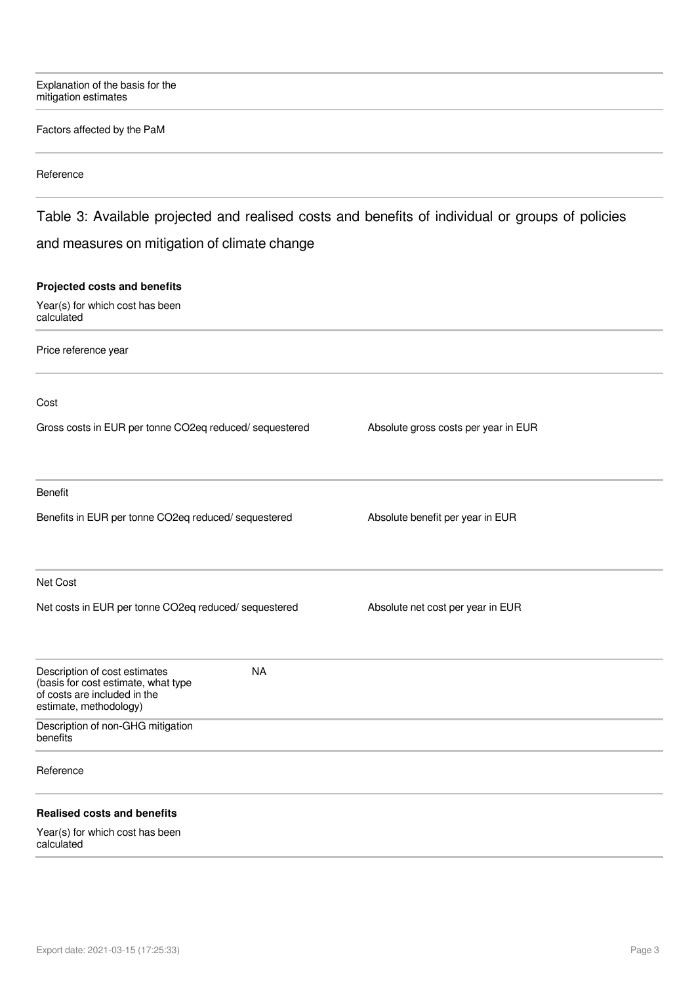Explanation of the basis for the mitigation estimates

#### Factors affected by the PaM

#### Reference

## Table 3: Available projected and realised costs and benefits of individual or groups of policies and measures on mitigation of climate change

#### **Projected costs and benefits**

Year(s) for which cost has been calculated

Price reference year

Cost

| Absolute gross costs per year in EUR |
|--------------------------------------|
|                                      |

Benefit

Benefits in EUR per tonne CO2eq reduced/ sequestered Absolute benefit per year in EUR

Net Cost

Net costs in EUR per tonne CO2eq reduced/ sequestered Absolute net cost per year in EUR

| Description of cost estimates<br>(basis for cost estimate, what type<br>of costs are included in the<br>estimate, methodology) | <b>NA</b> |  |  |  |
|--------------------------------------------------------------------------------------------------------------------------------|-----------|--|--|--|
| Description of non-GHG mitigation<br>benefits                                                                                  |           |  |  |  |
| Reference                                                                                                                      |           |  |  |  |
| <b>Realised costs and benefits</b>                                                                                             |           |  |  |  |
| Year(s) for which cost has been                                                                                                |           |  |  |  |

calculated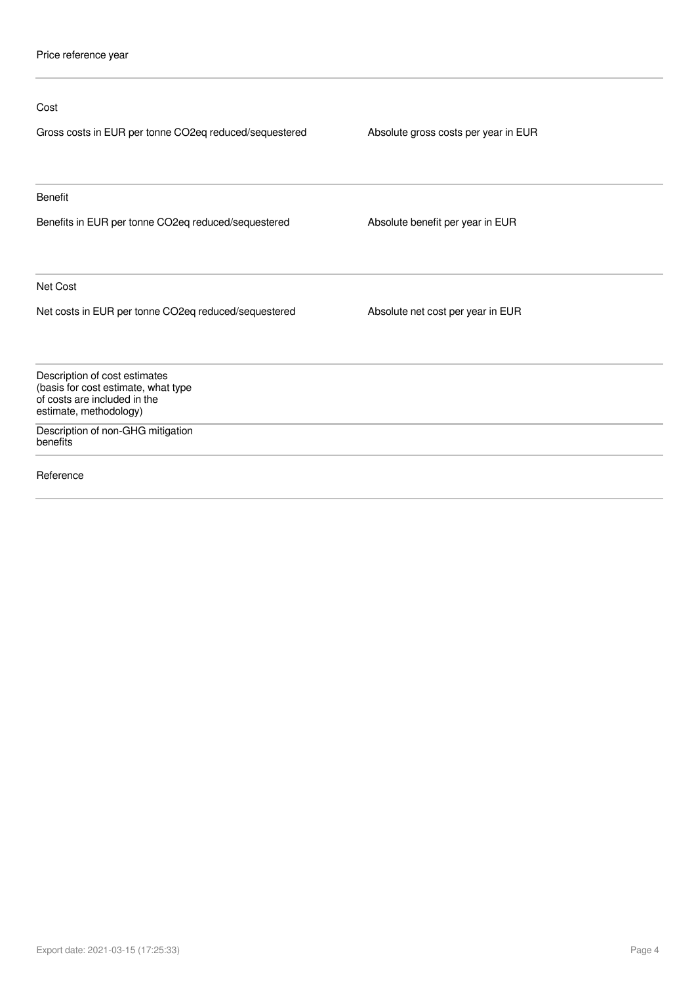| Cost                                                                                                                           |                                      |
|--------------------------------------------------------------------------------------------------------------------------------|--------------------------------------|
| Gross costs in EUR per tonne CO2eq reduced/sequestered                                                                         | Absolute gross costs per year in EUR |
| <b>Benefit</b>                                                                                                                 |                                      |
| Benefits in EUR per tonne CO2eq reduced/sequestered                                                                            | Absolute benefit per year in EUR     |
| Net Cost                                                                                                                       |                                      |
| Net costs in EUR per tonne CO2eq reduced/sequestered                                                                           | Absolute net cost per year in EUR    |
| Description of cost estimates<br>(basis for cost estimate, what type<br>of costs are included in the<br>estimate, methodology) |                                      |
| Description of non-GHG mitigation<br>benefits                                                                                  |                                      |
| Reference                                                                                                                      |                                      |
|                                                                                                                                |                                      |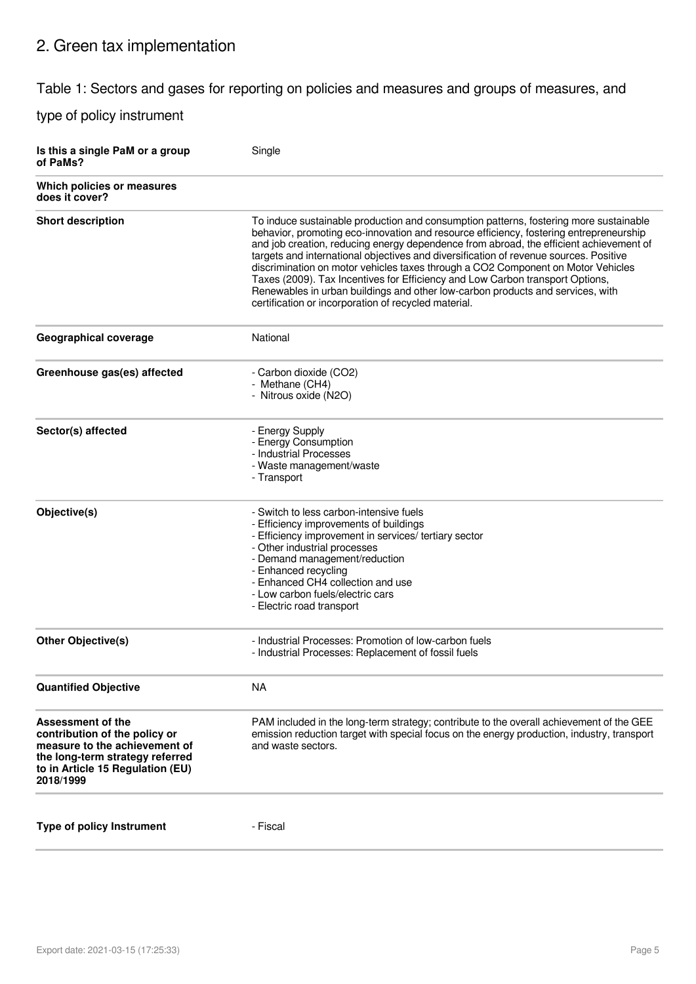# 2. Green tax implementation

### Table 1: Sectors and gases for reporting on policies and measures and groups of measures, and

| Is this a single PaM or a group<br>of PaMs?                                                                                                                             | Single                                                                                                                                                                                                                                                                                                                                                                                                                                                                                                                                                                                                                                                                            |
|-------------------------------------------------------------------------------------------------------------------------------------------------------------------------|-----------------------------------------------------------------------------------------------------------------------------------------------------------------------------------------------------------------------------------------------------------------------------------------------------------------------------------------------------------------------------------------------------------------------------------------------------------------------------------------------------------------------------------------------------------------------------------------------------------------------------------------------------------------------------------|
| Which policies or measures<br>does it cover?                                                                                                                            |                                                                                                                                                                                                                                                                                                                                                                                                                                                                                                                                                                                                                                                                                   |
| <b>Short description</b>                                                                                                                                                | To induce sustainable production and consumption patterns, fostering more sustainable<br>behavior, promoting eco-innovation and resource efficiency, fostering entrepreneurship<br>and job creation, reducing energy dependence from abroad, the efficient achievement of<br>targets and international objectives and diversification of revenue sources. Positive<br>discrimination on motor vehicles taxes through a CO2 Component on Motor Vehicles<br>Taxes (2009). Tax Incentives for Efficiency and Low Carbon transport Options,<br>Renewables in urban buildings and other low-carbon products and services, with<br>certification or incorporation of recycled material. |
| <b>Geographical coverage</b>                                                                                                                                            | National                                                                                                                                                                                                                                                                                                                                                                                                                                                                                                                                                                                                                                                                          |
| Greenhouse gas(es) affected                                                                                                                                             | - Carbon dioxide (CO2)<br>- Methane (CH4)<br>- Nitrous oxide (N2O)                                                                                                                                                                                                                                                                                                                                                                                                                                                                                                                                                                                                                |
| Sector(s) affected                                                                                                                                                      | - Energy Supply<br>- Energy Consumption<br>- Industrial Processes<br>- Waste management/waste<br>- Transport                                                                                                                                                                                                                                                                                                                                                                                                                                                                                                                                                                      |
| Objective(s)                                                                                                                                                            | - Switch to less carbon-intensive fuels<br>- Efficiency improvements of buildings<br>- Efficiency improvement in services/ tertiary sector<br>- Other industrial processes<br>- Demand management/reduction<br>- Enhanced recycling<br>- Enhanced CH4 collection and use<br>- Low carbon fuels/electric cars<br>- Electric road transport                                                                                                                                                                                                                                                                                                                                         |
| <b>Other Objective(s)</b>                                                                                                                                               | - Industrial Processes: Promotion of low-carbon fuels<br>- Industrial Processes: Replacement of fossil fuels                                                                                                                                                                                                                                                                                                                                                                                                                                                                                                                                                                      |
| <b>Quantified Objective</b>                                                                                                                                             | <b>NA</b>                                                                                                                                                                                                                                                                                                                                                                                                                                                                                                                                                                                                                                                                         |
| Assessment of the<br>contribution of the policy or<br>measure to the achievement of<br>the long-term strategy referred<br>to in Article 15 Regulation (EU)<br>2018/1999 | PAM included in the long-term strategy; contribute to the overall achievement of the GEE<br>emission reduction target with special focus on the energy production, industry, transport<br>and waste sectors.                                                                                                                                                                                                                                                                                                                                                                                                                                                                      |
| <b>Type of policy Instrument</b>                                                                                                                                        | - Fiscal                                                                                                                                                                                                                                                                                                                                                                                                                                                                                                                                                                                                                                                                          |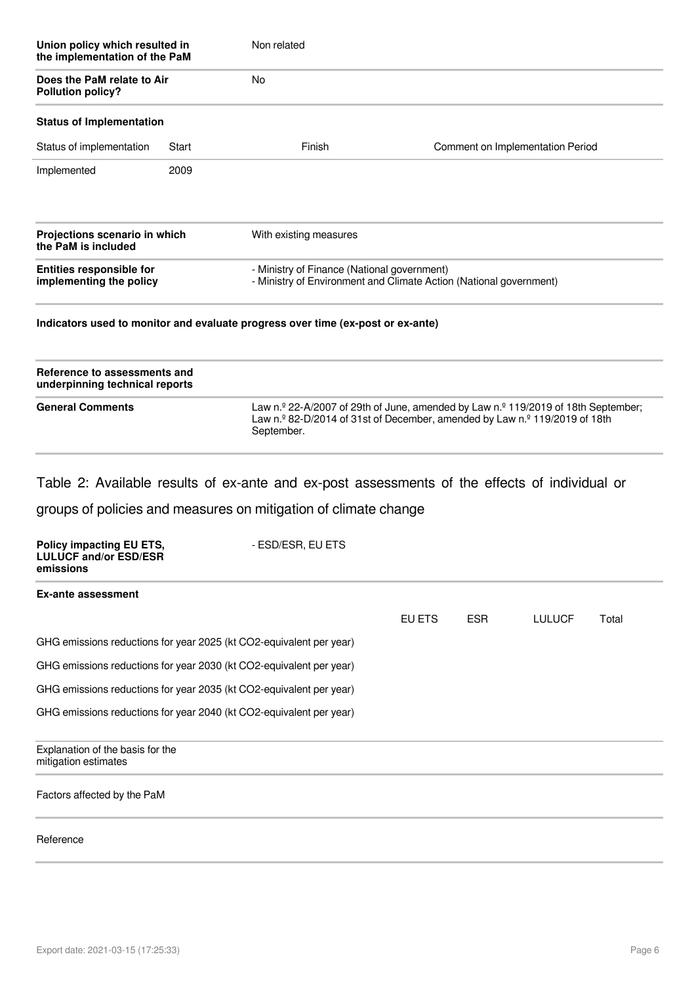| Union policy which resulted in<br>the implementation of the PaM |       | Non related                                                                     |                                                                    |  |  |
|-----------------------------------------------------------------|-------|---------------------------------------------------------------------------------|--------------------------------------------------------------------|--|--|
| Does the PaM relate to Air<br><b>Pollution policy?</b>          |       | No                                                                              |                                                                    |  |  |
| <b>Status of Implementation</b>                                 |       |                                                                                 |                                                                    |  |  |
| Status of implementation                                        | Start | Finish                                                                          | Comment on Implementation Period                                   |  |  |
| Implemented                                                     | 2009  |                                                                                 |                                                                    |  |  |
| Projections scenario in which<br>the PaM is included            |       | With existing measures                                                          |                                                                    |  |  |
| <b>Entities responsible for</b><br>implementing the policy      |       | - Ministry of Finance (National government)                                     | - Ministry of Environment and Climate Action (National government) |  |  |
|                                                                 |       | Indicators used to monitor and evaluate progress over time (ex-post or ex-ante) |                                                                    |  |  |

| Reference to assessments and<br>underpinning technical reports |                                                                                                                                                                                                       |
|----------------------------------------------------------------|-------------------------------------------------------------------------------------------------------------------------------------------------------------------------------------------------------|
| <b>General Comments</b>                                        | Law n.º 22-A/2007 of 29th of June, amended by Law n.º 119/2019 of 18th September;<br>Law n. <sup>2</sup> 82-D/2014 of 31st of December, amended by Law n. <sup>2</sup> 119/2019 of 18th<br>September. |

Table 2: Available results of ex-ante and ex-post assessments of the effects of individual or

| Policy impacting EU ETS,<br><b>LULUCF and/or ESD/ESR</b><br>emissions | - ESD/ESR, EU ETS |        |            |               |       |
|-----------------------------------------------------------------------|-------------------|--------|------------|---------------|-------|
| <b>Ex-ante assessment</b>                                             |                   |        |            |               |       |
|                                                                       |                   | EU ETS | <b>ESR</b> | <b>LULUCF</b> | Total |
| GHG emissions reductions for year 2025 (kt CO2-equivalent per year)   |                   |        |            |               |       |
| GHG emissions reductions for year 2030 (kt CO2-equivalent per year)   |                   |        |            |               |       |
| GHG emissions reductions for year 2035 (kt CO2-equivalent per year)   |                   |        |            |               |       |
| GHG emissions reductions for year 2040 (kt CO2-equivalent per year)   |                   |        |            |               |       |
| Explanation of the basis for the<br>mitigation estimates              |                   |        |            |               |       |
| Factors affected by the PaM                                           |                   |        |            |               |       |
| Reference                                                             |                   |        |            |               |       |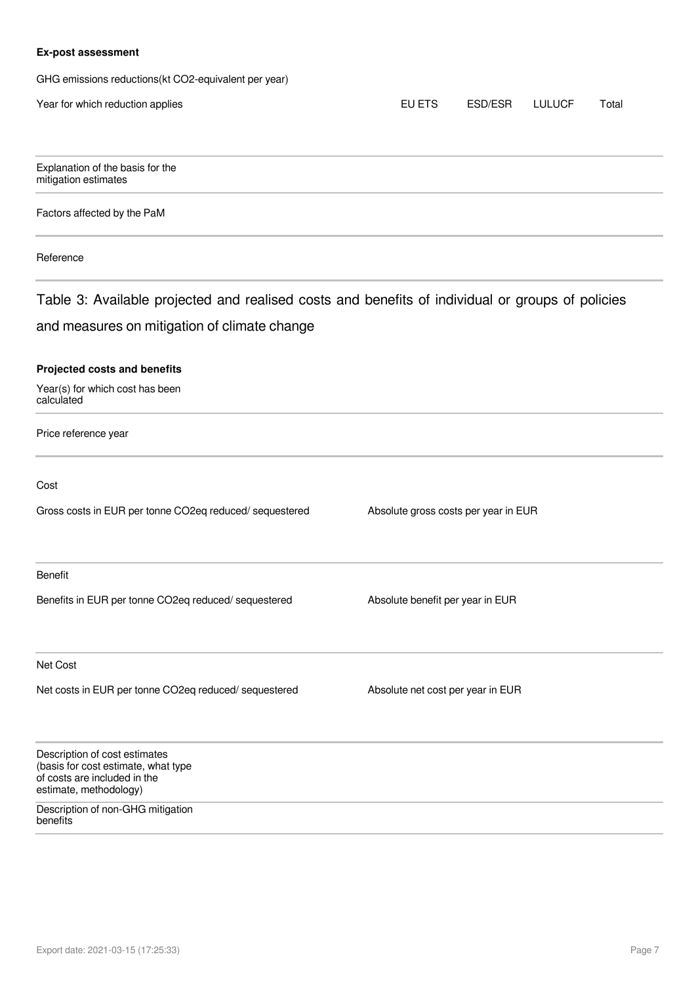#### **Ex-post assessment**

GHG emissions reductions(kt CO2-equivalent per year)

| Year for which reduction applies                                                                                               | EU ETS                               | ESD/ESR | <b>LULUCF</b> | Total |
|--------------------------------------------------------------------------------------------------------------------------------|--------------------------------------|---------|---------------|-------|
|                                                                                                                                |                                      |         |               |       |
| Explanation of the basis for the<br>mitigation estimates                                                                       |                                      |         |               |       |
| Factors affected by the PaM                                                                                                    |                                      |         |               |       |
| Reference                                                                                                                      |                                      |         |               |       |
| Table 3: Available projected and realised costs and benefits of individual or groups of policies                               |                                      |         |               |       |
| and measures on mitigation of climate change                                                                                   |                                      |         |               |       |
| Projected costs and benefits<br>Year(s) for which cost has been<br>calculated                                                  |                                      |         |               |       |
| Price reference year                                                                                                           |                                      |         |               |       |
| Cost                                                                                                                           |                                      |         |               |       |
| Gross costs in EUR per tonne CO2eq reduced/ sequestered                                                                        | Absolute gross costs per year in EUR |         |               |       |
| Benefit                                                                                                                        |                                      |         |               |       |
| Benefits in EUR per tonne CO2eq reduced/ sequestered                                                                           | Absolute benefit per year in EUR     |         |               |       |
| Net Cost                                                                                                                       |                                      |         |               |       |
| Net costs in EUR per tonne CO2eq reduced/ sequestered                                                                          | Absolute net cost per year in EUR    |         |               |       |
| Description of cost estimates<br>(basis for cost estimate, what type<br>of costs are included in the<br>estimate, methodology) |                                      |         |               |       |
| Description of non-GHG mitigation<br>benefits                                                                                  |                                      |         |               |       |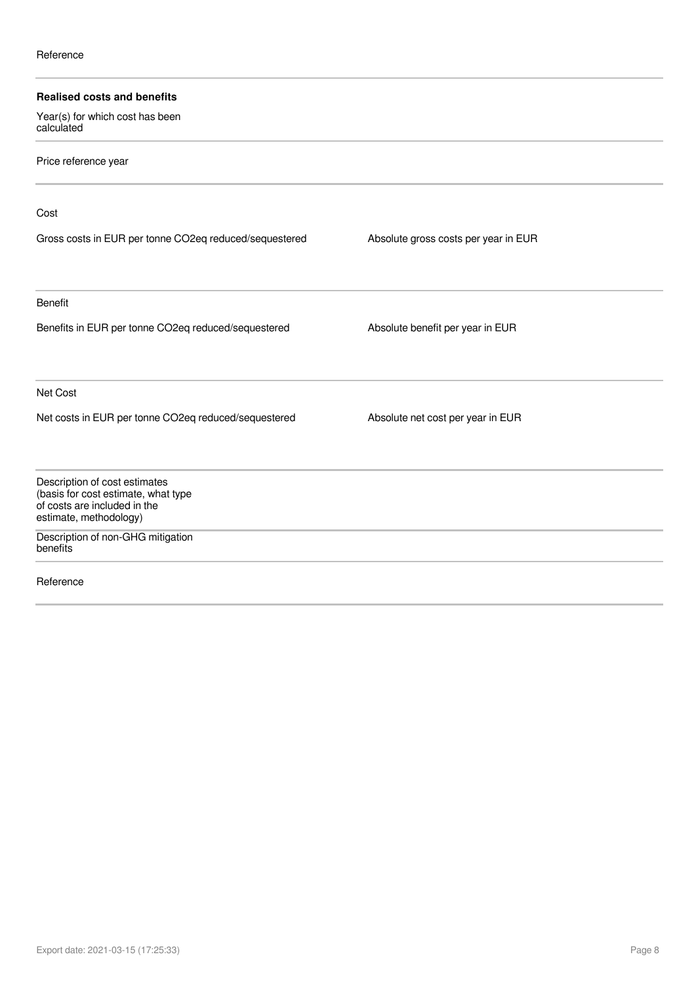| <b>Realised costs and benefits</b>                                                                   |                                      |  |
|------------------------------------------------------------------------------------------------------|--------------------------------------|--|
| Year(s) for which cost has been<br>calculated                                                        |                                      |  |
| Price reference year                                                                                 |                                      |  |
| Cost                                                                                                 |                                      |  |
| Gross costs in EUR per tonne CO2eq reduced/sequestered                                               | Absolute gross costs per year in EUR |  |
| <b>Benefit</b>                                                                                       |                                      |  |
| Benefits in EUR per tonne CO2eq reduced/sequestered                                                  | Absolute benefit per year in EUR     |  |
| Net Cost                                                                                             |                                      |  |
| Net costs in EUR per tonne CO2eq reduced/sequestered                                                 | Absolute net cost per year in EUR    |  |
| Description of cost estimates<br>(basis for cost estimate, what type<br>of costs are included in the |                                      |  |
| estimate, methodology)                                                                               |                                      |  |
| Description of non-GHG mitigation<br>benefits                                                        |                                      |  |
| Reference                                                                                            |                                      |  |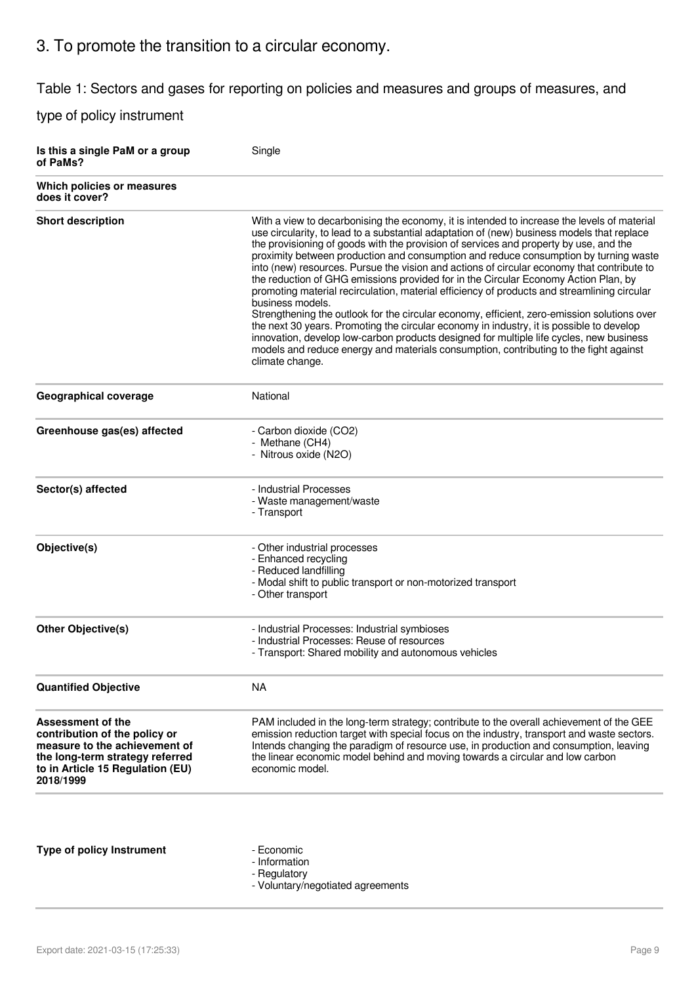# 3. To promote the transition to a circular economy.

Table 1: Sectors and gases for reporting on policies and measures and groups of measures, and

| Is this a single PaM or a group<br>of PaMs?                                                                                                                                    | Single                                                                                                                                                                                                                                                                                                                                                                                                                                                                                                                                                                                                                                                                                                                                                                                                                                                                                                                                                                                                                                                                               |
|--------------------------------------------------------------------------------------------------------------------------------------------------------------------------------|--------------------------------------------------------------------------------------------------------------------------------------------------------------------------------------------------------------------------------------------------------------------------------------------------------------------------------------------------------------------------------------------------------------------------------------------------------------------------------------------------------------------------------------------------------------------------------------------------------------------------------------------------------------------------------------------------------------------------------------------------------------------------------------------------------------------------------------------------------------------------------------------------------------------------------------------------------------------------------------------------------------------------------------------------------------------------------------|
| Which policies or measures<br>does it cover?                                                                                                                                   |                                                                                                                                                                                                                                                                                                                                                                                                                                                                                                                                                                                                                                                                                                                                                                                                                                                                                                                                                                                                                                                                                      |
| <b>Short description</b>                                                                                                                                                       | With a view to decarbonising the economy, it is intended to increase the levels of material<br>use circularity, to lead to a substantial adaptation of (new) business models that replace<br>the provisioning of goods with the provision of services and property by use, and the<br>proximity between production and consumption and reduce consumption by turning waste<br>into (new) resources. Pursue the vision and actions of circular economy that contribute to<br>the reduction of GHG emissions provided for in the Circular Economy Action Plan, by<br>promoting material recirculation, material efficiency of products and streamlining circular<br>business models.<br>Strengthening the outlook for the circular economy, efficient, zero-emission solutions over<br>the next 30 years. Promoting the circular economy in industry, it is possible to develop<br>innovation, develop low-carbon products designed for multiple life cycles, new business<br>models and reduce energy and materials consumption, contributing to the fight against<br>climate change. |
| Geographical coverage                                                                                                                                                          | National                                                                                                                                                                                                                                                                                                                                                                                                                                                                                                                                                                                                                                                                                                                                                                                                                                                                                                                                                                                                                                                                             |
| Greenhouse gas(es) affected                                                                                                                                                    | - Carbon dioxide (CO2)<br>- Methane (CH4)<br>- Nitrous oxide (N2O)                                                                                                                                                                                                                                                                                                                                                                                                                                                                                                                                                                                                                                                                                                                                                                                                                                                                                                                                                                                                                   |
| Sector(s) affected                                                                                                                                                             | - Industrial Processes<br>- Waste management/waste<br>- Transport                                                                                                                                                                                                                                                                                                                                                                                                                                                                                                                                                                                                                                                                                                                                                                                                                                                                                                                                                                                                                    |
| Objective(s)                                                                                                                                                                   | - Other industrial processes<br>- Enhanced recycling<br>- Reduced landfilling<br>- Modal shift to public transport or non-motorized transport<br>- Other transport                                                                                                                                                                                                                                                                                                                                                                                                                                                                                                                                                                                                                                                                                                                                                                                                                                                                                                                   |
| <b>Other Objective(s)</b>                                                                                                                                                      | - Industrial Processes: Industrial symbioses<br>- Industrial Processes: Reuse of resources<br>- Transport: Shared mobility and autonomous vehicles                                                                                                                                                                                                                                                                                                                                                                                                                                                                                                                                                                                                                                                                                                                                                                                                                                                                                                                                   |
| <b>Quantified Objective</b>                                                                                                                                                    | <b>NA</b>                                                                                                                                                                                                                                                                                                                                                                                                                                                                                                                                                                                                                                                                                                                                                                                                                                                                                                                                                                                                                                                                            |
| <b>Assessment of the</b><br>contribution of the policy or<br>measure to the achievement of<br>the long-term strategy referred<br>to in Article 15 Regulation (EU)<br>2018/1999 | PAM included in the long-term strategy; contribute to the overall achievement of the GEE<br>emission reduction target with special focus on the industry, transport and waste sectors.<br>Intends changing the paradigm of resource use, in production and consumption, leaving<br>the linear economic model behind and moving towards a circular and low carbon<br>economic model.                                                                                                                                                                                                                                                                                                                                                                                                                                                                                                                                                                                                                                                                                                  |
| <b>Type of policy Instrument</b>                                                                                                                                               | - Economic<br>- Information<br>- Regulatory<br>- Voluntary/negotiated agreements                                                                                                                                                                                                                                                                                                                                                                                                                                                                                                                                                                                                                                                                                                                                                                                                                                                                                                                                                                                                     |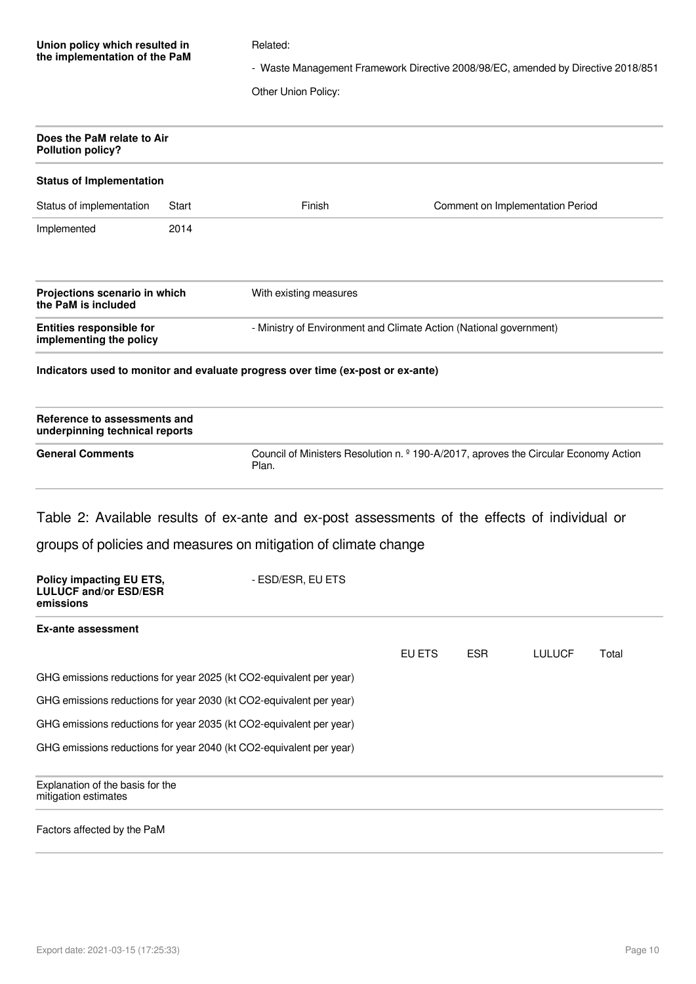| Union policy which resulted in |  |  |  |
|--------------------------------|--|--|--|
| the implementation of the PaM  |  |  |  |

#### Related:

- Waste Management Framework Directive 2008/98/EC, amended by Directive 2018/851

Other Union Policy:

| Does the PaM relate to Air<br><b>Pollution policy?</b>                       |       |                                                                                                          |        |            |                                  |       |
|------------------------------------------------------------------------------|-------|----------------------------------------------------------------------------------------------------------|--------|------------|----------------------------------|-------|
| <b>Status of Implementation</b>                                              |       |                                                                                                          |        |            |                                  |       |
| Status of implementation                                                     | Start | Finish                                                                                                   |        |            | Comment on Implementation Period |       |
| Implemented                                                                  | 2014  |                                                                                                          |        |            |                                  |       |
| Projections scenario in which<br>the PaM is included                         |       | With existing measures                                                                                   |        |            |                                  |       |
| <b>Entities responsible for</b><br>implementing the policy                   |       | - Ministry of Environment and Climate Action (National government)                                       |        |            |                                  |       |
|                                                                              |       | Indicators used to monitor and evaluate progress over time (ex-post or ex-ante)                          |        |            |                                  |       |
| Reference to assessments and<br>underpinning technical reports               |       |                                                                                                          |        |            |                                  |       |
| <b>General Comments</b>                                                      |       | Council of Ministers Resolution n. <sup>o</sup> 190-A/2017, aproves the Circular Economy Action<br>Plan. |        |            |                                  |       |
|                                                                              |       | Table 2: Available results of ex-ante and ex-post assessments of the effects of individual or            |        |            |                                  |       |
|                                                                              |       | groups of policies and measures on mitigation of climate change                                          |        |            |                                  |       |
| <b>Policy impacting EU ETS,</b><br><b>LULUCF and/or ESD/ESR</b><br>emissions |       | - ESD/ESR, EU ETS                                                                                        |        |            |                                  |       |
| <b>Ex-ante assessment</b>                                                    |       |                                                                                                          |        |            |                                  |       |
|                                                                              |       |                                                                                                          | EU ETS | <b>ESR</b> | <b>LULUCF</b>                    | Total |
|                                                                              |       | GHG emissions reductions for year 2025 (kt CO2-equivalent per year)                                      |        |            |                                  |       |
|                                                                              |       | GHG emissions reductions for year 2030 (kt CO2-equivalent per year)                                      |        |            |                                  |       |
|                                                                              |       | GHG emissions reductions for year 2035 (kt CO2-equivalent per year)                                      |        |            |                                  |       |
|                                                                              |       | GHG emissions reductions for year 2040 (kt CO2-equivalent per year)                                      |        |            |                                  |       |
| Explanation of the basis for the<br>mitigation estimates                     |       |                                                                                                          |        |            |                                  |       |
|                                                                              |       |                                                                                                          |        |            |                                  |       |

#### Factors affected by the PaM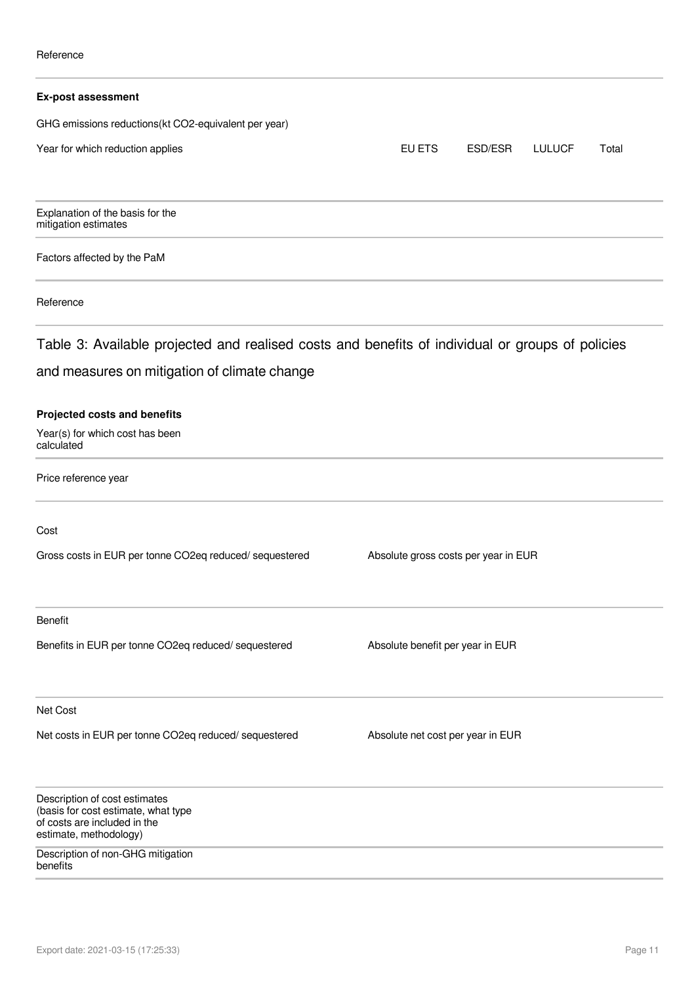| <b>Ex-post assessment</b>                                                                                                      |                                      |         |               |       |
|--------------------------------------------------------------------------------------------------------------------------------|--------------------------------------|---------|---------------|-------|
| GHG emissions reductions(kt CO2-equivalent per year)                                                                           |                                      |         |               |       |
| Year for which reduction applies                                                                                               | EU ETS                               | ESD/ESR | <b>LULUCF</b> | Total |
| Explanation of the basis for the<br>mitigation estimates                                                                       |                                      |         |               |       |
| Factors affected by the PaM                                                                                                    |                                      |         |               |       |
| Reference                                                                                                                      |                                      |         |               |       |
| Table 3: Available projected and realised costs and benefits of individual or groups of policies                               |                                      |         |               |       |
| and measures on mitigation of climate change                                                                                   |                                      |         |               |       |
| Projected costs and benefits<br>Year(s) for which cost has been<br>calculated                                                  |                                      |         |               |       |
| Price reference year                                                                                                           |                                      |         |               |       |
| Cost                                                                                                                           |                                      |         |               |       |
| Gross costs in EUR per tonne CO2eq reduced/ sequestered                                                                        | Absolute gross costs per year in EUR |         |               |       |
| Benefit                                                                                                                        |                                      |         |               |       |
| Benefits in EUR per tonne CO2eq reduced/ sequestered                                                                           | Absolute benefit per year in EUR     |         |               |       |
| Net Cost                                                                                                                       |                                      |         |               |       |
| Net costs in EUR per tonne CO2eq reduced/ sequestered                                                                          | Absolute net cost per year in EUR    |         |               |       |
| Description of cost estimates<br>(basis for cost estimate, what type<br>of costs are included in the<br>estimate, methodology) |                                      |         |               |       |
| Description of non-GHG mitigation<br>benefits                                                                                  |                                      |         |               |       |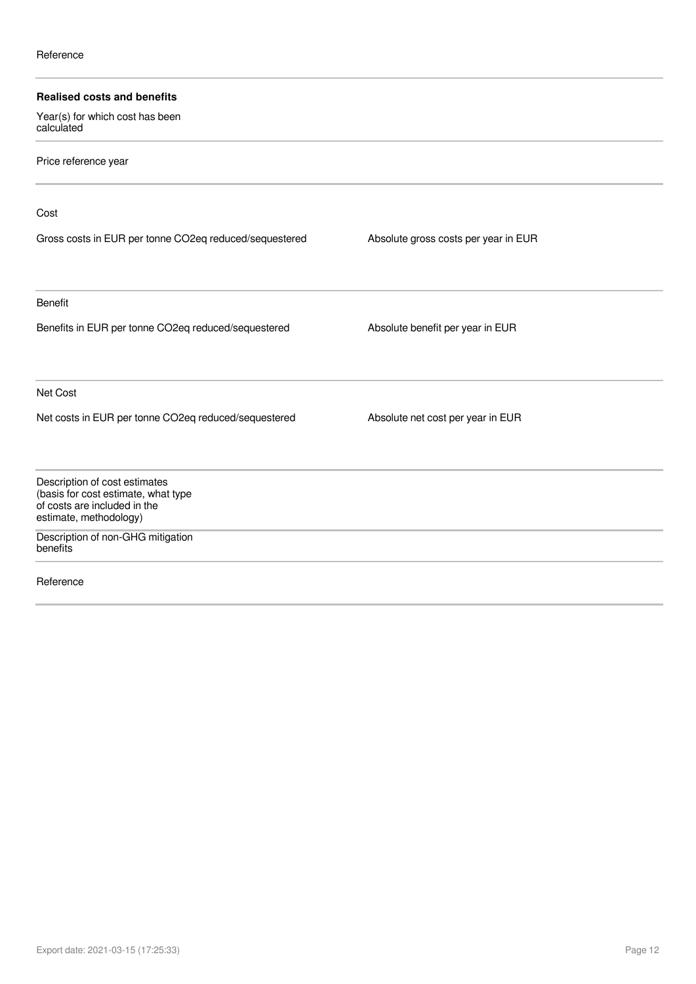| <b>Realised costs and benefits</b><br>Year(s) for which cost has been<br>calculated                                            |                                      |  |
|--------------------------------------------------------------------------------------------------------------------------------|--------------------------------------|--|
| Price reference year                                                                                                           |                                      |  |
| Cost                                                                                                                           |                                      |  |
| Gross costs in EUR per tonne CO2eq reduced/sequestered                                                                         | Absolute gross costs per year in EUR |  |
| <b>Benefit</b>                                                                                                                 |                                      |  |
| Benefits in EUR per tonne CO2eq reduced/sequestered                                                                            | Absolute benefit per year in EUR     |  |
| Net Cost                                                                                                                       |                                      |  |
| Net costs in EUR per tonne CO2eq reduced/sequestered                                                                           | Absolute net cost per year in EUR    |  |
| Description of cost estimates<br>(basis for cost estimate, what type<br>of costs are included in the<br>estimate, methodology) |                                      |  |
| Description of non-GHG mitigation<br>benefits                                                                                  |                                      |  |
| Reference                                                                                                                      |                                      |  |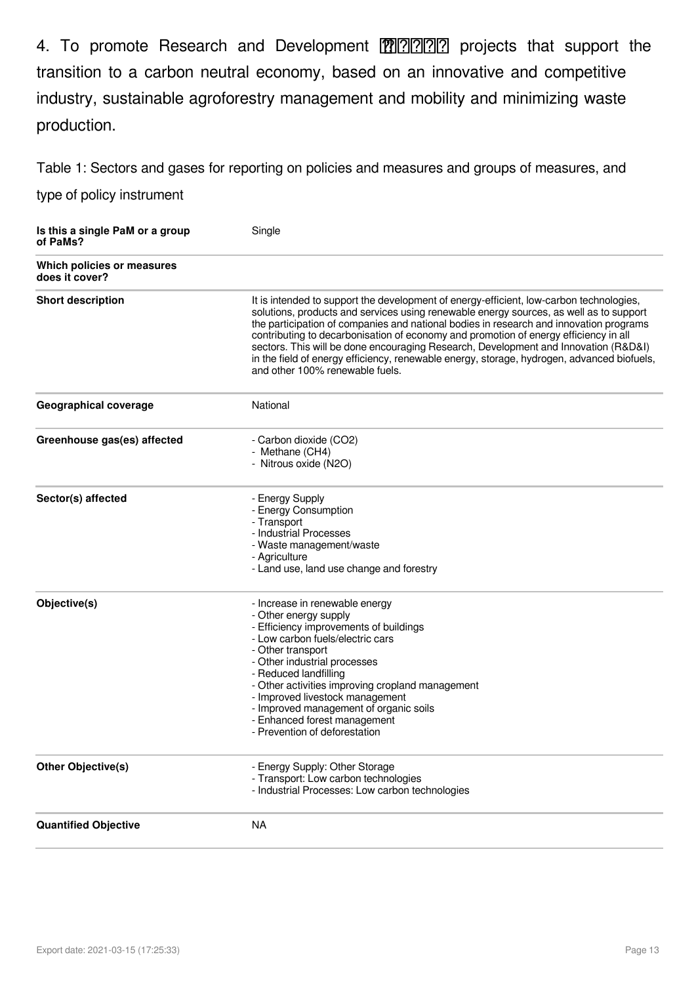4. To promote Research and Development \⠀刀☀䐀尩 projects that support the transition to a carbon neutral economy, based on an innovative and competitive industry, sustainable agroforestry management and mobility and minimizing waste production.

Table 1: Sectors and gases for reporting on policies and measures and groups of measures, and

| Is this a single PaM or a group<br>of PaMs?  | Single                                                                                                                                                                                                                                                                                                                                                                                                                                                                                                                                                                                      |
|----------------------------------------------|---------------------------------------------------------------------------------------------------------------------------------------------------------------------------------------------------------------------------------------------------------------------------------------------------------------------------------------------------------------------------------------------------------------------------------------------------------------------------------------------------------------------------------------------------------------------------------------------|
| Which policies or measures<br>does it cover? |                                                                                                                                                                                                                                                                                                                                                                                                                                                                                                                                                                                             |
| <b>Short description</b>                     | It is intended to support the development of energy-efficient, low-carbon technologies,<br>solutions, products and services using renewable energy sources, as well as to support<br>the participation of companies and national bodies in research and innovation programs<br>contributing to decarbonisation of economy and promotion of energy efficiency in all<br>sectors. This will be done encouraging Research, Development and Innovation (R&D&I)<br>in the field of energy efficiency, renewable energy, storage, hydrogen, advanced biofuels,<br>and other 100% renewable fuels. |
| <b>Geographical coverage</b>                 | National                                                                                                                                                                                                                                                                                                                                                                                                                                                                                                                                                                                    |
| Greenhouse gas(es) affected                  | - Carbon dioxide (CO2)<br>- Methane (CH4)<br>- Nitrous oxide (N2O)                                                                                                                                                                                                                                                                                                                                                                                                                                                                                                                          |
| Sector(s) affected                           | - Energy Supply<br>- Energy Consumption<br>- Transport<br>- Industrial Processes<br>- Waste management/waste<br>- Agriculture<br>- Land use, land use change and forestry                                                                                                                                                                                                                                                                                                                                                                                                                   |
| Objective(s)                                 | - Increase in renewable energy<br>- Other energy supply<br>- Efficiency improvements of buildings<br>- Low carbon fuels/electric cars<br>- Other transport<br>- Other industrial processes<br>- Reduced landfilling<br>- Other activities improving cropland management<br>- Improved livestock management<br>- Improved management of organic soils<br>- Enhanced forest management<br>- Prevention of deforestation                                                                                                                                                                       |
| <b>Other Objective(s)</b>                    | - Energy Supply: Other Storage<br>- Transport: Low carbon technologies<br>- Industrial Processes: Low carbon technologies                                                                                                                                                                                                                                                                                                                                                                                                                                                                   |
| <b>Quantified Objective</b>                  | <b>NA</b>                                                                                                                                                                                                                                                                                                                                                                                                                                                                                                                                                                                   |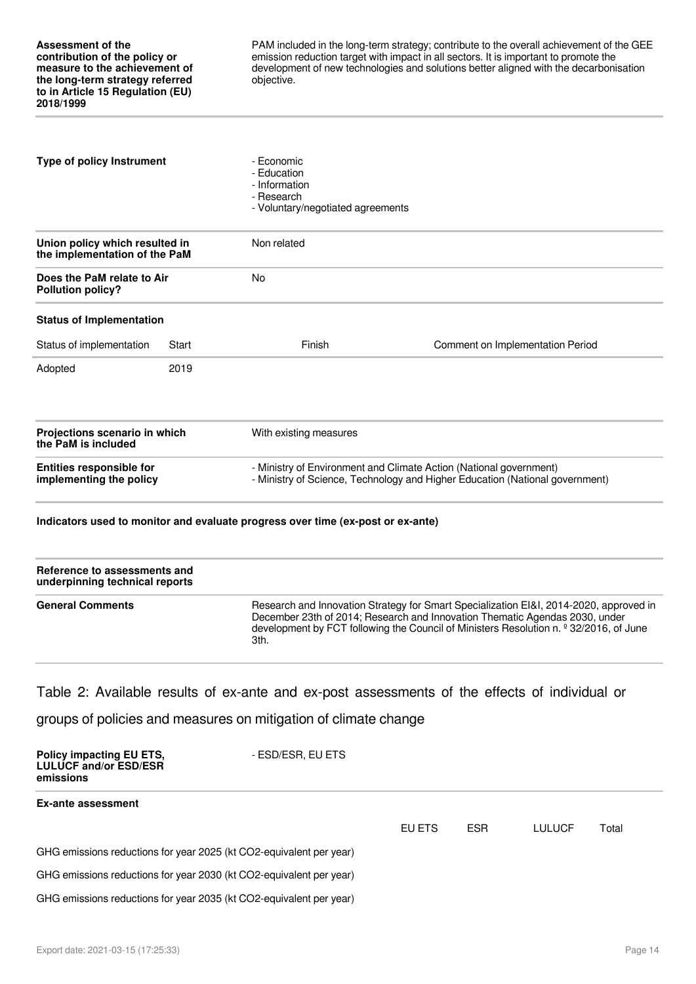PAM included in the long-term strategy; contribute to the overall achievement of the GEE emission reduction target with impact in all sectors. It is important to promote the development of new technologies and solutions better aligned with the decarbonisation objective.

| <b>Type of policy Instrument</b><br>Union policy which resulted in<br>the implementation of the PaM |       | - Fconomic<br>- Education<br>- Information<br>- Research<br>- Voluntary/negotiated agreements |                                                                              |
|-----------------------------------------------------------------------------------------------------|-------|-----------------------------------------------------------------------------------------------|------------------------------------------------------------------------------|
|                                                                                                     |       | Non related                                                                                   |                                                                              |
| Does the PaM relate to Air<br><b>Pollution policy?</b>                                              |       | <b>No</b>                                                                                     |                                                                              |
| <b>Status of Implementation</b>                                                                     |       |                                                                                               |                                                                              |
| Status of implementation                                                                            | Start | Finish                                                                                        | Comment on Implementation Period                                             |
| Adopted                                                                                             | 2019  |                                                                                               |                                                                              |
| Projections scenario in which<br>the PaM is included                                                |       | With existing measures                                                                        |                                                                              |
| <b>Entities responsible for</b><br>implementing the policy                                          |       | - Ministry of Environment and Climate Action (National government)                            | - Ministry of Science, Technology and Higher Education (National government) |

#### **Indicators used to monitor and evaluate progress over time (ex-post or ex-ante)**

| Reference to assessments and<br>underpinning technical reports |                                                                                                                                                                                                                                                                                    |
|----------------------------------------------------------------|------------------------------------------------------------------------------------------------------------------------------------------------------------------------------------------------------------------------------------------------------------------------------------|
| <b>General Comments</b>                                        | Research and Innovation Strategy for Smart Specialization EI&I, 2014-2020, approved in<br>December 23th of 2014; Research and Innovation Thematic Agendas 2030, under<br>development by FCT following the Council of Ministers Resolution n. <sup>2</sup> 32/2016, of June<br>3th. |

#### Table 2: Available results of ex-ante and ex-post assessments of the effects of individual or

| <b>Policy impacting EU ETS,</b><br><b>LULUCF and/or ESD/ESR</b><br>emissions | - ESD/ESR, EU ETS |        |            |               |       |  |
|------------------------------------------------------------------------------|-------------------|--------|------------|---------------|-------|--|
| <b>Ex-ante assessment</b>                                                    |                   |        |            |               |       |  |
|                                                                              |                   | EU ETS | <b>ESR</b> | <b>LULUCF</b> | Total |  |
| GHG emissions reductions for year 2025 (kt CO2-equivalent per year)          |                   |        |            |               |       |  |
| GHG emissions reductions for year 2030 (kt CO2-equivalent per year)          |                   |        |            |               |       |  |
| GHG emissions reductions for year 2035 (kt CO2-equivalent per year)          |                   |        |            |               |       |  |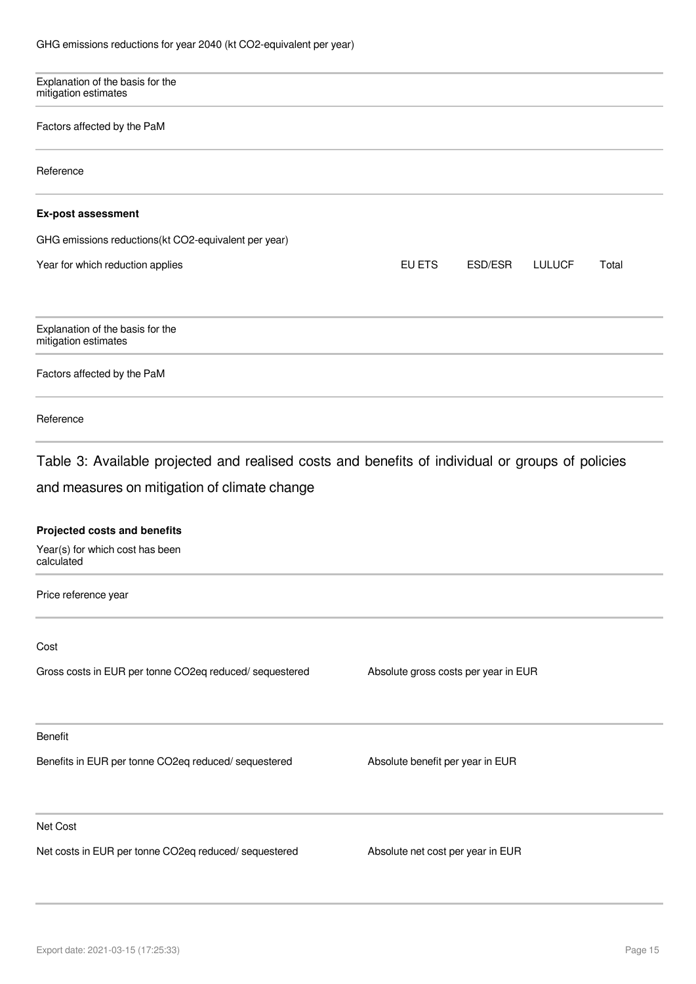| Explanation of the basis for the<br>mitigation estimates                                                                                         |                                      |       |
|--------------------------------------------------------------------------------------------------------------------------------------------------|--------------------------------------|-------|
| Factors affected by the PaM                                                                                                                      |                                      |       |
| Reference                                                                                                                                        |                                      |       |
| <b>Ex-post assessment</b>                                                                                                                        |                                      |       |
| GHG emissions reductions(kt CO2-equivalent per year)                                                                                             |                                      |       |
| Year for which reduction applies                                                                                                                 | EU ETS<br>ESD/ESR<br><b>LULUCF</b>   | Total |
| Explanation of the basis for the<br>mitigation estimates                                                                                         |                                      |       |
| Factors affected by the PaM                                                                                                                      |                                      |       |
| Reference                                                                                                                                        |                                      |       |
| Table 3: Available projected and realised costs and benefits of individual or groups of policies<br>and measures on mitigation of climate change |                                      |       |
| <b>Projected costs and benefits</b>                                                                                                              |                                      |       |
| Year(s) for which cost has been<br>calculated                                                                                                    |                                      |       |
| Price reference year                                                                                                                             |                                      |       |
| Cost                                                                                                                                             |                                      |       |
| Gross costs in EUR per tonne CO2eq reduced/ sequestered                                                                                          | Absolute gross costs per year in EUR |       |
| <b>Benefit</b>                                                                                                                                   |                                      |       |
| Benefits in EUR per tonne CO2eq reduced/ sequestered                                                                                             | Absolute benefit per year in EUR     |       |
| Net Cost                                                                                                                                         |                                      |       |
| Net costs in EUR per tonne CO2eq reduced/ sequestered                                                                                            | Absolute net cost per year in EUR    |       |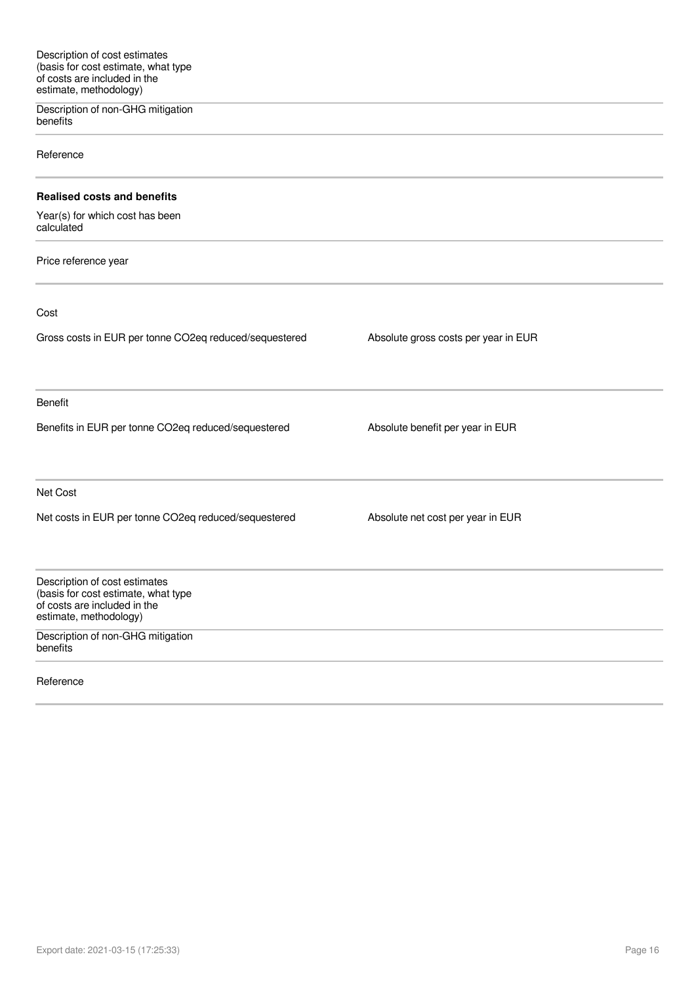Description of non-GHG mitigation benefits

Reference

#### **Realised costs and benefits**

Year(s) for which cost has been calculated

Price reference year

Cost

Gross costs in EUR per tonne CO2eq reduced/sequestered Absolute gross costs per year in EUR Benefit Benefits in EUR per tonne CO2eq reduced/sequestered Absolute benefit per year in EUR Net Cost Net costs in EUR per tonne CO2eq reduced/sequestered Absolute net cost per year in EUR Description of cost estimates (basis for cost estimate, what type of costs are included in the estimate, methodology)

Description of non-GHG mitigation benefits

Reference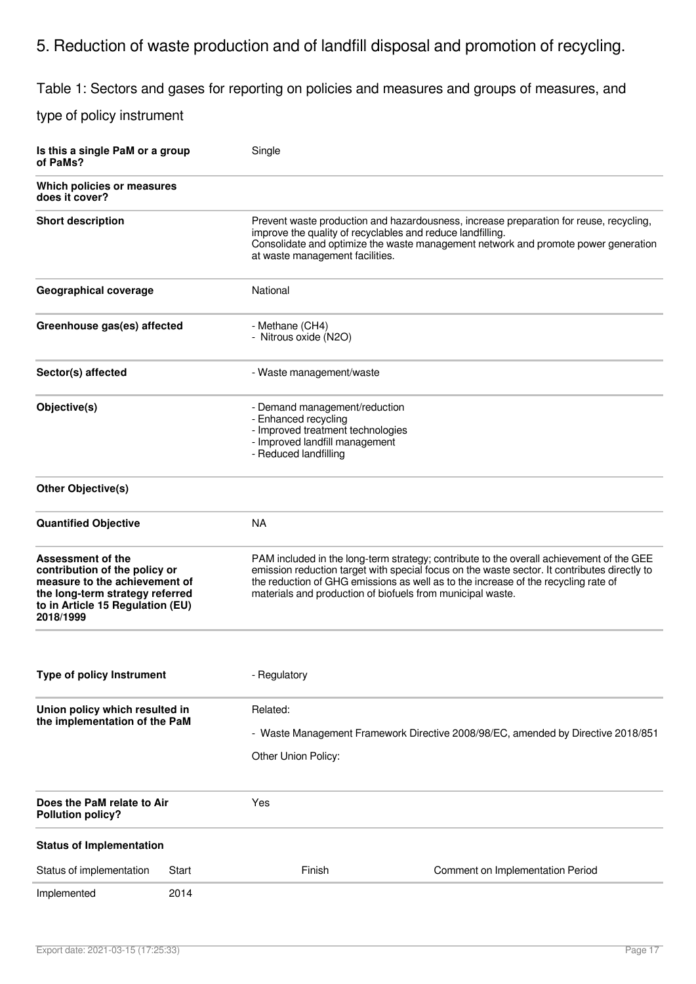# 5. Reduction of waste production and of landfill disposal and promotion of recycling.

Table 1: Sectors and gases for reporting on policies and measures and groups of measures, and

| Is this a single PaM or a group<br>of PaMs?                                                                                                                                    |                          | Single                                                                                                                                                                                                                                                                        |                                                                                                                                                                                                                                                                                                                                              |  |
|--------------------------------------------------------------------------------------------------------------------------------------------------------------------------------|--------------------------|-------------------------------------------------------------------------------------------------------------------------------------------------------------------------------------------------------------------------------------------------------------------------------|----------------------------------------------------------------------------------------------------------------------------------------------------------------------------------------------------------------------------------------------------------------------------------------------------------------------------------------------|--|
| Which policies or measures<br>does it cover?                                                                                                                                   |                          |                                                                                                                                                                                                                                                                               |                                                                                                                                                                                                                                                                                                                                              |  |
| <b>Short description</b>                                                                                                                                                       |                          | Prevent waste production and hazardousness, increase preparation for reuse, recycling,<br>improve the quality of recyclables and reduce landfilling.<br>Consolidate and optimize the waste management network and promote power generation<br>at waste management facilities. |                                                                                                                                                                                                                                                                                                                                              |  |
| Geographical coverage<br>National                                                                                                                                              |                          |                                                                                                                                                                                                                                                                               |                                                                                                                                                                                                                                                                                                                                              |  |
| Greenhouse gas(es) affected<br>- Methane (CH4)<br>- Nitrous oxide (N2O)                                                                                                        |                          |                                                                                                                                                                                                                                                                               |                                                                                                                                                                                                                                                                                                                                              |  |
| Sector(s) affected                                                                                                                                                             | - Waste management/waste |                                                                                                                                                                                                                                                                               |                                                                                                                                                                                                                                                                                                                                              |  |
| Objective(s)                                                                                                                                                                   |                          | - Demand management/reduction<br>- Enhanced recycling<br>- Improved treatment technologies<br>- Improved landfill management<br>- Reduced landfilling                                                                                                                         |                                                                                                                                                                                                                                                                                                                                              |  |
| <b>Other Objective(s)</b>                                                                                                                                                      |                          |                                                                                                                                                                                                                                                                               |                                                                                                                                                                                                                                                                                                                                              |  |
| <b>Quantified Objective</b>                                                                                                                                                    |                          | <b>NA</b>                                                                                                                                                                                                                                                                     |                                                                                                                                                                                                                                                                                                                                              |  |
| <b>Assessment of the</b><br>contribution of the policy or<br>measure to the achievement of<br>the long-term strategy referred<br>to in Article 15 Regulation (EU)<br>2018/1999 |                          |                                                                                                                                                                                                                                                                               | PAM included in the long-term strategy; contribute to the overall achievement of the GEE<br>emission reduction target with special focus on the waste sector. It contributes directly to<br>the reduction of GHG emissions as well as to the increase of the recycling rate of<br>materials and production of biofuels from municipal waste. |  |
| <b>Type of policy Instrument</b>                                                                                                                                               |                          | - Regulatory                                                                                                                                                                                                                                                                  |                                                                                                                                                                                                                                                                                                                                              |  |
| Union policy which resulted in<br>the implementation of the PaM                                                                                                                |                          | Related:<br>Other Union Policy:                                                                                                                                                                                                                                               | - Waste Management Framework Directive 2008/98/EC, amended by Directive 2018/851                                                                                                                                                                                                                                                             |  |
| Does the PaM relate to Air<br><b>Pollution policy?</b>                                                                                                                         |                          | Yes                                                                                                                                                                                                                                                                           |                                                                                                                                                                                                                                                                                                                                              |  |
| <b>Status of Implementation</b>                                                                                                                                                |                          |                                                                                                                                                                                                                                                                               |                                                                                                                                                                                                                                                                                                                                              |  |
| Status of implementation                                                                                                                                                       | Start                    | Finish                                                                                                                                                                                                                                                                        | Comment on Implementation Period                                                                                                                                                                                                                                                                                                             |  |
| Implemented                                                                                                                                                                    | 2014                     |                                                                                                                                                                                                                                                                               |                                                                                                                                                                                                                                                                                                                                              |  |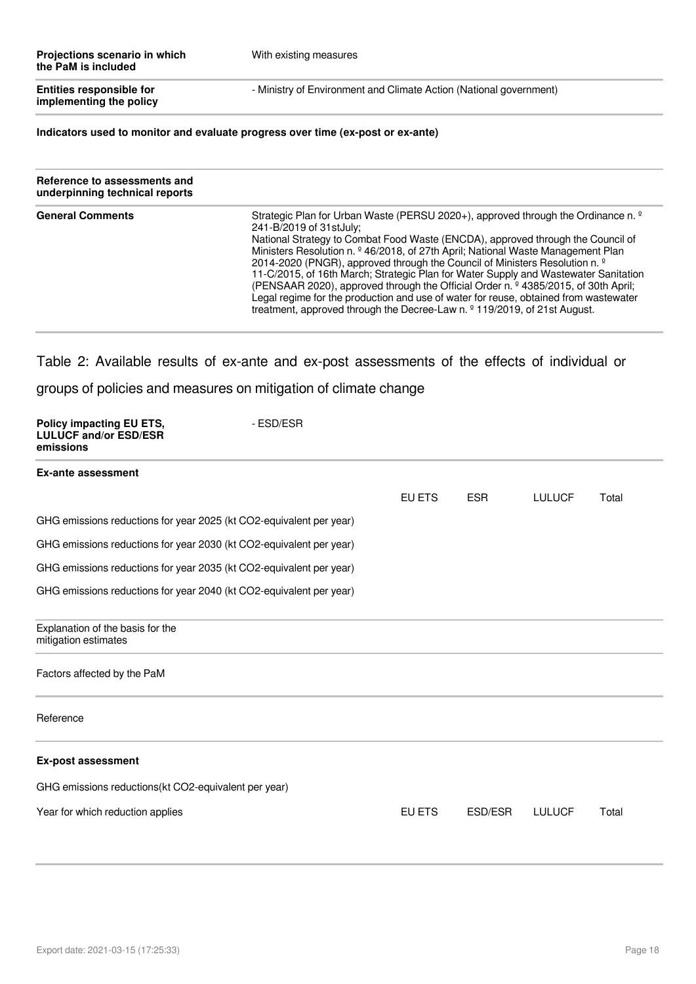| Projections scenario in which<br>the PaM is included       | With existing measures                                             |
|------------------------------------------------------------|--------------------------------------------------------------------|
| <b>Entities responsible for</b><br>implementing the policy | - Ministry of Environment and Climate Action (National government) |

**Indicators used to monitor and evaluate progress over time (ex-post or ex-ante)**

| Reference to assessments and<br>underpinning technical reports |                                                                                                                                                                                                                                                                                                                                                                                                                                                                                                                                                                                                                                                                                                                                                         |
|----------------------------------------------------------------|---------------------------------------------------------------------------------------------------------------------------------------------------------------------------------------------------------------------------------------------------------------------------------------------------------------------------------------------------------------------------------------------------------------------------------------------------------------------------------------------------------------------------------------------------------------------------------------------------------------------------------------------------------------------------------------------------------------------------------------------------------|
| <b>General Comments</b>                                        | Strategic Plan for Urban Waste (PERSU 2020+), approved through the Ordinance n. <sup>o</sup><br>241-B/2019 of 31stJuly;<br>National Strategy to Combat Food Waste (ENCDA), approved through the Council of<br>Ministers Resolution n. <sup>9</sup> 46/2018, of 27th April; National Waste Management Plan<br>2014-2020 (PNGR), approved through the Council of Ministers Resolution n. <sup>9</sup><br>11-C/2015, of 16th March; Strategic Plan for Water Supply and Wastewater Sanitation<br>(PENSAAR 2020), approved through the Official Order n. º 4385/2015, of 30th April;<br>Legal regime for the production and use of water for reuse, obtained from wastewater<br>treatment, approved through the Decree-Law n. $9$ 119/2019, of 21st August. |

Table 2: Available results of ex-ante and ex-post assessments of the effects of individual or

| Policy impacting EU ETS,<br><b>LULUCF and/or ESD/ESR</b><br>emissions | - ESD/ESR |        |            |               |       |
|-----------------------------------------------------------------------|-----------|--------|------------|---------------|-------|
| <b>Ex-ante assessment</b>                                             |           |        |            |               |       |
|                                                                       |           | EU ETS | <b>ESR</b> | <b>LULUCF</b> | Total |
| GHG emissions reductions for year 2025 (kt CO2-equivalent per year)   |           |        |            |               |       |
| GHG emissions reductions for year 2030 (kt CO2-equivalent per year)   |           |        |            |               |       |
| GHG emissions reductions for year 2035 (kt CO2-equivalent per year)   |           |        |            |               |       |
| GHG emissions reductions for year 2040 (kt CO2-equivalent per year)   |           |        |            |               |       |
| Explanation of the basis for the<br>mitigation estimates              |           |        |            |               |       |
| Factors affected by the PaM                                           |           |        |            |               |       |
| Reference                                                             |           |        |            |               |       |
| <b>Ex-post assessment</b>                                             |           |        |            |               |       |
| GHG emissions reductions(kt CO2-equivalent per year)                  |           |        |            |               |       |
| Year for which reduction applies                                      |           | EU ETS | ESD/ESR    | <b>LULUCF</b> | Total |
|                                                                       |           |        |            |               |       |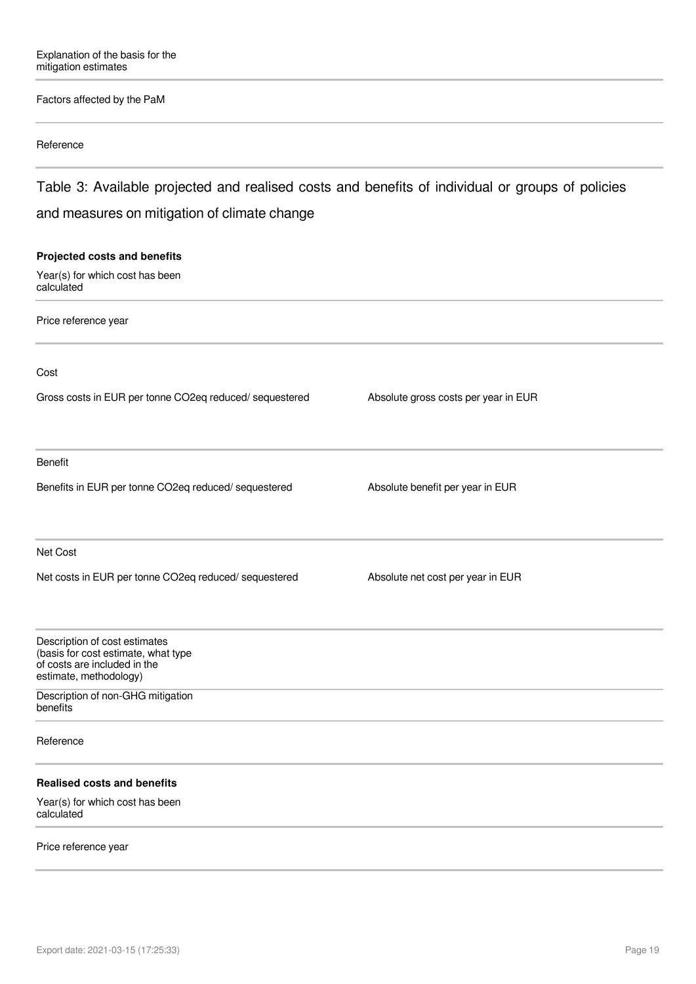#### Factors affected by the PaM

#### Reference

Table 3: Available projected and realised costs and benefits of individual or groups of policies and measures on mitigation of climate change

# **Projected costs and benefits** Year(s) for which cost has been calculated Price reference year Cost Gross costs in EUR per tonne CO2eq reduced/ sequestered Absolute gross costs per year in EUR Benefit Benefits in EUR per tonne CO2eq reduced/ sequestered Absolute benefit per year in EUR Net Cost Net costs in EUR per tonne CO2eq reduced/ sequestered Absolute net cost per year in EUR Description of cost estimates (basis for cost estimate, what type of costs are included in the estimate, methodology) Description of non-GHG mitigation benefits Reference **Realised costs and benefits** Year(s) for which cost has been calculated

#### Price reference year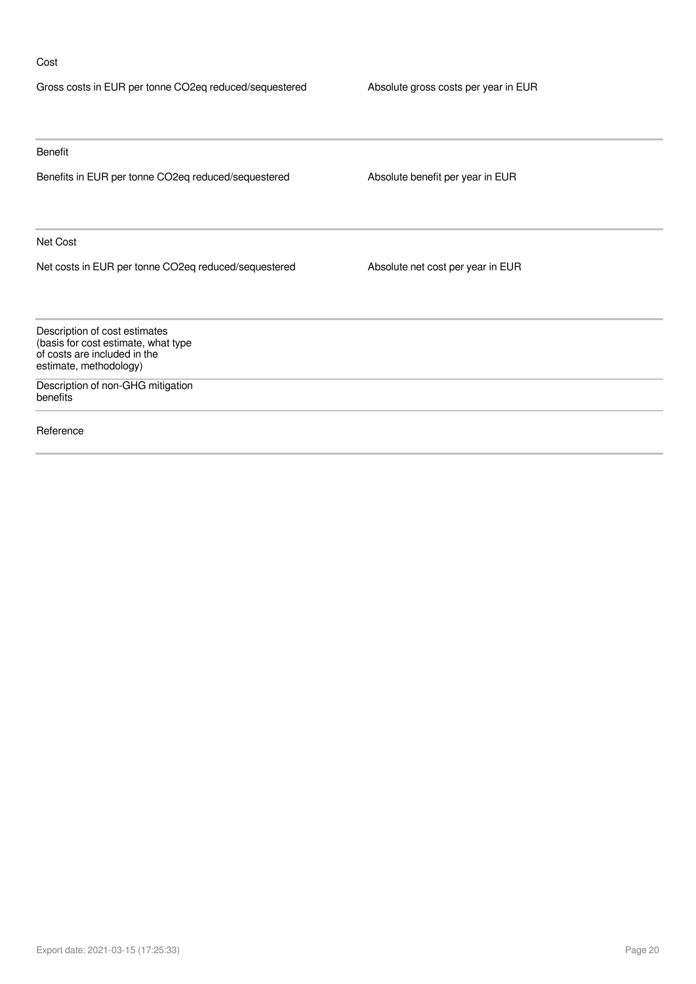#### Cost

| Gross costs in EUR per tonne CO2eq reduced/sequestered                                                                         | Absolute gross costs per year in EUR |
|--------------------------------------------------------------------------------------------------------------------------------|--------------------------------------|
|                                                                                                                                |                                      |
| Benefit                                                                                                                        |                                      |
| Benefits in EUR per tonne CO2eq reduced/sequestered                                                                            | Absolute benefit per year in EUR     |
| Net Cost                                                                                                                       |                                      |
| Net costs in EUR per tonne CO2eq reduced/sequestered                                                                           | Absolute net cost per year in EUR    |
| Description of cost estimates<br>(basis for cost estimate, what type<br>of costs are included in the<br>estimate, methodology) |                                      |
| Description of non-GHG mitigation<br>benefits                                                                                  |                                      |
| Reference                                                                                                                      |                                      |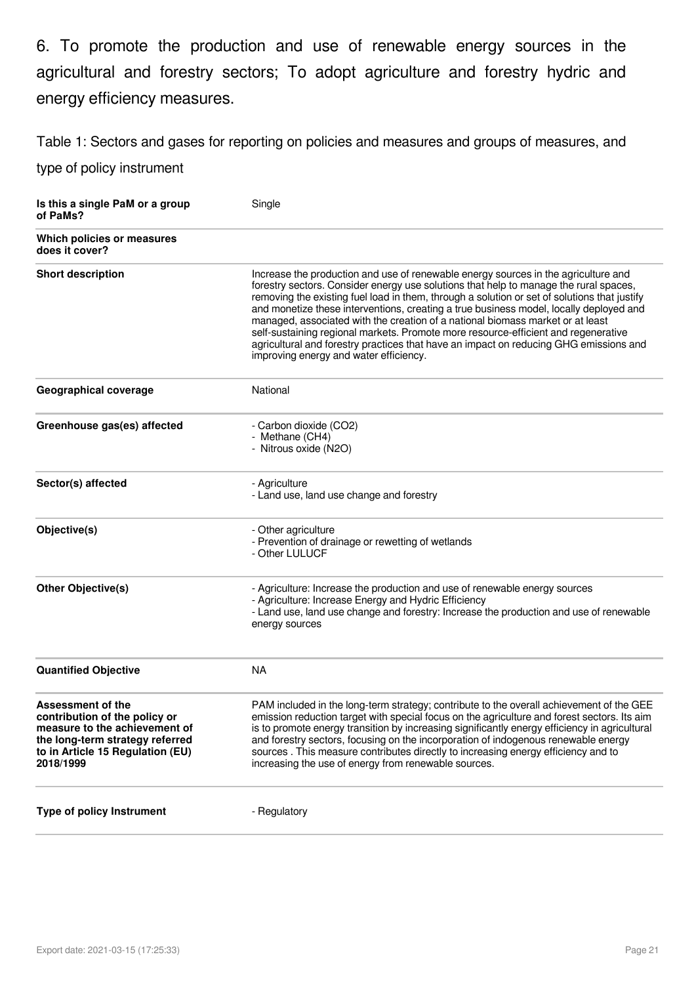6. To promote the production and use of renewable energy sources in the agricultural and forestry sectors; To adopt agriculture and forestry hydric and energy efficiency measures.

Table 1: Sectors and gases for reporting on policies and measures and groups of measures, and

| Is this a single PaM or a group<br>of PaMs?                                                                                                                             | Single                                                                                                                                                                                                                                                                                                                                                                                                                                                                                                                                                                                                                                                                           |
|-------------------------------------------------------------------------------------------------------------------------------------------------------------------------|----------------------------------------------------------------------------------------------------------------------------------------------------------------------------------------------------------------------------------------------------------------------------------------------------------------------------------------------------------------------------------------------------------------------------------------------------------------------------------------------------------------------------------------------------------------------------------------------------------------------------------------------------------------------------------|
| Which policies or measures<br>does it cover?                                                                                                                            |                                                                                                                                                                                                                                                                                                                                                                                                                                                                                                                                                                                                                                                                                  |
| <b>Short description</b>                                                                                                                                                | Increase the production and use of renewable energy sources in the agriculture and<br>forestry sectors. Consider energy use solutions that help to manage the rural spaces,<br>removing the existing fuel load in them, through a solution or set of solutions that justify<br>and monetize these interventions, creating a true business model, locally deployed and<br>managed, associated with the creation of a national biomass market or at least<br>self-sustaining regional markets. Promote more resource-efficient and regenerative<br>agricultural and forestry practices that have an impact on reducing GHG emissions and<br>improving energy and water efficiency. |
| Geographical coverage                                                                                                                                                   | National                                                                                                                                                                                                                                                                                                                                                                                                                                                                                                                                                                                                                                                                         |
| Greenhouse gas(es) affected                                                                                                                                             | - Carbon dioxide (CO2)<br>- Methane (CH4)<br>- Nitrous oxide (N2O)                                                                                                                                                                                                                                                                                                                                                                                                                                                                                                                                                                                                               |
| Sector(s) affected                                                                                                                                                      | - Agriculture<br>- Land use, land use change and forestry                                                                                                                                                                                                                                                                                                                                                                                                                                                                                                                                                                                                                        |
| Objective(s)                                                                                                                                                            | - Other agriculture<br>- Prevention of drainage or rewetting of wetlands<br>- Other LULUCF                                                                                                                                                                                                                                                                                                                                                                                                                                                                                                                                                                                       |
| <b>Other Objective(s)</b>                                                                                                                                               | - Agriculture: Increase the production and use of renewable energy sources<br>- Agriculture: Increase Energy and Hydric Efficiency<br>- Land use, land use change and forestry: Increase the production and use of renewable<br>energy sources                                                                                                                                                                                                                                                                                                                                                                                                                                   |
| <b>Quantified Objective</b>                                                                                                                                             | <b>NA</b>                                                                                                                                                                                                                                                                                                                                                                                                                                                                                                                                                                                                                                                                        |
| Assessment of the<br>contribution of the policy or<br>measure to the achievement of<br>the long-term strategy referred<br>to in Article 15 Regulation (EU)<br>2018/1999 | PAM included in the long-term strategy; contribute to the overall achievement of the GEE<br>emission reduction target with special focus on the agriculture and forest sectors. Its aim<br>is to promote energy transition by increasing significantly energy efficiency in agricultural<br>and forestry sectors, focusing on the incorporation of indogenous renewable energy<br>sources. This measure contributes directly to increasing energy efficiency and to<br>increasing the use of energy from renewable sources.                                                                                                                                                      |
| <b>Type of policy Instrument</b>                                                                                                                                        | - Regulatory                                                                                                                                                                                                                                                                                                                                                                                                                                                                                                                                                                                                                                                                     |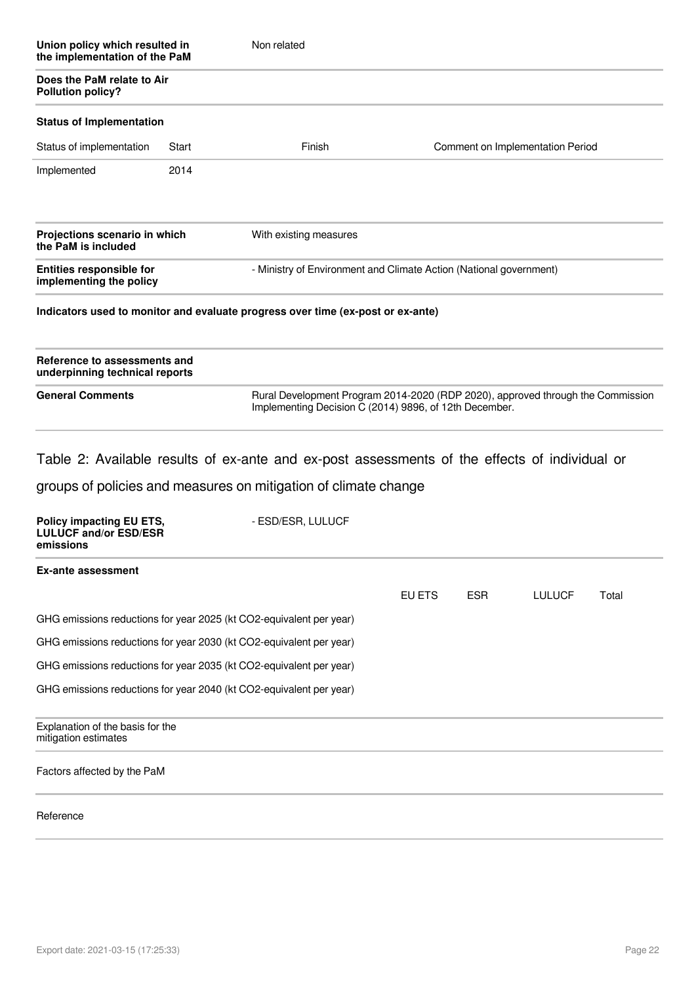| Union policy which resulted in<br>the implementation of the PaM<br>Does the PaM relate to Air<br><b>Pollution policy?</b> |       | Non related                                                                     |                                                                    |  |  |
|---------------------------------------------------------------------------------------------------------------------------|-------|---------------------------------------------------------------------------------|--------------------------------------------------------------------|--|--|
|                                                                                                                           |       |                                                                                 |                                                                    |  |  |
| <b>Status of Implementation</b>                                                                                           |       |                                                                                 |                                                                    |  |  |
| Status of implementation                                                                                                  | Start | Finish                                                                          | Comment on Implementation Period                                   |  |  |
| Implemented                                                                                                               | 2014  |                                                                                 |                                                                    |  |  |
| Projections scenario in which<br>the PaM is included                                                                      |       | With existing measures                                                          |                                                                    |  |  |
| <b>Entities responsible for</b><br>implementing the policy                                                                |       |                                                                                 | - Ministry of Environment and Climate Action (National government) |  |  |
|                                                                                                                           |       | Indicators used to monitor and evaluate progress over time (ex-post or ex-ante) |                                                                    |  |  |

| Reference to assessments and<br>underpinning technical reports |                                                                                                                                           |
|----------------------------------------------------------------|-------------------------------------------------------------------------------------------------------------------------------------------|
| <b>General Comments</b>                                        | Rural Development Program 2014-2020 (RDP 2020), approved through the Commission<br>Implementing Decision C (2014) 9896, of 12th December. |

Table 2: Available results of ex-ante and ex-post assessments of the effects of individual or

| Policy impacting EU ETS,<br><b>LULUCF and/or ESD/ESR</b><br>emissions | - ESD/ESR, LULUCF |        |            |               |       |
|-----------------------------------------------------------------------|-------------------|--------|------------|---------------|-------|
| Ex-ante assessment                                                    |                   |        |            |               |       |
|                                                                       |                   | EU ETS | <b>ESR</b> | <b>LULUCF</b> | Total |
| GHG emissions reductions for year 2025 (kt CO2-equivalent per year)   |                   |        |            |               |       |
| GHG emissions reductions for year 2030 (kt CO2-equivalent per year)   |                   |        |            |               |       |
| GHG emissions reductions for year 2035 (kt CO2-equivalent per year)   |                   |        |            |               |       |
| GHG emissions reductions for year 2040 (kt CO2-equivalent per year)   |                   |        |            |               |       |
| Explanation of the basis for the<br>mitigation estimates              |                   |        |            |               |       |
| Factors affected by the PaM                                           |                   |        |            |               |       |
| Reference                                                             |                   |        |            |               |       |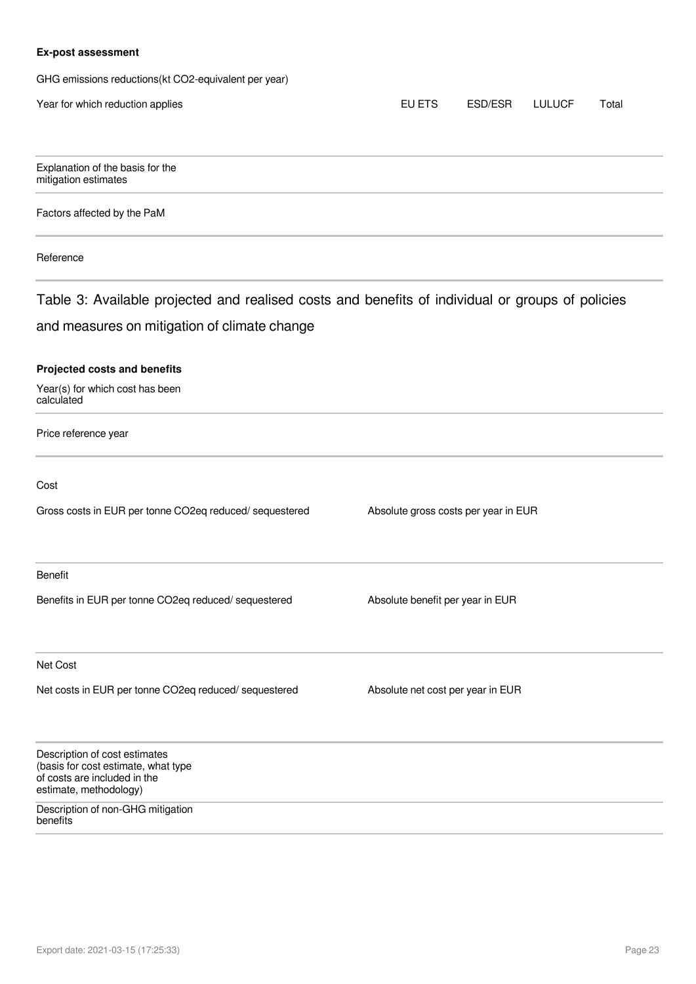#### **Ex-post assessment**

GHG emissions reductions(kt CO2-equivalent per year)

| Year for which reduction applies                                                                                               | EU ETS                               | ESD/ESR | <b>LULUCF</b> | Total |
|--------------------------------------------------------------------------------------------------------------------------------|--------------------------------------|---------|---------------|-------|
| Explanation of the basis for the<br>mitigation estimates                                                                       |                                      |         |               |       |
| Factors affected by the PaM                                                                                                    |                                      |         |               |       |
| Reference                                                                                                                      |                                      |         |               |       |
| Table 3: Available projected and realised costs and benefits of individual or groups of policies                               |                                      |         |               |       |
| and measures on mitigation of climate change                                                                                   |                                      |         |               |       |
| <b>Projected costs and benefits</b><br>Year(s) for which cost has been<br>calculated                                           |                                      |         |               |       |
| Price reference year                                                                                                           |                                      |         |               |       |
| Cost                                                                                                                           |                                      |         |               |       |
| Gross costs in EUR per tonne CO2eq reduced/ sequestered                                                                        | Absolute gross costs per year in EUR |         |               |       |
| <b>Benefit</b>                                                                                                                 |                                      |         |               |       |
| Benefits in EUR per tonne CO2eq reduced/ sequestered                                                                           | Absolute benefit per year in EUR     |         |               |       |
| Net Cost                                                                                                                       |                                      |         |               |       |
| Net costs in EUR per tonne CO2eq reduced/ sequestered                                                                          | Absolute net cost per year in EUR    |         |               |       |
| Description of cost estimates<br>(basis for cost estimate, what type<br>of costs are included in the<br>estimate, methodology) |                                      |         |               |       |
| Description of non-GHG mitigation<br>benefits                                                                                  |                                      |         |               |       |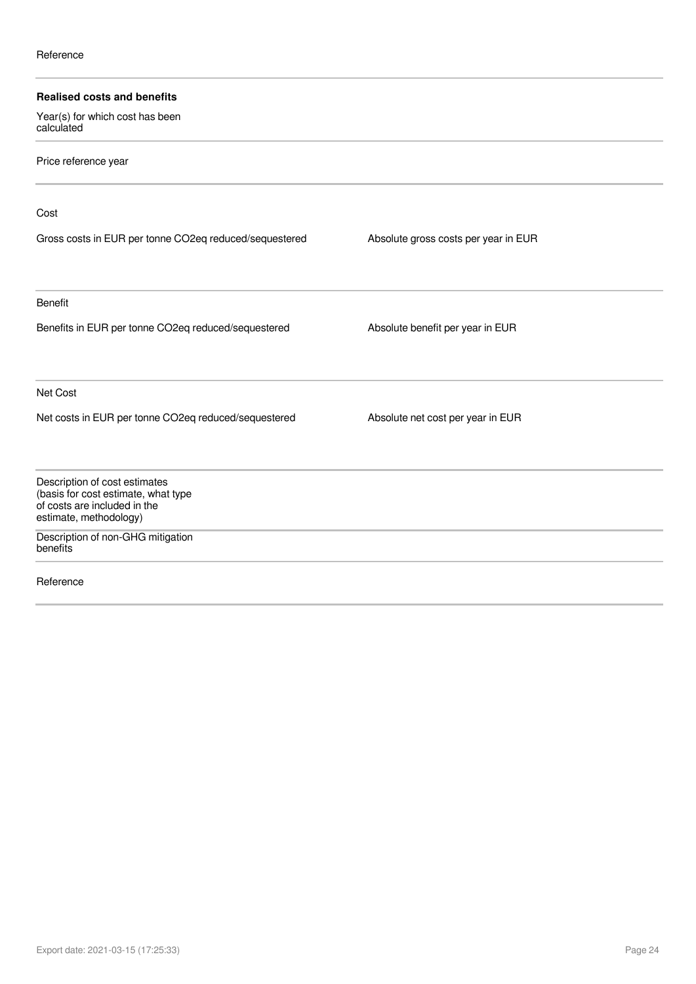| <b>Realised costs and benefits</b>                                   |                                      |  |
|----------------------------------------------------------------------|--------------------------------------|--|
| Year(s) for which cost has been<br>calculated                        |                                      |  |
| Price reference year                                                 |                                      |  |
| Cost                                                                 |                                      |  |
| Gross costs in EUR per tonne CO2eq reduced/sequestered               | Absolute gross costs per year in EUR |  |
| <b>Benefit</b>                                                       |                                      |  |
| Benefits in EUR per tonne CO2eq reduced/sequestered                  | Absolute benefit per year in EUR     |  |
| Net Cost                                                             |                                      |  |
| Net costs in EUR per tonne CO2eq reduced/sequestered                 | Absolute net cost per year in EUR    |  |
| Description of cost estimates<br>(basis for cost estimate, what type |                                      |  |
| of costs are included in the<br>estimate, methodology)               |                                      |  |
| Description of non-GHG mitigation<br>benefits                        |                                      |  |
| Reference                                                            |                                      |  |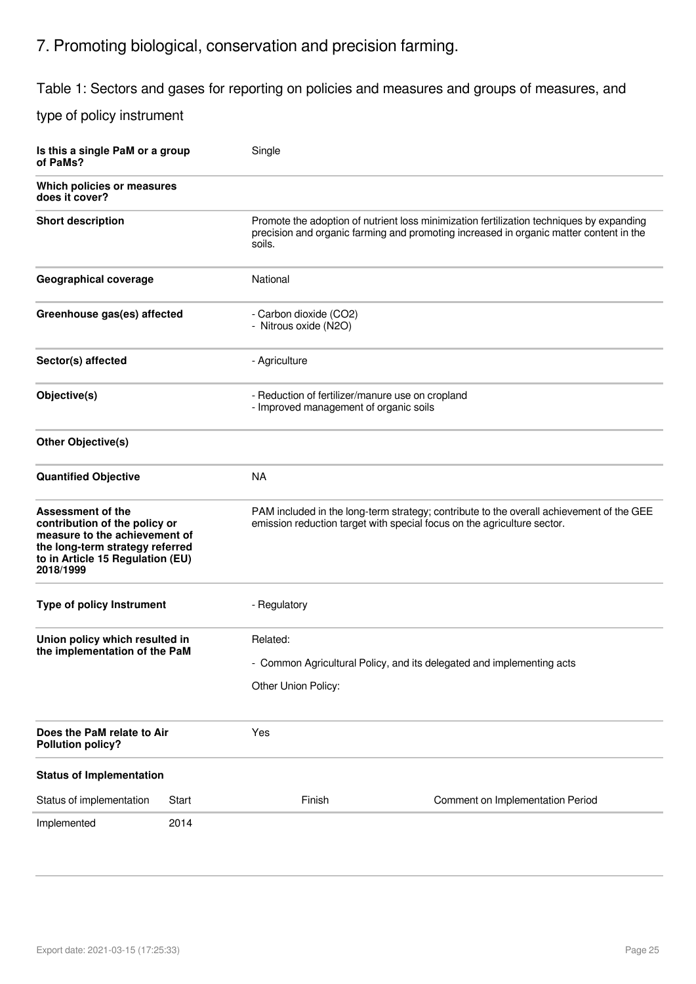# 7. Promoting biological, conservation and precision farming.

Table 1: Sectors and gases for reporting on policies and measures and groups of measures, and

| Is this a single PaM or a group<br>of PaMs?                                                                                                                                    |       | Single                                          |                                                                                                                                                                                    |  |  |
|--------------------------------------------------------------------------------------------------------------------------------------------------------------------------------|-------|-------------------------------------------------|------------------------------------------------------------------------------------------------------------------------------------------------------------------------------------|--|--|
| Which policies or measures<br>does it cover?                                                                                                                                   |       |                                                 |                                                                                                                                                                                    |  |  |
| <b>Short description</b>                                                                                                                                                       |       | soils.                                          | Promote the adoption of nutrient loss minimization fertilization techniques by expanding<br>precision and organic farming and promoting increased in organic matter content in the |  |  |
| Geographical coverage                                                                                                                                                          |       | National                                        |                                                                                                                                                                                    |  |  |
| Greenhouse gas(es) affected                                                                                                                                                    |       | - Carbon dioxide (CO2)<br>- Nitrous oxide (N2O) |                                                                                                                                                                                    |  |  |
| Sector(s) affected                                                                                                                                                             |       | - Agriculture                                   |                                                                                                                                                                                    |  |  |
| Objective(s)                                                                                                                                                                   |       |                                                 | - Reduction of fertilizer/manure use on cropland<br>- Improved management of organic soils                                                                                         |  |  |
| <b>Other Objective(s)</b>                                                                                                                                                      |       |                                                 |                                                                                                                                                                                    |  |  |
| <b>Quantified Objective</b>                                                                                                                                                    |       | <b>NA</b>                                       |                                                                                                                                                                                    |  |  |
| <b>Assessment of the</b><br>contribution of the policy or<br>measure to the achievement of<br>the long-term strategy referred<br>to in Article 15 Regulation (EU)<br>2018/1999 |       |                                                 | PAM included in the long-term strategy; contribute to the overall achievement of the GEE<br>emission reduction target with special focus on the agriculture sector.                |  |  |
| <b>Type of policy Instrument</b>                                                                                                                                               |       | - Regulatory                                    |                                                                                                                                                                                    |  |  |
| Union policy which resulted in<br>the implementation of the PaM                                                                                                                |       | Related:<br>Other Union Policy:                 | - Common Agricultural Policy, and its delegated and implementing acts                                                                                                              |  |  |
| Does the PaM relate to Air<br><b>Pollution policy?</b>                                                                                                                         |       | Yes                                             |                                                                                                                                                                                    |  |  |
| <b>Status of Implementation</b>                                                                                                                                                |       |                                                 |                                                                                                                                                                                    |  |  |
| Status of implementation                                                                                                                                                       | Start | Finish                                          | Comment on Implementation Period                                                                                                                                                   |  |  |
| Implemented                                                                                                                                                                    | 2014  |                                                 |                                                                                                                                                                                    |  |  |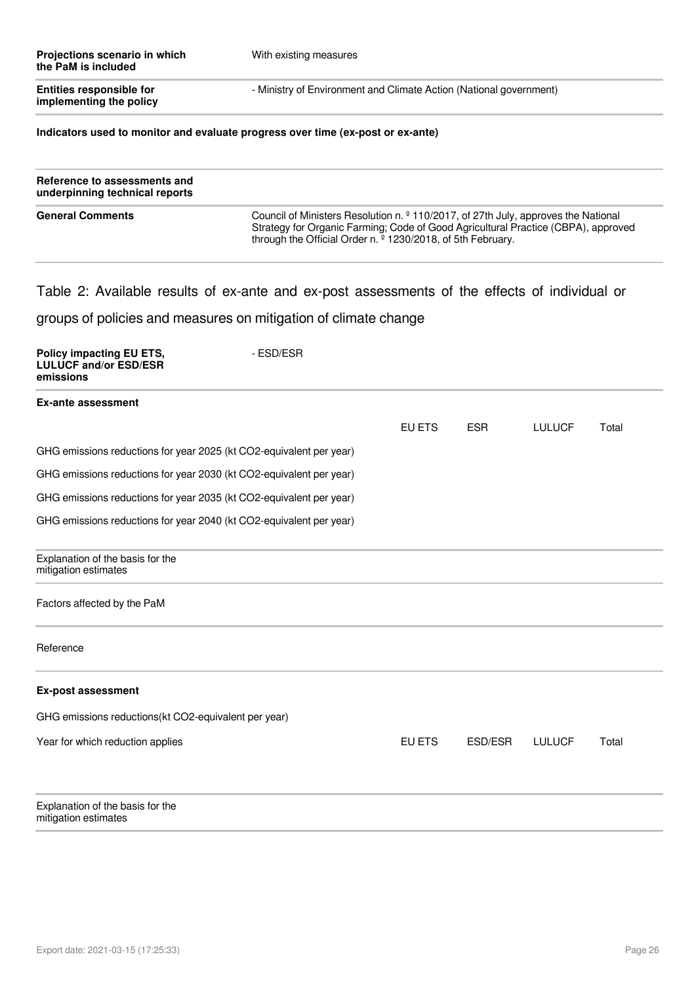| Projections scenario in which<br>the PaM is included       | With existing measures                                             |
|------------------------------------------------------------|--------------------------------------------------------------------|
| <b>Entities responsible for</b><br>implementing the policy | - Ministry of Environment and Climate Action (National government) |

#### **Indicators used to monitor and evaluate progress over time (ex-post or ex-ante)**

| Reference to assessments and<br>underpinning technical reports |                                                                                                                                                                                                                                                               |
|----------------------------------------------------------------|---------------------------------------------------------------------------------------------------------------------------------------------------------------------------------------------------------------------------------------------------------------|
| <b>General Comments</b>                                        | Council of Ministers Resolution n. $\frac{9}{2}$ 110/2017, of 27th July, approves the National<br>Strategy for Organic Farming; Code of Good Agricultural Practice (CBPA), approved<br>through the Official Order n. <sup>o</sup> 1230/2018, of 5th February. |

### Table 2: Available results of ex-ante and ex-post assessments of the effects of individual or

| Policy impacting EU ETS,<br><b>LULUCF and/or ESD/ESR</b><br>emissions | - ESD/ESR |               |            |               |       |
|-----------------------------------------------------------------------|-----------|---------------|------------|---------------|-------|
| <b>Ex-ante assessment</b>                                             |           |               |            |               |       |
|                                                                       |           | EU ETS        | <b>ESR</b> | <b>LULUCF</b> | Total |
| GHG emissions reductions for year 2025 (kt CO2-equivalent per year)   |           |               |            |               |       |
| GHG emissions reductions for year 2030 (kt CO2-equivalent per year)   |           |               |            |               |       |
| GHG emissions reductions for year 2035 (kt CO2-equivalent per year)   |           |               |            |               |       |
| GHG emissions reductions for year 2040 (kt CO2-equivalent per year)   |           |               |            |               |       |
| Explanation of the basis for the<br>mitigation estimates              |           |               |            |               |       |
| Factors affected by the PaM                                           |           |               |            |               |       |
| Reference                                                             |           |               |            |               |       |
| <b>Ex-post assessment</b>                                             |           |               |            |               |       |
| GHG emissions reductions(kt CO2-equivalent per year)                  |           |               |            |               |       |
| Year for which reduction applies                                      |           | <b>EU ETS</b> | ESD/ESR    | <b>LULUCF</b> | Total |
| Explanation of the basis for the<br>mitigation estimates              |           |               |            |               |       |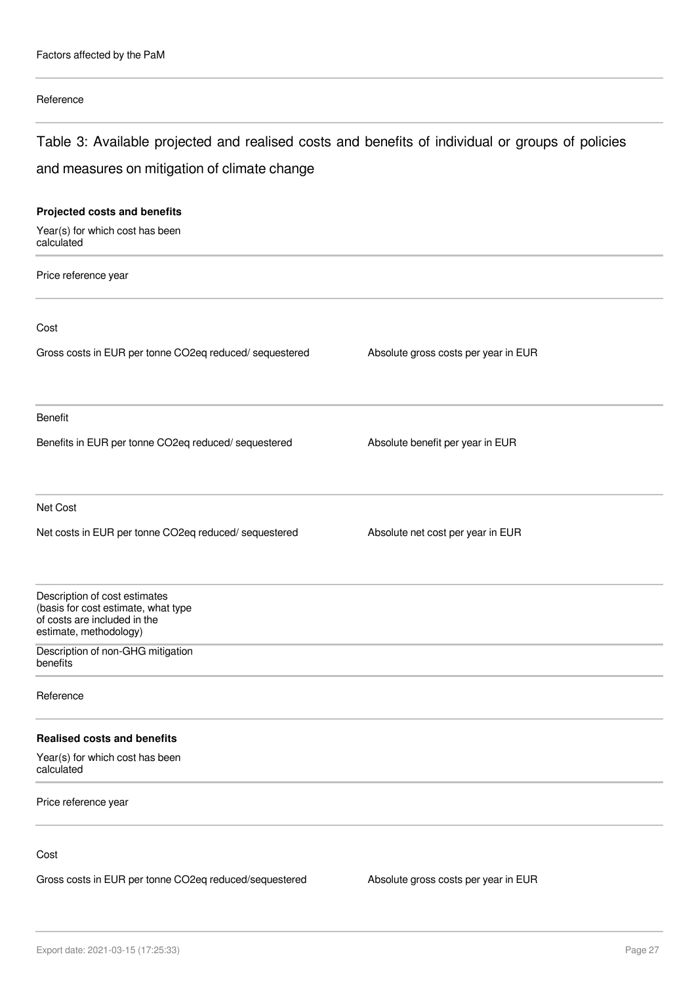#### Reference

# Table 3: Available projected and realised costs and benefits of individual or groups of policies and measures on mitigation of climate change

| Projected costs and benefits                                                                                                   |                                      |
|--------------------------------------------------------------------------------------------------------------------------------|--------------------------------------|
| Year(s) for which cost has been<br>calculated                                                                                  |                                      |
| Price reference year                                                                                                           |                                      |
| Cost                                                                                                                           |                                      |
| Gross costs in EUR per tonne CO2eq reduced/sequestered                                                                         | Absolute gross costs per year in EUR |
| Benefit                                                                                                                        |                                      |
| Benefits in EUR per tonne CO2eq reduced/ sequestered                                                                           | Absolute benefit per year in EUR     |
| Net Cost                                                                                                                       |                                      |
| Net costs in EUR per tonne CO2eq reduced/ sequestered                                                                          | Absolute net cost per year in EUR    |
| Description of cost estimates<br>(basis for cost estimate, what type<br>of costs are included in the<br>estimate, methodology) |                                      |
| Description of non-GHG mitigation<br>benefits                                                                                  |                                      |
| Reference                                                                                                                      |                                      |
| <b>Realised costs and benefits</b>                                                                                             |                                      |
| Year(s) for which cost has been<br>calculated                                                                                  |                                      |
| Price reference year                                                                                                           |                                      |
| Cost                                                                                                                           |                                      |

Gross costs in EUR per tonne CO2eq reduced/sequestered Absolute gross costs per year in EUR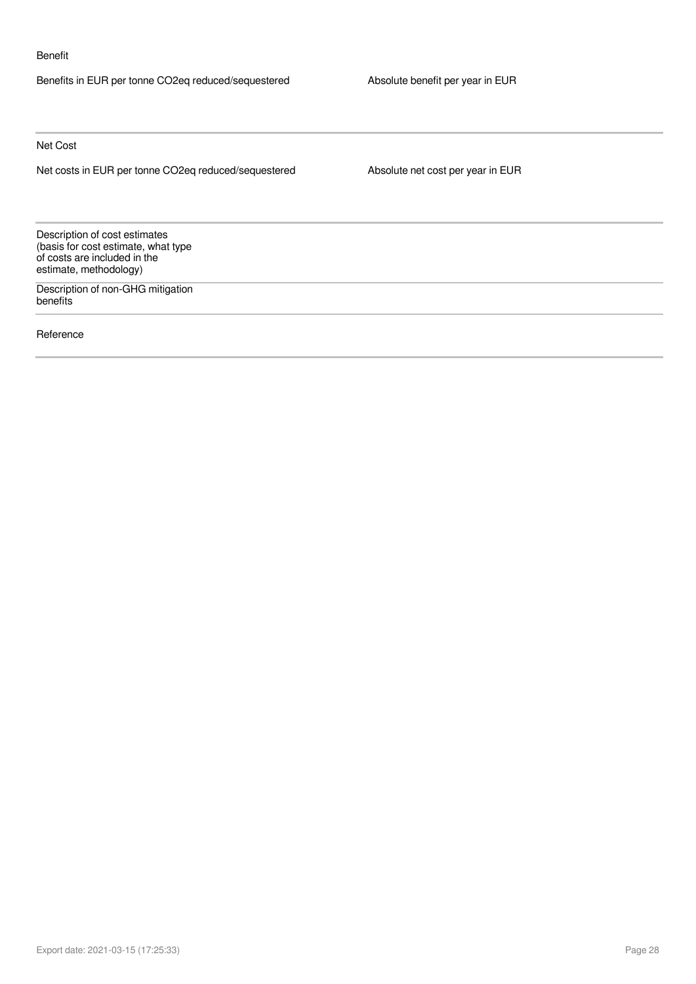#### Benefit

Benefits in EUR per tonne CO2eq reduced/sequestered Absolute benefit per year in EUR

Net Cost

Net costs in EUR per tonne CO2eq reduced/sequestered Absolute net cost per year in EUR

Description of cost estimates (basis for cost estimate, what type of costs are included in the estimate, methodology)

Description of non-GHG mitigation benefits

Reference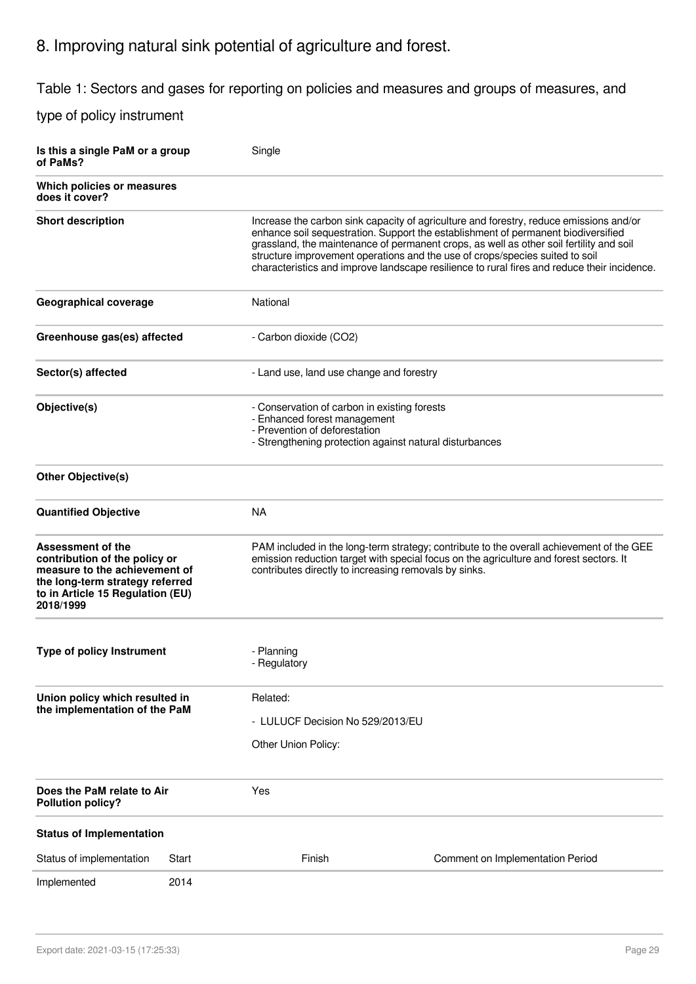# 8. Improving natural sink potential of agriculture and forest.

Table 1: Sectors and gases for reporting on policies and measures and groups of measures, and

| Is this a single PaM or a group<br>of PaMs?                                                                                                                             |                                                                                                                                                                          | Single                                                |                                                                                                                                                                                                                                                                                                                                                                                                                                                       |  |  |  |
|-------------------------------------------------------------------------------------------------------------------------------------------------------------------------|--------------------------------------------------------------------------------------------------------------------------------------------------------------------------|-------------------------------------------------------|-------------------------------------------------------------------------------------------------------------------------------------------------------------------------------------------------------------------------------------------------------------------------------------------------------------------------------------------------------------------------------------------------------------------------------------------------------|--|--|--|
| Which policies or measures<br>does it cover?                                                                                                                            |                                                                                                                                                                          |                                                       |                                                                                                                                                                                                                                                                                                                                                                                                                                                       |  |  |  |
| <b>Short description</b>                                                                                                                                                |                                                                                                                                                                          |                                                       | Increase the carbon sink capacity of agriculture and forestry, reduce emissions and/or<br>enhance soil sequestration. Support the establishment of permanent biodiversified<br>grassland, the maintenance of permanent crops, as well as other soil fertility and soil<br>structure improvement operations and the use of crops/species suited to soil<br>characteristics and improve landscape resilience to rural fires and reduce their incidence. |  |  |  |
| <b>Geographical coverage</b>                                                                                                                                            |                                                                                                                                                                          | National                                              |                                                                                                                                                                                                                                                                                                                                                                                                                                                       |  |  |  |
| Greenhouse gas(es) affected                                                                                                                                             |                                                                                                                                                                          | - Carbon dioxide (CO2)                                |                                                                                                                                                                                                                                                                                                                                                                                                                                                       |  |  |  |
| Sector(s) affected                                                                                                                                                      |                                                                                                                                                                          | - Land use, land use change and forestry              |                                                                                                                                                                                                                                                                                                                                                                                                                                                       |  |  |  |
| Objective(s)                                                                                                                                                            | - Conservation of carbon in existing forests<br>- Enhanced forest management<br>- Prevention of deforestation<br>- Strengthening protection against natural disturbances |                                                       |                                                                                                                                                                                                                                                                                                                                                                                                                                                       |  |  |  |
| <b>Other Objective(s)</b>                                                                                                                                               |                                                                                                                                                                          |                                                       |                                                                                                                                                                                                                                                                                                                                                                                                                                                       |  |  |  |
| <b>Quantified Objective</b>                                                                                                                                             |                                                                                                                                                                          | <b>NA</b>                                             |                                                                                                                                                                                                                                                                                                                                                                                                                                                       |  |  |  |
| Assessment of the<br>contribution of the policy or<br>measure to the achievement of<br>the long-term strategy referred<br>to in Article 15 Regulation (EU)<br>2018/1999 |                                                                                                                                                                          | contributes directly to increasing removals by sinks. | PAM included in the long-term strategy; contribute to the overall achievement of the GEE<br>emission reduction target with special focus on the agriculture and forest sectors. It                                                                                                                                                                                                                                                                    |  |  |  |
| <b>Type of policy Instrument</b>                                                                                                                                        |                                                                                                                                                                          | - Planning<br>- Regulatory                            |                                                                                                                                                                                                                                                                                                                                                                                                                                                       |  |  |  |
| Union policy which resulted in<br>the implementation of the PaM                                                                                                         |                                                                                                                                                                          | Related:<br>Other Union Policy:                       | - LULUCF Decision No 529/2013/EU                                                                                                                                                                                                                                                                                                                                                                                                                      |  |  |  |
| Does the PaM relate to Air<br><b>Pollution policy?</b>                                                                                                                  |                                                                                                                                                                          | Yes                                                   |                                                                                                                                                                                                                                                                                                                                                                                                                                                       |  |  |  |
| <b>Status of Implementation</b>                                                                                                                                         |                                                                                                                                                                          |                                                       |                                                                                                                                                                                                                                                                                                                                                                                                                                                       |  |  |  |
| Status of implementation                                                                                                                                                | Start                                                                                                                                                                    | Finish                                                | Comment on Implementation Period                                                                                                                                                                                                                                                                                                                                                                                                                      |  |  |  |
| Implemented                                                                                                                                                             | 2014                                                                                                                                                                     |                                                       |                                                                                                                                                                                                                                                                                                                                                                                                                                                       |  |  |  |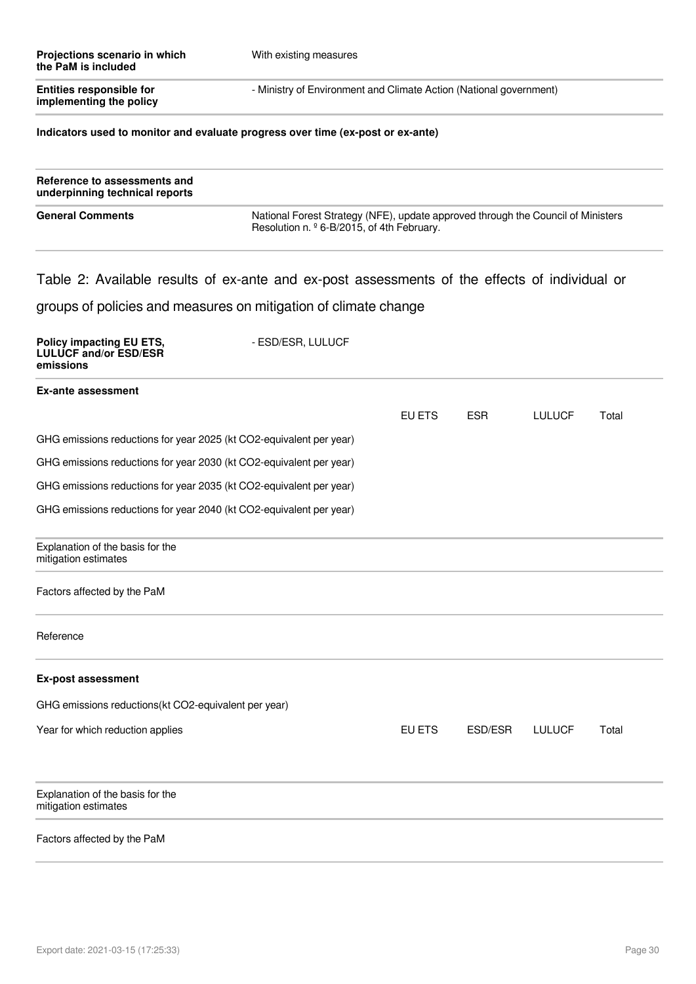| Projections scenario in which<br>the PaM is included       | With existing measures                                             |  |
|------------------------------------------------------------|--------------------------------------------------------------------|--|
| <b>Entities responsible for</b><br>implementing the policy | - Ministry of Environment and Climate Action (National government) |  |
|                                                            |                                                                    |  |

#### **Indicators used to monitor and evaluate progress over time (ex-post or ex-ante)**

| Reference to assessments and<br>underpinning technical reports |                                                                                                                                    |
|----------------------------------------------------------------|------------------------------------------------------------------------------------------------------------------------------------|
| <b>General Comments</b>                                        | National Forest Strategy (NFE), update approved through the Council of Ministers<br>Resolution n. $96 - B/2015$ , of 4th February. |

# Table 2: Available results of ex-ante and ex-post assessments of the effects of individual or

| Policy impacting EU ETS,<br><b>LULUCF and/or ESD/ESR</b><br>emissions | - ESD/ESR, LULUCF |        |            |               |       |
|-----------------------------------------------------------------------|-------------------|--------|------------|---------------|-------|
| <b>Ex-ante assessment</b>                                             |                   |        |            |               |       |
|                                                                       |                   | EU ETS | <b>ESR</b> | <b>LULUCF</b> | Total |
| GHG emissions reductions for year 2025 (kt CO2-equivalent per year)   |                   |        |            |               |       |
| GHG emissions reductions for year 2030 (kt CO2-equivalent per year)   |                   |        |            |               |       |
| GHG emissions reductions for year 2035 (kt CO2-equivalent per year)   |                   |        |            |               |       |
| GHG emissions reductions for year 2040 (kt CO2-equivalent per year)   |                   |        |            |               |       |
| Explanation of the basis for the<br>mitigation estimates              |                   |        |            |               |       |
| Factors affected by the PaM                                           |                   |        |            |               |       |
| Reference                                                             |                   |        |            |               |       |
| <b>Ex-post assessment</b>                                             |                   |        |            |               |       |
| GHG emissions reductions(kt CO2-equivalent per year)                  |                   |        |            |               |       |
| Year for which reduction applies                                      |                   | EU ETS | ESD/ESR    | <b>LULUCF</b> | Total |
| Explanation of the basis for the<br>mitigation estimates              |                   |        |            |               |       |
| Factors affected by the PaM                                           |                   |        |            |               |       |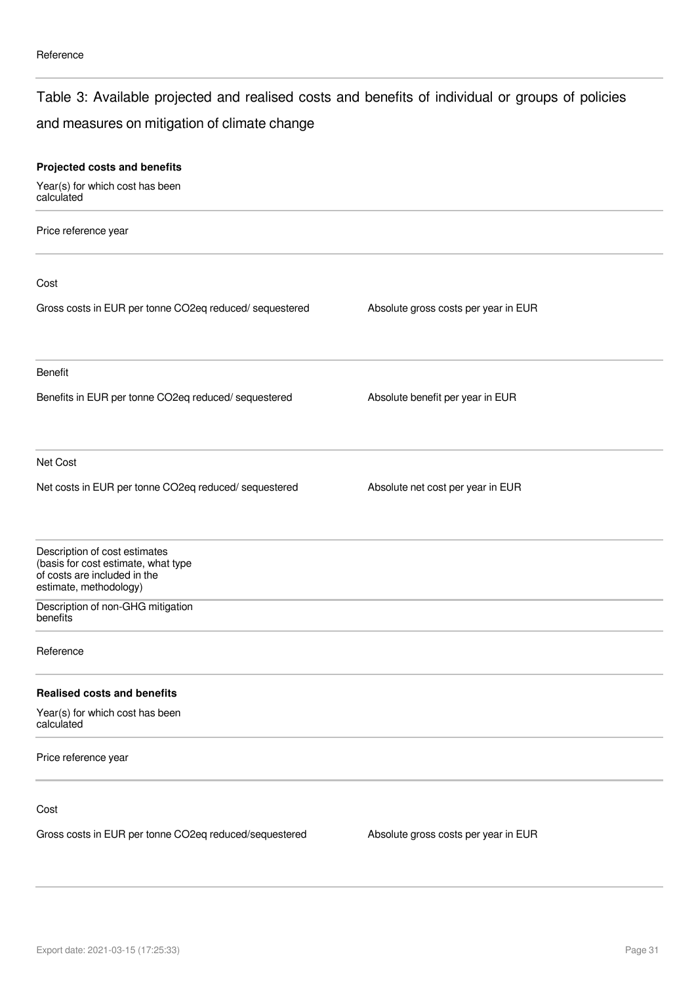### Table 3: Available projected and realised costs and benefits of individual or groups of policies

### and measures on mitigation of climate change

| Projected costs and benefits                                                                                                   |                                      |  |
|--------------------------------------------------------------------------------------------------------------------------------|--------------------------------------|--|
| Year(s) for which cost has been<br>calculated                                                                                  |                                      |  |
| Price reference year                                                                                                           |                                      |  |
| Cost                                                                                                                           |                                      |  |
| Gross costs in EUR per tonne CO2eq reduced/ sequestered                                                                        | Absolute gross costs per year in EUR |  |
| Benefit                                                                                                                        |                                      |  |
| Benefits in EUR per tonne CO2eq reduced/ sequestered                                                                           | Absolute benefit per year in EUR     |  |
| Net Cost                                                                                                                       |                                      |  |
| Net costs in EUR per tonne CO2eq reduced/ sequestered                                                                          | Absolute net cost per year in EUR    |  |
| Description of cost estimates<br>(basis for cost estimate, what type<br>of costs are included in the<br>estimate, methodology) |                                      |  |
| Description of non-GHG mitigation<br>benefits                                                                                  |                                      |  |
| Reference                                                                                                                      |                                      |  |
| <b>Realised costs and benefits</b>                                                                                             |                                      |  |
| Year(s) for which cost has been<br>calculated                                                                                  |                                      |  |
| Price reference year                                                                                                           |                                      |  |
| Cost                                                                                                                           |                                      |  |
| Gross costs in EUR per tonne CO2eq reduced/sequestered                                                                         | Absolute gross costs per year in EUR |  |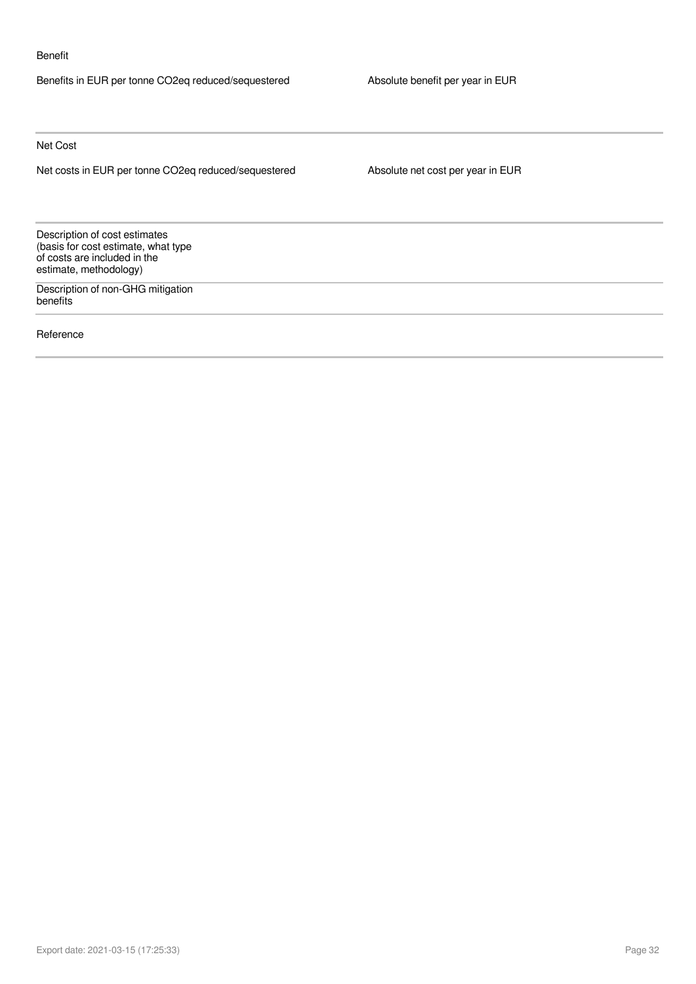#### Benefit

Benefits in EUR per tonne CO2eq reduced/sequestered Absolute benefit per year in EUR

Net Cost

Net costs in EUR per tonne CO2eq reduced/sequestered Absolute net cost per year in EUR

Description of cost estimates (basis for cost estimate, what type of costs are included in the estimate, methodology)

Description of non-GHG mitigation benefits

Reference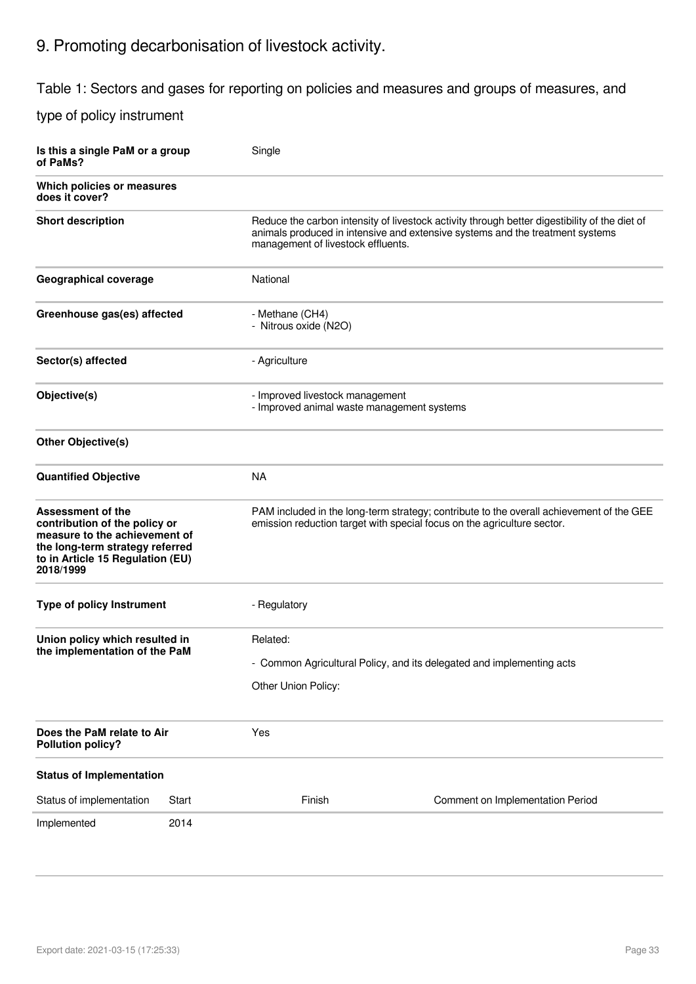# 9. Promoting decarbonisation of livestock activity.

Table 1: Sectors and gases for reporting on policies and measures and groups of measures, and

| Is this a single PaM or a group<br>of PaMs?                                                                                                                                    |                                                                                                          | Single                                                                                                                                                              |                                                                                                                                                                                                                      |  |  |  |
|--------------------------------------------------------------------------------------------------------------------------------------------------------------------------------|----------------------------------------------------------------------------------------------------------|---------------------------------------------------------------------------------------------------------------------------------------------------------------------|----------------------------------------------------------------------------------------------------------------------------------------------------------------------------------------------------------------------|--|--|--|
| Which policies or measures<br>does it cover?                                                                                                                                   |                                                                                                          |                                                                                                                                                                     |                                                                                                                                                                                                                      |  |  |  |
| <b>Short description</b>                                                                                                                                                       |                                                                                                          |                                                                                                                                                                     | Reduce the carbon intensity of livestock activity through better digestibility of the diet of<br>animals produced in intensive and extensive systems and the treatment systems<br>management of livestock effluents. |  |  |  |
| Geographical coverage                                                                                                                                                          |                                                                                                          | National                                                                                                                                                            |                                                                                                                                                                                                                      |  |  |  |
| Greenhouse gas(es) affected                                                                                                                                                    |                                                                                                          | - Methane (CH4)<br>- Nitrous oxide (N2O)                                                                                                                            |                                                                                                                                                                                                                      |  |  |  |
| Sector(s) affected                                                                                                                                                             |                                                                                                          | - Agriculture                                                                                                                                                       |                                                                                                                                                                                                                      |  |  |  |
| Objective(s)                                                                                                                                                                   |                                                                                                          |                                                                                                                                                                     | - Improved livestock management<br>- Improved animal waste management systems                                                                                                                                        |  |  |  |
| <b>Other Objective(s)</b>                                                                                                                                                      |                                                                                                          |                                                                                                                                                                     |                                                                                                                                                                                                                      |  |  |  |
| <b>Quantified Objective</b>                                                                                                                                                    |                                                                                                          | <b>NA</b>                                                                                                                                                           |                                                                                                                                                                                                                      |  |  |  |
| <b>Assessment of the</b><br>contribution of the policy or<br>measure to the achievement of<br>the long-term strategy referred<br>to in Article 15 Regulation (EU)<br>2018/1999 |                                                                                                          | PAM included in the long-term strategy; contribute to the overall achievement of the GEE<br>emission reduction target with special focus on the agriculture sector. |                                                                                                                                                                                                                      |  |  |  |
| <b>Type of policy Instrument</b>                                                                                                                                               |                                                                                                          | - Regulatory                                                                                                                                                        |                                                                                                                                                                                                                      |  |  |  |
| Union policy which resulted in<br>the implementation of the PaM                                                                                                                | Related:<br>- Common Agricultural Policy, and its delegated and implementing acts<br>Other Union Policy: |                                                                                                                                                                     |                                                                                                                                                                                                                      |  |  |  |
| Does the PaM relate to Air<br><b>Pollution policy?</b>                                                                                                                         |                                                                                                          | Yes                                                                                                                                                                 |                                                                                                                                                                                                                      |  |  |  |
| <b>Status of Implementation</b>                                                                                                                                                |                                                                                                          |                                                                                                                                                                     |                                                                                                                                                                                                                      |  |  |  |
| Status of implementation                                                                                                                                                       | Start                                                                                                    | Finish                                                                                                                                                              | Comment on Implementation Period                                                                                                                                                                                     |  |  |  |
| Implemented                                                                                                                                                                    | 2014                                                                                                     |                                                                                                                                                                     |                                                                                                                                                                                                                      |  |  |  |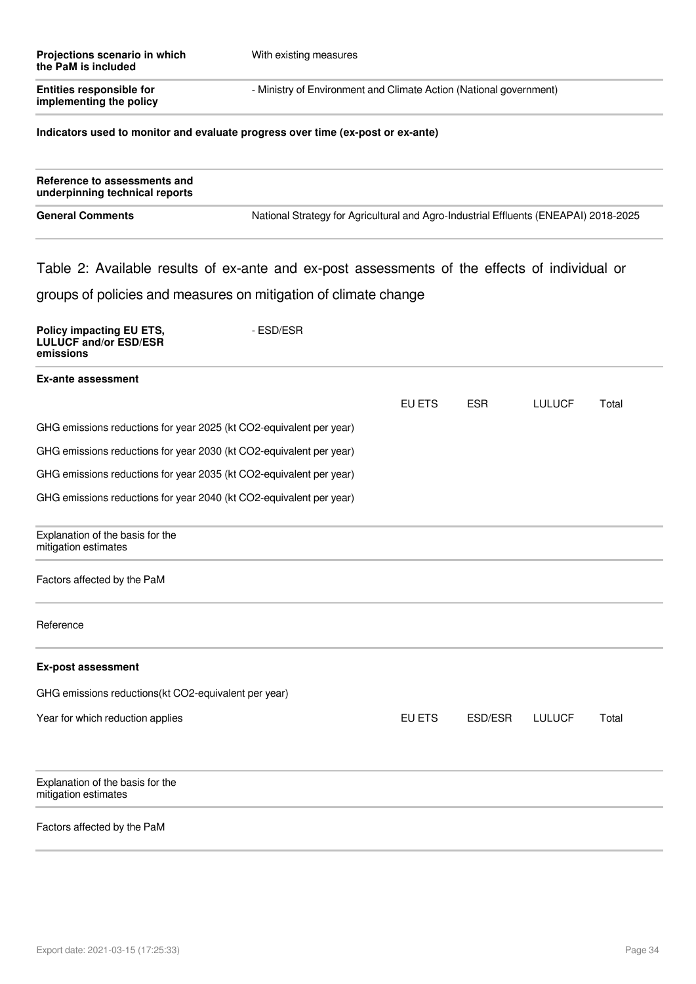| Projections scenario in which<br>the PaM is included                                          | With existing measures                                                               |        |         |               |       |
|-----------------------------------------------------------------------------------------------|--------------------------------------------------------------------------------------|--------|---------|---------------|-------|
| <b>Entities responsible for</b><br>implementing the policy                                    | - Ministry of Environment and Climate Action (National government)                   |        |         |               |       |
| Indicators used to monitor and evaluate progress over time (ex-post or ex-ante)               |                                                                                      |        |         |               |       |
| Reference to assessments and<br>underpinning technical reports                                |                                                                                      |        |         |               |       |
| <b>General Comments</b>                                                                       | National Strategy for Agricultural and Agro-Industrial Effluents (ENEAPAI) 2018-2025 |        |         |               |       |
| Table 2: Available results of ex-ante and ex-post assessments of the effects of individual or |                                                                                      |        |         |               |       |
| groups of policies and measures on mitigation of climate change                               |                                                                                      |        |         |               |       |
| Policy impacting EU ETS,<br><b>LULUCF and/or ESD/ESR</b><br>emissions                         | - ESD/ESR                                                                            |        |         |               |       |
| <b>Ex-ante assessment</b>                                                                     |                                                                                      |        |         |               |       |
|                                                                                               |                                                                                      | EU ETS | ESR.    | <b>LULUCF</b> | Total |
| GHG emissions reductions for year 2025 (kt CO2-equivalent per year)                           |                                                                                      |        |         |               |       |
| GHG emissions reductions for year 2030 (kt CO2-equivalent per year)                           |                                                                                      |        |         |               |       |
|                                                                                               | GHG emissions reductions for year 2035 (kt CO2-equivalent per year)                  |        |         |               |       |
| GHG emissions reductions for year 2040 (kt CO2-equivalent per year)                           |                                                                                      |        |         |               |       |
| Explanation of the basis for the<br>mitigation estimates                                      |                                                                                      |        |         |               |       |
| Factors affected by the PaM                                                                   |                                                                                      |        |         |               |       |
| Reference                                                                                     |                                                                                      |        |         |               |       |
| <b>Ex-post assessment</b>                                                                     |                                                                                      |        |         |               |       |
| GHG emissions reductions(kt CO2-equivalent per year)                                          |                                                                                      |        |         |               |       |
| Year for which reduction applies                                                              |                                                                                      | EU ETS | ESD/ESR | <b>LULUCF</b> | Total |

Explanation of the basis for the mitigation estimates

### Factors affected by the PaM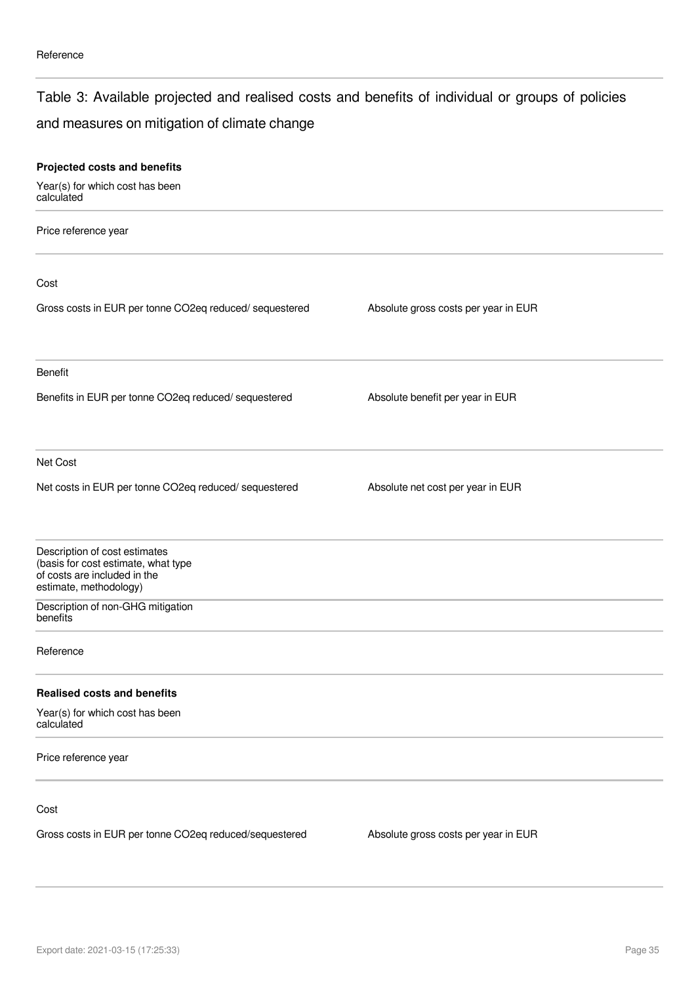### Table 3: Available projected and realised costs and benefits of individual or groups of policies

### and measures on mitigation of climate change

| Projected costs and benefits                                                                                                   |                                      |  |
|--------------------------------------------------------------------------------------------------------------------------------|--------------------------------------|--|
| Year(s) for which cost has been<br>calculated                                                                                  |                                      |  |
| Price reference year                                                                                                           |                                      |  |
| Cost                                                                                                                           |                                      |  |
| Gross costs in EUR per tonne CO2eq reduced/ sequestered                                                                        | Absolute gross costs per year in EUR |  |
| Benefit                                                                                                                        |                                      |  |
| Benefits in EUR per tonne CO2eq reduced/ sequestered                                                                           | Absolute benefit per year in EUR     |  |
| Net Cost                                                                                                                       |                                      |  |
| Net costs in EUR per tonne CO2eq reduced/ sequestered                                                                          | Absolute net cost per year in EUR    |  |
| Description of cost estimates<br>(basis for cost estimate, what type<br>of costs are included in the<br>estimate, methodology) |                                      |  |
| Description of non-GHG mitigation<br>benefits                                                                                  |                                      |  |
| Reference                                                                                                                      |                                      |  |
| <b>Realised costs and benefits</b>                                                                                             |                                      |  |
| Year(s) for which cost has been<br>calculated                                                                                  |                                      |  |
| Price reference year                                                                                                           |                                      |  |
| Cost                                                                                                                           |                                      |  |
| Gross costs in EUR per tonne CO2eq reduced/sequestered                                                                         | Absolute gross costs per year in EUR |  |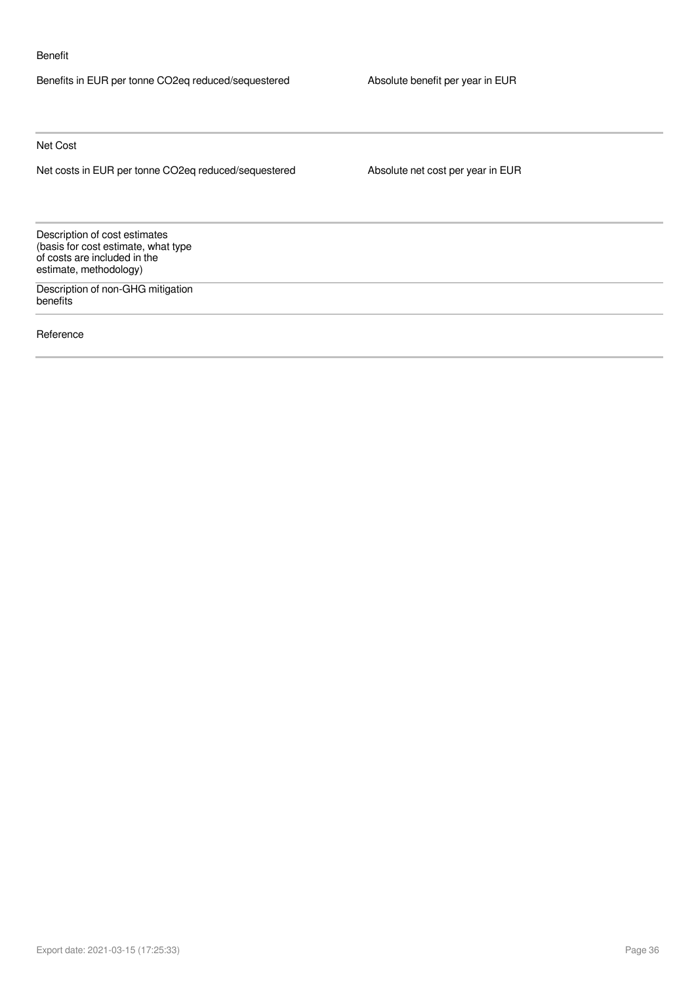#### Benefit

Benefits in EUR per tonne CO2eq reduced/sequestered Absolute benefit per year in EUR

Net Cost

Net costs in EUR per tonne CO2eq reduced/sequestered Absolute net cost per year in EUR

Description of cost estimates (basis for cost estimate, what type of costs are included in the estimate, methodology)

Description of non-GHG mitigation benefits

Reference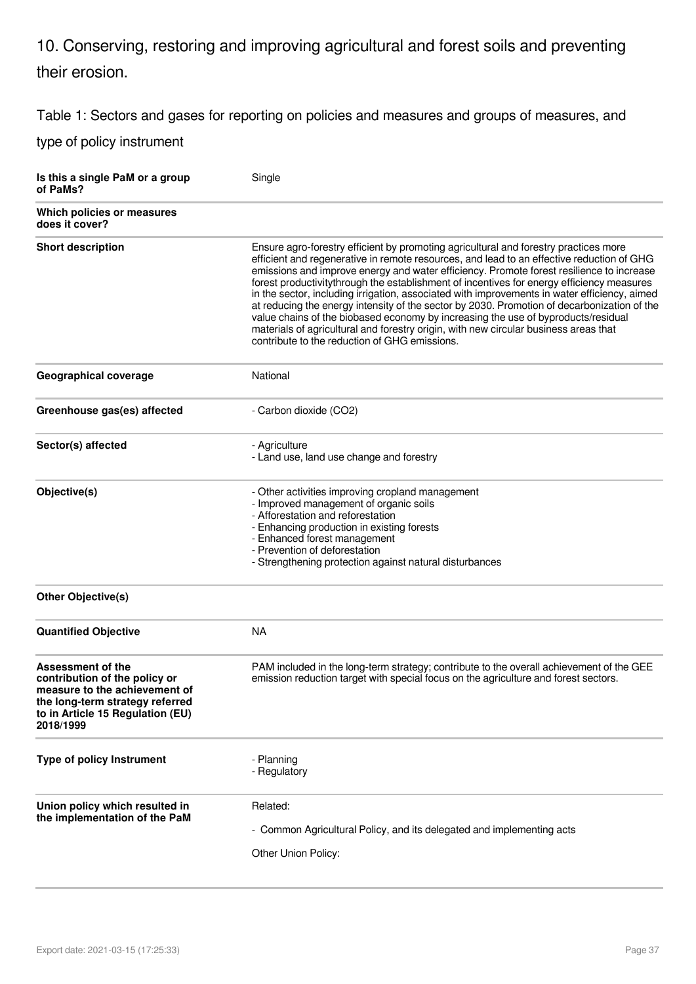## 10. Conserving, restoring and improving agricultural and forest soils and preventing their erosion.

Table 1: Sectors and gases for reporting on policies and measures and groups of measures, and

| Is this a single PaM or a group<br>of PaMs?                                                                                                                                    | Single                                                                                                                                                                                                                                                                                                                                                                                                                                                                                                                                                                                                                                                                                                                                                                                                  |
|--------------------------------------------------------------------------------------------------------------------------------------------------------------------------------|---------------------------------------------------------------------------------------------------------------------------------------------------------------------------------------------------------------------------------------------------------------------------------------------------------------------------------------------------------------------------------------------------------------------------------------------------------------------------------------------------------------------------------------------------------------------------------------------------------------------------------------------------------------------------------------------------------------------------------------------------------------------------------------------------------|
| Which policies or measures<br>does it cover?                                                                                                                                   |                                                                                                                                                                                                                                                                                                                                                                                                                                                                                                                                                                                                                                                                                                                                                                                                         |
| <b>Short description</b>                                                                                                                                                       | Ensure agro-forestry efficient by promoting agricultural and forestry practices more<br>efficient and regenerative in remote resources, and lead to an effective reduction of GHG<br>emissions and improve energy and water efficiency. Promote forest resilience to increase<br>forest productivitythrough the establishment of incentives for energy efficiency measures<br>in the sector, including irrigation, associated with improvements in water efficiency, aimed<br>at reducing the energy intensity of the sector by 2030. Promotion of decarbonization of the<br>value chains of the biobased economy by increasing the use of byproducts/residual<br>materials of agricultural and forestry origin, with new circular business areas that<br>contribute to the reduction of GHG emissions. |
| <b>Geographical coverage</b>                                                                                                                                                   | National                                                                                                                                                                                                                                                                                                                                                                                                                                                                                                                                                                                                                                                                                                                                                                                                |
| Greenhouse gas(es) affected                                                                                                                                                    | - Carbon dioxide (CO2)                                                                                                                                                                                                                                                                                                                                                                                                                                                                                                                                                                                                                                                                                                                                                                                  |
| Sector(s) affected                                                                                                                                                             | - Agriculture<br>- Land use, land use change and forestry                                                                                                                                                                                                                                                                                                                                                                                                                                                                                                                                                                                                                                                                                                                                               |
| Objective(s)                                                                                                                                                                   | - Other activities improving cropland management<br>- Improved management of organic soils<br>- Afforestation and reforestation<br>- Enhancing production in existing forests<br>- Enhanced forest management<br>- Prevention of deforestation<br>- Strengthening protection against natural disturbances                                                                                                                                                                                                                                                                                                                                                                                                                                                                                               |
| <b>Other Objective(s)</b>                                                                                                                                                      |                                                                                                                                                                                                                                                                                                                                                                                                                                                                                                                                                                                                                                                                                                                                                                                                         |
| <b>Quantified Objective</b>                                                                                                                                                    | <b>NA</b>                                                                                                                                                                                                                                                                                                                                                                                                                                                                                                                                                                                                                                                                                                                                                                                               |
| <b>Assessment of the</b><br>contribution of the policy or<br>measure to the achievement of<br>the long-term strategy referred<br>to in Article 15 Regulation (EU)<br>2018/1999 | PAM included in the long-term strategy; contribute to the overall achievement of the GEE<br>emission reduction target with special focus on the agriculture and forest sectors.                                                                                                                                                                                                                                                                                                                                                                                                                                                                                                                                                                                                                         |
| Type of policy Instrument                                                                                                                                                      | - Planning<br>- Regulatory                                                                                                                                                                                                                                                                                                                                                                                                                                                                                                                                                                                                                                                                                                                                                                              |
| Union policy which resulted in<br>the implementation of the PaM                                                                                                                | Related:<br>- Common Agricultural Policy, and its delegated and implementing acts<br>Other Union Policy:                                                                                                                                                                                                                                                                                                                                                                                                                                                                                                                                                                                                                                                                                                |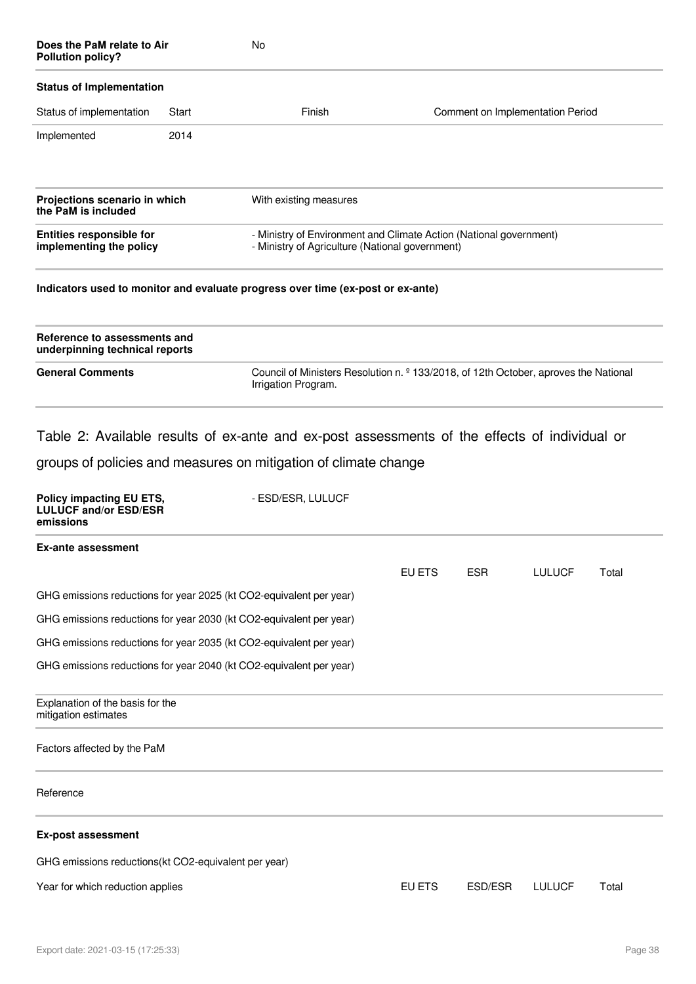| Does the PaM relate to Air<br><b>Pollution policy?</b>                |       | No                                                                                                                     |        |            |                                  |       |
|-----------------------------------------------------------------------|-------|------------------------------------------------------------------------------------------------------------------------|--------|------------|----------------------------------|-------|
| <b>Status of Implementation</b>                                       |       |                                                                                                                        |        |            |                                  |       |
| Status of implementation                                              | Start | Finish                                                                                                                 |        |            | Comment on Implementation Period |       |
| Implemented                                                           | 2014  |                                                                                                                        |        |            |                                  |       |
| Projections scenario in which<br>the PaM is included                  |       | With existing measures                                                                                                 |        |            |                                  |       |
| <b>Entities responsible for</b><br>implementing the policy            |       | - Ministry of Environment and Climate Action (National government)<br>- Ministry of Agriculture (National government)  |        |            |                                  |       |
|                                                                       |       | Indicators used to monitor and evaluate progress over time (ex-post or ex-ante)                                        |        |            |                                  |       |
| Reference to assessments and<br>underpinning technical reports        |       |                                                                                                                        |        |            |                                  |       |
| <b>General Comments</b>                                               |       | Council of Ministers Resolution n. <sup>2</sup> 133/2018, of 12th October, aproves the National<br>Irrigation Program. |        |            |                                  |       |
|                                                                       |       | Table 2: Available results of ex-ante and ex-post assessments of the effects of individual or                          |        |            |                                  |       |
|                                                                       |       | groups of policies and measures on mitigation of climate change                                                        |        |            |                                  |       |
| Policy impacting EU ETS,<br><b>LULUCF and/or ESD/ESR</b><br>emissions |       | - ESD/ESR, LULUCF                                                                                                      |        |            |                                  |       |
| <b>Ex-ante assessment</b>                                             |       |                                                                                                                        |        |            |                                  |       |
|                                                                       |       |                                                                                                                        | EU ETS | <b>ESR</b> | <b>LULUCF</b>                    | Total |
|                                                                       |       | GHG emissions reductions for year 2025 (kt CO2-equivalent per year)                                                    |        |            |                                  |       |
|                                                                       |       | GHG emissions reductions for year 2030 (kt CO2-equivalent per year)                                                    |        |            |                                  |       |
|                                                                       |       | GHG emissions reductions for year 2035 (kt CO2-equivalent per year)                                                    |        |            |                                  |       |

GHG emissions reductions for year 2040 (kt CO2-equivalent per year)

#### Explanation of the basis for the mitigation estimates

#### Factors affected by the PaM

#### Reference

#### **Ex-post assessment**

GHG emissions reductions(kt CO2-equivalent per year)

### Year for which reduction applies **EU ETS** ESD/ESR LULUCF Total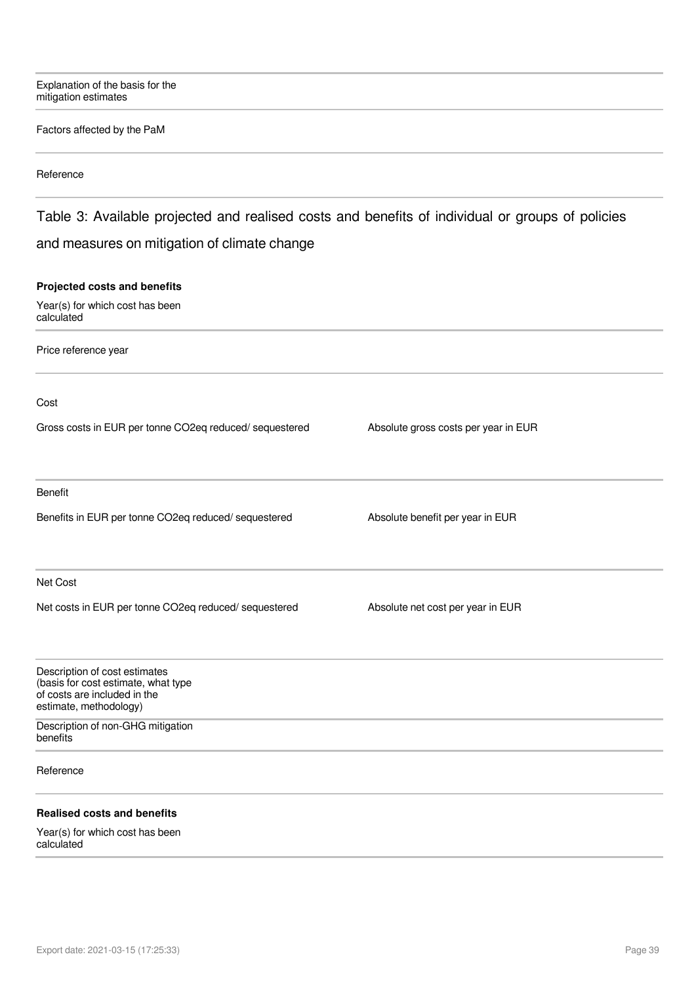Explanation of the basis for the mitigation estimates

#### Factors affected by the PaM

#### Reference

## Table 3: Available projected and realised costs and benefits of individual or groups of policies and measures on mitigation of climate change

#### **Projected costs and benefits**

Year(s) for which cost has been calculated

Price reference year

Cost

Gross costs in EUR per tonne CO2eq reduced/ sequestered Absolute gross costs per year in EUR

Benefit

Benefits in EUR per tonne CO2eq reduced/ sequestered Absolute benefit per year in EUR

Net Cost

Net costs in EUR per tonne CO2eq reduced/ sequestered Absolute net cost per year in EUR

| Description of cost estimates<br>(basis for cost estimate, what type<br>of costs are included in the<br>estimate, methodology) |  |  |
|--------------------------------------------------------------------------------------------------------------------------------|--|--|
| Description of non-GHG mitigation<br>benefits                                                                                  |  |  |
| Reference                                                                                                                      |  |  |
| <b>Realised costs and benefits</b>                                                                                             |  |  |
| $\mathbf{M}$ . The state of $\mathbf{L}$ is the state of $\mathbf{L}$ is the state of $\mathbf{L}$                             |  |  |

Year(s) for which cost has been calculated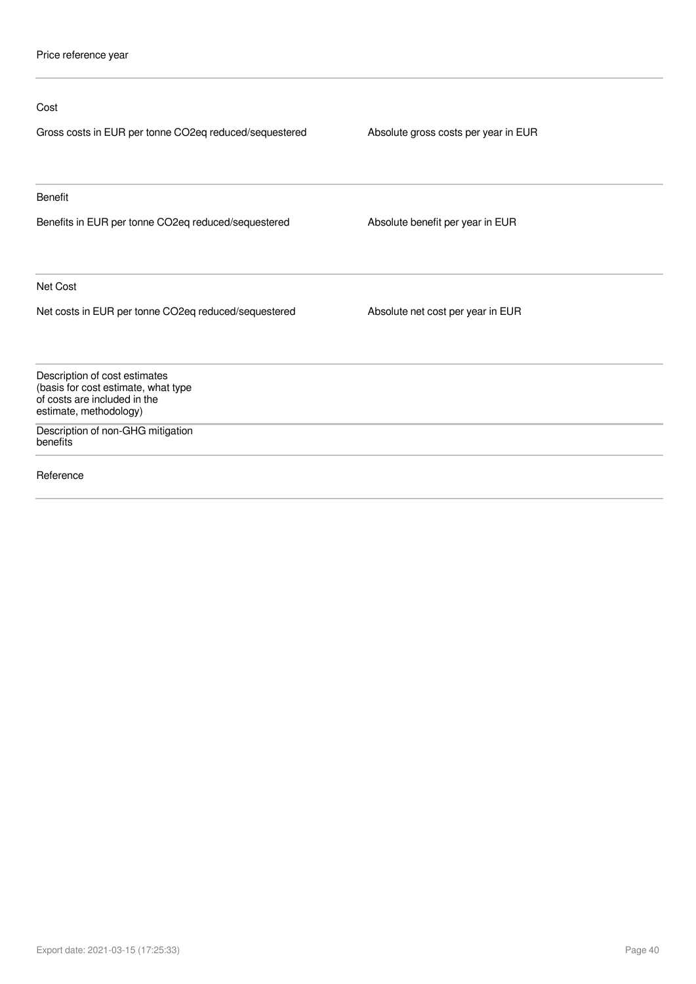| Cost                                                                                                                           |                                      |
|--------------------------------------------------------------------------------------------------------------------------------|--------------------------------------|
| Gross costs in EUR per tonne CO2eq reduced/sequestered                                                                         | Absolute gross costs per year in EUR |
| <b>Benefit</b>                                                                                                                 |                                      |
| Benefits in EUR per tonne CO2eq reduced/sequestered                                                                            | Absolute benefit per year in EUR     |
| Net Cost                                                                                                                       |                                      |
| Net costs in EUR per tonne CO2eq reduced/sequestered                                                                           | Absolute net cost per year in EUR    |
| Description of cost estimates<br>(basis for cost estimate, what type<br>of costs are included in the<br>estimate, methodology) |                                      |
| Description of non-GHG mitigation<br>benefits                                                                                  |                                      |
| Reference                                                                                                                      |                                      |
|                                                                                                                                |                                      |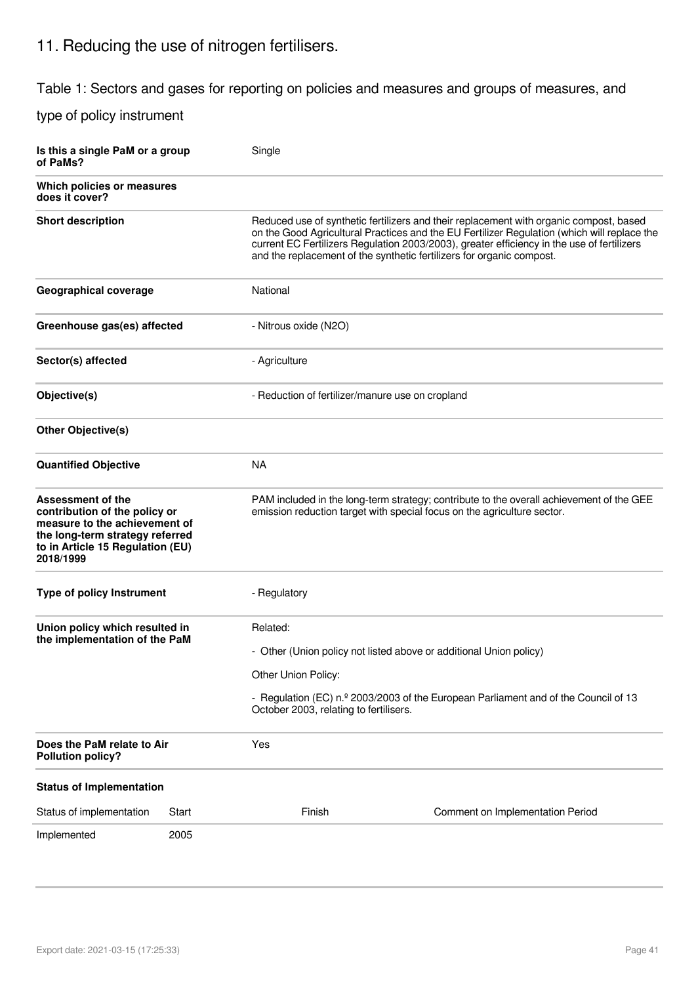## 11. Reducing the use of nitrogen fertilisers.

Table 1: Sectors and gases for reporting on policies and measures and groups of measures, and

| Is this a single PaM or a group<br>of PaMs?                                                                                                                                    |       | Single                                                                    |                                                                                                                                                                                                                                                                                                                                                              |
|--------------------------------------------------------------------------------------------------------------------------------------------------------------------------------|-------|---------------------------------------------------------------------------|--------------------------------------------------------------------------------------------------------------------------------------------------------------------------------------------------------------------------------------------------------------------------------------------------------------------------------------------------------------|
| Which policies or measures<br>does it cover?                                                                                                                                   |       |                                                                           |                                                                                                                                                                                                                                                                                                                                                              |
| <b>Short description</b>                                                                                                                                                       |       |                                                                           | Reduced use of synthetic fertilizers and their replacement with organic compost, based<br>on the Good Agricultural Practices and the EU Fertilizer Regulation (which will replace the<br>current EC Fertilizers Regulation 2003/2003), greater efficiency in the use of fertilizers<br>and the replacement of the synthetic fertilizers for organic compost. |
| <b>Geographical coverage</b>                                                                                                                                                   |       | National                                                                  |                                                                                                                                                                                                                                                                                                                                                              |
| Greenhouse gas(es) affected                                                                                                                                                    |       | - Nitrous oxide (N2O)                                                     |                                                                                                                                                                                                                                                                                                                                                              |
| Sector(s) affected                                                                                                                                                             |       | - Agriculture                                                             |                                                                                                                                                                                                                                                                                                                                                              |
| Objective(s)                                                                                                                                                                   |       | - Reduction of fertilizer/manure use on cropland                          |                                                                                                                                                                                                                                                                                                                                                              |
| <b>Other Objective(s)</b>                                                                                                                                                      |       |                                                                           |                                                                                                                                                                                                                                                                                                                                                              |
| <b>Quantified Objective</b>                                                                                                                                                    |       | <b>NA</b>                                                                 |                                                                                                                                                                                                                                                                                                                                                              |
| <b>Assessment of the</b><br>contribution of the policy or<br>measure to the achievement of<br>the long-term strategy referred<br>to in Article 15 Regulation (EU)<br>2018/1999 |       |                                                                           | PAM included in the long-term strategy; contribute to the overall achievement of the GEE<br>emission reduction target with special focus on the agriculture sector.                                                                                                                                                                                          |
| Type of policy Instrument                                                                                                                                                      |       | - Regulatory                                                              |                                                                                                                                                                                                                                                                                                                                                              |
| Union policy which resulted in<br>the implementation of the PaM                                                                                                                |       | Related:<br>Other Union Policy:<br>October 2003, relating to fertilisers. | - Other (Union policy not listed above or additional Union policy)<br>- Regulation (EC) n.º 2003/2003 of the European Parliament and of the Council of 13                                                                                                                                                                                                    |
| Does the PaM relate to Air<br><b>Pollution policy?</b>                                                                                                                         |       | Yes                                                                       |                                                                                                                                                                                                                                                                                                                                                              |
| <b>Status of Implementation</b>                                                                                                                                                |       |                                                                           |                                                                                                                                                                                                                                                                                                                                                              |
| Status of implementation                                                                                                                                                       | Start | Finish                                                                    | Comment on Implementation Period                                                                                                                                                                                                                                                                                                                             |
| Implemented                                                                                                                                                                    | 2005  |                                                                           |                                                                                                                                                                                                                                                                                                                                                              |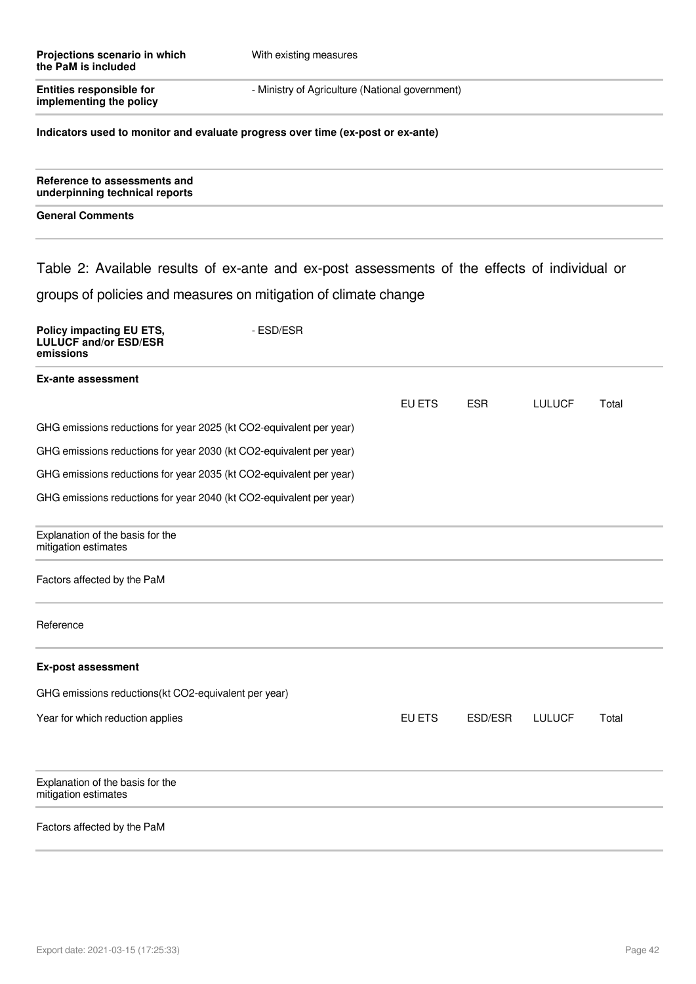| Projections scenario in which<br>the PaM is included                                          | With existing measures                          |        |            |               |       |
|-----------------------------------------------------------------------------------------------|-------------------------------------------------|--------|------------|---------------|-------|
| <b>Entities responsible for</b><br>implementing the policy                                    | - Ministry of Agriculture (National government) |        |            |               |       |
| Indicators used to monitor and evaluate progress over time (ex-post or ex-ante)               |                                                 |        |            |               |       |
| Reference to assessments and<br>underpinning technical reports                                |                                                 |        |            |               |       |
| <b>General Comments</b>                                                                       |                                                 |        |            |               |       |
| Table 2: Available results of ex-ante and ex-post assessments of the effects of individual or |                                                 |        |            |               |       |
| groups of policies and measures on mitigation of climate change                               |                                                 |        |            |               |       |
| Policy impacting EU ETS,<br><b>LULUCF and/or ESD/ESR</b><br>emissions                         | - ESD/ESR                                       |        |            |               |       |
| <b>Ex-ante assessment</b>                                                                     |                                                 |        |            |               |       |
|                                                                                               |                                                 | EU ETS | <b>ESR</b> | <b>LULUCF</b> | Total |
| GHG emissions reductions for year 2025 (kt CO2-equivalent per year)                           |                                                 |        |            |               |       |
| GHG emissions reductions for year 2030 (kt CO2-equivalent per year)                           |                                                 |        |            |               |       |
| GHG emissions reductions for year 2035 (kt CO2-equivalent per year)                           |                                                 |        |            |               |       |
| GHG emissions reductions for year 2040 (kt CO2-equivalent per year)                           |                                                 |        |            |               |       |
| Explanation of the basis for the<br>mitigation estimates                                      |                                                 |        |            |               |       |
| Factors affected by the PaM                                                                   |                                                 |        |            |               |       |
| Reference                                                                                     |                                                 |        |            |               |       |
| <b>Ex-post assessment</b>                                                                     |                                                 |        |            |               |       |
| GHG emissions reductions(kt CO2-equivalent per year)                                          |                                                 |        |            |               |       |
| Year for which reduction applies                                                              |                                                 | EU ETS | ESD/ESR    | <b>LULUCF</b> | Total |
| Explanation of the basis for the<br>mitigation estimates                                      |                                                 |        |            |               |       |
| Factors affected by the PaM                                                                   |                                                 |        |            |               |       |
|                                                                                               |                                                 |        |            |               |       |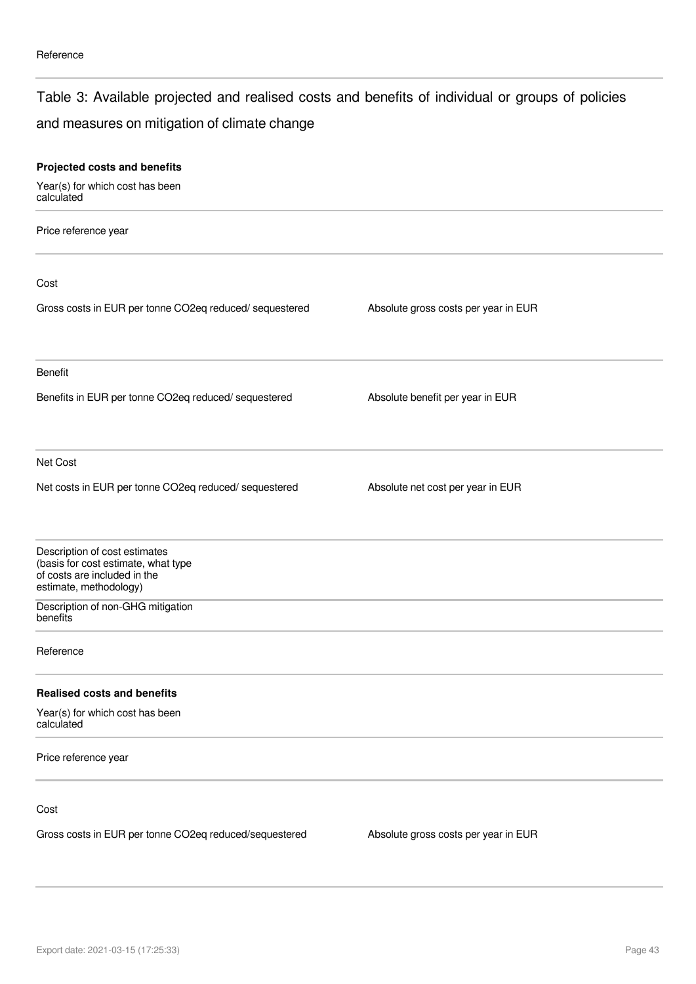### Table 3: Available projected and realised costs and benefits of individual or groups of policies

## and measures on mitigation of climate change

| Projected costs and benefits                                                                                                   |                                      |  |
|--------------------------------------------------------------------------------------------------------------------------------|--------------------------------------|--|
| Year(s) for which cost has been<br>calculated                                                                                  |                                      |  |
| Price reference year                                                                                                           |                                      |  |
| Cost                                                                                                                           |                                      |  |
| Gross costs in EUR per tonne CO2eq reduced/ sequestered                                                                        | Absolute gross costs per year in EUR |  |
| <b>Benefit</b>                                                                                                                 |                                      |  |
| Benefits in EUR per tonne CO2eq reduced/ sequestered                                                                           | Absolute benefit per year in EUR     |  |
| Net Cost                                                                                                                       |                                      |  |
| Net costs in EUR per tonne CO2eq reduced/ sequestered                                                                          | Absolute net cost per year in EUR    |  |
| Description of cost estimates<br>(basis for cost estimate, what type<br>of costs are included in the<br>estimate, methodology) |                                      |  |
| Description of non-GHG mitigation<br>benefits                                                                                  |                                      |  |
| Reference                                                                                                                      |                                      |  |
| <b>Realised costs and benefits</b>                                                                                             |                                      |  |
| Year(s) for which cost has been<br>calculated                                                                                  |                                      |  |
| Price reference year                                                                                                           |                                      |  |
| Cost                                                                                                                           |                                      |  |
| Gross costs in EUR per tonne CO2eq reduced/sequestered                                                                         | Absolute gross costs per year in EUR |  |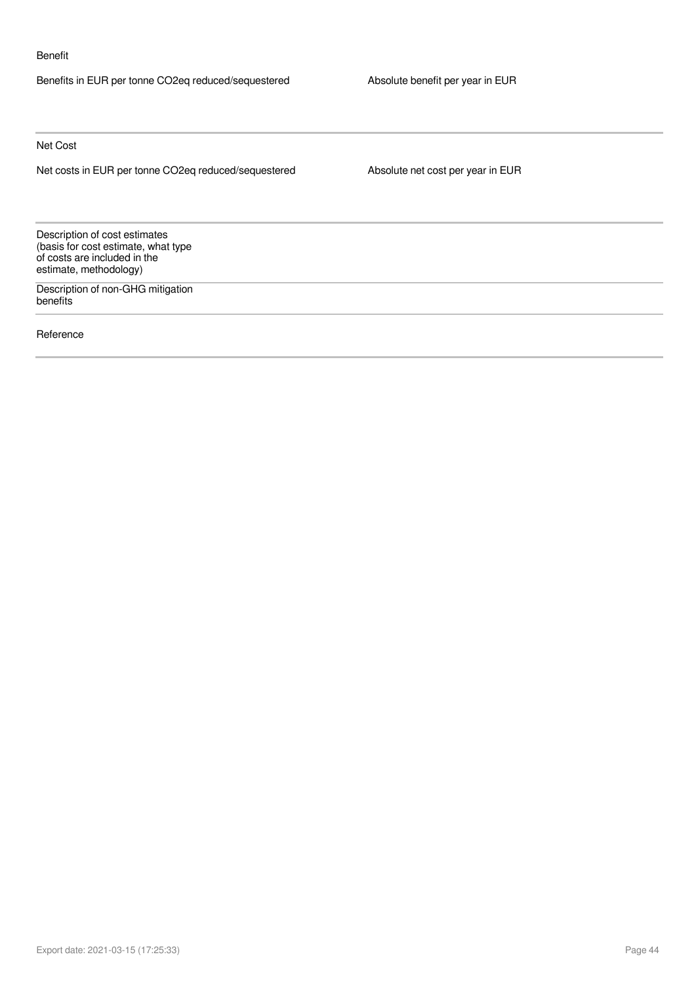#### Benefit

Benefits in EUR per tonne CO2eq reduced/sequestered Absolute benefit per year in EUR

Net Cost

Net costs in EUR per tonne CO2eq reduced/sequestered Absolute net cost per year in EUR

Description of cost estimates (basis for cost estimate, what type of costs are included in the estimate, methodology)

Description of non-GHG mitigation benefits

Reference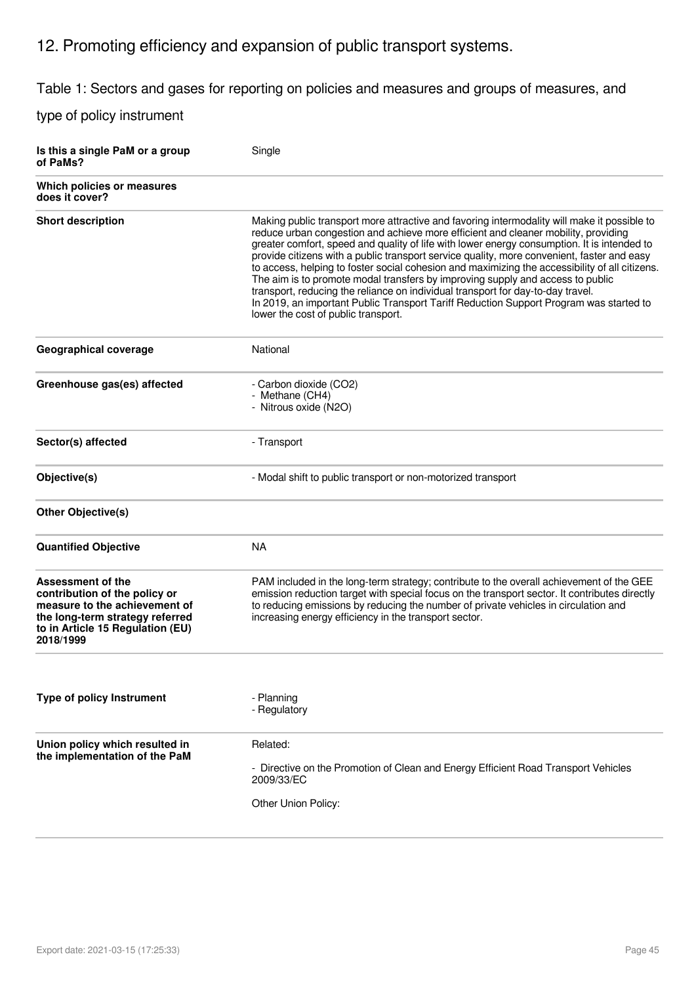## 12. Promoting efficiency and expansion of public transport systems.

Table 1: Sectors and gases for reporting on policies and measures and groups of measures, and

| Is this a single PaM or a group<br>of PaMs?                                                                                                                             | Single                                                                                                                                                                                                                                                                                                                                                                                                                                                                                                                                                                                                                                                                                                                                                                                 |
|-------------------------------------------------------------------------------------------------------------------------------------------------------------------------|----------------------------------------------------------------------------------------------------------------------------------------------------------------------------------------------------------------------------------------------------------------------------------------------------------------------------------------------------------------------------------------------------------------------------------------------------------------------------------------------------------------------------------------------------------------------------------------------------------------------------------------------------------------------------------------------------------------------------------------------------------------------------------------|
| Which policies or measures<br>does it cover?                                                                                                                            |                                                                                                                                                                                                                                                                                                                                                                                                                                                                                                                                                                                                                                                                                                                                                                                        |
| <b>Short description</b>                                                                                                                                                | Making public transport more attractive and favoring intermodality will make it possible to<br>reduce urban congestion and achieve more efficient and cleaner mobility, providing<br>greater comfort, speed and quality of life with lower energy consumption. It is intended to<br>provide citizens with a public transport service quality, more convenient, faster and easy<br>to access, helping to foster social cohesion and maximizing the accessibility of all citizens.<br>The aim is to promote modal transfers by improving supply and access to public<br>transport, reducing the reliance on individual transport for day-to-day travel.<br>In 2019, an important Public Transport Tariff Reduction Support Program was started to<br>lower the cost of public transport. |
| Geographical coverage                                                                                                                                                   | National                                                                                                                                                                                                                                                                                                                                                                                                                                                                                                                                                                                                                                                                                                                                                                               |
| Greenhouse gas(es) affected                                                                                                                                             | - Carbon dioxide (CO2)<br>- Methane (CH4)<br>- Nitrous oxide (N2O)                                                                                                                                                                                                                                                                                                                                                                                                                                                                                                                                                                                                                                                                                                                     |
| Sector(s) affected                                                                                                                                                      | - Transport                                                                                                                                                                                                                                                                                                                                                                                                                                                                                                                                                                                                                                                                                                                                                                            |
| Objective(s)                                                                                                                                                            | - Modal shift to public transport or non-motorized transport                                                                                                                                                                                                                                                                                                                                                                                                                                                                                                                                                                                                                                                                                                                           |
| <b>Other Objective(s)</b>                                                                                                                                               |                                                                                                                                                                                                                                                                                                                                                                                                                                                                                                                                                                                                                                                                                                                                                                                        |
| <b>Quantified Objective</b>                                                                                                                                             | <b>NA</b>                                                                                                                                                                                                                                                                                                                                                                                                                                                                                                                                                                                                                                                                                                                                                                              |
| Assessment of the<br>contribution of the policy or<br>measure to the achievement of<br>the long-term strategy referred<br>to in Article 15 Regulation (EU)<br>2018/1999 | PAM included in the long-term strategy; contribute to the overall achievement of the GEE<br>emission reduction target with special focus on the transport sector. It contributes directly<br>to reducing emissions by reducing the number of private vehicles in circulation and<br>increasing energy efficiency in the transport sector.                                                                                                                                                                                                                                                                                                                                                                                                                                              |
| Type of policy Instrument                                                                                                                                               | - Planning<br>- Regulatory                                                                                                                                                                                                                                                                                                                                                                                                                                                                                                                                                                                                                                                                                                                                                             |
| Union policy which resulted in<br>the implementation of the PaM                                                                                                         | Related:<br>- Directive on the Promotion of Clean and Energy Efficient Road Transport Vehicles<br>2009/33/EC<br>Other Union Policy:                                                                                                                                                                                                                                                                                                                                                                                                                                                                                                                                                                                                                                                    |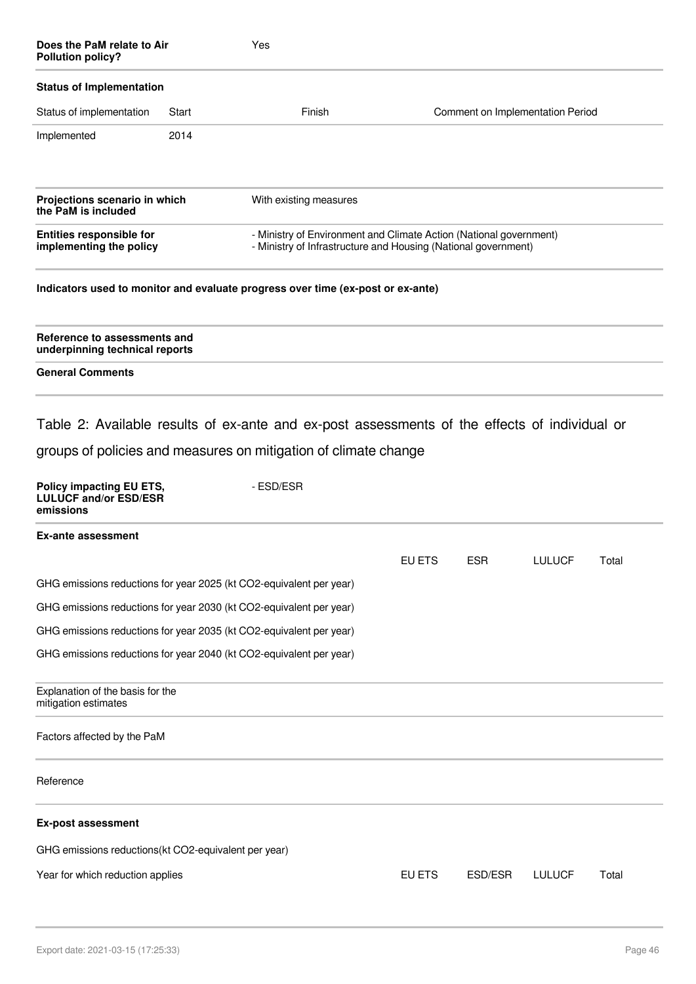| Does the PaM relate to Air<br><b>Pollution policy?</b>                |       | Yes                                                                                                                                                                           |        |            |                                  |       |
|-----------------------------------------------------------------------|-------|-------------------------------------------------------------------------------------------------------------------------------------------------------------------------------|--------|------------|----------------------------------|-------|
| <b>Status of Implementation</b>                                       |       |                                                                                                                                                                               |        |            |                                  |       |
| Status of implementation                                              | Start | Finish                                                                                                                                                                        |        |            | Comment on Implementation Period |       |
| Implemented                                                           | 2014  |                                                                                                                                                                               |        |            |                                  |       |
| Projections scenario in which<br>the PaM is included                  |       | With existing measures                                                                                                                                                        |        |            |                                  |       |
| <b>Entities responsible for</b><br>implementing the policy            |       | - Ministry of Environment and Climate Action (National government)<br>- Ministry of Infrastructure and Housing (National government)                                          |        |            |                                  |       |
|                                                                       |       | Indicators used to monitor and evaluate progress over time (ex-post or ex-ante)                                                                                               |        |            |                                  |       |
| Reference to assessments and<br>underpinning technical reports        |       |                                                                                                                                                                               |        |            |                                  |       |
| <b>General Comments</b>                                               |       |                                                                                                                                                                               |        |            |                                  |       |
| Policy impacting EU ETS,<br><b>LULUCF and/or ESD/ESR</b><br>emissions |       | Table 2: Available results of ex-ante and ex-post assessments of the effects of individual or<br>groups of policies and measures on mitigation of climate change<br>- ESD/ESR |        |            |                                  |       |
| <b>Ex-ante assessment</b>                                             |       |                                                                                                                                                                               |        |            |                                  |       |
|                                                                       |       |                                                                                                                                                                               | EU ETS | <b>ESR</b> | <b>LULUCF</b>                    | Total |
| GHG emissions reductions for year 2025 (kt CO2-equivalent per year)   |       |                                                                                                                                                                               |        |            |                                  |       |
| GHG emissions reductions for year 2030 (kt CO2-equivalent per year)   |       |                                                                                                                                                                               |        |            |                                  |       |
| GHG emissions reductions for year 2035 (kt CO2-equivalent per year)   |       |                                                                                                                                                                               |        |            |                                  |       |
| GHG emissions reductions for year 2040 (kt CO2-equivalent per year)   |       |                                                                                                                                                                               |        |            |                                  |       |
| Explanation of the basis for the<br>mitigation estimates              |       |                                                                                                                                                                               |        |            |                                  |       |
| Factors affected by the PaM                                           |       |                                                                                                                                                                               |        |            |                                  |       |
| Reference                                                             |       |                                                                                                                                                                               |        |            |                                  |       |
| <b>Ex-post assessment</b>                                             |       |                                                                                                                                                                               |        |            |                                  |       |
| GHG emissions reductions(kt CO2-equivalent per year)                  |       |                                                                                                                                                                               |        |            |                                  |       |

Year for which reduction applies **EU ETS** ESD/ESR LULUCF Total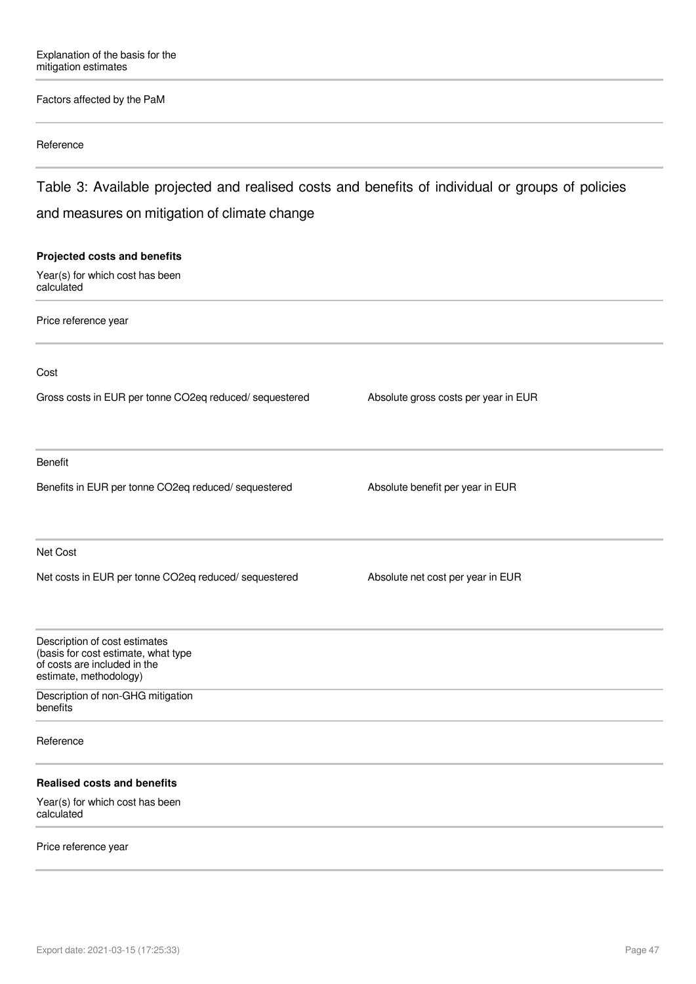#### Factors affected by the PaM

#### Reference

Table 3: Available projected and realised costs and benefits of individual or groups of policies and measures on mitigation of climate change

## **Projected costs and benefits** Year(s) for which cost has been calculated Price reference year Cost Gross costs in EUR per tonne CO2eq reduced/ sequestered Absolute gross costs per year in EUR Benefit Benefits in EUR per tonne CO2eq reduced/ sequestered Absolute benefit per year in EUR Net Cost Net costs in EUR per tonne CO2eq reduced/ sequestered Absolute net cost per year in EUR Description of cost estimates (basis for cost estimate, what type of costs are included in the estimate, methodology) Description of non-GHG mitigation benefits Reference **Realised costs and benefits** Year(s) for which cost has been calculated

#### Price reference year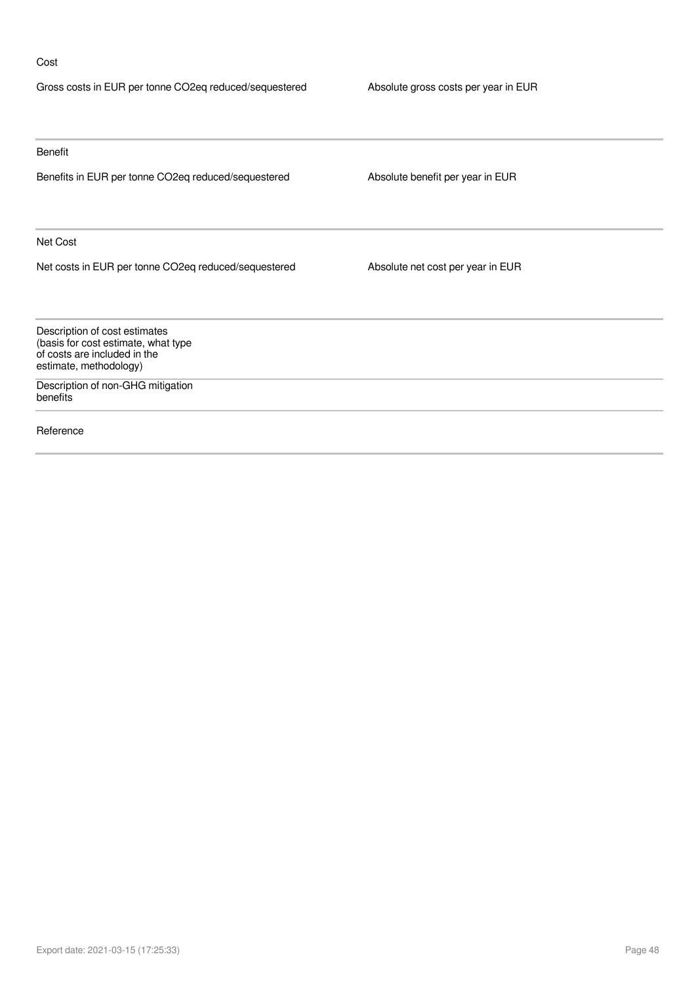### Cost

| Gross costs in EUR per tonne CO2eq reduced/sequestered                                                                         | Absolute gross costs per year in EUR |  |  |
|--------------------------------------------------------------------------------------------------------------------------------|--------------------------------------|--|--|
|                                                                                                                                |                                      |  |  |
| Benefit                                                                                                                        |                                      |  |  |
| Benefits in EUR per tonne CO2eq reduced/sequestered                                                                            | Absolute benefit per year in EUR     |  |  |
| Net Cost                                                                                                                       |                                      |  |  |
| Net costs in EUR per tonne CO2eq reduced/sequestered                                                                           | Absolute net cost per year in EUR    |  |  |
| Description of cost estimates<br>(basis for cost estimate, what type<br>of costs are included in the<br>estimate, methodology) |                                      |  |  |
| Description of non-GHG mitigation<br>benefits                                                                                  |                                      |  |  |
| Reference                                                                                                                      |                                      |  |  |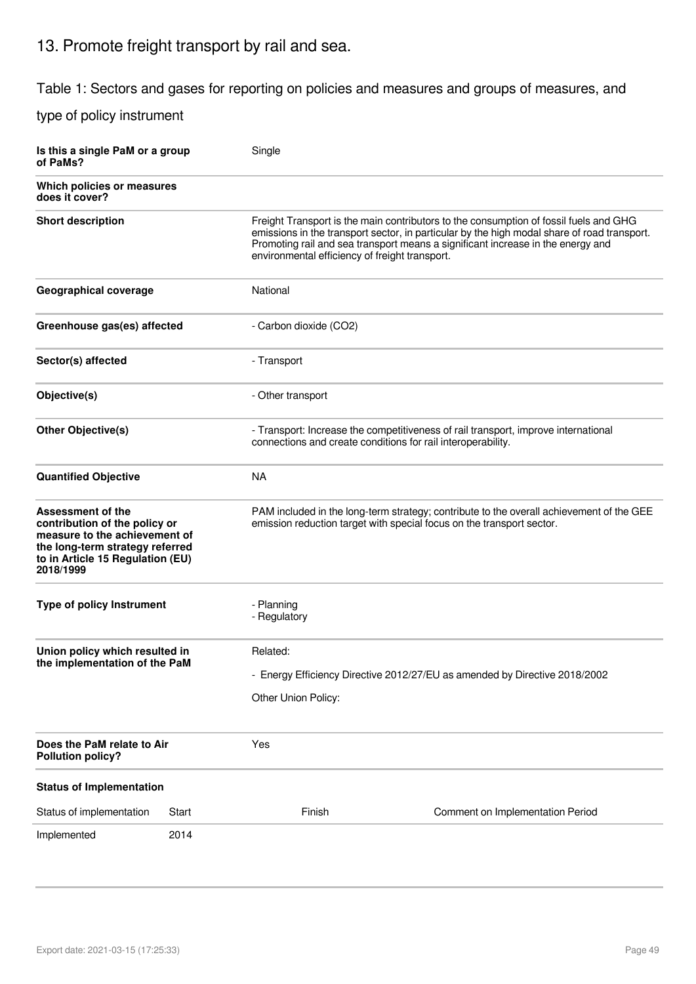## 13. Promote freight transport by rail and sea.

Table 1: Sectors and gases for reporting on policies and measures and groups of measures, and

| Is this a single PaM or a group<br>of PaMs?                                                                                                                                    |       | Single                          |                                                                                                                                                                                                                                                                                                                           |  |  |  |  |
|--------------------------------------------------------------------------------------------------------------------------------------------------------------------------------|-------|---------------------------------|---------------------------------------------------------------------------------------------------------------------------------------------------------------------------------------------------------------------------------------------------------------------------------------------------------------------------|--|--|--|--|
| Which policies or measures<br>does it cover?                                                                                                                                   |       |                                 |                                                                                                                                                                                                                                                                                                                           |  |  |  |  |
| <b>Short description</b>                                                                                                                                                       |       |                                 | Freight Transport is the main contributors to the consumption of fossil fuels and GHG<br>emissions in the transport sector, in particular by the high modal share of road transport.<br>Promoting rail and sea transport means a significant increase in the energy and<br>environmental efficiency of freight transport. |  |  |  |  |
| <b>Geographical coverage</b>                                                                                                                                                   |       | National                        |                                                                                                                                                                                                                                                                                                                           |  |  |  |  |
| Greenhouse gas(es) affected                                                                                                                                                    |       | - Carbon dioxide (CO2)          |                                                                                                                                                                                                                                                                                                                           |  |  |  |  |
| Sector(s) affected                                                                                                                                                             |       | - Transport                     |                                                                                                                                                                                                                                                                                                                           |  |  |  |  |
| Objective(s)                                                                                                                                                                   |       | - Other transport               |                                                                                                                                                                                                                                                                                                                           |  |  |  |  |
| <b>Other Objective(s)</b>                                                                                                                                                      |       |                                 | - Transport: Increase the competitiveness of rail transport, improve international<br>connections and create conditions for rail interoperability.                                                                                                                                                                        |  |  |  |  |
| <b>Quantified Objective</b>                                                                                                                                                    |       | <b>NA</b>                       |                                                                                                                                                                                                                                                                                                                           |  |  |  |  |
| <b>Assessment of the</b><br>contribution of the policy or<br>measure to the achievement of<br>the long-term strategy referred<br>to in Article 15 Regulation (EU)<br>2018/1999 |       |                                 | PAM included in the long-term strategy; contribute to the overall achievement of the GEE<br>emission reduction target with special focus on the transport sector.                                                                                                                                                         |  |  |  |  |
| <b>Type of policy Instrument</b>                                                                                                                                               |       | - Planning<br>- Regulatory      |                                                                                                                                                                                                                                                                                                                           |  |  |  |  |
| Union policy which resulted in<br>the implementation of the PaM                                                                                                                |       | Related:<br>Other Union Policy: | - Energy Efficiency Directive 2012/27/EU as amended by Directive 2018/2002                                                                                                                                                                                                                                                |  |  |  |  |
| Does the PaM relate to Air<br><b>Pollution policy?</b>                                                                                                                         |       | Yes                             |                                                                                                                                                                                                                                                                                                                           |  |  |  |  |
| <b>Status of Implementation</b>                                                                                                                                                |       |                                 |                                                                                                                                                                                                                                                                                                                           |  |  |  |  |
| Status of implementation                                                                                                                                                       | Start | Finish                          | Comment on Implementation Period                                                                                                                                                                                                                                                                                          |  |  |  |  |
| Implemented                                                                                                                                                                    | 2014  |                                 |                                                                                                                                                                                                                                                                                                                           |  |  |  |  |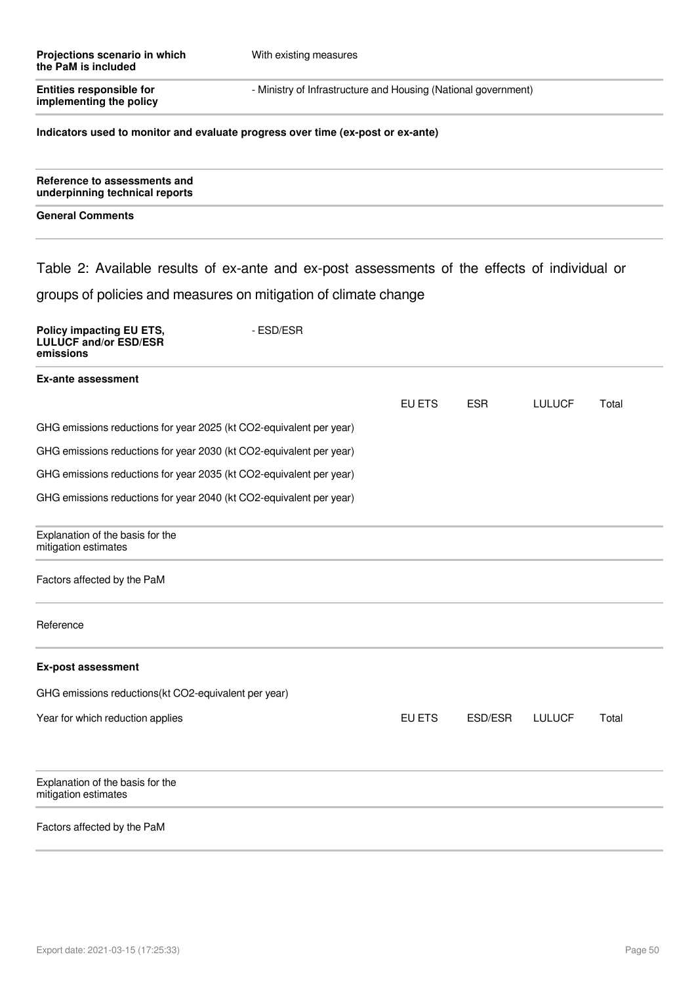| Projections scenario in which<br>the PaM is included                                                                                       | With existing measures |                                                                |            |               |       |  |
|--------------------------------------------------------------------------------------------------------------------------------------------|------------------------|----------------------------------------------------------------|------------|---------------|-------|--|
| <b>Entities responsible for</b><br>implementing the policy                                                                                 |                        | - Ministry of Infrastructure and Housing (National government) |            |               |       |  |
| Indicators used to monitor and evaluate progress over time (ex-post or ex-ante)                                                            |                        |                                                                |            |               |       |  |
| Reference to assessments and<br>underpinning technical reports                                                                             |                        |                                                                |            |               |       |  |
| <b>General Comments</b>                                                                                                                    |                        |                                                                |            |               |       |  |
| Table 2: Available results of ex-ante and ex-post assessments of the effects of individual or                                              |                        |                                                                |            |               |       |  |
| groups of policies and measures on mitigation of climate change                                                                            |                        |                                                                |            |               |       |  |
| Policy impacting EU ETS,<br><b>LULUCF and/or ESD/ESR</b><br>emissions                                                                      | - ESD/ESR              |                                                                |            |               |       |  |
| <b>Ex-ante assessment</b>                                                                                                                  |                        |                                                                |            |               |       |  |
|                                                                                                                                            |                        | EU ETS                                                         | <b>ESR</b> | <b>LULUCF</b> | Total |  |
| GHG emissions reductions for year 2025 (kt CO2-equivalent per year)<br>GHG emissions reductions for year 2030 (kt CO2-equivalent per year) |                        |                                                                |            |               |       |  |
| GHG emissions reductions for year 2035 (kt CO2-equivalent per year)                                                                        |                        |                                                                |            |               |       |  |
| GHG emissions reductions for year 2040 (kt CO2-equivalent per year)                                                                        |                        |                                                                |            |               |       |  |
| Explanation of the basis for the<br>mitigation estimates                                                                                   |                        |                                                                |            |               |       |  |
| Factors affected by the PaM                                                                                                                |                        |                                                                |            |               |       |  |
| Reference                                                                                                                                  |                        |                                                                |            |               |       |  |
| <b>Ex-post assessment</b>                                                                                                                  |                        |                                                                |            |               |       |  |
| GHG emissions reductions(kt CO2-equivalent per year)                                                                                       |                        |                                                                |            |               |       |  |
| Year for which reduction applies                                                                                                           |                        | EU ETS                                                         | ESD/ESR    | <b>LULUCF</b> | Total |  |
| Explanation of the basis for the<br>mitigation estimates                                                                                   |                        |                                                                |            |               |       |  |
| Factors affected by the PaM                                                                                                                |                        |                                                                |            |               |       |  |
|                                                                                                                                            |                        |                                                                |            |               |       |  |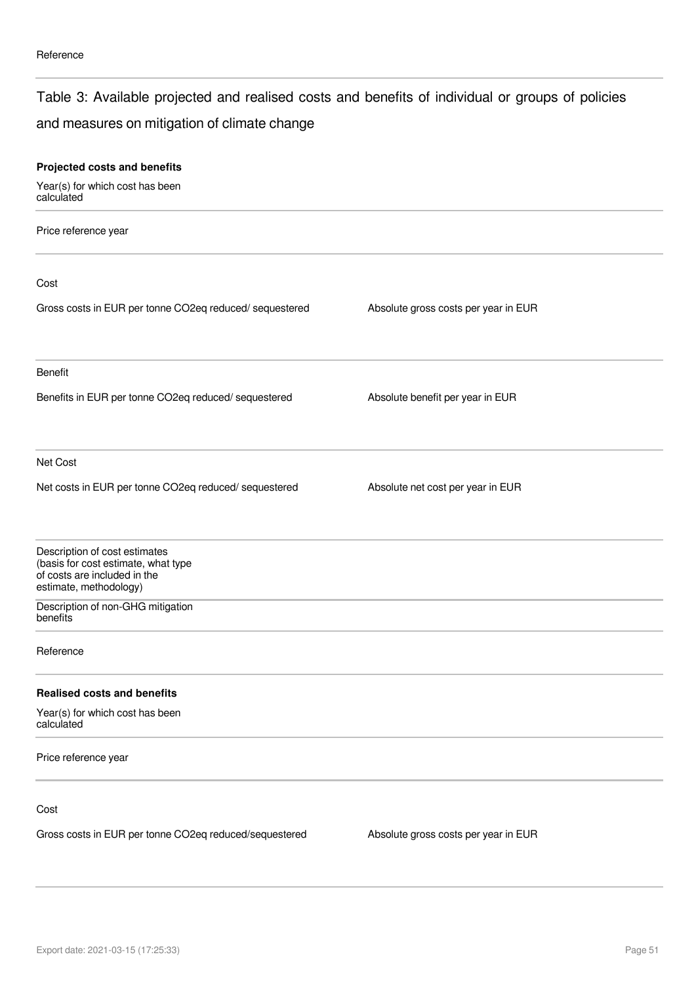### Table 3: Available projected and realised costs and benefits of individual or groups of policies

## and measures on mitigation of climate change

| Projected costs and benefits                                                                                                   |                                      |  |
|--------------------------------------------------------------------------------------------------------------------------------|--------------------------------------|--|
| Year(s) for which cost has been<br>calculated                                                                                  |                                      |  |
| Price reference year                                                                                                           |                                      |  |
| Cost                                                                                                                           |                                      |  |
| Gross costs in EUR per tonne CO2eq reduced/ sequestered                                                                        | Absolute gross costs per year in EUR |  |
| Benefit                                                                                                                        |                                      |  |
| Benefits in EUR per tonne CO2eq reduced/ sequestered                                                                           | Absolute benefit per year in EUR     |  |
| Net Cost                                                                                                                       |                                      |  |
| Net costs in EUR per tonne CO2eq reduced/ sequestered                                                                          | Absolute net cost per year in EUR    |  |
| Description of cost estimates<br>(basis for cost estimate, what type<br>of costs are included in the<br>estimate, methodology) |                                      |  |
| Description of non-GHG mitigation<br>benefits                                                                                  |                                      |  |
| Reference                                                                                                                      |                                      |  |
| <b>Realised costs and benefits</b>                                                                                             |                                      |  |
| Year(s) for which cost has been<br>calculated                                                                                  |                                      |  |
| Price reference year                                                                                                           |                                      |  |
| Cost                                                                                                                           |                                      |  |
| Gross costs in EUR per tonne CO2eq reduced/sequestered                                                                         | Absolute gross costs per year in EUR |  |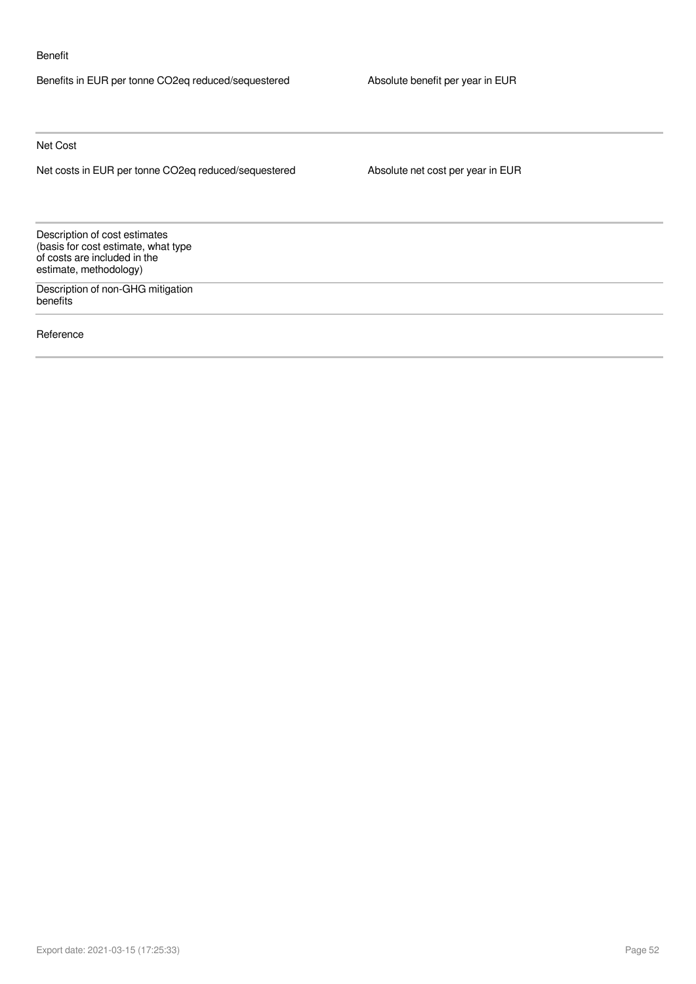#### Benefit

Benefits in EUR per tonne CO2eq reduced/sequestered Absolute benefit per year in EUR

Net Cost

Net costs in EUR per tonne CO2eq reduced/sequestered Absolute net cost per year in EUR

Description of cost estimates (basis for cost estimate, what type of costs are included in the estimate, methodology)

Description of non-GHG mitigation benefits

Reference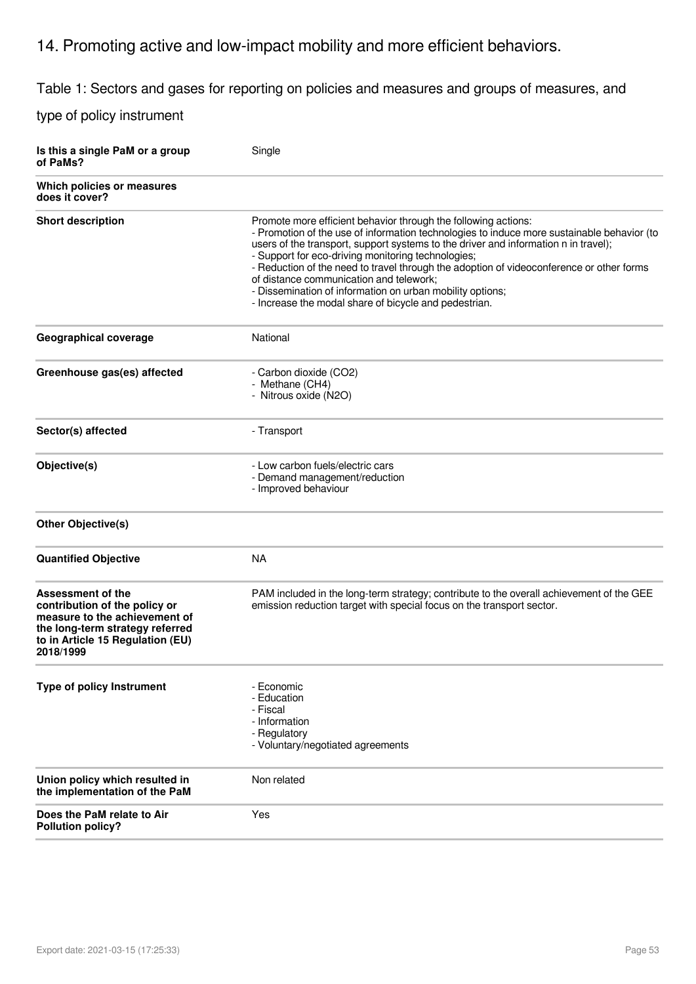## 14. Promoting active and low-impact mobility and more efficient behaviors.

Table 1: Sectors and gases for reporting on policies and measures and groups of measures, and

| Is this a single PaM or a group<br>of PaMs?                                                                                                                                    | Single                                                                                                                                                                                                                                                                                                                                                                                                                                                                                                                                                                 |
|--------------------------------------------------------------------------------------------------------------------------------------------------------------------------------|------------------------------------------------------------------------------------------------------------------------------------------------------------------------------------------------------------------------------------------------------------------------------------------------------------------------------------------------------------------------------------------------------------------------------------------------------------------------------------------------------------------------------------------------------------------------|
| Which policies or measures<br>does it cover?                                                                                                                                   |                                                                                                                                                                                                                                                                                                                                                                                                                                                                                                                                                                        |
| <b>Short description</b>                                                                                                                                                       | Promote more efficient behavior through the following actions:<br>- Promotion of the use of information technologies to induce more sustainable behavior (to<br>users of the transport, support systems to the driver and information n in travel);<br>- Support for eco-driving monitoring technologies;<br>- Reduction of the need to travel through the adoption of videoconference or other forms<br>of distance communication and telework;<br>- Dissemination of information on urban mobility options;<br>- Increase the modal share of bicycle and pedestrian. |
| <b>Geographical coverage</b>                                                                                                                                                   | National                                                                                                                                                                                                                                                                                                                                                                                                                                                                                                                                                               |
| Greenhouse gas(es) affected                                                                                                                                                    | - Carbon dioxide (CO2)<br>- Methane (CH4)<br>- Nitrous oxide (N2O)                                                                                                                                                                                                                                                                                                                                                                                                                                                                                                     |
| Sector(s) affected                                                                                                                                                             | - Transport                                                                                                                                                                                                                                                                                                                                                                                                                                                                                                                                                            |
| Objective(s)                                                                                                                                                                   | - Low carbon fuels/electric cars<br>- Demand management/reduction<br>- Improved behaviour                                                                                                                                                                                                                                                                                                                                                                                                                                                                              |
| Other Objective(s)                                                                                                                                                             |                                                                                                                                                                                                                                                                                                                                                                                                                                                                                                                                                                        |
| <b>Quantified Objective</b>                                                                                                                                                    | <b>NA</b>                                                                                                                                                                                                                                                                                                                                                                                                                                                                                                                                                              |
| <b>Assessment of the</b><br>contribution of the policy or<br>measure to the achievement of<br>the long-term strategy referred<br>to in Article 15 Regulation (EU)<br>2018/1999 | PAM included in the long-term strategy; contribute to the overall achievement of the GEE<br>emission reduction target with special focus on the transport sector.                                                                                                                                                                                                                                                                                                                                                                                                      |
| <b>Type of policy Instrument</b>                                                                                                                                               | - Economic<br>- Education<br>- Fiscal<br>- Information<br>- Regulatory<br>- Voluntary/negotiated agreements                                                                                                                                                                                                                                                                                                                                                                                                                                                            |
| Union policy which resulted in<br>the implementation of the PaM                                                                                                                | Non related                                                                                                                                                                                                                                                                                                                                                                                                                                                                                                                                                            |
| Does the PaM relate to Air<br><b>Pollution policy?</b>                                                                                                                         | Yes                                                                                                                                                                                                                                                                                                                                                                                                                                                                                                                                                                    |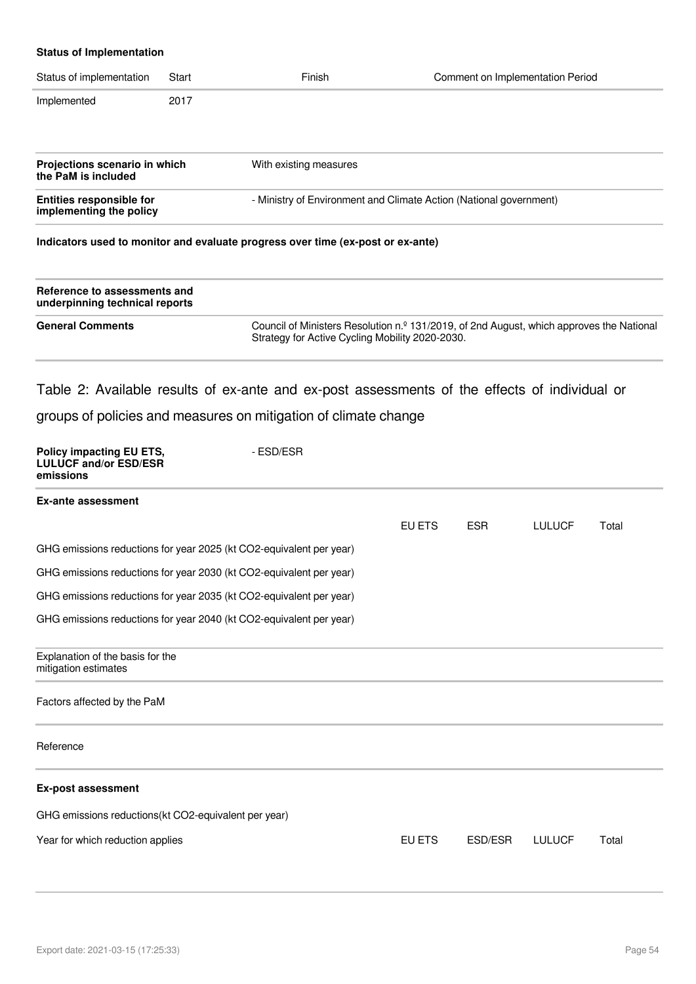| <b>Status of Implementation</b>                                                                                                  |       |                                                                                 |                                                                                          |
|----------------------------------------------------------------------------------------------------------------------------------|-------|---------------------------------------------------------------------------------|------------------------------------------------------------------------------------------|
| Status of implementation                                                                                                         | Start | Finish                                                                          | Comment on Implementation Period                                                         |
| Implemented                                                                                                                      | 2017  |                                                                                 |                                                                                          |
| Projections scenario in which<br>the PaM is included                                                                             |       | With existing measures                                                          |                                                                                          |
| - Ministry of Environment and Climate Action (National government)<br><b>Entities responsible for</b><br>implementing the policy |       |                                                                                 |                                                                                          |
|                                                                                                                                  |       | Indicators used to monitor and evaluate progress over time (ex-post or ex-ante) |                                                                                          |
| Reference to assessments and<br>underpinning technical reports                                                                   |       |                                                                                 |                                                                                          |
| <b>General Comments</b>                                                                                                          |       | Strategy for Active Cycling Mobility 2020-2030.                                 | Council of Ministers Resolution n.º 131/2019, of 2nd August, which approves the National |
| $\sim$ $\sim$ $\sim$ $\sim$ $\sim$ $\sim$ $\sim$                                                                                 |       |                                                                                 |                                                                                          |

## Table 2: Available results of ex-ante and ex-post assessments of the effects of individual or groups of policies and measures on mitigation of climate change

| Policy impacting EU ETS,<br><b>LULUCF and/or ESD/ESR</b><br>emissions | - FSD/FSR |        |            |               |       |
|-----------------------------------------------------------------------|-----------|--------|------------|---------------|-------|
| <b>Ex-ante assessment</b>                                             |           |        |            |               |       |
|                                                                       |           | EU ETS | <b>ESR</b> | <b>LULUCF</b> | Total |
| GHG emissions reductions for year 2025 (kt CO2-equivalent per year)   |           |        |            |               |       |
| GHG emissions reductions for year 2030 (kt CO2-equivalent per year)   |           |        |            |               |       |
| GHG emissions reductions for year 2035 (kt CO2-equivalent per year)   |           |        |            |               |       |
| GHG emissions reductions for year 2040 (kt CO2-equivalent per year)   |           |        |            |               |       |
| Explanation of the basis for the<br>mitigation estimates              |           |        |            |               |       |
| Factors affected by the PaM                                           |           |        |            |               |       |
| Reference                                                             |           |        |            |               |       |
| <b>Ex-post assessment</b>                                             |           |        |            |               |       |
| GHG emissions reductions(kt CO2-equivalent per year)                  |           |        |            |               |       |
| Year for which reduction applies                                      |           | EU ETS | ESD/ESR    | <b>LULUCF</b> | Total |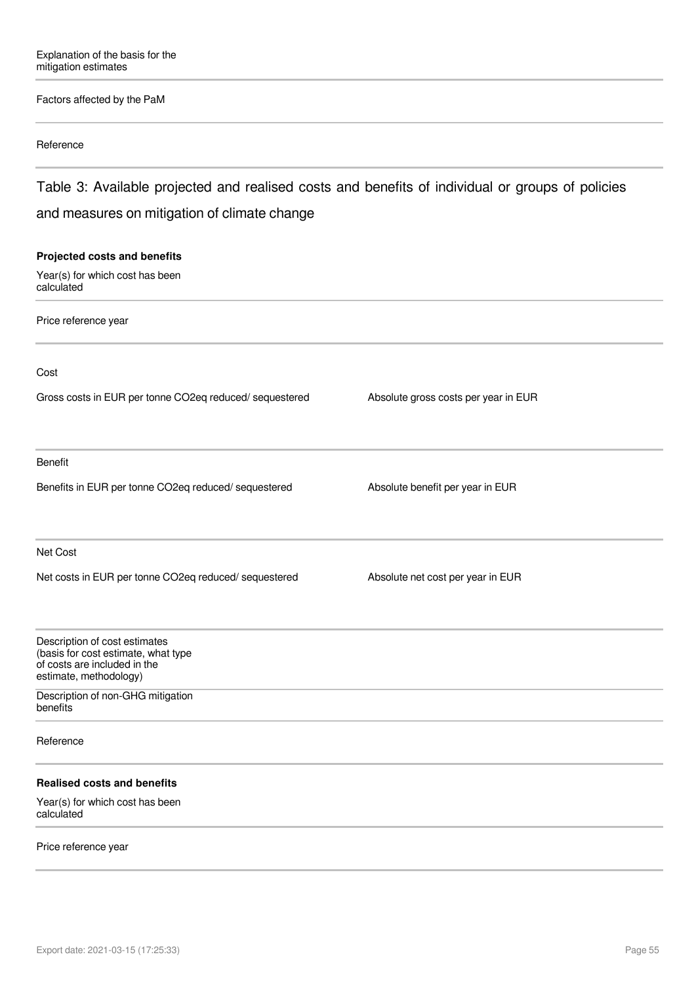#### Factors affected by the PaM

#### Reference

Table 3: Available projected and realised costs and benefits of individual or groups of policies and measures on mitigation of climate change

## **Projected costs and benefits** Year(s) for which cost has been calculated Price reference year Cost Gross costs in EUR per tonne CO2eq reduced/ sequestered Absolute gross costs per year in EUR Benefit Benefits in EUR per tonne CO2eq reduced/ sequestered Absolute benefit per year in EUR Net Cost Net costs in EUR per tonne CO2eq reduced/ sequestered Absolute net cost per year in EUR Description of cost estimates (basis for cost estimate, what type of costs are included in the estimate, methodology) Description of non-GHG mitigation benefits Reference **Realised costs and benefits** Year(s) for which cost has been calculated

#### Price reference year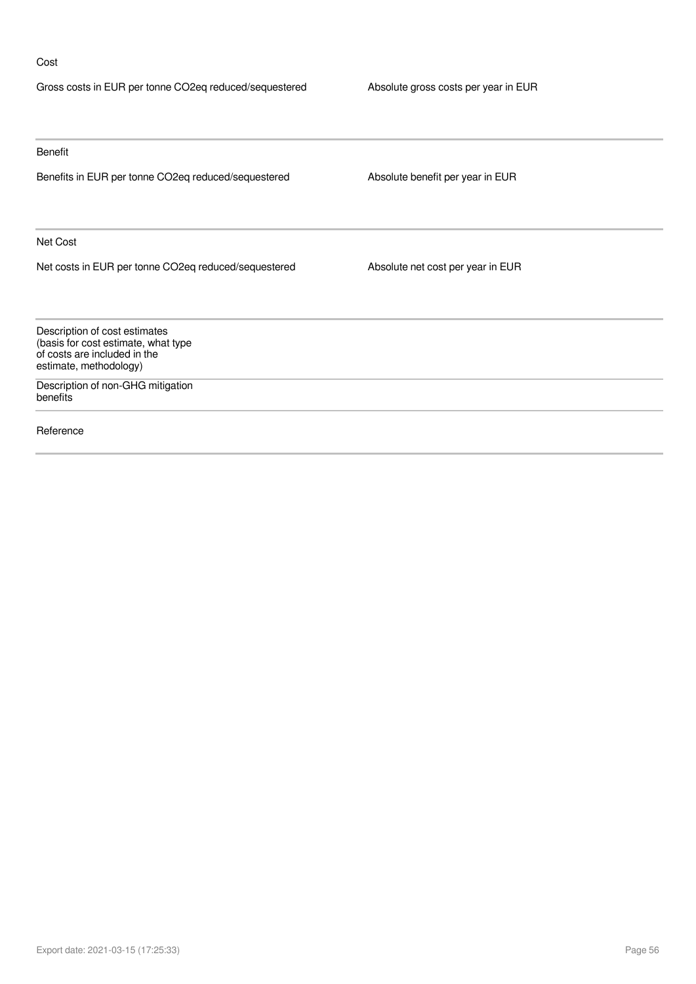#### Cost

| Gross costs in EUR per tonne CO2eq reduced/sequestered                                                                         | Absolute gross costs per year in EUR |
|--------------------------------------------------------------------------------------------------------------------------------|--------------------------------------|
|                                                                                                                                |                                      |
| Benefit                                                                                                                        |                                      |
| Benefits in EUR per tonne CO2eq reduced/sequestered                                                                            | Absolute benefit per year in EUR     |
| Net Cost                                                                                                                       |                                      |
| Net costs in EUR per tonne CO2eq reduced/sequestered                                                                           | Absolute net cost per year in EUR    |
| Description of cost estimates<br>(basis for cost estimate, what type<br>of costs are included in the<br>estimate, methodology) |                                      |
| Description of non-GHG mitigation<br>benefits                                                                                  |                                      |
| Reference                                                                                                                      |                                      |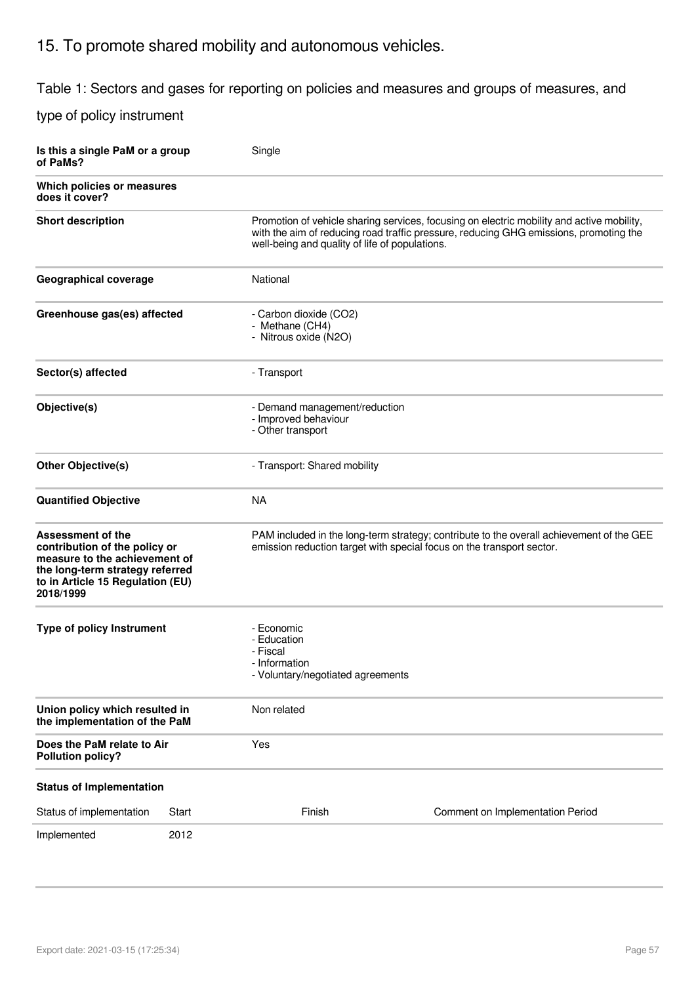## 15. To promote shared mobility and autonomous vehicles.

Table 1: Sectors and gases for reporting on policies and measures and groups of measures, and

| Is this a single PaM or a group<br>of PaMs?                                                                                                                             |       | Single                                                                                      |                                                                                                                                                                                    |  |  |
|-------------------------------------------------------------------------------------------------------------------------------------------------------------------------|-------|---------------------------------------------------------------------------------------------|------------------------------------------------------------------------------------------------------------------------------------------------------------------------------------|--|--|
| Which policies or measures<br>does it cover?                                                                                                                            |       |                                                                                             |                                                                                                                                                                                    |  |  |
| <b>Short description</b>                                                                                                                                                |       | well-being and quality of life of populations.                                              | Promotion of vehicle sharing services, focusing on electric mobility and active mobility,<br>with the aim of reducing road traffic pressure, reducing GHG emissions, promoting the |  |  |
| Geographical coverage                                                                                                                                                   |       | National                                                                                    |                                                                                                                                                                                    |  |  |
| Greenhouse gas(es) affected                                                                                                                                             |       | - Carbon dioxide (CO2)<br>- Methane (CH4)<br>- Nitrous oxide (N2O)                          |                                                                                                                                                                                    |  |  |
| Sector(s) affected                                                                                                                                                      |       | - Transport                                                                                 |                                                                                                                                                                                    |  |  |
| Objective(s)                                                                                                                                                            |       | - Demand management/reduction<br>- Improved behaviour<br>- Other transport                  |                                                                                                                                                                                    |  |  |
| <b>Other Objective(s)</b>                                                                                                                                               |       | - Transport: Shared mobility                                                                |                                                                                                                                                                                    |  |  |
| <b>Quantified Objective</b>                                                                                                                                             |       | <b>NA</b>                                                                                   |                                                                                                                                                                                    |  |  |
| Assessment of the<br>contribution of the policy or<br>measure to the achievement of<br>the long-term strategy referred<br>to in Article 15 Regulation (EU)<br>2018/1999 |       |                                                                                             | PAM included in the long-term strategy; contribute to the overall achievement of the GEE<br>emission reduction target with special focus on the transport sector.                  |  |  |
| <b>Type of policy Instrument</b>                                                                                                                                        |       | - Economic<br>- Education<br>- Fiscal<br>- Information<br>- Voluntary/negotiated agreements |                                                                                                                                                                                    |  |  |
| Union policy which resulted in<br>the implementation of the PaM                                                                                                         |       | Non related                                                                                 |                                                                                                                                                                                    |  |  |
| Does the PaM relate to Air<br><b>Pollution policy?</b>                                                                                                                  |       | Yes                                                                                         |                                                                                                                                                                                    |  |  |
| <b>Status of Implementation</b>                                                                                                                                         |       |                                                                                             |                                                                                                                                                                                    |  |  |
| Status of implementation                                                                                                                                                | Start | Finish                                                                                      | Comment on Implementation Period                                                                                                                                                   |  |  |
| Implemented                                                                                                                                                             | 2012  |                                                                                             |                                                                                                                                                                                    |  |  |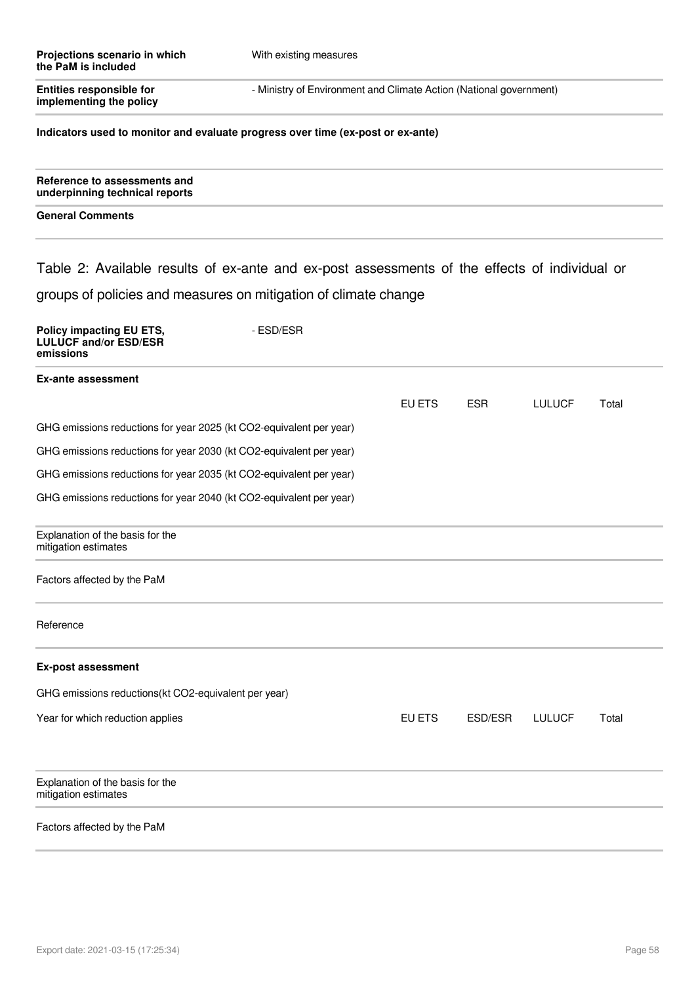| Projections scenario in which<br>the PaM is included                                          | With existing measures |                                                                    |            |               |       |  |
|-----------------------------------------------------------------------------------------------|------------------------|--------------------------------------------------------------------|------------|---------------|-------|--|
| <b>Entities responsible for</b><br>implementing the policy                                    |                        | - Ministry of Environment and Climate Action (National government) |            |               |       |  |
| Indicators used to monitor and evaluate progress over time (ex-post or ex-ante)               |                        |                                                                    |            |               |       |  |
| Reference to assessments and<br>underpinning technical reports                                |                        |                                                                    |            |               |       |  |
| <b>General Comments</b>                                                                       |                        |                                                                    |            |               |       |  |
| Table 2: Available results of ex-ante and ex-post assessments of the effects of individual or |                        |                                                                    |            |               |       |  |
| groups of policies and measures on mitigation of climate change                               |                        |                                                                    |            |               |       |  |
| Policy impacting EU ETS,<br><b>LULUCF and/or ESD/ESR</b><br>emissions                         | - ESD/ESR              |                                                                    |            |               |       |  |
| <b>Ex-ante assessment</b>                                                                     |                        |                                                                    |            |               |       |  |
|                                                                                               |                        | EU ETS                                                             | <b>ESR</b> | <b>LULUCF</b> | Total |  |
| GHG emissions reductions for year 2025 (kt CO2-equivalent per year)                           |                        |                                                                    |            |               |       |  |
| GHG emissions reductions for year 2030 (kt CO2-equivalent per year)                           |                        |                                                                    |            |               |       |  |
| GHG emissions reductions for year 2035 (kt CO2-equivalent per year)                           |                        |                                                                    |            |               |       |  |
| GHG emissions reductions for year 2040 (kt CO2-equivalent per year)                           |                        |                                                                    |            |               |       |  |
| Explanation of the basis for the<br>mitigation estimates                                      |                        |                                                                    |            |               |       |  |
| Factors affected by the PaM                                                                   |                        |                                                                    |            |               |       |  |
| Reference                                                                                     |                        |                                                                    |            |               |       |  |
| <b>Ex-post assessment</b>                                                                     |                        |                                                                    |            |               |       |  |
| GHG emissions reductions(kt CO2-equivalent per year)                                          |                        |                                                                    |            |               |       |  |
| Year for which reduction applies                                                              |                        | EU ETS                                                             | ESD/ESR    | <b>LULUCF</b> | Total |  |
| Explanation of the basis for the<br>mitigation estimates                                      |                        |                                                                    |            |               |       |  |
| Factors affected by the PaM                                                                   |                        |                                                                    |            |               |       |  |
|                                                                                               |                        |                                                                    |            |               |       |  |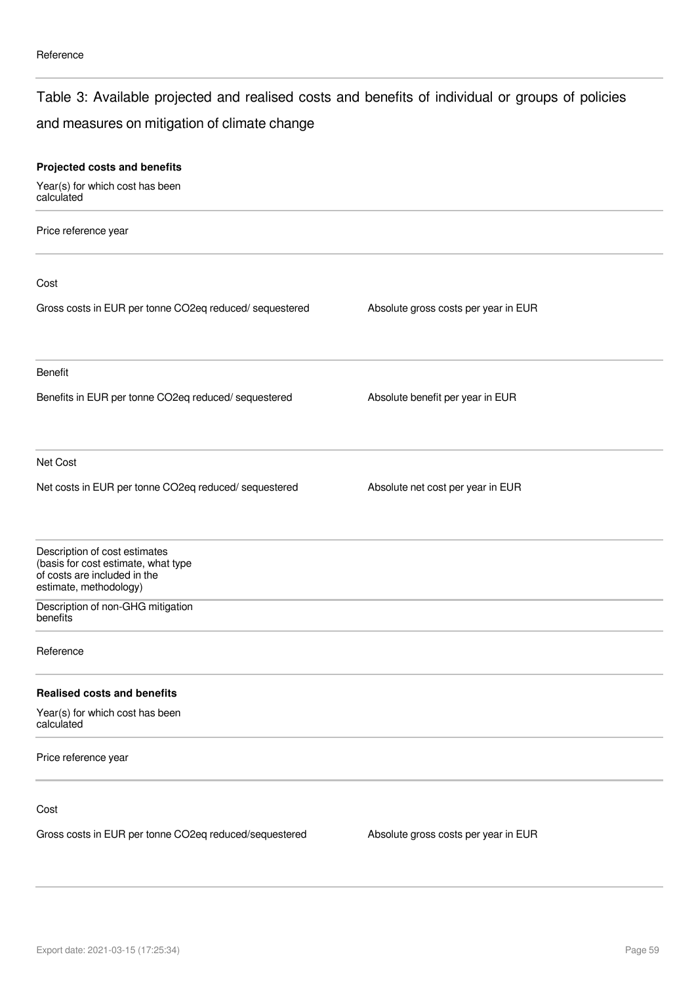### Table 3: Available projected and realised costs and benefits of individual or groups of policies

## and measures on mitigation of climate change

| Projected costs and benefits                                                                                                   |                                      |  |
|--------------------------------------------------------------------------------------------------------------------------------|--------------------------------------|--|
| Year(s) for which cost has been<br>calculated                                                                                  |                                      |  |
| Price reference year                                                                                                           |                                      |  |
| Cost                                                                                                                           |                                      |  |
| Gross costs in EUR per tonne CO2eq reduced/ sequestered                                                                        | Absolute gross costs per year in EUR |  |
| Benefit                                                                                                                        |                                      |  |
| Benefits in EUR per tonne CO2eq reduced/ sequestered                                                                           | Absolute benefit per year in EUR     |  |
| Net Cost                                                                                                                       |                                      |  |
| Net costs in EUR per tonne CO2eq reduced/ sequestered                                                                          | Absolute net cost per year in EUR    |  |
| Description of cost estimates<br>(basis for cost estimate, what type<br>of costs are included in the<br>estimate, methodology) |                                      |  |
| Description of non-GHG mitigation<br>benefits                                                                                  |                                      |  |
| Reference                                                                                                                      |                                      |  |
| <b>Realised costs and benefits</b>                                                                                             |                                      |  |
| Year(s) for which cost has been<br>calculated                                                                                  |                                      |  |
| Price reference year                                                                                                           |                                      |  |
| Cost                                                                                                                           |                                      |  |
| Gross costs in EUR per tonne CO2eq reduced/sequestered                                                                         | Absolute gross costs per year in EUR |  |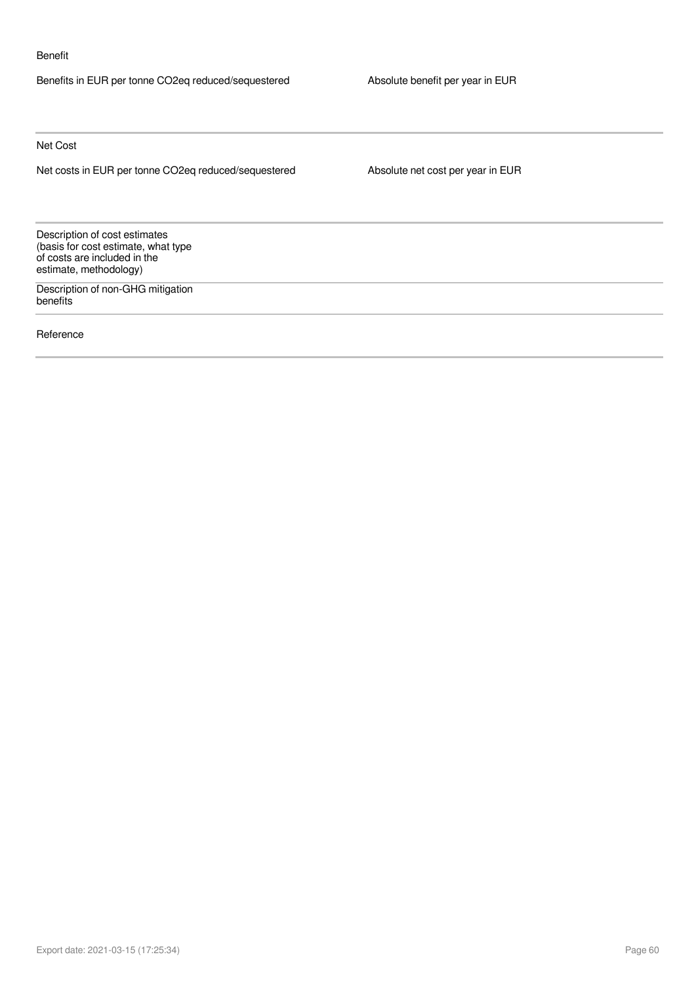#### Benefit

Benefits in EUR per tonne CO2eq reduced/sequestered Absolute benefit per year in EUR

Net Cost

Net costs in EUR per tonne CO2eq reduced/sequestered Absolute net cost per year in EUR

Description of cost estimates (basis for cost estimate, what type of costs are included in the estimate, methodology)

Description of non-GHG mitigation benefits

Reference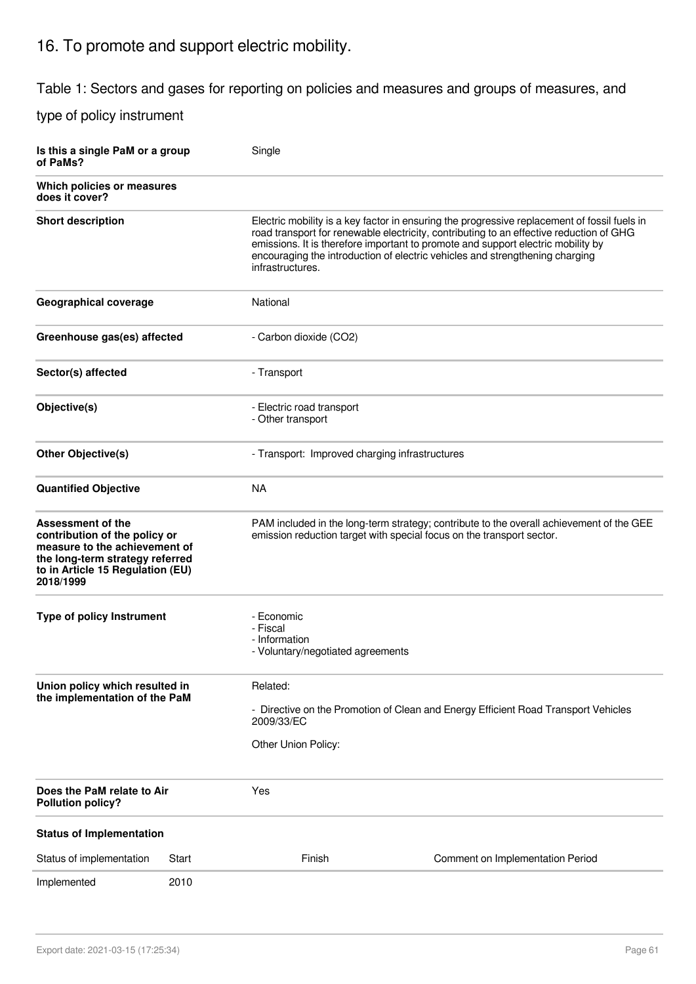## 16. To promote and support electric mobility.

Table 1: Sectors and gases for reporting on policies and measures and groups of measures, and

| Is this a single PaM or a group<br>of PaMs?                                                                                                                                                                                                      |       | Single                                                                                   |                                                                                                                                                                                                                                                                                                                                                             |  |  |
|--------------------------------------------------------------------------------------------------------------------------------------------------------------------------------------------------------------------------------------------------|-------|------------------------------------------------------------------------------------------|-------------------------------------------------------------------------------------------------------------------------------------------------------------------------------------------------------------------------------------------------------------------------------------------------------------------------------------------------------------|--|--|
| Which policies or measures<br>does it cover?                                                                                                                                                                                                     |       |                                                                                          |                                                                                                                                                                                                                                                                                                                                                             |  |  |
| <b>Short description</b>                                                                                                                                                                                                                         |       | infrastructures.                                                                         | Electric mobility is a key factor in ensuring the progressive replacement of fossil fuels in<br>road transport for renewable electricity, contributing to an effective reduction of GHG<br>emissions. It is therefore important to promote and support electric mobility by<br>encouraging the introduction of electric vehicles and strengthening charging |  |  |
| <b>Geographical coverage</b>                                                                                                                                                                                                                     |       | National                                                                                 |                                                                                                                                                                                                                                                                                                                                                             |  |  |
| Greenhouse gas(es) affected                                                                                                                                                                                                                      |       | - Carbon dioxide (CO2)                                                                   |                                                                                                                                                                                                                                                                                                                                                             |  |  |
| Sector(s) affected                                                                                                                                                                                                                               |       | - Transport                                                                              |                                                                                                                                                                                                                                                                                                                                                             |  |  |
| Objective(s)                                                                                                                                                                                                                                     |       | - Electric road transport<br>- Other transport                                           |                                                                                                                                                                                                                                                                                                                                                             |  |  |
| <b>Other Objective(s)</b>                                                                                                                                                                                                                        |       | - Transport: Improved charging infrastructures                                           |                                                                                                                                                                                                                                                                                                                                                             |  |  |
| <b>Quantified Objective</b>                                                                                                                                                                                                                      |       | <b>NA</b>                                                                                |                                                                                                                                                                                                                                                                                                                                                             |  |  |
| Assessment of the<br>emission reduction target with special focus on the transport sector.<br>contribution of the policy or<br>measure to the achievement of<br>the long-term strategy referred<br>to in Article 15 Regulation (EU)<br>2018/1999 |       | PAM included in the long-term strategy; contribute to the overall achievement of the GEE |                                                                                                                                                                                                                                                                                                                                                             |  |  |
| <b>Type of policy Instrument</b>                                                                                                                                                                                                                 |       | - Economic<br>- Fiscal<br>- Information<br>- Voluntary/negotiated agreements             |                                                                                                                                                                                                                                                                                                                                                             |  |  |
| Union policy which resulted in<br>Related:<br>the implementation of the PaM<br>- Directive on the Promotion of Clean and Energy Efficient Road Transport Vehicles<br>2009/33/EC<br>Other Union Policy:                                           |       |                                                                                          |                                                                                                                                                                                                                                                                                                                                                             |  |  |
| Does the PaM relate to Air<br><b>Pollution policy?</b>                                                                                                                                                                                           |       | Yes                                                                                      |                                                                                                                                                                                                                                                                                                                                                             |  |  |
| <b>Status of Implementation</b>                                                                                                                                                                                                                  |       |                                                                                          |                                                                                                                                                                                                                                                                                                                                                             |  |  |
| Status of implementation                                                                                                                                                                                                                         | Start | Finish                                                                                   | Comment on Implementation Period                                                                                                                                                                                                                                                                                                                            |  |  |
| Implemented                                                                                                                                                                                                                                      | 2010  |                                                                                          |                                                                                                                                                                                                                                                                                                                                                             |  |  |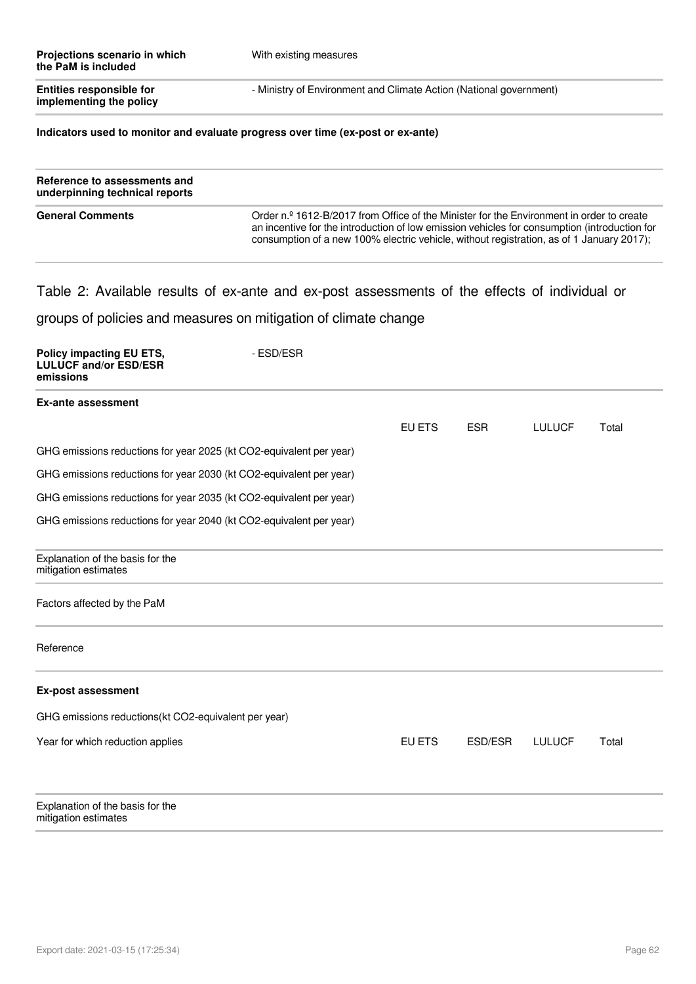| Projections scenario in which<br>the PaM is included       | With existing measures                                             |
|------------------------------------------------------------|--------------------------------------------------------------------|
| <b>Entities responsible for</b><br>implementing the policy | - Ministry of Environment and Climate Action (National government) |

#### **Indicators used to monitor and evaluate progress over time (ex-post or ex-ante)**

| Reference to assessments and<br>underpinning technical reports |                                                                                                                                                                                                                                                                                      |
|----------------------------------------------------------------|--------------------------------------------------------------------------------------------------------------------------------------------------------------------------------------------------------------------------------------------------------------------------------------|
| <b>General Comments</b>                                        | Order n.º 1612-B/2017 from Office of the Minister for the Environment in order to create<br>an incentive for the introduction of low emission vehicles for consumption (introduction for<br>consumption of a new 100% electric vehicle, without registration, as of 1 January 2017); |

## Table 2: Available results of ex-ante and ex-post assessments of the effects of individual or

groups of policies and measures on mitigation of climate change

| Policy impacting EU ETS,<br><b>LULUCF and/or ESD/ESR</b><br>emissions | - ESD/ESR |               |            |               |       |
|-----------------------------------------------------------------------|-----------|---------------|------------|---------------|-------|
| <b>Ex-ante assessment</b>                                             |           |               |            |               |       |
|                                                                       |           | <b>EU ETS</b> | <b>ESR</b> | <b>LULUCF</b> | Total |
| GHG emissions reductions for year 2025 (kt CO2-equivalent per year)   |           |               |            |               |       |
| GHG emissions reductions for year 2030 (kt CO2-equivalent per year)   |           |               |            |               |       |
| GHG emissions reductions for year 2035 (kt CO2-equivalent per year)   |           |               |            |               |       |
| GHG emissions reductions for year 2040 (kt CO2-equivalent per year)   |           |               |            |               |       |
| Explanation of the basis for the<br>mitigation estimates              |           |               |            |               |       |
| Factors affected by the PaM                                           |           |               |            |               |       |
| Reference                                                             |           |               |            |               |       |
| <b>Ex-post assessment</b>                                             |           |               |            |               |       |
| GHG emissions reductions(kt CO2-equivalent per year)                  |           |               |            |               |       |
| Year for which reduction applies                                      |           | EU ETS        | ESD/ESR    | <b>LULUCF</b> | Total |
| Explanation of the basis for the<br>mitigation estimates              |           |               |            |               |       |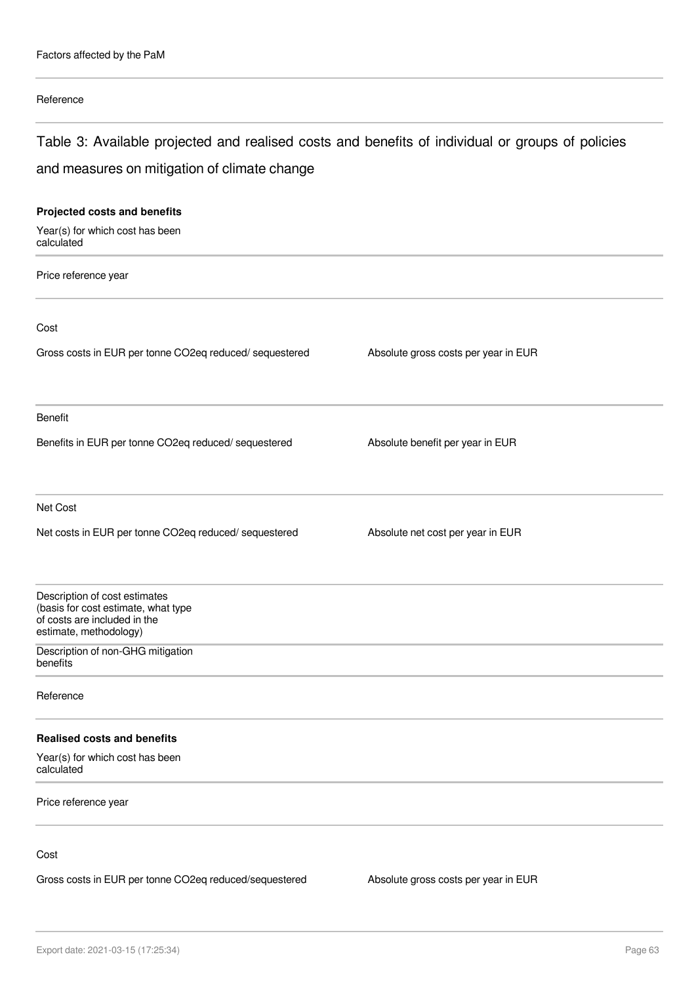### Reference

## Table 3: Available projected and realised costs and benefits of individual or groups of policies and measures on mitigation of climate change

| Projected costs and benefits                                                                                                   |                                      |
|--------------------------------------------------------------------------------------------------------------------------------|--------------------------------------|
| Year(s) for which cost has been<br>calculated                                                                                  |                                      |
| Price reference year                                                                                                           |                                      |
| Cost                                                                                                                           |                                      |
| Gross costs in EUR per tonne CO2eq reduced/ sequestered                                                                        | Absolute gross costs per year in EUR |
| Benefit                                                                                                                        |                                      |
| Benefits in EUR per tonne CO2eq reduced/ sequestered                                                                           | Absolute benefit per year in EUR     |
| Net Cost                                                                                                                       |                                      |
| Net costs in EUR per tonne CO2eq reduced/ sequestered                                                                          | Absolute net cost per year in EUR    |
| Description of cost estimates<br>(basis for cost estimate, what type<br>of costs are included in the<br>estimate, methodology) |                                      |
| Description of non-GHG mitigation<br>benefits                                                                                  |                                      |
| Reference                                                                                                                      |                                      |
| <b>Realised costs and benefits</b>                                                                                             |                                      |
| Year(s) for which cost has been<br>calculated                                                                                  |                                      |
| Price reference year                                                                                                           |                                      |
| Cost                                                                                                                           |                                      |

Gross costs in EUR per tonne CO2eq reduced/sequestered Absolute gross costs per year in EUR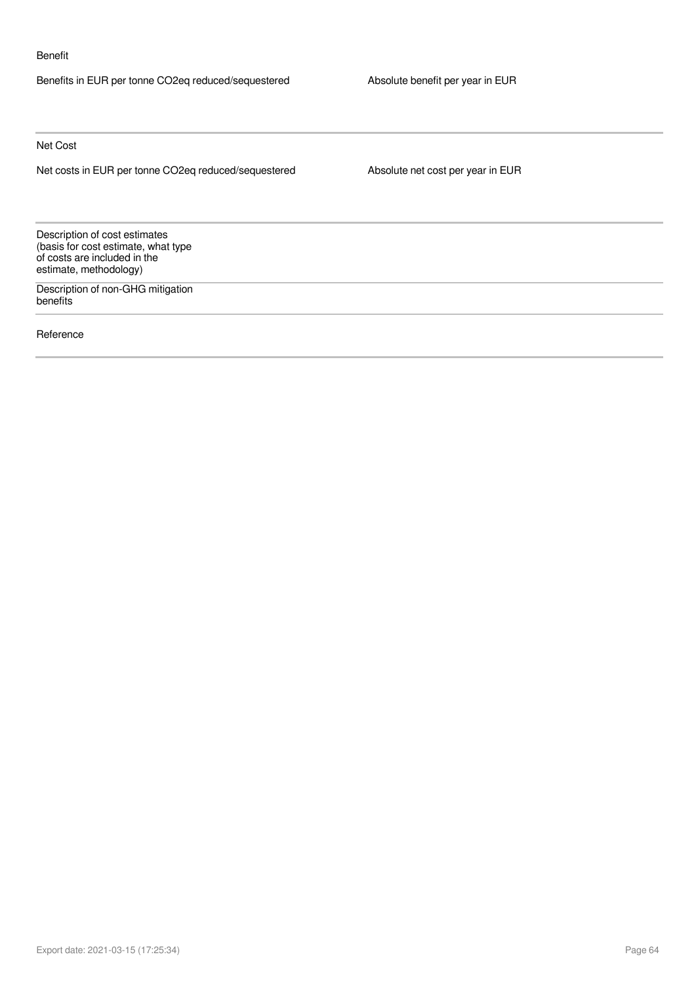#### Benefit

Benefits in EUR per tonne CO2eq reduced/sequestered Absolute benefit per year in EUR

Net Cost

Net costs in EUR per tonne CO2eq reduced/sequestered Absolute net cost per year in EUR

Description of cost estimates (basis for cost estimate, what type of costs are included in the estimate, methodology)

Description of non-GHG mitigation benefits

Reference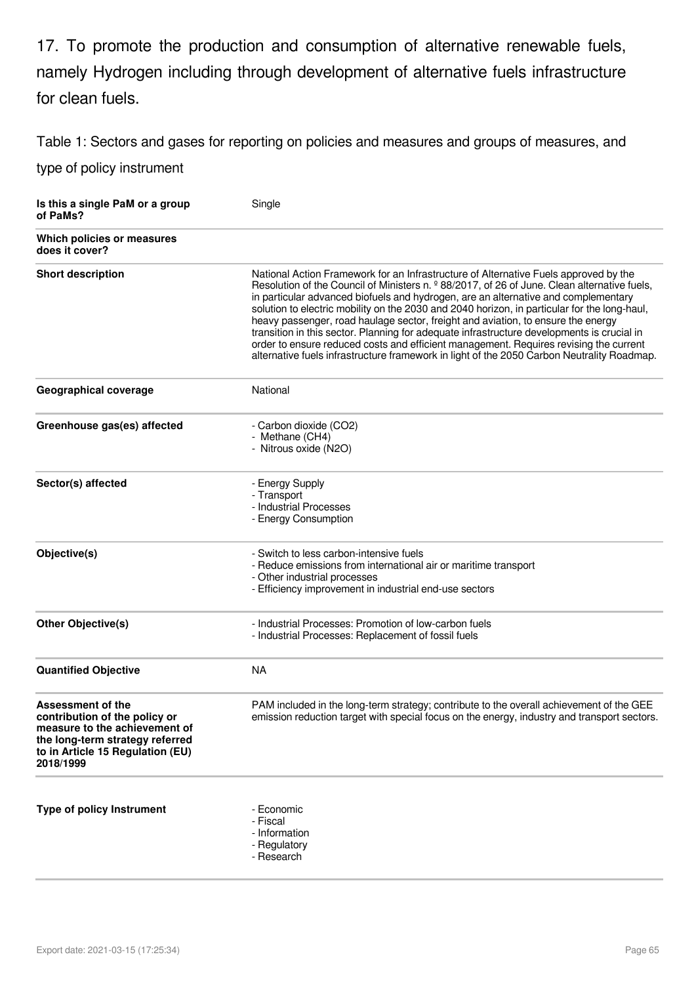17. To promote the production and consumption of alternative renewable fuels, namely Hydrogen including through development of alternative fuels infrastructure for clean fuels.

Table 1: Sectors and gases for reporting on policies and measures and groups of measures, and

| Is this a single PaM or a group<br>of PaMs?                                                                                                                             | Single                                                                                                                                                                                                                                                                                                                                                                                                                                                                                                                                                                                                                                                                                                                                              |
|-------------------------------------------------------------------------------------------------------------------------------------------------------------------------|-----------------------------------------------------------------------------------------------------------------------------------------------------------------------------------------------------------------------------------------------------------------------------------------------------------------------------------------------------------------------------------------------------------------------------------------------------------------------------------------------------------------------------------------------------------------------------------------------------------------------------------------------------------------------------------------------------------------------------------------------------|
| Which policies or measures<br>does it cover?                                                                                                                            |                                                                                                                                                                                                                                                                                                                                                                                                                                                                                                                                                                                                                                                                                                                                                     |
| <b>Short description</b>                                                                                                                                                | National Action Framework for an Infrastructure of Alternative Fuels approved by the<br>Resolution of the Council of Ministers n. º 88/2017, of 26 of June. Clean alternative fuels,<br>in particular advanced biofuels and hydrogen, are an alternative and complementary<br>solution to electric mobility on the 2030 and 2040 horizon, in particular for the long-haul,<br>heavy passenger, road haulage sector, freight and aviation, to ensure the energy<br>transition in this sector. Planning for adequate infrastructure developments is crucial in<br>order to ensure reduced costs and efficient management. Requires revising the current<br>alternative fuels infrastructure framework in light of the 2050 Carbon Neutrality Roadmap. |
| <b>Geographical coverage</b>                                                                                                                                            | National                                                                                                                                                                                                                                                                                                                                                                                                                                                                                                                                                                                                                                                                                                                                            |
| Greenhouse gas(es) affected                                                                                                                                             | - Carbon dioxide (CO2)<br>- Methane (CH4)<br>- Nitrous oxide (N2O)                                                                                                                                                                                                                                                                                                                                                                                                                                                                                                                                                                                                                                                                                  |
| Sector(s) affected                                                                                                                                                      | - Energy Supply<br>- Transport<br>- Industrial Processes<br>- Energy Consumption                                                                                                                                                                                                                                                                                                                                                                                                                                                                                                                                                                                                                                                                    |
| Objective(s)                                                                                                                                                            | - Switch to less carbon-intensive fuels<br>- Reduce emissions from international air or maritime transport<br>- Other industrial processes<br>- Efficiency improvement in industrial end-use sectors                                                                                                                                                                                                                                                                                                                                                                                                                                                                                                                                                |
| <b>Other Objective(s)</b>                                                                                                                                               | - Industrial Processes: Promotion of low-carbon fuels<br>- Industrial Processes: Replacement of fossil fuels                                                                                                                                                                                                                                                                                                                                                                                                                                                                                                                                                                                                                                        |
| <b>Quantified Objective</b>                                                                                                                                             | <b>NA</b>                                                                                                                                                                                                                                                                                                                                                                                                                                                                                                                                                                                                                                                                                                                                           |
| Assessment of the<br>contribution of the policy or<br>measure to the achievement of<br>the long-term strategy referred<br>to in Article 15 Regulation (EU)<br>2018/1999 | PAM included in the long-term strategy; contribute to the overall achievement of the GEE<br>emission reduction target with special focus on the energy, industry and transport sectors.                                                                                                                                                                                                                                                                                                                                                                                                                                                                                                                                                             |
| Type of policy Instrument                                                                                                                                               | - Economic<br>- Fiscal<br>- Information<br>- Regulatory<br>- Research                                                                                                                                                                                                                                                                                                                                                                                                                                                                                                                                                                                                                                                                               |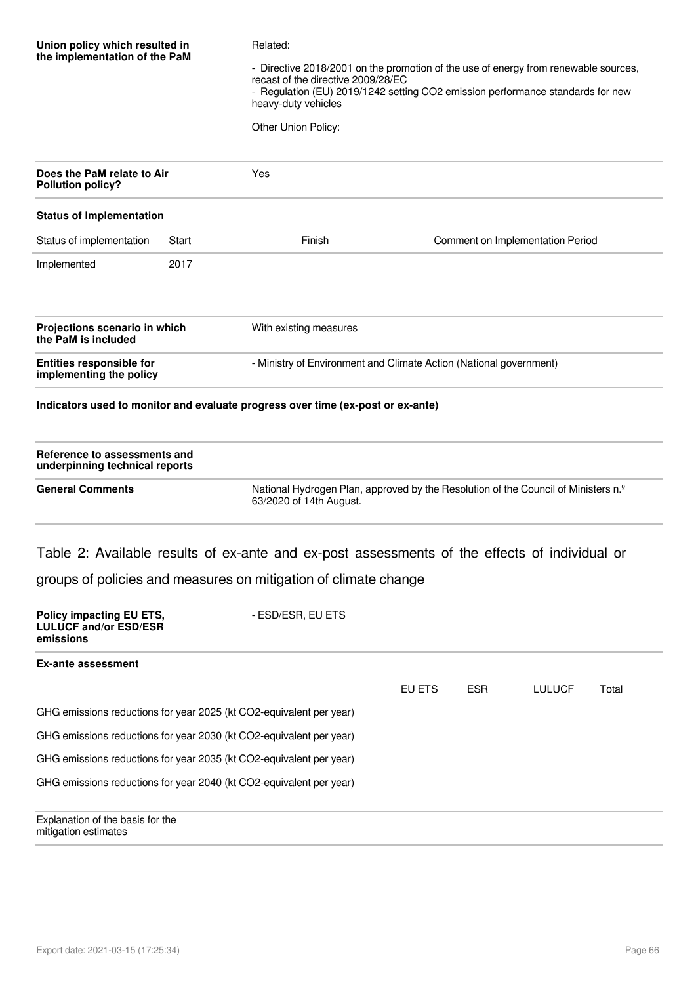#### Related:

- Directive 2018/2001 on the promotion of the use of energy from renewable sources, recast of the directive 2009/28/EC - Regulation (EU) 2019/1242 setting CO2 emission performance standards for new heavy-duty vehicles

Other Union Policy:

| Does the PaM relate to Air<br><b>Pollution policy?</b>     |       | <b>Yes</b>                                                         |                                  |  |  |  |
|------------------------------------------------------------|-------|--------------------------------------------------------------------|----------------------------------|--|--|--|
| <b>Status of Implementation</b>                            |       |                                                                    |                                  |  |  |  |
| Status of implementation                                   | Start | Finish                                                             | Comment on Implementation Period |  |  |  |
| Implemented                                                | 2017  |                                                                    |                                  |  |  |  |
| Projections scenario in which<br>the PaM is included       |       | With existing measures                                             |                                  |  |  |  |
| <b>Entities responsible for</b><br>implementing the policy |       | - Ministry of Environment and Climate Action (National government) |                                  |  |  |  |

#### **Indicators used to monitor and evaluate progress over time (ex-post or ex-ante)**

| Reference to assessments and<br>underpinning technical reports |                                                                                                                           |
|----------------------------------------------------------------|---------------------------------------------------------------------------------------------------------------------------|
| <b>General Comments</b>                                        | National Hydrogen Plan, approved by the Resolution of the Council of Ministers n. <sup>2</sup><br>63/2020 of 14th August. |

## Table 2: Available results of ex-ante and ex-post assessments of the effects of individual or

|  | groups of policies and measures on mitigation of climate change |  |
|--|-----------------------------------------------------------------|--|
|  |                                                                 |  |
|  |                                                                 |  |

| Policy impacting EU ETS,<br><b>LULUCF and/or ESD/ESR</b><br>emissions | - ESD/ESR, EU ETS |        |            |               |       |  |
|-----------------------------------------------------------------------|-------------------|--------|------------|---------------|-------|--|
| Ex-ante assessment                                                    |                   |        |            |               |       |  |
|                                                                       |                   | EU ETS | <b>ESR</b> | <b>LULUCF</b> | Total |  |
| GHG emissions reductions for year 2025 (kt CO2-equivalent per year)   |                   |        |            |               |       |  |
| GHG emissions reductions for year 2030 (kt CO2-equivalent per year)   |                   |        |            |               |       |  |
| GHG emissions reductions for year 2035 (kt CO2-equivalent per year)   |                   |        |            |               |       |  |
| GHG emissions reductions for year 2040 (kt CO2-equivalent per year)   |                   |        |            |               |       |  |
| Explanation of the basis for the<br>mitigation estimates              |                   |        |            |               |       |  |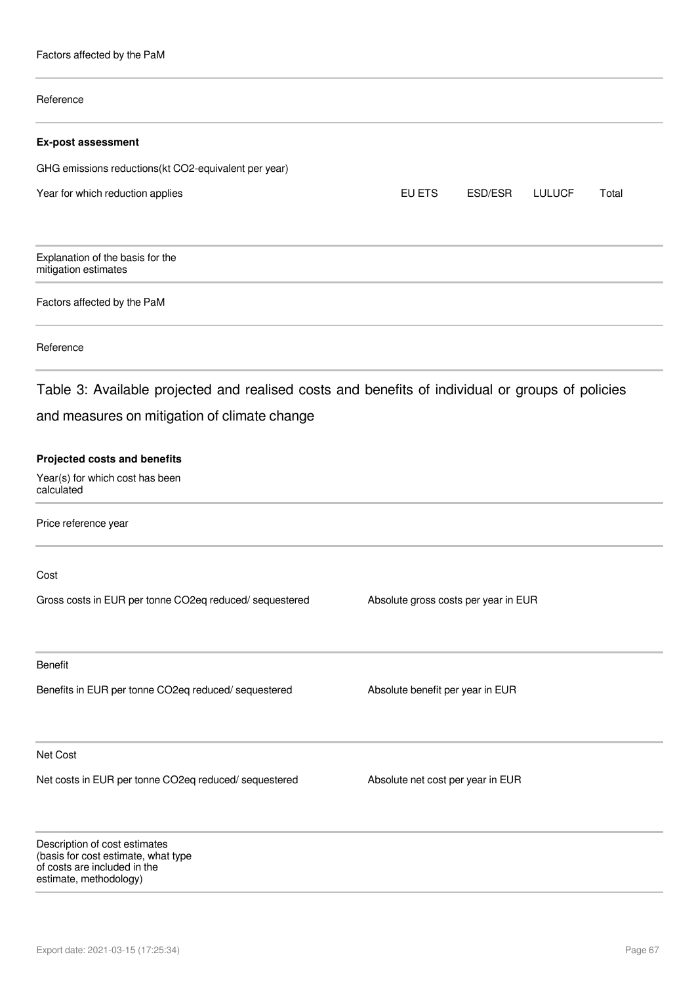Factors affected by the PaM

# Reference **Ex-post assessment** GHG emissions reductions(kt CO2-equivalent per year) Year for which reduction applies The Community Control of the EU ETS ESD/ESR LULUCF Total Explanation of the basis for the mitigation estimates Factors affected by the PaM Reference Table 3: Available projected and realised costs and benefits of individual or groups of policies and measures on mitigation of climate change **Projected costs and benefits** Year(s) for which cost has been calculated Price reference year Cost Gross costs in EUR per tonne CO2eq reduced/ sequestered Absolute gross costs per year in EUR Benefit Benefits in EUR per tonne CO2eq reduced/ sequestered Absolute benefit per year in EUR Net Cost Net costs in EUR per tonne CO2eq reduced/ sequestered Absolute net cost per year in EUR Description of cost estimates (basis for cost estimate, what type of costs are included in the

estimate, methodology)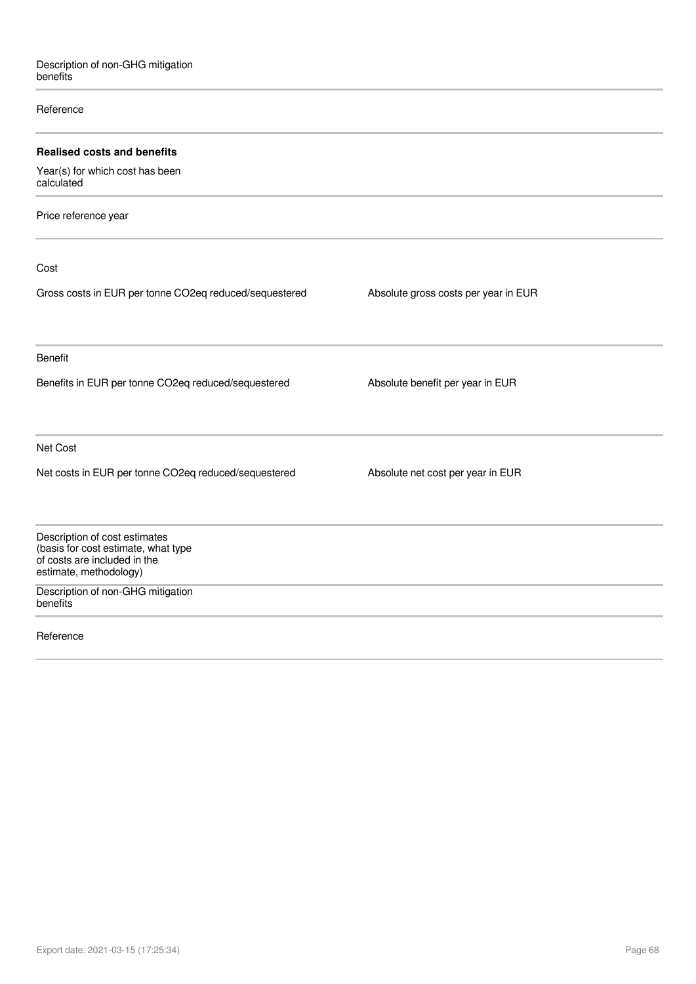#### Reference

| <b>Realised costs and benefits</b>                                                                                             |                                      |
|--------------------------------------------------------------------------------------------------------------------------------|--------------------------------------|
| Year(s) for which cost has been<br>calculated                                                                                  |                                      |
| Price reference year                                                                                                           |                                      |
| Cost                                                                                                                           |                                      |
| Gross costs in EUR per tonne CO2eq reduced/sequestered                                                                         | Absolute gross costs per year in EUR |
| Benefit                                                                                                                        |                                      |
| Benefits in EUR per tonne CO2eq reduced/sequestered                                                                            | Absolute benefit per year in EUR     |
| Net Cost                                                                                                                       |                                      |
| Net costs in EUR per tonne CO2eq reduced/sequestered                                                                           | Absolute net cost per year in EUR    |
| Description of cost estimates<br>(basis for cost estimate, what type<br>of costs are included in the<br>estimate, methodology) |                                      |
| Description of non-GHG mitigation<br>benefits                                                                                  |                                      |
| Reference                                                                                                                      |                                      |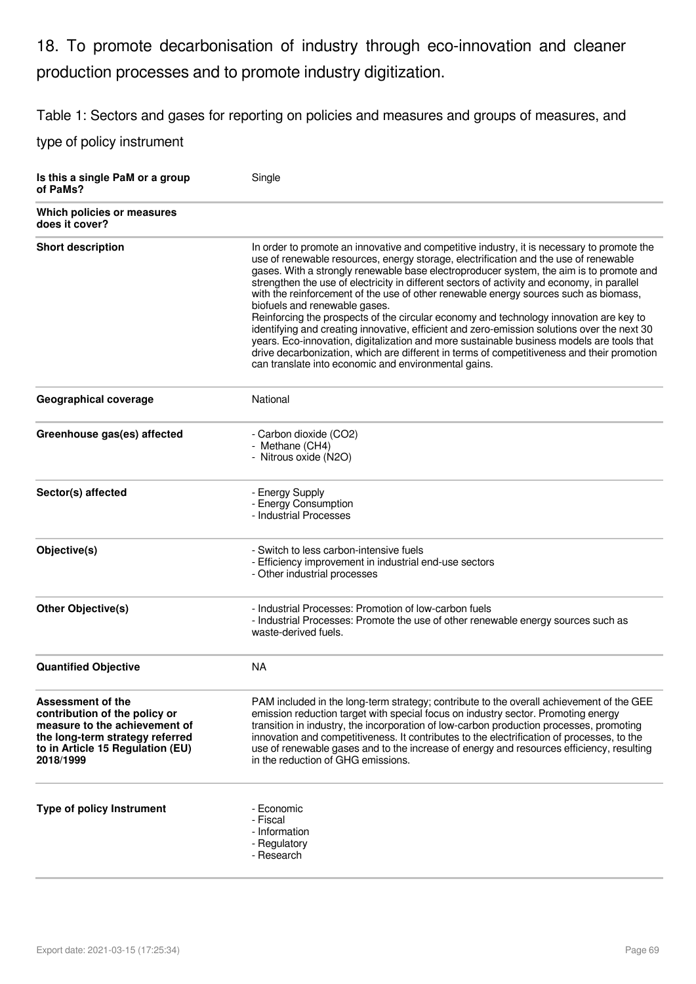## 18. To promote decarbonisation of industry through eco-innovation and cleaner production processes and to promote industry digitization.

Table 1: Sectors and gases for reporting on policies and measures and groups of measures, and

| Is this a single PaM or a group<br>of PaMs?                                                                                                                             | Single                                                                                                                                                                                                                                                                                                                                                                                                                                                                                                                                                                                                                                                                                                                                                                                                                                                                                                                                            |
|-------------------------------------------------------------------------------------------------------------------------------------------------------------------------|---------------------------------------------------------------------------------------------------------------------------------------------------------------------------------------------------------------------------------------------------------------------------------------------------------------------------------------------------------------------------------------------------------------------------------------------------------------------------------------------------------------------------------------------------------------------------------------------------------------------------------------------------------------------------------------------------------------------------------------------------------------------------------------------------------------------------------------------------------------------------------------------------------------------------------------------------|
| Which policies or measures<br>does it cover?                                                                                                                            |                                                                                                                                                                                                                                                                                                                                                                                                                                                                                                                                                                                                                                                                                                                                                                                                                                                                                                                                                   |
| <b>Short description</b>                                                                                                                                                | In order to promote an innovative and competitive industry, it is necessary to promote the<br>use of renewable resources, energy storage, electrification and the use of renewable<br>gases. With a strongly renewable base electroproducer system, the aim is to promote and<br>strengthen the use of electricity in different sectors of activity and economy, in parallel<br>with the reinforcement of the use of other renewable energy sources such as biomass,<br>biofuels and renewable gases.<br>Reinforcing the prospects of the circular economy and technology innovation are key to<br>identifying and creating innovative, efficient and zero-emission solutions over the next 30<br>years. Eco-innovation, digitalization and more sustainable business models are tools that<br>drive decarbonization, which are different in terms of competitiveness and their promotion<br>can translate into economic and environmental gains. |
| <b>Geographical coverage</b>                                                                                                                                            | National                                                                                                                                                                                                                                                                                                                                                                                                                                                                                                                                                                                                                                                                                                                                                                                                                                                                                                                                          |
| Greenhouse gas(es) affected                                                                                                                                             | - Carbon dioxide (CO2)<br>- Methane (CH4)<br>- Nitrous oxide (N2O)                                                                                                                                                                                                                                                                                                                                                                                                                                                                                                                                                                                                                                                                                                                                                                                                                                                                                |
| Sector(s) affected                                                                                                                                                      | - Energy Supply<br>- Energy Consumption<br>- Industrial Processes                                                                                                                                                                                                                                                                                                                                                                                                                                                                                                                                                                                                                                                                                                                                                                                                                                                                                 |
| Objective(s)                                                                                                                                                            | - Switch to less carbon-intensive fuels<br>- Efficiency improvement in industrial end-use sectors<br>- Other industrial processes                                                                                                                                                                                                                                                                                                                                                                                                                                                                                                                                                                                                                                                                                                                                                                                                                 |
| <b>Other Objective(s)</b>                                                                                                                                               | - Industrial Processes: Promotion of low-carbon fuels<br>- Industrial Processes: Promote the use of other renewable energy sources such as<br>waste-derived fuels.                                                                                                                                                                                                                                                                                                                                                                                                                                                                                                                                                                                                                                                                                                                                                                                |
| <b>Quantified Objective</b>                                                                                                                                             | <b>NA</b>                                                                                                                                                                                                                                                                                                                                                                                                                                                                                                                                                                                                                                                                                                                                                                                                                                                                                                                                         |
| Assessment of the<br>contribution of the policy or<br>measure to the achievement of<br>the long-term strategy referred<br>to in Article 15 Regulation (EU)<br>2018/1999 | PAM included in the long-term strategy; contribute to the overall achievement of the GEE<br>emission reduction target with special focus on industry sector. Promoting energy<br>transition in industry, the incorporation of low-carbon production processes, promoting<br>innovation and competitiveness. It contributes to the electrification of processes, to the<br>use of renewable gases and to the increase of energy and resources efficiency, resulting<br>in the reduction of GHG emissions.                                                                                                                                                                                                                                                                                                                                                                                                                                          |
| <b>Type of policy Instrument</b>                                                                                                                                        | - Economic<br>- Fiscal<br>- Information<br>- Regulatory<br>- Research                                                                                                                                                                                                                                                                                                                                                                                                                                                                                                                                                                                                                                                                                                                                                                                                                                                                             |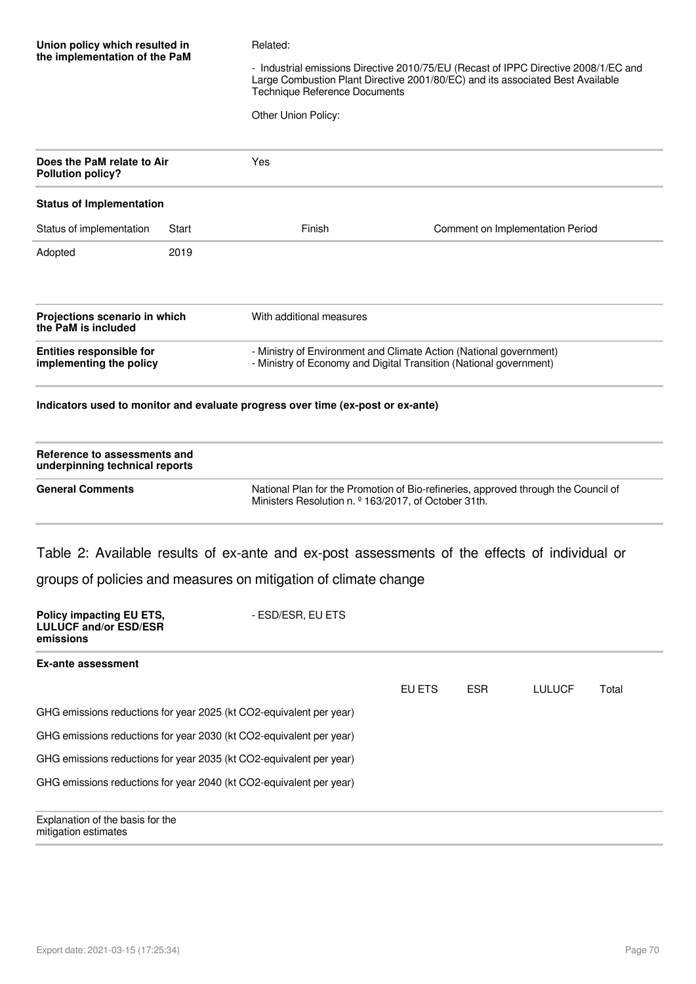| Union policy which resulted in<br>the implementation of the PaM                                                                                                                                 | Related:<br>- Industrial emissions Directive 2010/75/EU (Recast of IPPC Directive 2008/1/EC and<br>Large Combustion Plant Directive 2001/80/EC) and its associated Best Available<br><b>Technique Reference Documents</b><br>Other Union Policy: |                                                                                 |                                  |
|-------------------------------------------------------------------------------------------------------------------------------------------------------------------------------------------------|--------------------------------------------------------------------------------------------------------------------------------------------------------------------------------------------------------------------------------------------------|---------------------------------------------------------------------------------|----------------------------------|
| Does the PaM relate to Air<br><b>Pollution policy?</b>                                                                                                                                          |                                                                                                                                                                                                                                                  | Yes                                                                             |                                  |
| <b>Status of Implementation</b>                                                                                                                                                                 |                                                                                                                                                                                                                                                  |                                                                                 |                                  |
| Status of implementation                                                                                                                                                                        | Start                                                                                                                                                                                                                                            | Finish                                                                          | Comment on Implementation Period |
| Adopted                                                                                                                                                                                         | 2019                                                                                                                                                                                                                                             |                                                                                 |                                  |
| Projections scenario in which<br>the PaM is included                                                                                                                                            |                                                                                                                                                                                                                                                  | With additional measures                                                        |                                  |
| Entities responsible for<br>- Ministry of Environment and Climate Action (National government)<br>- Ministry of Economy and Digital Transition (National government)<br>implementing the policy |                                                                                                                                                                                                                                                  |                                                                                 |                                  |
|                                                                                                                                                                                                 |                                                                                                                                                                                                                                                  | Indicators used to monitor and evaluate progress over time (ex-post or ex-ante) |                                  |
| Reference to assessments and<br>underpinning technical reports                                                                                                                                  |                                                                                                                                                                                                                                                  |                                                                                 |                                  |
|                                                                                                                                                                                                 |                                                                                                                                                                                                                                                  |                                                                                 |                                  |

**General Comments** National Plan for the Promotion of Bio-refineries, approved through the Council of Ministers Resolution n. º 163/2017, of October 31th.

Table 2: Available results of ex-ante and ex-post assessments of the effects of individual or

groups of policies and measures on mitigation of climate change

| <b>Policy impacting EU ETS,</b><br><b>LULUCF and/or ESD/ESR</b><br>emissions | - ESD/ESR, EU ETS |        |            |        |       |  |
|------------------------------------------------------------------------------|-------------------|--------|------------|--------|-------|--|
| Ex-ante assessment                                                           |                   |        |            |        |       |  |
|                                                                              |                   | EU ETS | <b>ESR</b> | LULUCF | Total |  |
| GHG emissions reductions for year 2025 (kt CO2-equivalent per year)          |                   |        |            |        |       |  |
| GHG emissions reductions for year 2030 (kt CO2-equivalent per year)          |                   |        |            |        |       |  |
| GHG emissions reductions for year 2035 (kt CO2-equivalent per year)          |                   |        |            |        |       |  |
| GHG emissions reductions for year 2040 (kt CO2-equivalent per year)          |                   |        |            |        |       |  |
| Explanation of the basis for the<br>mitigation estimates                     |                   |        |            |        |       |  |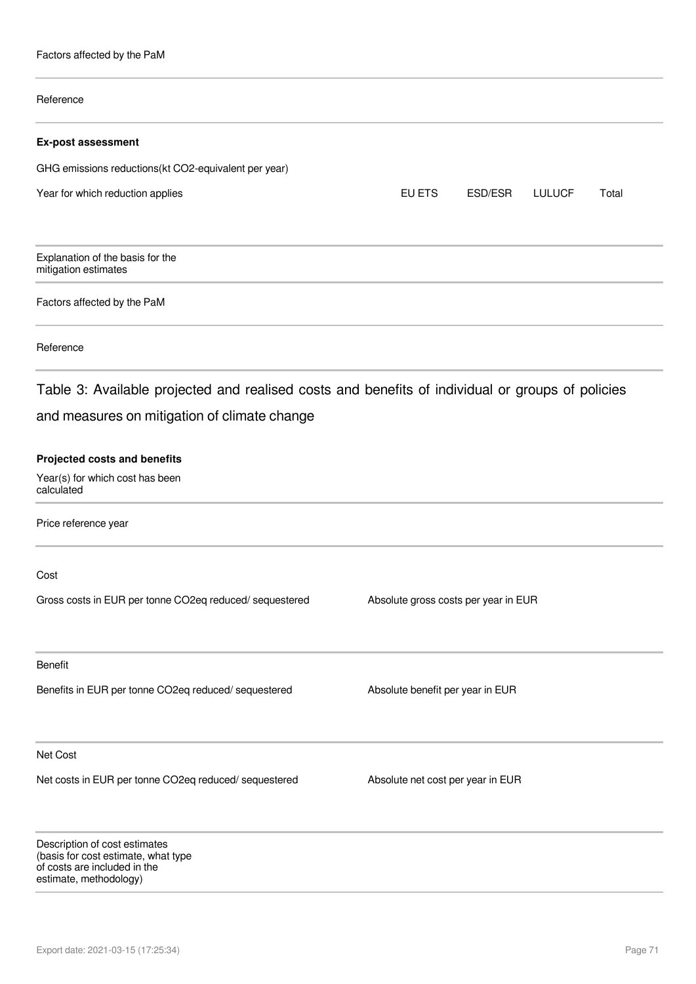Factors affected by the PaM

# Reference **Ex-post assessment** GHG emissions reductions(kt CO2-equivalent per year) Year for which reduction applies The Community Control of the EU ETS ESD/ESR LULUCF Total Explanation of the basis for the mitigation estimates Factors affected by the PaM Reference Table 3: Available projected and realised costs and benefits of individual or groups of policies and measures on mitigation of climate change **Projected costs and benefits** Year(s) for which cost has been calculated Price reference year Cost Gross costs in EUR per tonne CO2eq reduced/ sequestered Absolute gross costs per year in EUR Benefit Benefits in EUR per tonne CO2eq reduced/ sequestered Absolute benefit per year in EUR Net Cost Net costs in EUR per tonne CO2eq reduced/ sequestered Absolute net cost per year in EUR Description of cost estimates (basis for cost estimate, what type of costs are included in the

estimate, methodology)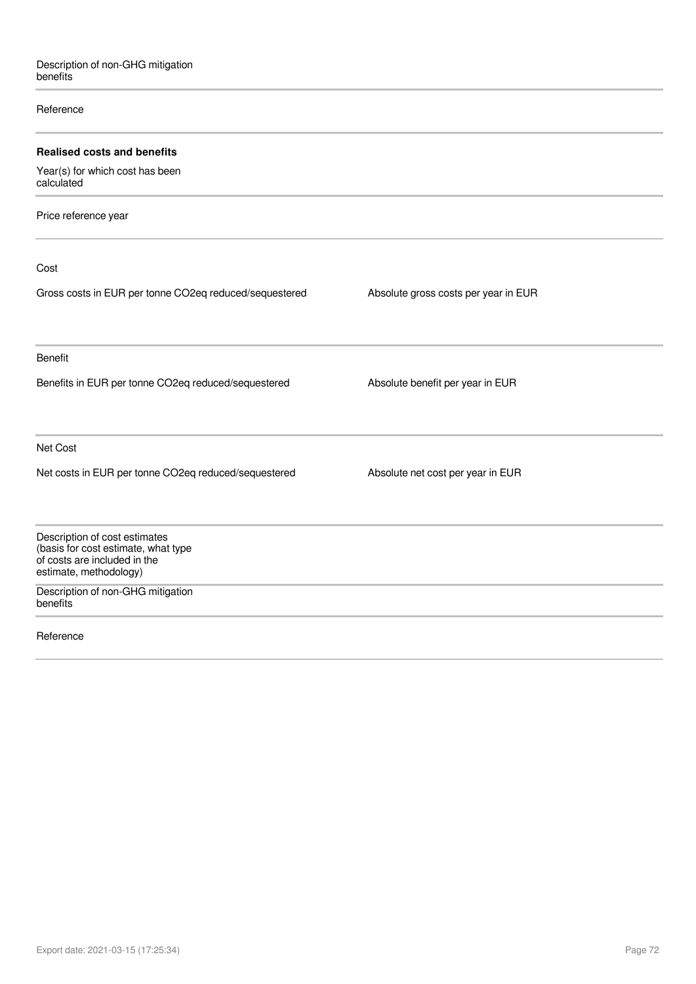#### Reference

| <b>Realised costs and benefits</b>                                                                                             |                                      |
|--------------------------------------------------------------------------------------------------------------------------------|--------------------------------------|
| Year(s) for which cost has been<br>calculated                                                                                  |                                      |
| Price reference year                                                                                                           |                                      |
| Cost                                                                                                                           |                                      |
| Gross costs in EUR per tonne CO2eq reduced/sequestered                                                                         | Absolute gross costs per year in EUR |
| <b>Benefit</b>                                                                                                                 |                                      |
| Benefits in EUR per tonne CO2eq reduced/sequestered                                                                            | Absolute benefit per year in EUR     |
| Net Cost                                                                                                                       |                                      |
| Net costs in EUR per tonne CO2eq reduced/sequestered                                                                           | Absolute net cost per year in EUR    |
| Description of cost estimates<br>(basis for cost estimate, what type<br>of costs are included in the<br>estimate, methodology) |                                      |
| Description of non-GHG mitigation<br>benefits                                                                                  |                                      |
| Reference                                                                                                                      |                                      |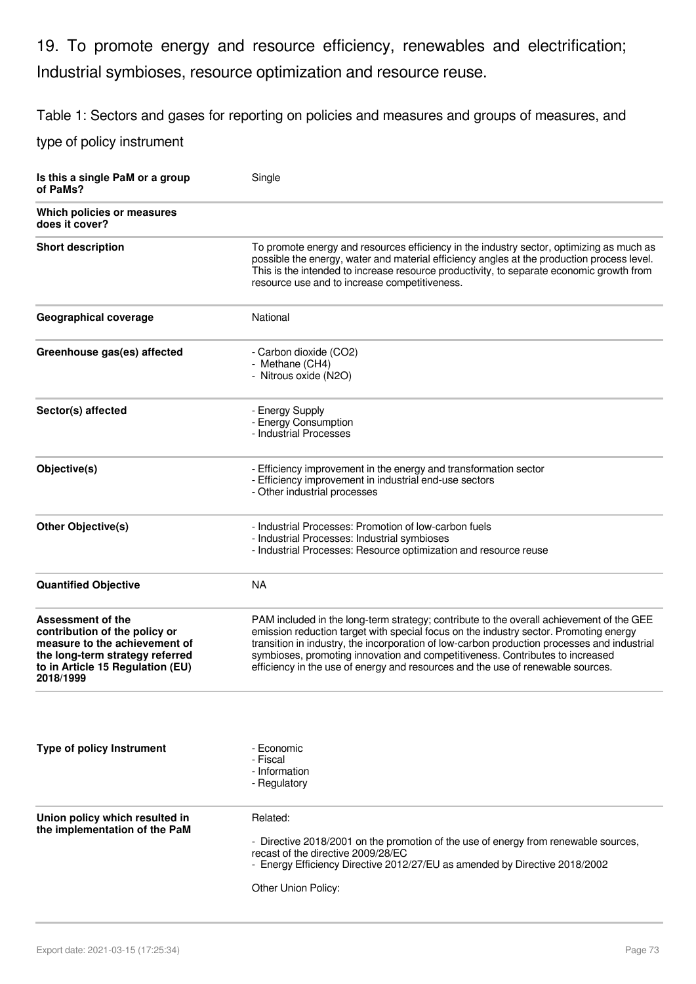19. To promote energy and resource efficiency, renewables and electrification; Industrial symbioses, resource optimization and resource reuse.

Table 1: Sectors and gases for reporting on policies and measures and groups of measures, and

| Is this a single PaM or a group<br>of PaMs?                                                                                                                             | Single                                                                                                                                                                                                                                                                                                                                                                                                                                               |
|-------------------------------------------------------------------------------------------------------------------------------------------------------------------------|------------------------------------------------------------------------------------------------------------------------------------------------------------------------------------------------------------------------------------------------------------------------------------------------------------------------------------------------------------------------------------------------------------------------------------------------------|
| Which policies or measures<br>does it cover?                                                                                                                            |                                                                                                                                                                                                                                                                                                                                                                                                                                                      |
| <b>Short description</b>                                                                                                                                                | To promote energy and resources efficiency in the industry sector, optimizing as much as<br>possible the energy, water and material efficiency angles at the production process level.<br>This is the intended to increase resource productivity, to separate economic growth from<br>resource use and to increase competitiveness.                                                                                                                  |
| Geographical coverage                                                                                                                                                   | National                                                                                                                                                                                                                                                                                                                                                                                                                                             |
| Greenhouse gas(es) affected                                                                                                                                             | - Carbon dioxide (CO2)<br>- Methane (CH4)<br>- Nitrous oxide (N2O)                                                                                                                                                                                                                                                                                                                                                                                   |
| Sector(s) affected                                                                                                                                                      | - Energy Supply<br>- Energy Consumption<br>- Industrial Processes                                                                                                                                                                                                                                                                                                                                                                                    |
| Objective(s)                                                                                                                                                            | - Efficiency improvement in the energy and transformation sector<br>- Efficiency improvement in industrial end-use sectors<br>- Other industrial processes                                                                                                                                                                                                                                                                                           |
| <b>Other Objective(s)</b>                                                                                                                                               | - Industrial Processes: Promotion of low-carbon fuels<br>- Industrial Processes: Industrial symbioses<br>- Industrial Processes: Resource optimization and resource reuse                                                                                                                                                                                                                                                                            |
| <b>Quantified Objective</b>                                                                                                                                             | <b>NA</b>                                                                                                                                                                                                                                                                                                                                                                                                                                            |
| Assessment of the<br>contribution of the policy or<br>measure to the achievement of<br>the long-term strategy referred<br>to in Article 15 Regulation (EU)<br>2018/1999 | PAM included in the long-term strategy; contribute to the overall achievement of the GEE<br>emission reduction target with special focus on the industry sector. Promoting energy<br>transition in industry, the incorporation of low-carbon production processes and industrial<br>symbioses, promoting innovation and competitiveness. Contributes to increased<br>efficiency in the use of energy and resources and the use of renewable sources. |
|                                                                                                                                                                         |                                                                                                                                                                                                                                                                                                                                                                                                                                                      |
| <b>Type of policy Instrument</b>                                                                                                                                        | - Economic<br>- Fiscal<br>- Information<br>- Regulatory                                                                                                                                                                                                                                                                                                                                                                                              |
| Union policy which resulted in<br>the implementation of the PaM                                                                                                         | Related:<br>- Directive 2018/2001 on the promotion of the use of energy from renewable sources,<br>recast of the directive 2009/28/EC<br>- Energy Efficiency Directive 2012/27/EU as amended by Directive 2018/2002<br>Other Union Policy:                                                                                                                                                                                                           |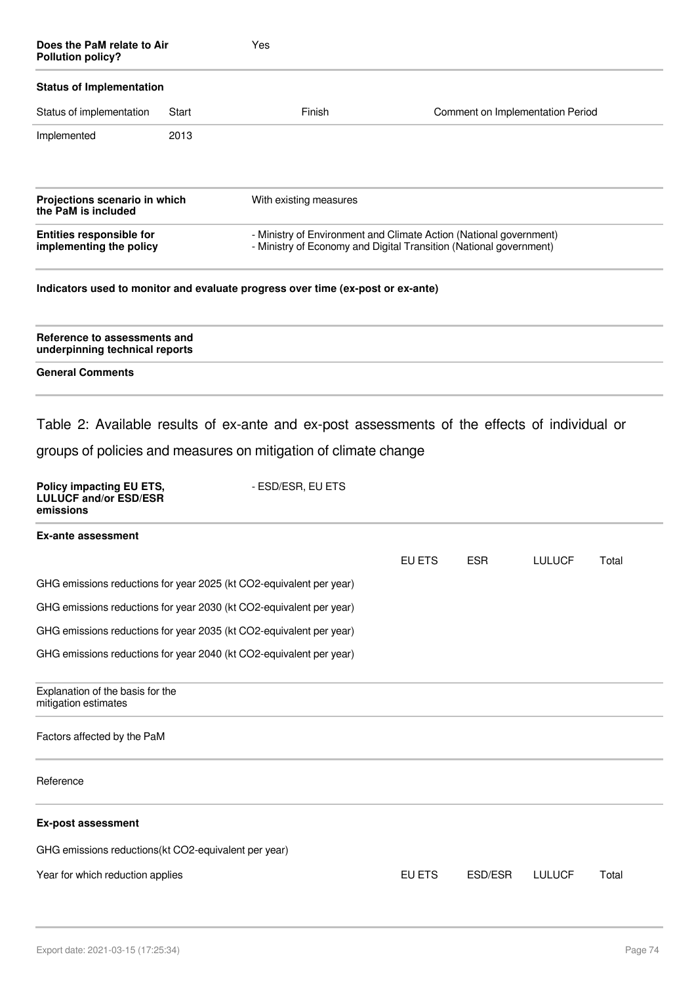| Does the PaM relate to Air<br><b>Pollution policy?</b>                |       | Yes                                                                                                                                                                                   |        |            |                                  |       |
|-----------------------------------------------------------------------|-------|---------------------------------------------------------------------------------------------------------------------------------------------------------------------------------------|--------|------------|----------------------------------|-------|
| <b>Status of Implementation</b>                                       |       |                                                                                                                                                                                       |        |            |                                  |       |
| Status of implementation                                              | Start | Finish                                                                                                                                                                                |        |            | Comment on Implementation Period |       |
| Implemented                                                           | 2013  |                                                                                                                                                                                       |        |            |                                  |       |
| Projections scenario in which<br>the PaM is included                  |       | With existing measures                                                                                                                                                                |        |            |                                  |       |
| <b>Entities responsible for</b><br>implementing the policy            |       | - Ministry of Environment and Climate Action (National government)<br>- Ministry of Economy and Digital Transition (National government)                                              |        |            |                                  |       |
|                                                                       |       | Indicators used to monitor and evaluate progress over time (ex-post or ex-ante)                                                                                                       |        |            |                                  |       |
| Reference to assessments and<br>underpinning technical reports        |       |                                                                                                                                                                                       |        |            |                                  |       |
| <b>General Comments</b>                                               |       |                                                                                                                                                                                       |        |            |                                  |       |
| Policy impacting EU ETS,<br><b>LULUCF and/or ESD/ESR</b><br>emissions |       | Table 2: Available results of ex-ante and ex-post assessments of the effects of individual or<br>groups of policies and measures on mitigation of climate change<br>- ESD/ESR, EU ETS |        |            |                                  |       |
| <b>Ex-ante assessment</b>                                             |       |                                                                                                                                                                                       |        |            |                                  |       |
|                                                                       |       |                                                                                                                                                                                       | EU ETS | <b>ESR</b> | <b>LULUCF</b>                    | Total |
|                                                                       |       | GHG emissions reductions for year 2025 (kt CO2-equivalent per year)                                                                                                                   |        |            |                                  |       |
|                                                                       |       | GHG emissions reductions for year 2030 (kt CO2-equivalent per year)                                                                                                                   |        |            |                                  |       |
|                                                                       |       | GHG emissions reductions for year 2035 (kt CO2-equivalent per year)                                                                                                                   |        |            |                                  |       |
|                                                                       |       | GHG emissions reductions for year 2040 (kt CO2-equivalent per year)                                                                                                                   |        |            |                                  |       |
| Explanation of the basis for the<br>mitigation estimates              |       |                                                                                                                                                                                       |        |            |                                  |       |
| Factors affected by the PaM                                           |       |                                                                                                                                                                                       |        |            |                                  |       |
| Reference                                                             |       |                                                                                                                                                                                       |        |            |                                  |       |
| <b>Ex-post assessment</b>                                             |       |                                                                                                                                                                                       |        |            |                                  |       |

GHG emissions reductions(kt CO2-equivalent per year)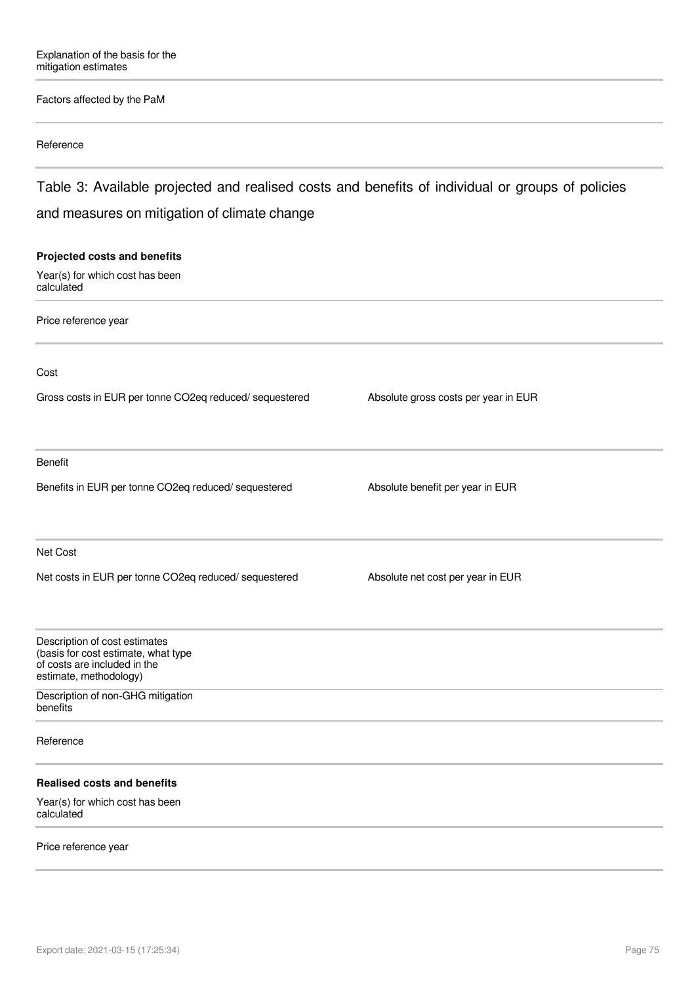### Factors affected by the PaM

#### Reference

Table 3: Available projected and realised costs and benefits of individual or groups of policies and measures on mitigation of climate change

# **Projected costs and benefits** Year(s) for which cost has been calculated Price reference year Cost Gross costs in EUR per tonne CO2eq reduced/ sequestered Absolute gross costs per year in EUR Benefit Benefits in EUR per tonne CO2eq reduced/ sequestered Absolute benefit per year in EUR Net Cost Net costs in EUR per tonne CO2eq reduced/ sequestered Absolute net cost per year in EUR Description of cost estimates (basis for cost estimate, what type of costs are included in the estimate, methodology) Description of non-GHG mitigation benefits Reference **Realised costs and benefits** Year(s) for which cost has been calculated

#### Price reference year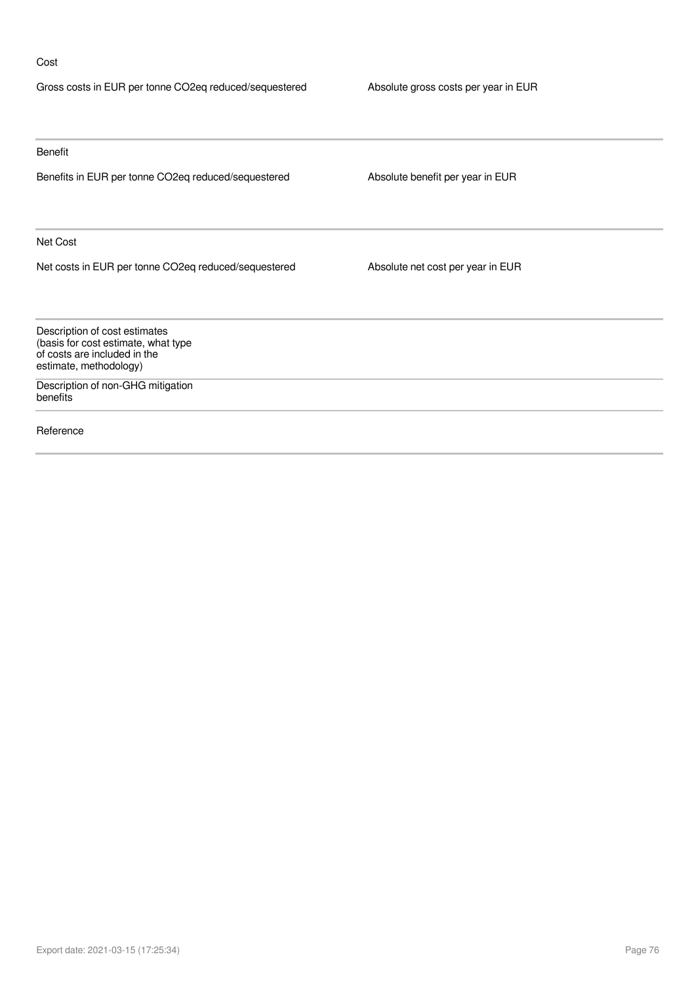### Cost

| Gross costs in EUR per tonne CO2eq reduced/sequestered                                                                         | Absolute gross costs per year in EUR |
|--------------------------------------------------------------------------------------------------------------------------------|--------------------------------------|
|                                                                                                                                |                                      |
| Benefit                                                                                                                        |                                      |
| Benefits in EUR per tonne CO2eq reduced/sequestered                                                                            | Absolute benefit per year in EUR     |
| Net Cost                                                                                                                       |                                      |
| Net costs in EUR per tonne CO2eq reduced/sequestered                                                                           | Absolute net cost per year in EUR    |
| Description of cost estimates<br>(basis for cost estimate, what type<br>of costs are included in the<br>estimate, methodology) |                                      |
| Description of non-GHG mitigation<br>benefits                                                                                  |                                      |
| Reference                                                                                                                      |                                      |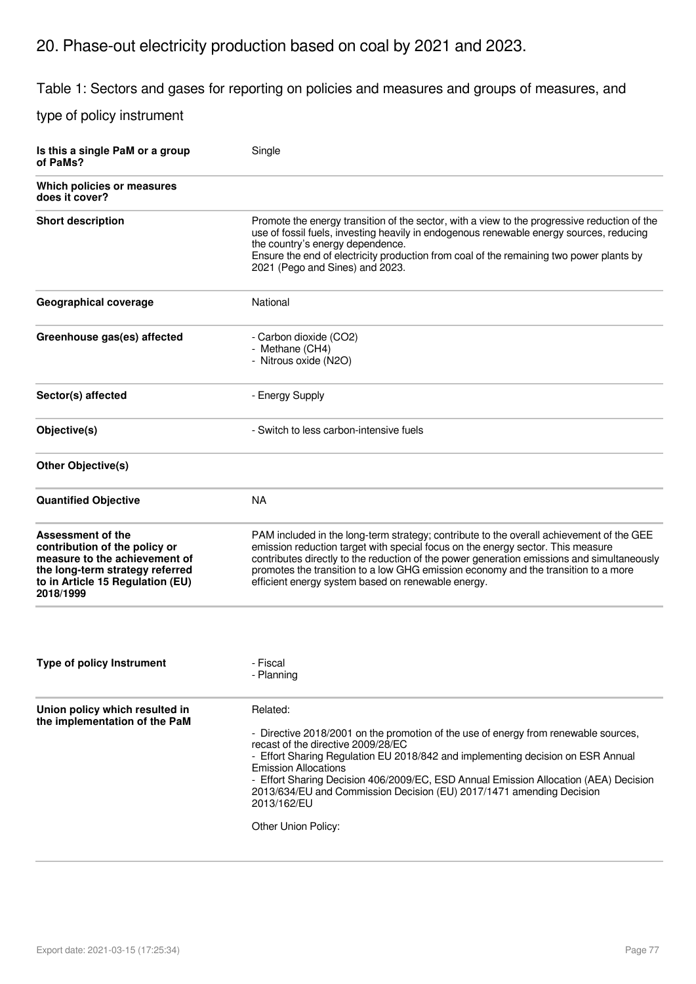# 20. Phase-out electricity production based on coal by 2021 and 2023.

Table 1: Sectors and gases for reporting on policies and measures and groups of measures, and

| Is this a single PaM or a group<br>of PaMs?                                                                                                                             | Single                                                                                                                                                                                                                                                                                                                                                                                                                                                        |
|-------------------------------------------------------------------------------------------------------------------------------------------------------------------------|---------------------------------------------------------------------------------------------------------------------------------------------------------------------------------------------------------------------------------------------------------------------------------------------------------------------------------------------------------------------------------------------------------------------------------------------------------------|
| Which policies or measures<br>does it cover?                                                                                                                            |                                                                                                                                                                                                                                                                                                                                                                                                                                                               |
| <b>Short description</b>                                                                                                                                                | Promote the energy transition of the sector, with a view to the progressive reduction of the<br>use of fossil fuels, investing heavily in endogenous renewable energy sources, reducing<br>the country's energy dependence.<br>Ensure the end of electricity production from coal of the remaining two power plants by<br>2021 (Pego and Sines) and 2023.                                                                                                     |
| Geographical coverage                                                                                                                                                   | National                                                                                                                                                                                                                                                                                                                                                                                                                                                      |
| Greenhouse gas(es) affected                                                                                                                                             | - Carbon dioxide (CO2)<br>- Methane (CH4)<br>- Nitrous oxide (N2O)                                                                                                                                                                                                                                                                                                                                                                                            |
| Sector(s) affected                                                                                                                                                      | - Energy Supply                                                                                                                                                                                                                                                                                                                                                                                                                                               |
| Objective(s)                                                                                                                                                            | - Switch to less carbon-intensive fuels                                                                                                                                                                                                                                                                                                                                                                                                                       |
| <b>Other Objective(s)</b>                                                                                                                                               |                                                                                                                                                                                                                                                                                                                                                                                                                                                               |
| <b>Quantified Objective</b>                                                                                                                                             | <b>NA</b>                                                                                                                                                                                                                                                                                                                                                                                                                                                     |
| Assessment of the<br>contribution of the policy or<br>measure to the achievement of<br>the long-term strategy referred<br>to in Article 15 Regulation (EU)<br>2018/1999 | PAM included in the long-term strategy; contribute to the overall achievement of the GEE<br>emission reduction target with special focus on the energy sector. This measure<br>contributes directly to the reduction of the power generation emissions and simultaneously<br>promotes the transition to a low GHG emission economy and the transition to a more<br>efficient energy system based on renewable energy.                                         |
|                                                                                                                                                                         |                                                                                                                                                                                                                                                                                                                                                                                                                                                               |
| Type of policy Instrument                                                                                                                                               | - Fiscal<br>- Planning                                                                                                                                                                                                                                                                                                                                                                                                                                        |
| Union policy which resulted in<br>the implementation of the PaM                                                                                                         | Related:<br>- Directive 2018/2001 on the promotion of the use of energy from renewable sources,<br>recast of the directive 2009/28/EC<br>- Effort Sharing Regulation EU 2018/842 and implementing decision on ESR Annual<br><b>Emission Allocations</b><br>- Effort Sharing Decision 406/2009/EC, ESD Annual Emission Allocation (AEA) Decision<br>2013/634/EU and Commission Decision (EU) 2017/1471 amending Decision<br>2013/162/EU<br>Other Union Policy: |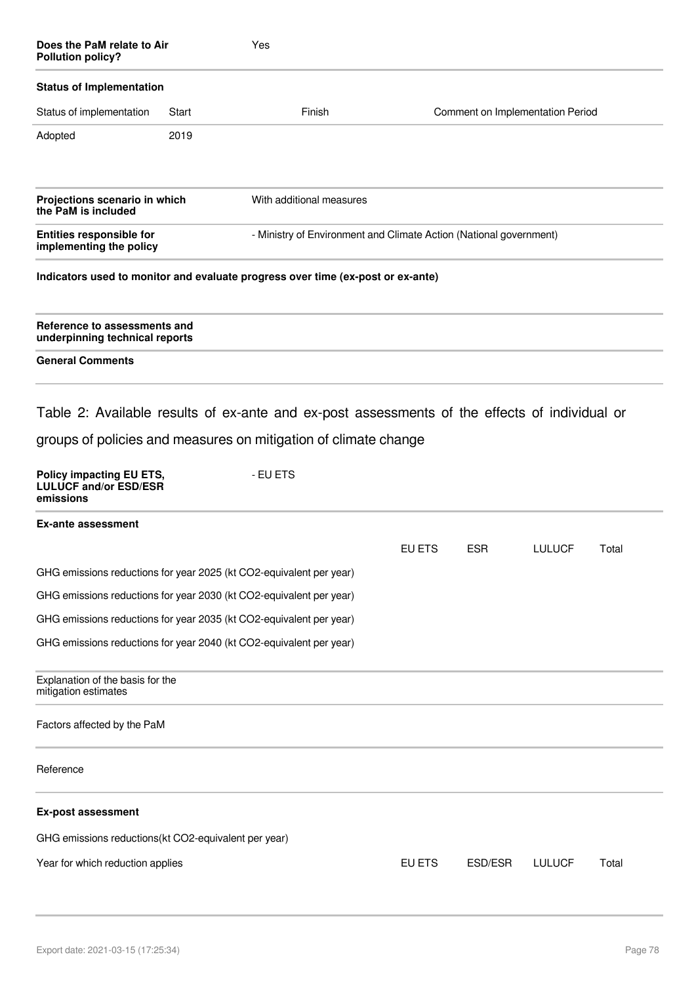| Does the PaM relate to Air<br><b>Pollution policy?</b>                |       | Yes                                                                                                                                                                          |        |                                  |               |       |
|-----------------------------------------------------------------------|-------|------------------------------------------------------------------------------------------------------------------------------------------------------------------------------|--------|----------------------------------|---------------|-------|
| <b>Status of Implementation</b>                                       |       |                                                                                                                                                                              |        |                                  |               |       |
| Status of implementation                                              | Start | Finish                                                                                                                                                                       |        | Comment on Implementation Period |               |       |
| Adopted                                                               | 2019  |                                                                                                                                                                              |        |                                  |               |       |
| Projections scenario in which<br>the PaM is included                  |       | With additional measures                                                                                                                                                     |        |                                  |               |       |
| <b>Entities responsible for</b><br>implementing the policy            |       | - Ministry of Environment and Climate Action (National government)                                                                                                           |        |                                  |               |       |
|                                                                       |       | Indicators used to monitor and evaluate progress over time (ex-post or ex-ante)                                                                                              |        |                                  |               |       |
| Reference to assessments and<br>underpinning technical reports        |       |                                                                                                                                                                              |        |                                  |               |       |
| <b>General Comments</b>                                               |       |                                                                                                                                                                              |        |                                  |               |       |
| Policy impacting EU ETS,<br><b>LULUCF and/or ESD/ESR</b><br>emissions |       | Table 2: Available results of ex-ante and ex-post assessments of the effects of individual or<br>groups of policies and measures on mitigation of climate change<br>- EU ETS |        |                                  |               |       |
| <b>Ex-ante assessment</b>                                             |       |                                                                                                                                                                              |        |                                  |               |       |
|                                                                       |       |                                                                                                                                                                              | EU ETS | <b>ESR</b>                       | <b>LULUCF</b> | Total |
| GHG emissions reductions for year 2025 (kt CO2-equivalent per year)   |       |                                                                                                                                                                              |        |                                  |               |       |
| GHG emissions reductions for year 2030 (kt CO2-equivalent per year)   |       |                                                                                                                                                                              |        |                                  |               |       |
| GHG emissions reductions for year 2035 (kt CO2-equivalent per year)   |       |                                                                                                                                                                              |        |                                  |               |       |
| GHG emissions reductions for year 2040 (kt CO2-equivalent per year)   |       |                                                                                                                                                                              |        |                                  |               |       |
| Explanation of the basis for the<br>mitigation estimates              |       |                                                                                                                                                                              |        |                                  |               |       |
| Factors affected by the PaM                                           |       |                                                                                                                                                                              |        |                                  |               |       |
| Reference                                                             |       |                                                                                                                                                                              |        |                                  |               |       |
| <b>Ex-post assessment</b>                                             |       |                                                                                                                                                                              |        |                                  |               |       |
| GHG emissions reductions(kt CO2-equivalent per year)                  |       |                                                                                                                                                                              |        |                                  |               |       |
| Year for which reduction applies                                      |       |                                                                                                                                                                              | EU ETS | ESD/ESR                          | <b>LULUCF</b> | Total |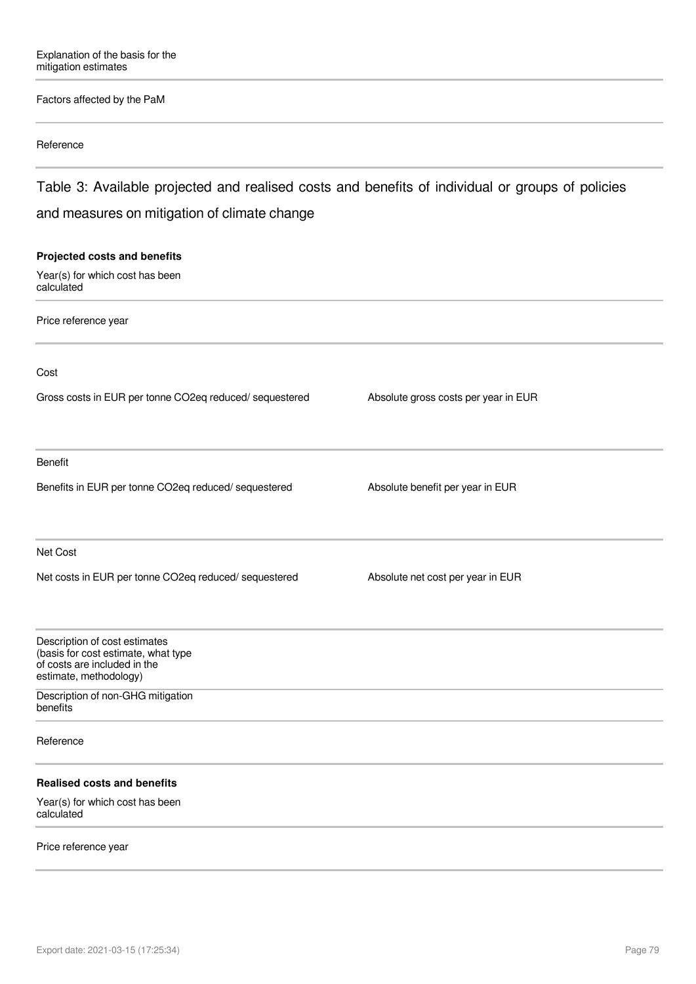### Factors affected by the PaM

#### Reference

Table 3: Available projected and realised costs and benefits of individual or groups of policies and measures on mitigation of climate change

# **Projected costs and benefits** Year(s) for which cost has been calculated Price reference year Cost Gross costs in EUR per tonne CO2eq reduced/ sequestered Absolute gross costs per year in EUR Benefit Benefits in EUR per tonne CO2eq reduced/ sequestered Absolute benefit per year in EUR Net Cost Net costs in EUR per tonne CO2eq reduced/ sequestered Absolute net cost per year in EUR Description of cost estimates (basis for cost estimate, what type of costs are included in the estimate, methodology) Description of non-GHG mitigation benefits Reference **Realised costs and benefits** Year(s) for which cost has been calculated

#### Price reference year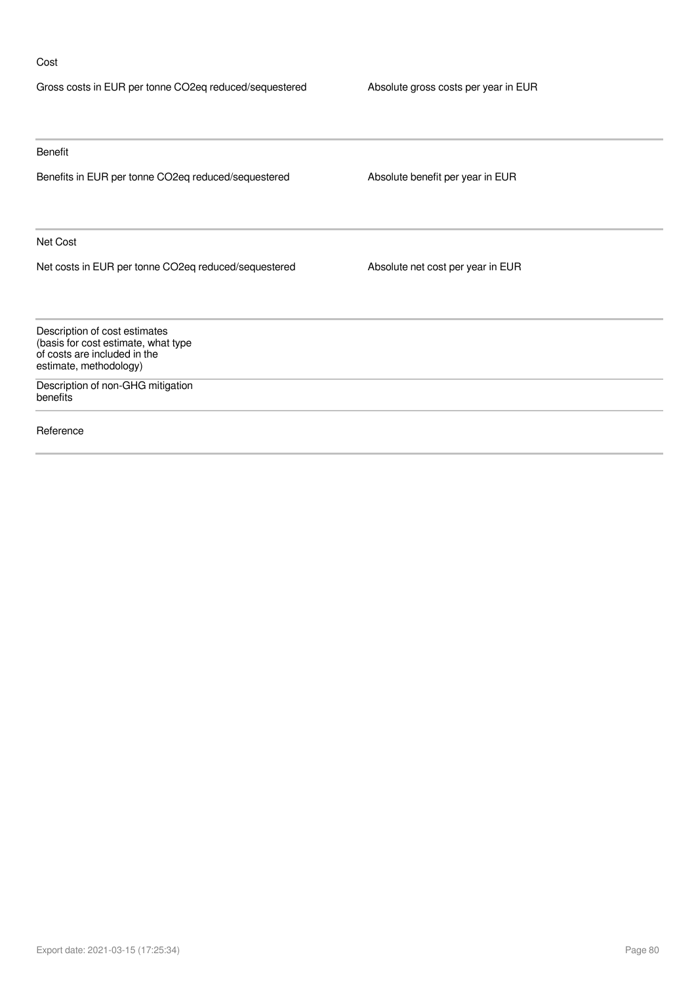### Cost

| Gross costs in EUR per tonne CO2eq reduced/sequestered                                                                         | Absolute gross costs per year in EUR |
|--------------------------------------------------------------------------------------------------------------------------------|--------------------------------------|
|                                                                                                                                |                                      |
| Benefit                                                                                                                        |                                      |
| Benefits in EUR per tonne CO2eq reduced/sequestered                                                                            | Absolute benefit per year in EUR     |
| Net Cost                                                                                                                       |                                      |
| Net costs in EUR per tonne CO2eq reduced/sequestered                                                                           | Absolute net cost per year in EUR    |
| Description of cost estimates<br>(basis for cost estimate, what type<br>of costs are included in the<br>estimate, methodology) |                                      |
| Description of non-GHG mitigation<br>benefits                                                                                  |                                      |
| Reference                                                                                                                      |                                      |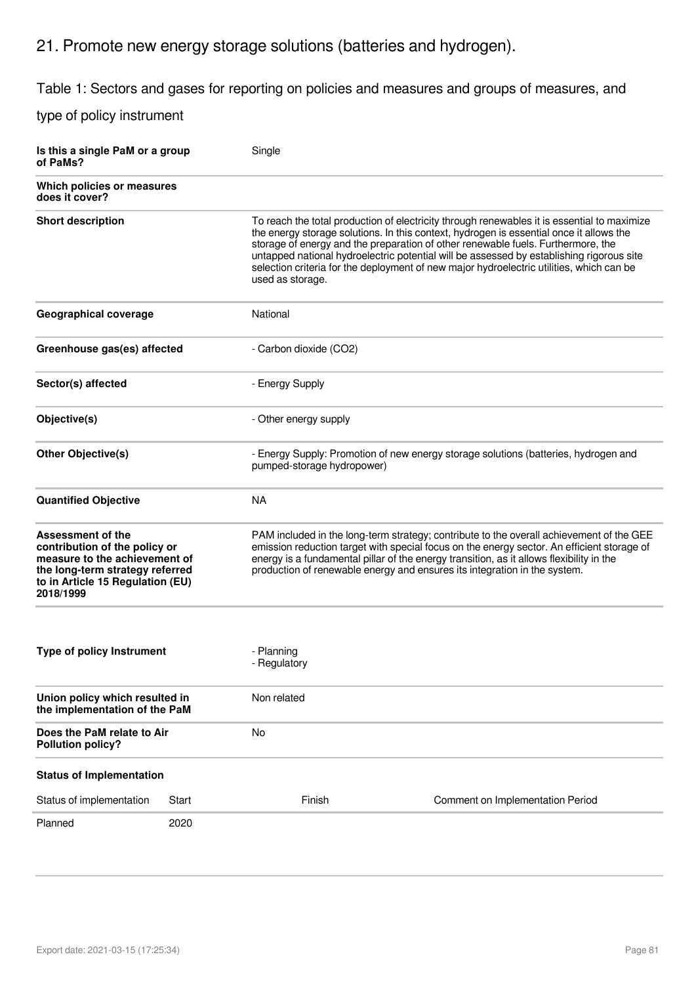## 21. Promote new energy storage solutions (batteries and hydrogen).

Table 1: Sectors and gases for reporting on policies and measures and groups of measures, and

| Is this a single PaM or a group<br>of PaMs?                                                                                                                             |       | Single                                                                                                            |                                                                                                                                                                                                                                                                                                                                                                                                                                                                    |  |
|-------------------------------------------------------------------------------------------------------------------------------------------------------------------------|-------|-------------------------------------------------------------------------------------------------------------------|--------------------------------------------------------------------------------------------------------------------------------------------------------------------------------------------------------------------------------------------------------------------------------------------------------------------------------------------------------------------------------------------------------------------------------------------------------------------|--|
| Which policies or measures<br>does it cover?                                                                                                                            |       |                                                                                                                   |                                                                                                                                                                                                                                                                                                                                                                                                                                                                    |  |
| <b>Short description</b>                                                                                                                                                |       | used as storage.                                                                                                  | To reach the total production of electricity through renewables it is essential to maximize<br>the energy storage solutions. In this context, hydrogen is essential once it allows the<br>storage of energy and the preparation of other renewable fuels. Furthermore, the<br>untapped national hydroelectric potential will be assessed by establishing rigorous site<br>selection criteria for the deployment of new major hydroelectric utilities, which can be |  |
| Geographical coverage                                                                                                                                                   |       | National                                                                                                          |                                                                                                                                                                                                                                                                                                                                                                                                                                                                    |  |
| Greenhouse gas(es) affected                                                                                                                                             |       | - Carbon dioxide (CO2)                                                                                            |                                                                                                                                                                                                                                                                                                                                                                                                                                                                    |  |
| Sector(s) affected                                                                                                                                                      |       | - Energy Supply                                                                                                   |                                                                                                                                                                                                                                                                                                                                                                                                                                                                    |  |
| Objective(s)                                                                                                                                                            |       | - Other energy supply                                                                                             |                                                                                                                                                                                                                                                                                                                                                                                                                                                                    |  |
| <b>Other Objective(s)</b>                                                                                                                                               |       | - Energy Supply: Promotion of new energy storage solutions (batteries, hydrogen and<br>pumped-storage hydropower) |                                                                                                                                                                                                                                                                                                                                                                                                                                                                    |  |
| <b>Quantified Objective</b>                                                                                                                                             |       | <b>NA</b>                                                                                                         |                                                                                                                                                                                                                                                                                                                                                                                                                                                                    |  |
| Assessment of the<br>contribution of the policy or<br>measure to the achievement of<br>the long-term strategy referred<br>to in Article 15 Regulation (EU)<br>2018/1999 |       |                                                                                                                   | PAM included in the long-term strategy; contribute to the overall achievement of the GEE<br>emission reduction target with special focus on the energy sector. An efficient storage of<br>energy is a fundamental pillar of the energy transition, as it allows flexibility in the<br>production of renewable energy and ensures its integration in the system.                                                                                                    |  |
| <b>Type of policy Instrument</b>                                                                                                                                        |       | - Planning<br>- Regulatory                                                                                        |                                                                                                                                                                                                                                                                                                                                                                                                                                                                    |  |
| Union policy which resulted in<br>the implementation of the PaM                                                                                                         |       | Non related                                                                                                       |                                                                                                                                                                                                                                                                                                                                                                                                                                                                    |  |
| Does the PaM relate to Air<br><b>Pollution policy?</b>                                                                                                                  |       | <b>No</b>                                                                                                         |                                                                                                                                                                                                                                                                                                                                                                                                                                                                    |  |
| <b>Status of Implementation</b>                                                                                                                                         |       |                                                                                                                   |                                                                                                                                                                                                                                                                                                                                                                                                                                                                    |  |
| Status of implementation                                                                                                                                                | Start | Finish                                                                                                            | Comment on Implementation Period                                                                                                                                                                                                                                                                                                                                                                                                                                   |  |
| Planned                                                                                                                                                                 | 2020  |                                                                                                                   |                                                                                                                                                                                                                                                                                                                                                                                                                                                                    |  |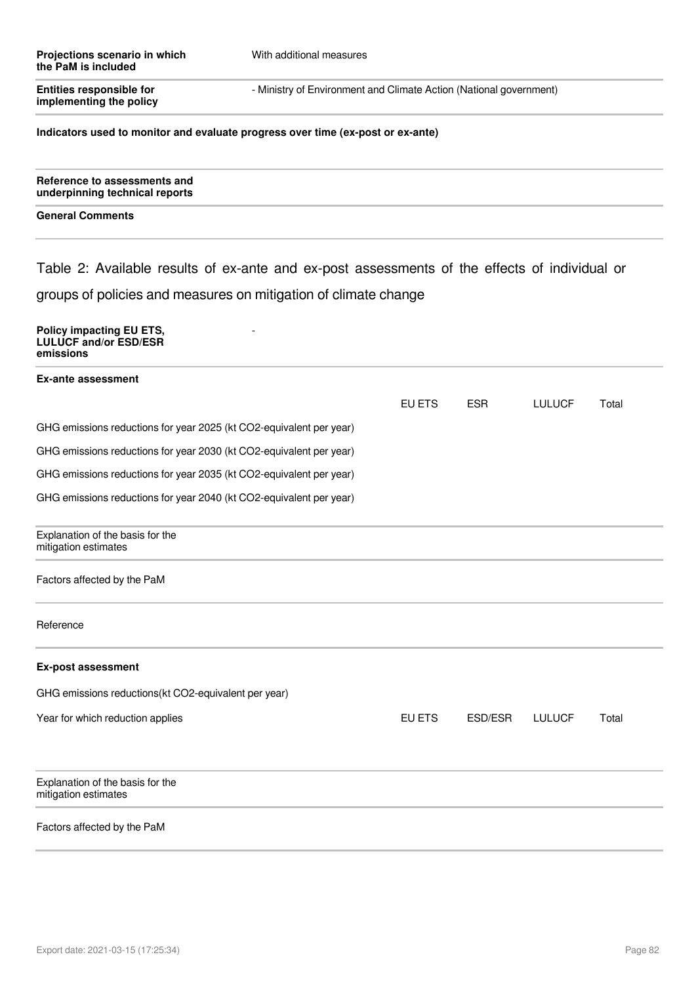| Entities responsible for<br>implementing the policy                                           | - Ministry of Environment and Climate Action (National government) |        |            |               |       |
|-----------------------------------------------------------------------------------------------|--------------------------------------------------------------------|--------|------------|---------------|-------|
| Indicators used to monitor and evaluate progress over time (ex-post or ex-ante)               |                                                                    |        |            |               |       |
| Reference to assessments and<br>underpinning technical reports                                |                                                                    |        |            |               |       |
| <b>General Comments</b>                                                                       |                                                                    |        |            |               |       |
| Table 2: Available results of ex-ante and ex-post assessments of the effects of individual or |                                                                    |        |            |               |       |
| groups of policies and measures on mitigation of climate change                               |                                                                    |        |            |               |       |
| <b>Policy impacting EU ETS,</b><br><b>LULUCF and/or ESD/ESR</b><br>emissions                  |                                                                    |        |            |               |       |
| <b>Ex-ante assessment</b>                                                                     |                                                                    |        |            |               |       |
|                                                                                               |                                                                    | EU ETS | <b>ESR</b> | <b>LULUCF</b> | Total |
| GHG emissions reductions for year 2025 (kt CO2-equivalent per year)                           |                                                                    |        |            |               |       |
| GHG emissions reductions for year 2030 (kt CO2-equivalent per year)                           |                                                                    |        |            |               |       |
| GHG emissions reductions for year 2035 (kt CO2-equivalent per year)                           |                                                                    |        |            |               |       |
| GHG emissions reductions for year 2040 (kt CO2-equivalent per year)                           |                                                                    |        |            |               |       |
| Explanation of the basis for the<br>mitigation estimates                                      |                                                                    |        |            |               |       |
| Factors affected by the PaM                                                                   |                                                                    |        |            |               |       |
| Reference                                                                                     |                                                                    |        |            |               |       |
| <b>Ex-post assessment</b>                                                                     |                                                                    |        |            |               |       |
| GHG emissions reductions(kt CO2-equivalent per year)                                          |                                                                    |        |            |               |       |
| Year for which reduction applies                                                              |                                                                    | EU ETS | ESD/ESR    | <b>LULUCF</b> | Total |
| Explanation of the basis for the<br>mitigation estimates                                      |                                                                    |        |            |               |       |
| Factors affected by the PaM                                                                   |                                                                    |        |            |               |       |
|                                                                                               |                                                                    |        |            |               |       |

With additional measures

**Projections scenario in which**

**the PaM is included**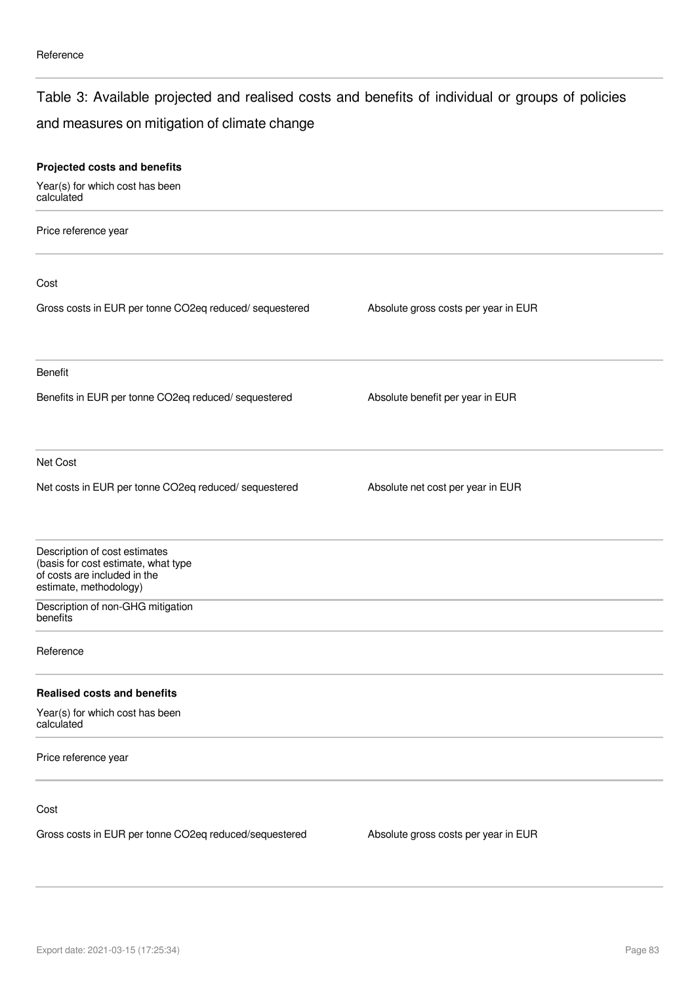### Table 3: Available projected and realised costs and benefits of individual or groups of policies

### and measures on mitigation of climate change

| Projected costs and benefits                                                                                                   |                                      |  |
|--------------------------------------------------------------------------------------------------------------------------------|--------------------------------------|--|
| Year(s) for which cost has been<br>calculated                                                                                  |                                      |  |
| Price reference year                                                                                                           |                                      |  |
| Cost                                                                                                                           |                                      |  |
| Gross costs in EUR per tonne CO2eq reduced/ sequestered                                                                        | Absolute gross costs per year in EUR |  |
| Benefit                                                                                                                        |                                      |  |
| Benefits in EUR per tonne CO2eq reduced/ sequestered                                                                           | Absolute benefit per year in EUR     |  |
| Net Cost                                                                                                                       |                                      |  |
| Net costs in EUR per tonne CO2eq reduced/ sequestered                                                                          | Absolute net cost per year in EUR    |  |
| Description of cost estimates<br>(basis for cost estimate, what type<br>of costs are included in the<br>estimate, methodology) |                                      |  |
| Description of non-GHG mitigation<br>benefits                                                                                  |                                      |  |
| Reference                                                                                                                      |                                      |  |
| <b>Realised costs and benefits</b>                                                                                             |                                      |  |
| Year(s) for which cost has been<br>calculated                                                                                  |                                      |  |
| Price reference year                                                                                                           |                                      |  |
| Cost                                                                                                                           |                                      |  |
| Gross costs in EUR per tonne CO2eq reduced/sequestered                                                                         | Absolute gross costs per year in EUR |  |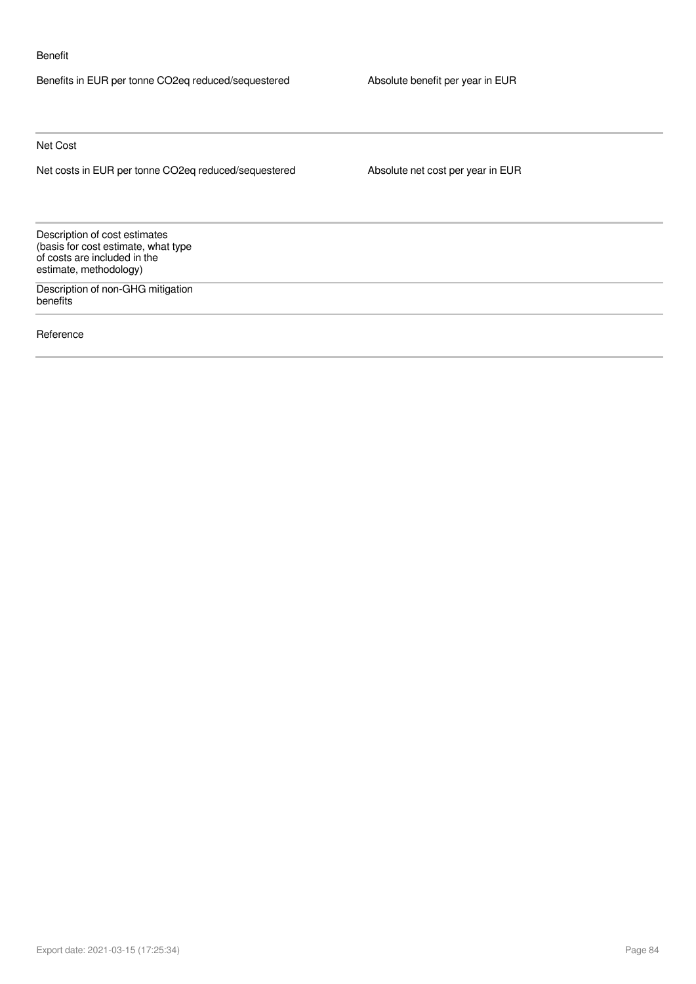#### Benefit

Benefits in EUR per tonne CO2eq reduced/sequestered Absolute benefit per year in EUR

Net Cost

Net costs in EUR per tonne CO2eq reduced/sequestered Absolute net cost per year in EUR

Description of cost estimates (basis for cost estimate, what type of costs are included in the estimate, methodology)

Description of non-GHG mitigation benefits

Reference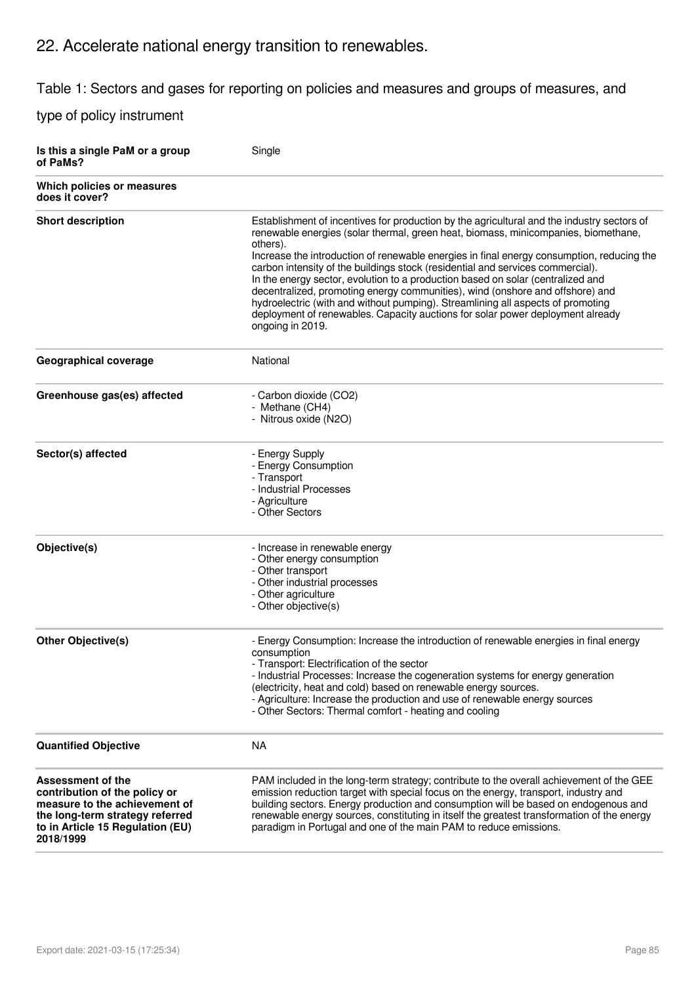# 22. Accelerate national energy transition to renewables.

Table 1: Sectors and gases for reporting on policies and measures and groups of measures, and

| Is this a single PaM or a group<br>of PaMs?                                                                                                                             | Single                                                                                                                                                                                                                                                                                                                                                                                                                                                                                                                                                                                                                                                                                                                                   |
|-------------------------------------------------------------------------------------------------------------------------------------------------------------------------|------------------------------------------------------------------------------------------------------------------------------------------------------------------------------------------------------------------------------------------------------------------------------------------------------------------------------------------------------------------------------------------------------------------------------------------------------------------------------------------------------------------------------------------------------------------------------------------------------------------------------------------------------------------------------------------------------------------------------------------|
| Which policies or measures<br>does it cover?                                                                                                                            |                                                                                                                                                                                                                                                                                                                                                                                                                                                                                                                                                                                                                                                                                                                                          |
| <b>Short description</b>                                                                                                                                                | Establishment of incentives for production by the agricultural and the industry sectors of<br>renewable energies (solar thermal, green heat, biomass, minicompanies, biomethane,<br>others).<br>Increase the introduction of renewable energies in final energy consumption, reducing the<br>carbon intensity of the buildings stock (residential and services commercial).<br>In the energy sector, evolution to a production based on solar (centralized and<br>decentralized, promoting energy communities), wind (onshore and offshore) and<br>hydroelectric (with and without pumping). Streamlining all aspects of promoting<br>deployment of renewables. Capacity auctions for solar power deployment already<br>ongoing in 2019. |
| Geographical coverage                                                                                                                                                   | National                                                                                                                                                                                                                                                                                                                                                                                                                                                                                                                                                                                                                                                                                                                                 |
| Greenhouse gas(es) affected                                                                                                                                             | - Carbon dioxide (CO2)<br>- Methane (CH4)<br>- Nitrous oxide (N2O)                                                                                                                                                                                                                                                                                                                                                                                                                                                                                                                                                                                                                                                                       |
| Sector(s) affected                                                                                                                                                      | - Energy Supply<br>- Energy Consumption<br>- Transport<br>- Industrial Processes<br>- Agriculture<br>- Other Sectors                                                                                                                                                                                                                                                                                                                                                                                                                                                                                                                                                                                                                     |
| Objective(s)                                                                                                                                                            | - Increase in renewable energy<br>- Other energy consumption<br>- Other transport<br>- Other industrial processes<br>- Other agriculture<br>- Other objective(s)                                                                                                                                                                                                                                                                                                                                                                                                                                                                                                                                                                         |
| <b>Other Objective(s)</b>                                                                                                                                               | - Energy Consumption: Increase the introduction of renewable energies in final energy<br>consumption<br>- Transport: Electrification of the sector<br>- Industrial Processes: Increase the cogeneration systems for energy generation<br>(electricity, heat and cold) based on renewable energy sources.<br>- Agriculture: Increase the production and use of renewable energy sources<br>- Other Sectors: Thermal comfort - heating and cooling                                                                                                                                                                                                                                                                                         |
| <b>Quantified Objective</b>                                                                                                                                             | NA                                                                                                                                                                                                                                                                                                                                                                                                                                                                                                                                                                                                                                                                                                                                       |
| Assessment of the<br>contribution of the policy or<br>measure to the achievement of<br>the long-term strategy referred<br>to in Article 15 Regulation (EU)<br>2018/1999 | PAM included in the long-term strategy; contribute to the overall achievement of the GEE<br>emission reduction target with special focus on the energy, transport, industry and<br>building sectors. Energy production and consumption will be based on endogenous and<br>renewable energy sources, constituting in itself the greatest transformation of the energy<br>paradigm in Portugal and one of the main PAM to reduce emissions.                                                                                                                                                                                                                                                                                                |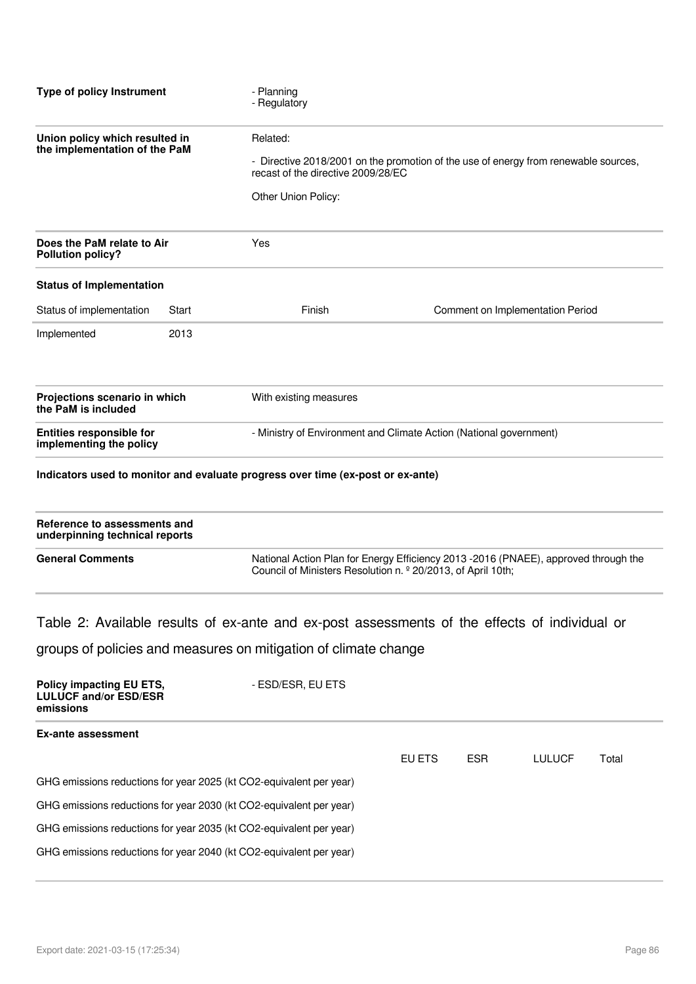| <b>Type of policy Instrument</b>                                | - Planning<br>- Regulatory                                         |                                                                                                                           |  |  |
|-----------------------------------------------------------------|--------------------------------------------------------------------|---------------------------------------------------------------------------------------------------------------------------|--|--|
| Union policy which resulted in<br>the implementation of the PaM | Related:<br>Other Union Policy:                                    | - Directive 2018/2001 on the promotion of the use of energy from renewable sources,<br>recast of the directive 2009/28/EC |  |  |
| Does the PaM relate to Air                                      | Yes                                                                |                                                                                                                           |  |  |
| <b>Status of Implementation</b>                                 |                                                                    |                                                                                                                           |  |  |
| Start                                                           | Finish                                                             | Comment on Implementation Period                                                                                          |  |  |
| 2013                                                            |                                                                    |                                                                                                                           |  |  |
| Projections scenario in which                                   | With existing measures                                             |                                                                                                                           |  |  |
| implementing the policy                                         | - Ministry of Environment and Climate Action (National government) |                                                                                                                           |  |  |
|                                                                 |                                                                    |                                                                                                                           |  |  |

| Reference to assessments and<br>underpinning technical reports |                                                                                                                                                                 |
|----------------------------------------------------------------|-----------------------------------------------------------------------------------------------------------------------------------------------------------------|
| <b>General Comments</b>                                        | National Action Plan for Energy Efficiency 2013 - 2016 (PNAEE), approved through the<br>Council of Ministers Resolution n. <sup>2</sup> 20/2013, of April 10th; |

Table 2: Available results of ex-ante and ex-post assessments of the effects of individual or

groups of policies and measures on mitigation of climate change

| <b>Policy impacting EU ETS,</b><br><b>LULUCF and/or ESD/ESR</b><br>emissions | - ESD/ESR, EU ETS |        |            |               |       |  |
|------------------------------------------------------------------------------|-------------------|--------|------------|---------------|-------|--|
| Ex-ante assessment                                                           |                   |        |            |               |       |  |
|                                                                              |                   | EU ETS | <b>ESR</b> | <b>LULUCF</b> | Total |  |
| GHG emissions reductions for year 2025 (kt CO2-equivalent per year)          |                   |        |            |               |       |  |
| GHG emissions reductions for year 2030 (kt CO2-equivalent per year)          |                   |        |            |               |       |  |
| GHG emissions reductions for year 2035 (kt CO2-equivalent per year)          |                   |        |            |               |       |  |
| GHG emissions reductions for year 2040 (kt CO2-equivalent per year)          |                   |        |            |               |       |  |
|                                                                              |                   |        |            |               |       |  |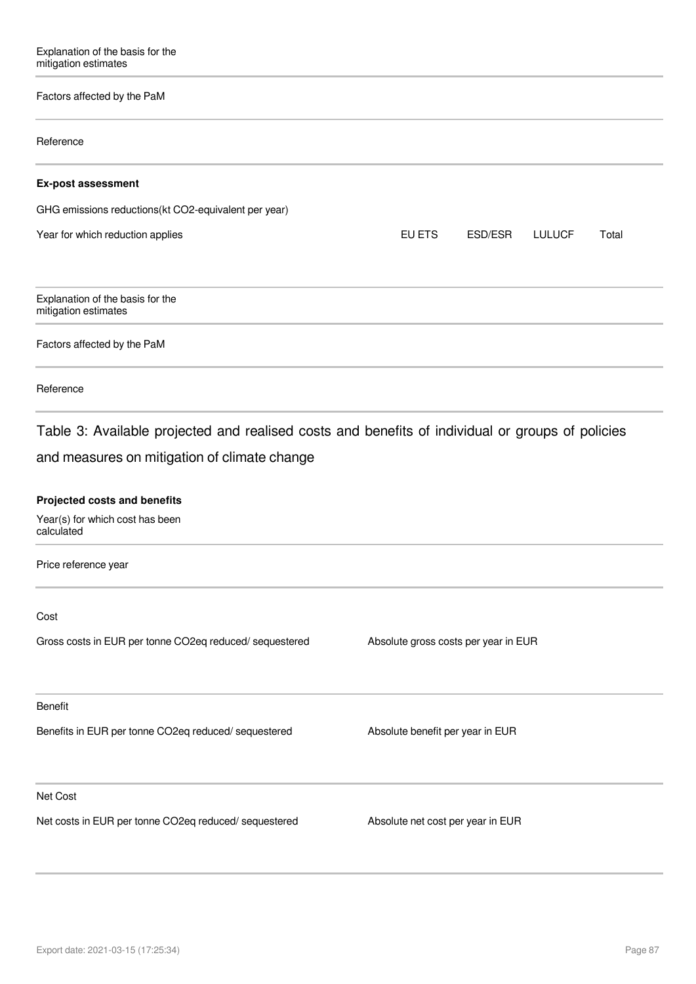### Factors affected by the PaM

| Factors affected by the PaM                                                                                                          |                                             |  |
|--------------------------------------------------------------------------------------------------------------------------------------|---------------------------------------------|--|
| Reference                                                                                                                            |                                             |  |
| <b>Ex-post assessment</b>                                                                                                            |                                             |  |
| GHG emissions reductions(kt CO2-equivalent per year)                                                                                 |                                             |  |
| Year for which reduction applies                                                                                                     | EU ETS<br>ESD/ESR<br><b>LULUCF</b><br>Total |  |
| Explanation of the basis for the<br>mitigation estimates                                                                             |                                             |  |
| Factors affected by the PaM                                                                                                          |                                             |  |
| Reference                                                                                                                            |                                             |  |
| and measures on mitigation of climate change<br><b>Projected costs and benefits</b><br>Year(s) for which cost has been<br>calculated |                                             |  |
| Price reference year                                                                                                                 |                                             |  |
| Cost                                                                                                                                 |                                             |  |
| Gross costs in EUR per tonne CO2eq reduced/sequestered                                                                               | Absolute gross costs per year in EUR        |  |
| <b>Benefit</b>                                                                                                                       |                                             |  |
| Benefits in EUR per tonne CO2eq reduced/ sequestered                                                                                 | Absolute benefit per year in EUR            |  |
| Net Cost                                                                                                                             |                                             |  |
| Net costs in EUR per tonne CO2eq reduced/ sequestered                                                                                | Absolute net cost per year in EUR           |  |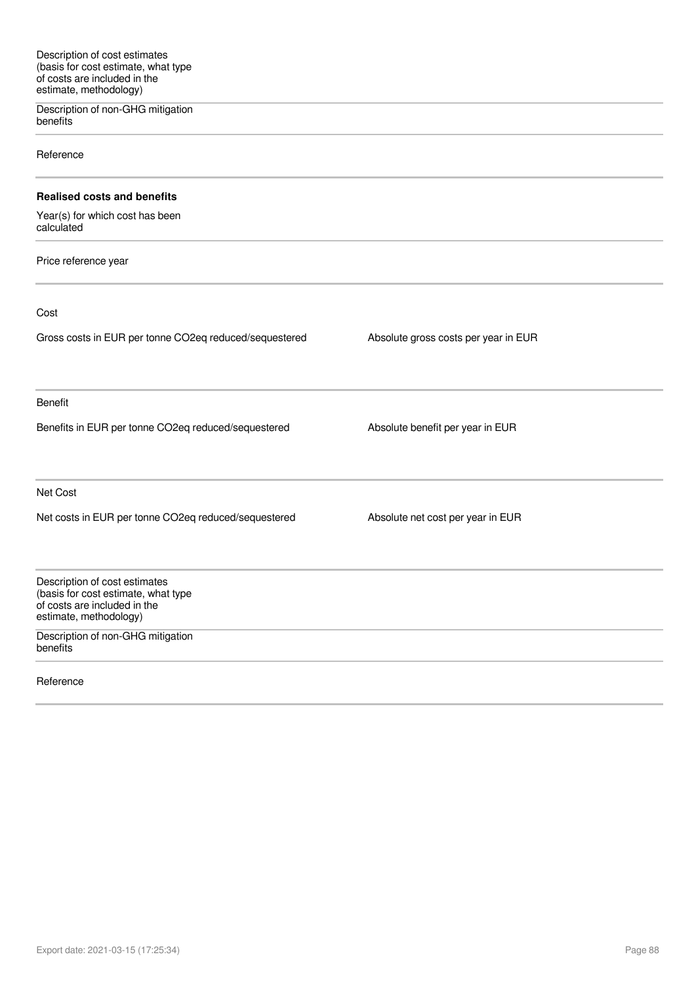Description of non-GHG mitigation benefits

Reference

#### **Realised costs and benefits**

Year(s) for which cost has been calculated

Price reference year

Cost

Gross costs in EUR per tonne CO2eq reduced/sequestered Absolute gross costs per year in EUR Benefit Benefits in EUR per tonne CO2eq reduced/sequestered Absolute benefit per year in EUR Net Cost Net costs in EUR per tonne CO2eq reduced/sequestered Absolute net cost per year in EUR Description of cost estimates (basis for cost estimate, what type of costs are included in the estimate, methodology)

Description of non-GHG mitigation benefits

Reference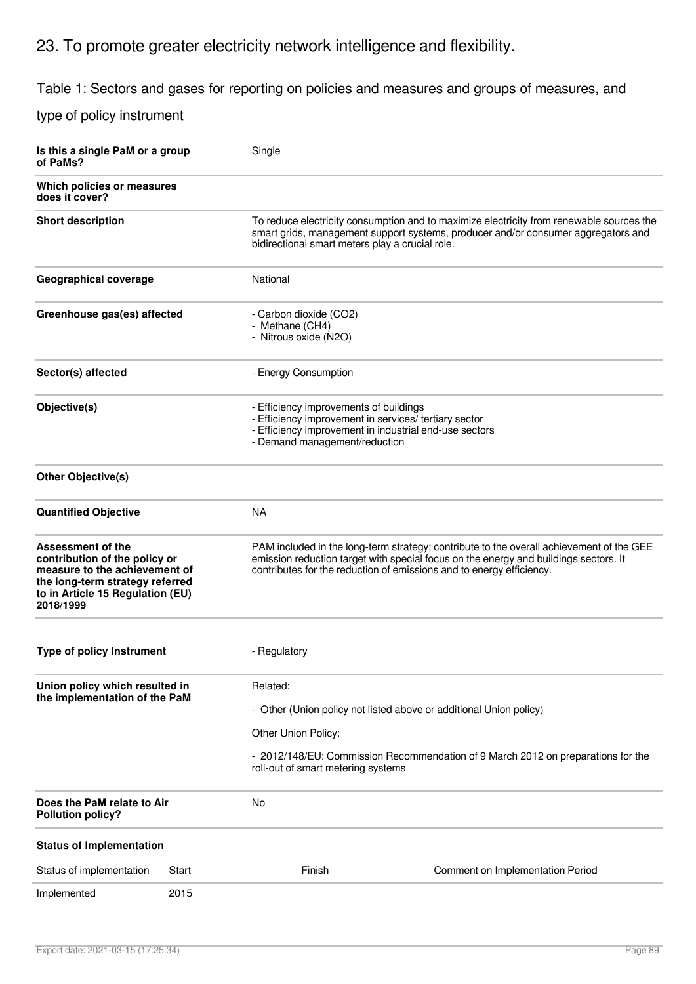# 23. To promote greater electricity network intelligence and flexibility.

Table 1: Sectors and gases for reporting on policies and measures and groups of measures, and

| Is this a single PaM or a group<br>of PaMs?                                                                                                                             |       | Single                                                                                                                                                                                     |                                                                                                                                                                                                                                                          |
|-------------------------------------------------------------------------------------------------------------------------------------------------------------------------|-------|--------------------------------------------------------------------------------------------------------------------------------------------------------------------------------------------|----------------------------------------------------------------------------------------------------------------------------------------------------------------------------------------------------------------------------------------------------------|
| Which policies or measures<br>does it cover?                                                                                                                            |       |                                                                                                                                                                                            |                                                                                                                                                                                                                                                          |
| <b>Short description</b>                                                                                                                                                |       | bidirectional smart meters play a crucial role.                                                                                                                                            | To reduce electricity consumption and to maximize electricity from renewable sources the<br>smart grids, management support systems, producer and/or consumer aggregators and                                                                            |
| Geographical coverage                                                                                                                                                   |       | National                                                                                                                                                                                   |                                                                                                                                                                                                                                                          |
| Greenhouse gas(es) affected                                                                                                                                             |       | - Carbon dioxide (CO2)<br>- Methane (CH4)<br>- Nitrous oxide (N2O)                                                                                                                         |                                                                                                                                                                                                                                                          |
| Sector(s) affected                                                                                                                                                      |       | - Energy Consumption                                                                                                                                                                       |                                                                                                                                                                                                                                                          |
| Objective(s)                                                                                                                                                            |       | - Efficiency improvements of buildings<br>- Efficiency improvement in services/ tertiary sector<br>- Efficiency improvement in industrial end-use sectors<br>- Demand management/reduction |                                                                                                                                                                                                                                                          |
| <b>Other Objective(s)</b>                                                                                                                                               |       |                                                                                                                                                                                            |                                                                                                                                                                                                                                                          |
| <b>Quantified Objective</b>                                                                                                                                             |       | <b>NA</b>                                                                                                                                                                                  |                                                                                                                                                                                                                                                          |
| Assessment of the<br>contribution of the policy or<br>measure to the achievement of<br>the long-term strategy referred<br>to in Article 15 Regulation (EU)<br>2018/1999 |       |                                                                                                                                                                                            | PAM included in the long-term strategy; contribute to the overall achievement of the GEE<br>emission reduction target with special focus on the energy and buildings sectors. It<br>contributes for the reduction of emissions and to energy efficiency. |
| <b>Type of policy Instrument</b>                                                                                                                                        |       | - Regulatory                                                                                                                                                                               |                                                                                                                                                                                                                                                          |
| Union policy which resulted in                                                                                                                                          |       | Related:                                                                                                                                                                                   |                                                                                                                                                                                                                                                          |
| the implementation of the PaM                                                                                                                                           |       |                                                                                                                                                                                            | - Other (Union policy not listed above or additional Union policy)                                                                                                                                                                                       |
|                                                                                                                                                                         |       | Other Union Policy:                                                                                                                                                                        |                                                                                                                                                                                                                                                          |
|                                                                                                                                                                         |       | roll-out of smart metering systems                                                                                                                                                         | - 2012/148/EU: Commission Recommendation of 9 March 2012 on preparations for the                                                                                                                                                                         |
| Does the PaM relate to Air<br><b>Pollution policy?</b>                                                                                                                  |       | No                                                                                                                                                                                         |                                                                                                                                                                                                                                                          |
| <b>Status of Implementation</b>                                                                                                                                         |       |                                                                                                                                                                                            |                                                                                                                                                                                                                                                          |
| Status of implementation                                                                                                                                                | Start | Finish                                                                                                                                                                                     | Comment on Implementation Period                                                                                                                                                                                                                         |
| Implemented                                                                                                                                                             | 2015  |                                                                                                                                                                                            |                                                                                                                                                                                                                                                          |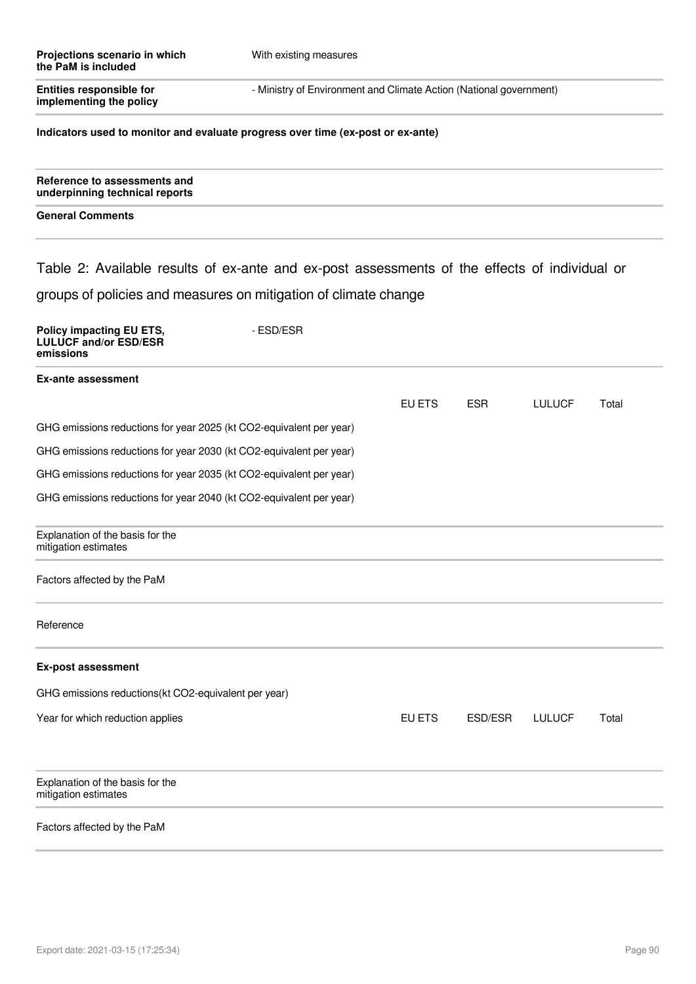| Projections scenario in which<br>the PaM is included                                          | With existing measures |                                                                    |            |               |       |
|-----------------------------------------------------------------------------------------------|------------------------|--------------------------------------------------------------------|------------|---------------|-------|
| <b>Entities responsible for</b><br>implementing the policy                                    |                        | - Ministry of Environment and Climate Action (National government) |            |               |       |
| Indicators used to monitor and evaluate progress over time (ex-post or ex-ante)               |                        |                                                                    |            |               |       |
| Reference to assessments and<br>underpinning technical reports                                |                        |                                                                    |            |               |       |
| <b>General Comments</b>                                                                       |                        |                                                                    |            |               |       |
| Table 2: Available results of ex-ante and ex-post assessments of the effects of individual or |                        |                                                                    |            |               |       |
| groups of policies and measures on mitigation of climate change                               |                        |                                                                    |            |               |       |
| Policy impacting EU ETS,<br><b>LULUCF and/or ESD/ESR</b><br>emissions                         | - ESD/ESR              |                                                                    |            |               |       |
| <b>Ex-ante assessment</b>                                                                     |                        |                                                                    |            |               |       |
|                                                                                               |                        | EU ETS                                                             | <b>ESR</b> | <b>LULUCF</b> | Total |
| GHG emissions reductions for year 2025 (kt CO2-equivalent per year)                           |                        |                                                                    |            |               |       |
| GHG emissions reductions for year 2030 (kt CO2-equivalent per year)                           |                        |                                                                    |            |               |       |
| GHG emissions reductions for year 2035 (kt CO2-equivalent per year)                           |                        |                                                                    |            |               |       |
| GHG emissions reductions for year 2040 (kt CO2-equivalent per year)                           |                        |                                                                    |            |               |       |
| Explanation of the basis for the<br>mitigation estimates                                      |                        |                                                                    |            |               |       |
| Factors affected by the PaM                                                                   |                        |                                                                    |            |               |       |
| Reference                                                                                     |                        |                                                                    |            |               |       |
| <b>Ex-post assessment</b>                                                                     |                        |                                                                    |            |               |       |
| GHG emissions reductions(kt CO2-equivalent per year)                                          |                        |                                                                    |            |               |       |
| Year for which reduction applies                                                              |                        | EU ETS                                                             | ESD/ESR    | <b>LULUCF</b> | Total |
| Explanation of the basis for the<br>mitigation estimates                                      |                        |                                                                    |            |               |       |
| Factors affected by the PaM                                                                   |                        |                                                                    |            |               |       |
|                                                                                               |                        |                                                                    |            |               |       |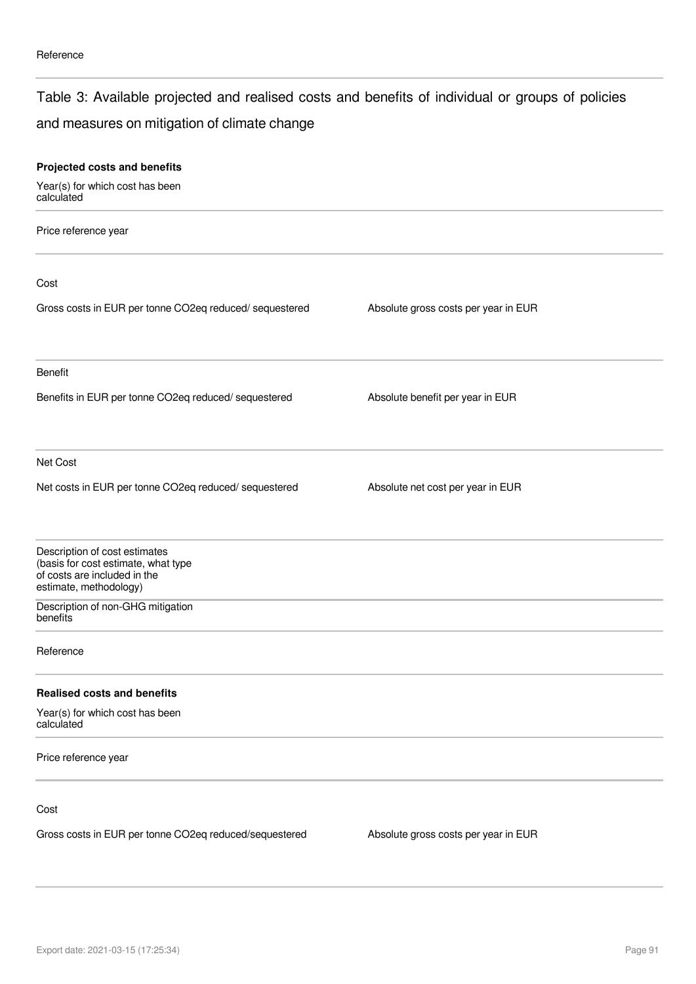### Table 3: Available projected and realised costs and benefits of individual or groups of policies

### and measures on mitigation of climate change

| Projected costs and benefits                                                                                                   |                                      |  |
|--------------------------------------------------------------------------------------------------------------------------------|--------------------------------------|--|
| Year(s) for which cost has been<br>calculated                                                                                  |                                      |  |
| Price reference year                                                                                                           |                                      |  |
| Cost                                                                                                                           |                                      |  |
| Gross costs in EUR per tonne CO2eq reduced/ sequestered                                                                        | Absolute gross costs per year in EUR |  |
| Benefit                                                                                                                        |                                      |  |
| Benefits in EUR per tonne CO2eq reduced/ sequestered                                                                           | Absolute benefit per year in EUR     |  |
| Net Cost                                                                                                                       |                                      |  |
| Net costs in EUR per tonne CO2eq reduced/ sequestered                                                                          | Absolute net cost per year in EUR    |  |
| Description of cost estimates<br>(basis for cost estimate, what type<br>of costs are included in the<br>estimate, methodology) |                                      |  |
| Description of non-GHG mitigation<br>benefits                                                                                  |                                      |  |
| Reference                                                                                                                      |                                      |  |
| <b>Realised costs and benefits</b>                                                                                             |                                      |  |
| Year(s) for which cost has been<br>calculated                                                                                  |                                      |  |
| Price reference year                                                                                                           |                                      |  |
| Cost                                                                                                                           |                                      |  |
| Gross costs in EUR per tonne CO2eq reduced/sequestered                                                                         | Absolute gross costs per year in EUR |  |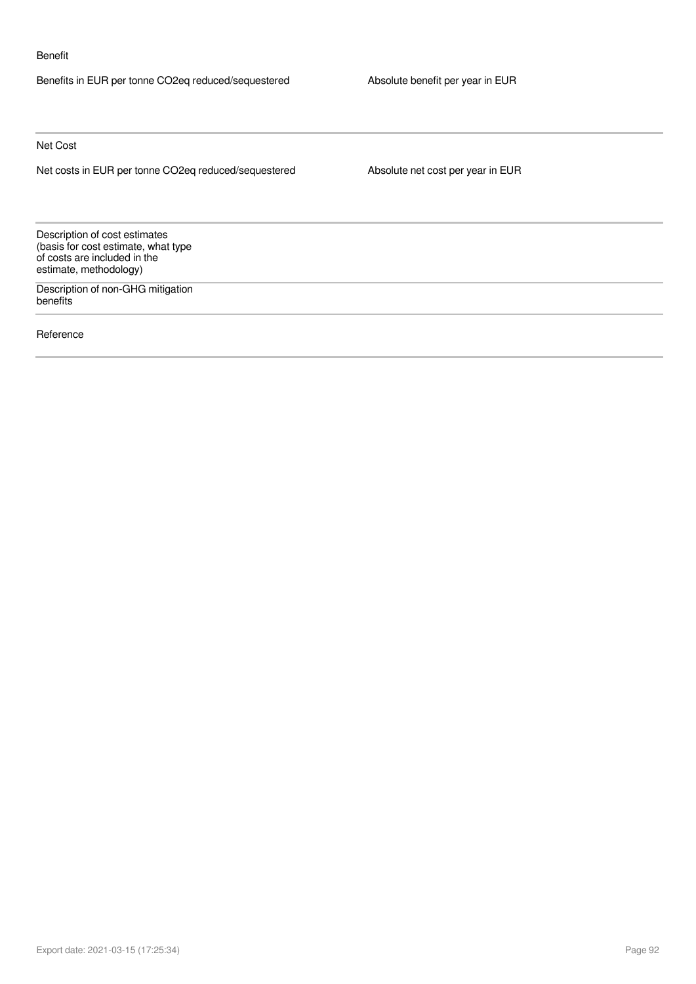#### Benefit

Benefits in EUR per tonne CO2eq reduced/sequestered Absolute benefit per year in EUR

Net Cost

Net costs in EUR per tonne CO2eq reduced/sequestered Absolute net cost per year in EUR

Description of cost estimates (basis for cost estimate, what type of costs are included in the estimate, methodology)

Description of non-GHG mitigation benefits

Reference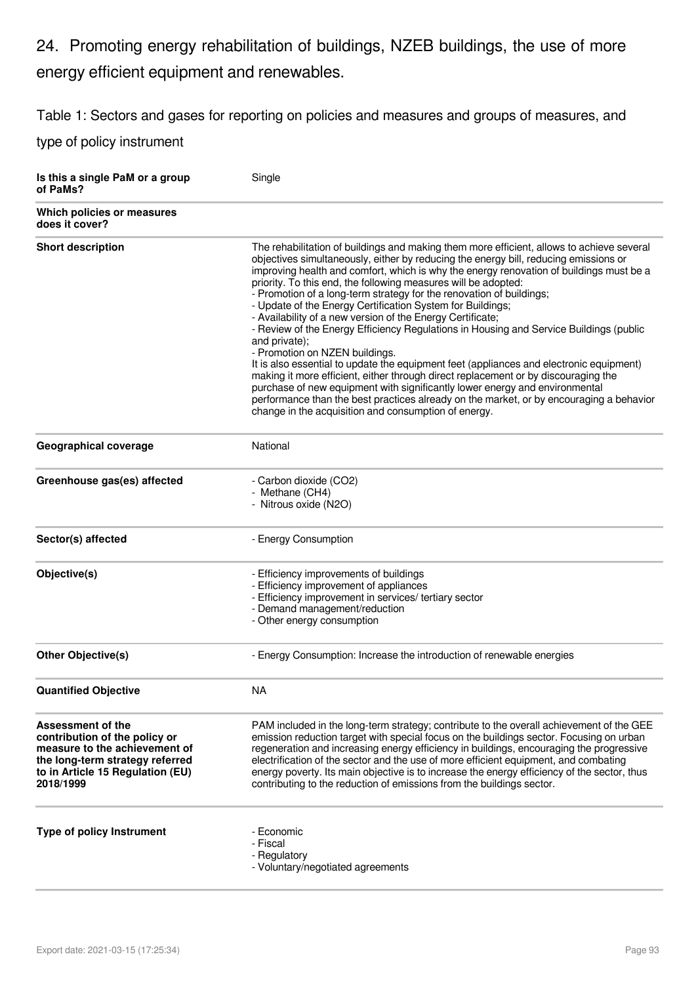# 24. Promoting energy rehabilitation of buildings, NZEB buildings, the use of more energy efficient equipment and renewables.

Table 1: Sectors and gases for reporting on policies and measures and groups of measures, and

| Is this a single PaM or a group<br>of PaMs?                                                                                                                             | Single                                                                                                                                                                                                                                                                                                                                                                                                                                                                                                                                                                                                                                                                                                                                                                                                                                                                                                                                                                                                                                                                                                             |
|-------------------------------------------------------------------------------------------------------------------------------------------------------------------------|--------------------------------------------------------------------------------------------------------------------------------------------------------------------------------------------------------------------------------------------------------------------------------------------------------------------------------------------------------------------------------------------------------------------------------------------------------------------------------------------------------------------------------------------------------------------------------------------------------------------------------------------------------------------------------------------------------------------------------------------------------------------------------------------------------------------------------------------------------------------------------------------------------------------------------------------------------------------------------------------------------------------------------------------------------------------------------------------------------------------|
| Which policies or measures<br>does it cover?                                                                                                                            |                                                                                                                                                                                                                                                                                                                                                                                                                                                                                                                                                                                                                                                                                                                                                                                                                                                                                                                                                                                                                                                                                                                    |
| <b>Short description</b>                                                                                                                                                | The rehabilitation of buildings and making them more efficient, allows to achieve several<br>objectives simultaneously, either by reducing the energy bill, reducing emissions or<br>improving health and comfort, which is why the energy renovation of buildings must be a<br>priority. To this end, the following measures will be adopted:<br>- Promotion of a long-term strategy for the renovation of buildings;<br>- Update of the Energy Certification System for Buildings;<br>- Availability of a new version of the Energy Certificate;<br>- Review of the Energy Efficiency Regulations in Housing and Service Buildings (public<br>and private);<br>- Promotion on NZEN buildings.<br>It is also essential to update the equipment feet (appliances and electronic equipment)<br>making it more efficient, either through direct replacement or by discouraging the<br>purchase of new equipment with significantly lower energy and environmental<br>performance than the best practices already on the market, or by encouraging a behavior<br>change in the acquisition and consumption of energy. |
| <b>Geographical coverage</b>                                                                                                                                            | National                                                                                                                                                                                                                                                                                                                                                                                                                                                                                                                                                                                                                                                                                                                                                                                                                                                                                                                                                                                                                                                                                                           |
| Greenhouse gas(es) affected                                                                                                                                             | - Carbon dioxide (CO2)<br>- Methane (CH4)<br>- Nitrous oxide (N2O)                                                                                                                                                                                                                                                                                                                                                                                                                                                                                                                                                                                                                                                                                                                                                                                                                                                                                                                                                                                                                                                 |
| Sector(s) affected                                                                                                                                                      | - Energy Consumption                                                                                                                                                                                                                                                                                                                                                                                                                                                                                                                                                                                                                                                                                                                                                                                                                                                                                                                                                                                                                                                                                               |
| Objective(s)                                                                                                                                                            | - Efficiency improvements of buildings<br>- Efficiency improvement of appliances<br>- Efficiency improvement in services/ tertiary sector<br>- Demand management/reduction<br>- Other energy consumption                                                                                                                                                                                                                                                                                                                                                                                                                                                                                                                                                                                                                                                                                                                                                                                                                                                                                                           |
| <b>Other Objective(s)</b>                                                                                                                                               | - Energy Consumption: Increase the introduction of renewable energies                                                                                                                                                                                                                                                                                                                                                                                                                                                                                                                                                                                                                                                                                                                                                                                                                                                                                                                                                                                                                                              |
| <b>Quantified Objective</b>                                                                                                                                             | <b>NA</b>                                                                                                                                                                                                                                                                                                                                                                                                                                                                                                                                                                                                                                                                                                                                                                                                                                                                                                                                                                                                                                                                                                          |
| Assessment of the<br>contribution of the policy or<br>measure to the achievement of<br>the long-term strategy referred<br>to in Article 15 Regulation (EU)<br>2018/1999 | PAM included in the long-term strategy; contribute to the overall achievement of the GEE<br>emission reduction target with special focus on the buildings sector. Focusing on urban<br>regeneration and increasing energy efficiency in buildings, encouraging the progressive<br>electrification of the sector and the use of more efficient equipment, and combating<br>energy poverty. Its main objective is to increase the energy efficiency of the sector, thus<br>contributing to the reduction of emissions from the buildings sector.                                                                                                                                                                                                                                                                                                                                                                                                                                                                                                                                                                     |
| Type of policy Instrument                                                                                                                                               | - Economic<br>- Fiscal<br>- Regulatory<br>- Voluntary/negotiated agreements                                                                                                                                                                                                                                                                                                                                                                                                                                                                                                                                                                                                                                                                                                                                                                                                                                                                                                                                                                                                                                        |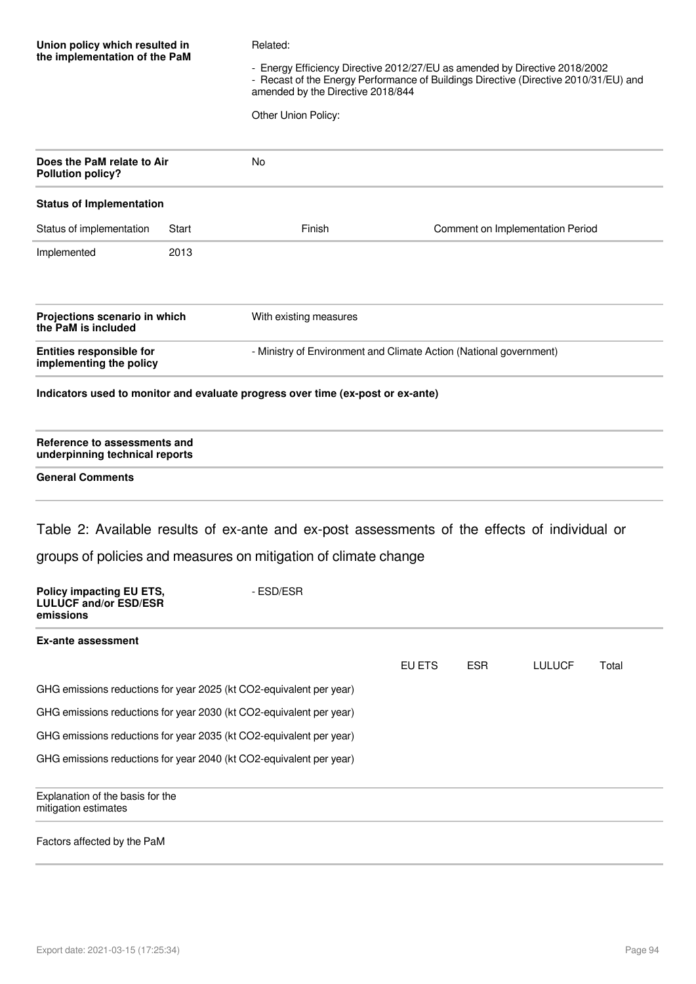| Union policy which resulted in<br>the implementation of the PaM              |       | Related:<br>- Energy Efficiency Directive 2012/27/EU as amended by Directive 2018/2002<br>- Recast of the Energy Performance of Buildings Directive (Directive 2010/31/EU) and<br>amended by the Directive 2018/844<br>Other Union Policy: |        |            |                                  |       |
|------------------------------------------------------------------------------|-------|--------------------------------------------------------------------------------------------------------------------------------------------------------------------------------------------------------------------------------------------|--------|------------|----------------------------------|-------|
| Does the PaM relate to Air<br><b>Pollution policy?</b>                       |       | <b>No</b>                                                                                                                                                                                                                                  |        |            |                                  |       |
| <b>Status of Implementation</b>                                              |       |                                                                                                                                                                                                                                            |        |            |                                  |       |
| Status of implementation                                                     | Start | Finish                                                                                                                                                                                                                                     |        |            | Comment on Implementation Period |       |
| Implemented                                                                  | 2013  |                                                                                                                                                                                                                                            |        |            |                                  |       |
| Projections scenario in which<br>the PaM is included                         |       | With existing measures                                                                                                                                                                                                                     |        |            |                                  |       |
| <b>Entities responsible for</b><br>implementing the policy                   |       | - Ministry of Environment and Climate Action (National government)                                                                                                                                                                         |        |            |                                  |       |
|                                                                              |       | Indicators used to monitor and evaluate progress over time (ex-post or ex-ante)                                                                                                                                                            |        |            |                                  |       |
| Reference to assessments and<br>underpinning technical reports               |       |                                                                                                                                                                                                                                            |        |            |                                  |       |
| <b>General Comments</b>                                                      |       |                                                                                                                                                                                                                                            |        |            |                                  |       |
|                                                                              |       | Table 2: Available results of ex-ante and ex-post assessments of the effects of individual or<br>groups of policies and measures on mitigation of climate change                                                                           |        |            |                                  |       |
|                                                                              |       |                                                                                                                                                                                                                                            |        |            |                                  |       |
| <b>Policy impacting EU ETS,</b><br><b>LULUCF and/or ESD/ESR</b><br>emissions |       | - ESD/ESR                                                                                                                                                                                                                                  |        |            |                                  |       |
| <b>Ex-ante assessment</b>                                                    |       |                                                                                                                                                                                                                                            |        |            |                                  |       |
|                                                                              |       |                                                                                                                                                                                                                                            | EU ETS | <b>ESR</b> | <b>LULUCF</b>                    | Total |
| GHG emissions reductions for year 2025 (kt CO2-equivalent per year)          |       |                                                                                                                                                                                                                                            |        |            |                                  |       |
| GHG emissions reductions for year 2030 (kt CO2-equivalent per year)          |       |                                                                                                                                                                                                                                            |        |            |                                  |       |
| GHG emissions reductions for year 2035 (kt CO2-equivalent per year)          |       |                                                                                                                                                                                                                                            |        |            |                                  |       |
| GHG emissions reductions for year 2040 (kt CO2-equivalent per year)          |       |                                                                                                                                                                                                                                            |        |            |                                  |       |
| Explanation of the basis for the<br>mitigation estimates                     |       |                                                                                                                                                                                                                                            |        |            |                                  |       |
| Factors affected by the PaM                                                  |       |                                                                                                                                                                                                                                            |        |            |                                  |       |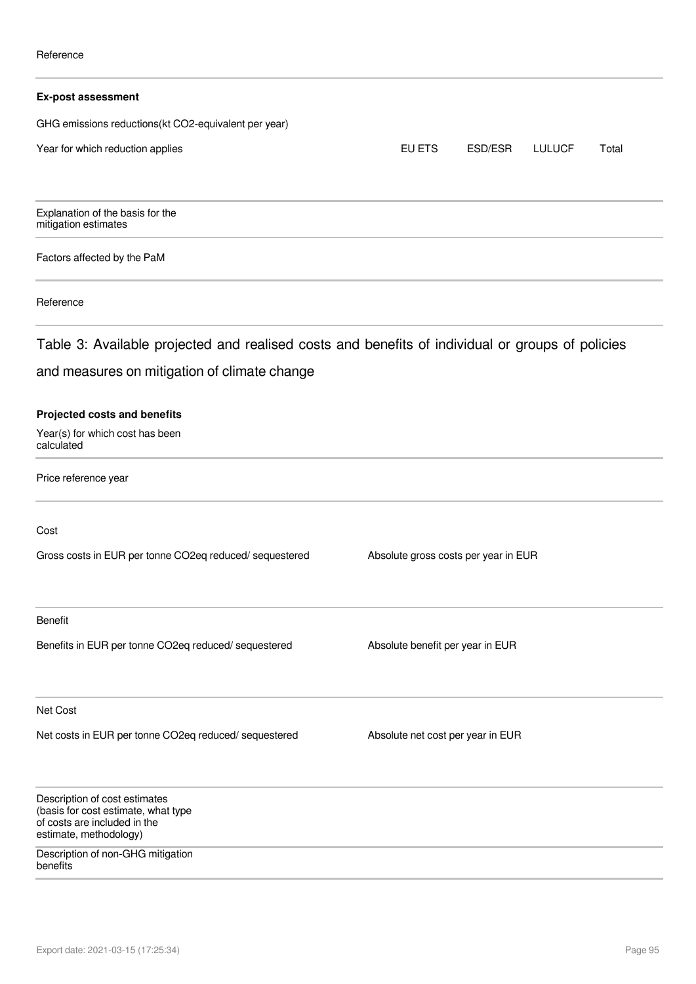| <b>Ex-post assessment</b>                                                                                                      |                                      |         |               |       |
|--------------------------------------------------------------------------------------------------------------------------------|--------------------------------------|---------|---------------|-------|
| GHG emissions reductions(kt CO2-equivalent per year)                                                                           |                                      |         |               |       |
| Year for which reduction applies                                                                                               | EU ETS                               | ESD/ESR | <b>LULUCF</b> | Total |
| Explanation of the basis for the<br>mitigation estimates                                                                       |                                      |         |               |       |
| Factors affected by the PaM                                                                                                    |                                      |         |               |       |
| Reference                                                                                                                      |                                      |         |               |       |
| Table 3: Available projected and realised costs and benefits of individual or groups of policies                               |                                      |         |               |       |
| and measures on mitigation of climate change                                                                                   |                                      |         |               |       |
| <b>Projected costs and benefits</b><br>Year(s) for which cost has been<br>calculated                                           |                                      |         |               |       |
| Price reference year                                                                                                           |                                      |         |               |       |
| Cost                                                                                                                           |                                      |         |               |       |
| Gross costs in EUR per tonne CO2eq reduced/ sequestered                                                                        | Absolute gross costs per year in EUR |         |               |       |
| Benefit                                                                                                                        |                                      |         |               |       |
| Benefits in EUR per tonne CO2eq reduced/ sequestered                                                                           | Absolute benefit per year in EUR     |         |               |       |
| Net Cost                                                                                                                       |                                      |         |               |       |
| Net costs in EUR per tonne CO2eq reduced/ sequestered                                                                          | Absolute net cost per year in EUR    |         |               |       |
| Description of cost estimates<br>(basis for cost estimate, what type<br>of costs are included in the<br>estimate, methodology) |                                      |         |               |       |
| Description of non-GHG mitigation<br>benefits                                                                                  |                                      |         |               |       |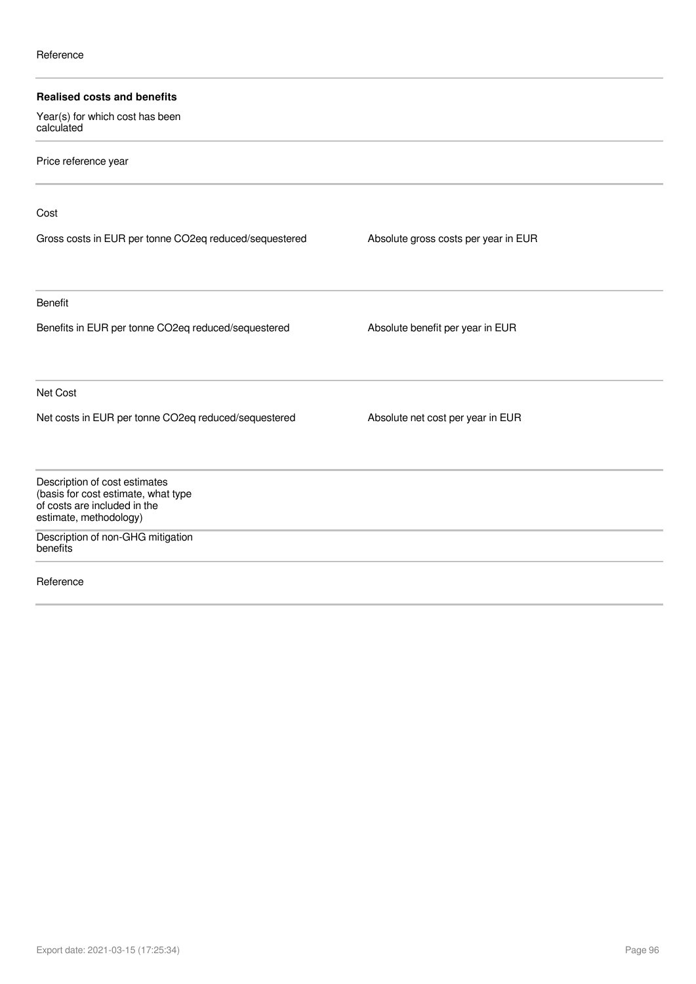| <b>Realised costs and benefits</b>                                   |                                      |  |
|----------------------------------------------------------------------|--------------------------------------|--|
| Year(s) for which cost has been<br>calculated                        |                                      |  |
| Price reference year                                                 |                                      |  |
| Cost                                                                 |                                      |  |
| Gross costs in EUR per tonne CO2eq reduced/sequestered               | Absolute gross costs per year in EUR |  |
| <b>Benefit</b>                                                       |                                      |  |
| Benefits in EUR per tonne CO2eq reduced/sequestered                  | Absolute benefit per year in EUR     |  |
| Net Cost                                                             |                                      |  |
| Net costs in EUR per tonne CO2eq reduced/sequestered                 | Absolute net cost per year in EUR    |  |
| Description of cost estimates<br>(basis for cost estimate, what type |                                      |  |
| of costs are included in the<br>estimate, methodology)               |                                      |  |
| Description of non-GHG mitigation<br>benefits                        |                                      |  |
| Reference                                                            |                                      |  |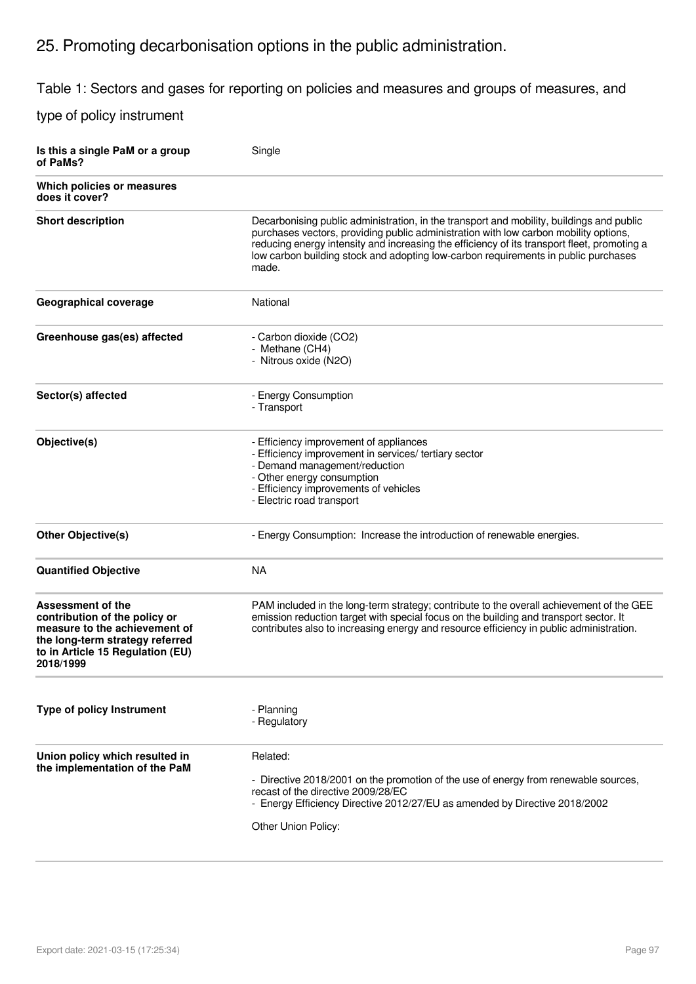# 25. Promoting decarbonisation options in the public administration.

Table 1: Sectors and gases for reporting on policies and measures and groups of measures, and

| Is this a single PaM or a group<br>of PaMs?                                                                                                                             | Single                                                                                                                                                                                                                                                                                                                                                                         |
|-------------------------------------------------------------------------------------------------------------------------------------------------------------------------|--------------------------------------------------------------------------------------------------------------------------------------------------------------------------------------------------------------------------------------------------------------------------------------------------------------------------------------------------------------------------------|
| Which policies or measures<br>does it cover?                                                                                                                            |                                                                                                                                                                                                                                                                                                                                                                                |
| <b>Short description</b>                                                                                                                                                | Decarbonising public administration, in the transport and mobility, buildings and public<br>purchases vectors, providing public administration with low carbon mobility options,<br>reducing energy intensity and increasing the efficiency of its transport fleet, promoting a<br>low carbon building stock and adopting low-carbon requirements in public purchases<br>made. |
| Geographical coverage                                                                                                                                                   | National                                                                                                                                                                                                                                                                                                                                                                       |
| Greenhouse gas(es) affected                                                                                                                                             | - Carbon dioxide (CO2)<br>- Methane (CH4)<br>- Nitrous oxide (N2O)                                                                                                                                                                                                                                                                                                             |
| Sector(s) affected                                                                                                                                                      | - Energy Consumption<br>- Transport                                                                                                                                                                                                                                                                                                                                            |
| Objective(s)                                                                                                                                                            | - Efficiency improvement of appliances<br>- Efficiency improvement in services/ tertiary sector<br>- Demand management/reduction<br>- Other energy consumption<br>- Efficiency improvements of vehicles<br>- Electric road transport                                                                                                                                           |
| <b>Other Objective(s)</b>                                                                                                                                               | - Energy Consumption: Increase the introduction of renewable energies.                                                                                                                                                                                                                                                                                                         |
| <b>Quantified Objective</b>                                                                                                                                             | <b>NA</b>                                                                                                                                                                                                                                                                                                                                                                      |
| Assessment of the<br>contribution of the policy or<br>measure to the achievement of<br>the long-term strategy referred<br>to in Article 15 Regulation (EU)<br>2018/1999 | PAM included in the long-term strategy; contribute to the overall achievement of the GEE<br>emission reduction target with special focus on the building and transport sector. It<br>contributes also to increasing energy and resource efficiency in public administration.                                                                                                   |
| <b>Type of policy Instrument</b>                                                                                                                                        | - Planning<br>- Regulatory                                                                                                                                                                                                                                                                                                                                                     |
| Union policy which resulted in<br>the implementation of the PaM                                                                                                         | Related:<br>- Directive 2018/2001 on the promotion of the use of energy from renewable sources,<br>recast of the directive 2009/28/EC<br>- Energy Efficiency Directive 2012/27/EU as amended by Directive 2018/2002<br>Other Union Policy:                                                                                                                                     |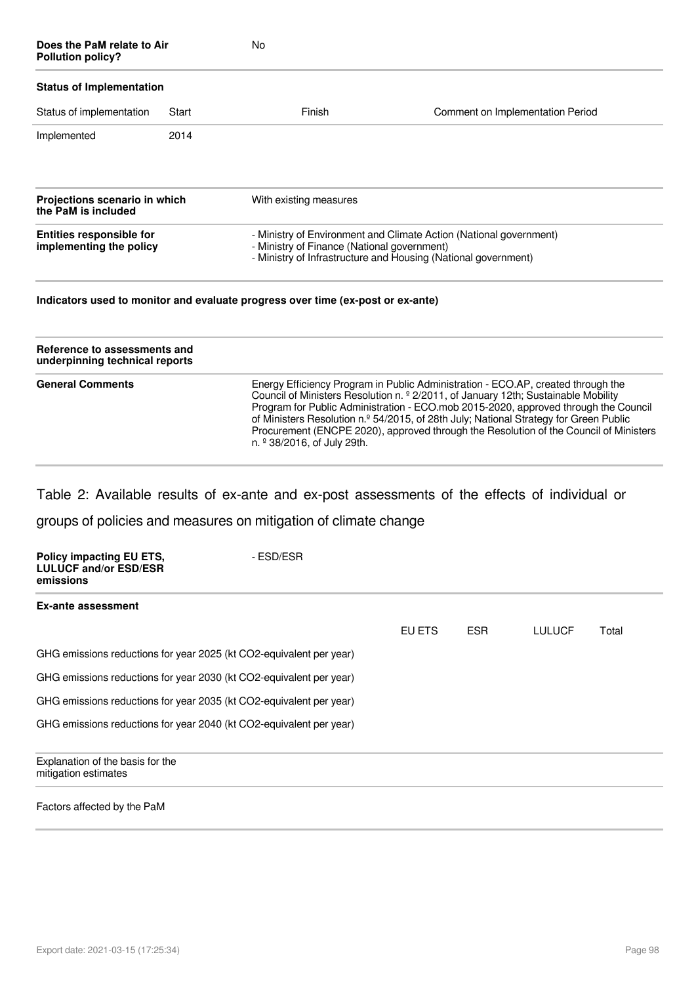| Does the PaM relate to Air<br><b>Pollution policy?</b>     |       | <b>No</b>                                                                       |                                                                                                                                      |
|------------------------------------------------------------|-------|---------------------------------------------------------------------------------|--------------------------------------------------------------------------------------------------------------------------------------|
| <b>Status of Implementation</b>                            |       |                                                                                 |                                                                                                                                      |
| Status of implementation                                   | Start | Finish                                                                          | Comment on Implementation Period                                                                                                     |
| Implemented                                                | 2014  |                                                                                 |                                                                                                                                      |
| Projections scenario in which<br>the PaM is included       |       | With existing measures                                                          |                                                                                                                                      |
| <b>Entities responsible for</b><br>implementing the policy |       | - Ministry of Finance (National government)                                     | - Ministry of Environment and Climate Action (National government)<br>- Ministry of Infrastructure and Housing (National government) |
|                                                            |       | Indicators used to monitor and evaluate progress over time (ex-post or ex-ante) |                                                                                                                                      |

| Reference to assessments and<br>underpinning technical reports |                                                                                                                                                                                                                                                                                                                                                                                                                                                                                           |
|----------------------------------------------------------------|-------------------------------------------------------------------------------------------------------------------------------------------------------------------------------------------------------------------------------------------------------------------------------------------------------------------------------------------------------------------------------------------------------------------------------------------------------------------------------------------|
| <b>General Comments</b>                                        | Energy Efficiency Program in Public Administration - ECO.AP, created through the<br>Council of Ministers Resolution n. º 2/2011, of January 12th; Sustainable Mobility<br>Program for Public Administration - ECO.mob 2015-2020, approved through the Council<br>of Ministers Resolution n.º 54/2015, of 28th July; National Strategy for Green Public<br>Procurement (ENCPE 2020), approved through the Resolution of the Council of Ministers<br>n. <sup>2</sup> 38/2016, of July 29th. |

Table 2: Available results of ex-ante and ex-post assessments of the effects of individual or groups of policies and measures on mitigation of climate change

| <b>Policy impacting EU ETS,</b><br><b>LULUCF and/or ESD/ESR</b><br>emissions | - ESD/ESR |        |            |               |       |
|------------------------------------------------------------------------------|-----------|--------|------------|---------------|-------|
| Ex-ante assessment                                                           |           |        |            |               |       |
|                                                                              |           | EU ETS | <b>ESR</b> | <b>LULUCF</b> | Total |
| GHG emissions reductions for year 2025 (kt CO2-equivalent per year)          |           |        |            |               |       |
| GHG emissions reductions for year 2030 (kt CO2-equivalent per year)          |           |        |            |               |       |
| GHG emissions reductions for year 2035 (kt CO2-equivalent per year)          |           |        |            |               |       |
| GHG emissions reductions for year 2040 (kt CO2-equivalent per year)          |           |        |            |               |       |
| Explanation of the basis for the<br>mitigation estimates                     |           |        |            |               |       |
| Factors affected by the PaM                                                  |           |        |            |               |       |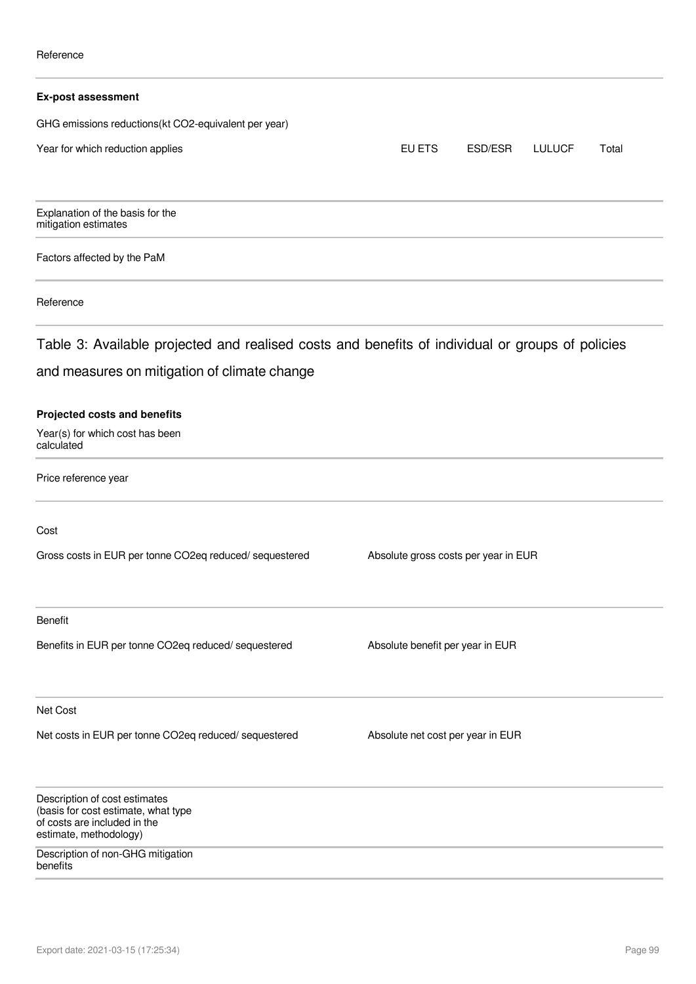| <b>Ex-post assessment</b>                                                                                                      |                                      |         |               |       |
|--------------------------------------------------------------------------------------------------------------------------------|--------------------------------------|---------|---------------|-------|
| GHG emissions reductions(kt CO2-equivalent per year)                                                                           |                                      |         |               |       |
| Year for which reduction applies                                                                                               | EU ETS                               | ESD/ESR | <b>LULUCF</b> | Total |
| Explanation of the basis for the<br>mitigation estimates                                                                       |                                      |         |               |       |
| Factors affected by the PaM                                                                                                    |                                      |         |               |       |
| Reference                                                                                                                      |                                      |         |               |       |
| Table 3: Available projected and realised costs and benefits of individual or groups of policies                               |                                      |         |               |       |
| and measures on mitigation of climate change                                                                                   |                                      |         |               |       |
| <b>Projected costs and benefits</b><br>Year(s) for which cost has been<br>calculated                                           |                                      |         |               |       |
| Price reference year                                                                                                           |                                      |         |               |       |
| Cost                                                                                                                           |                                      |         |               |       |
| Gross costs in EUR per tonne CO2eq reduced/ sequestered                                                                        | Absolute gross costs per year in EUR |         |               |       |
| Benefit                                                                                                                        |                                      |         |               |       |
| Benefits in EUR per tonne CO2eq reduced/ sequestered                                                                           | Absolute benefit per year in EUR     |         |               |       |
| Net Cost                                                                                                                       |                                      |         |               |       |
| Net costs in EUR per tonne CO2eq reduced/sequestered                                                                           | Absolute net cost per year in EUR    |         |               |       |
| Description of cost estimates<br>(basis for cost estimate, what type<br>of costs are included in the<br>estimate, methodology) |                                      |         |               |       |
| Description of non-GHG mitigation<br>benefits                                                                                  |                                      |         |               |       |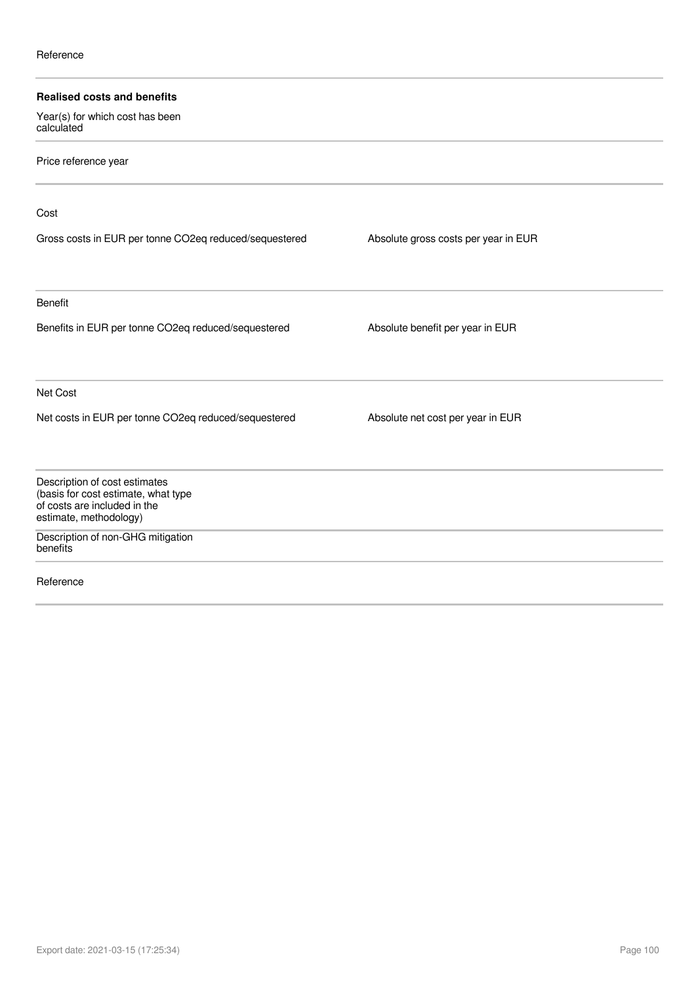| <b>Realised costs and benefits</b>                                                                                             |                                      |  |
|--------------------------------------------------------------------------------------------------------------------------------|--------------------------------------|--|
| Year(s) for which cost has been<br>calculated                                                                                  |                                      |  |
| Price reference year                                                                                                           |                                      |  |
| Cost                                                                                                                           |                                      |  |
| Gross costs in EUR per tonne CO2eq reduced/sequestered                                                                         | Absolute gross costs per year in EUR |  |
| <b>Benefit</b>                                                                                                                 |                                      |  |
| Benefits in EUR per tonne CO2eq reduced/sequestered                                                                            | Absolute benefit per year in EUR     |  |
| Net Cost                                                                                                                       |                                      |  |
| Net costs in EUR per tonne CO2eq reduced/sequestered                                                                           | Absolute net cost per year in EUR    |  |
| Description of cost estimates<br>(basis for cost estimate, what type<br>of costs are included in the<br>estimate, methodology) |                                      |  |
| Description of non-GHG mitigation<br>benefits                                                                                  |                                      |  |
| Reference                                                                                                                      |                                      |  |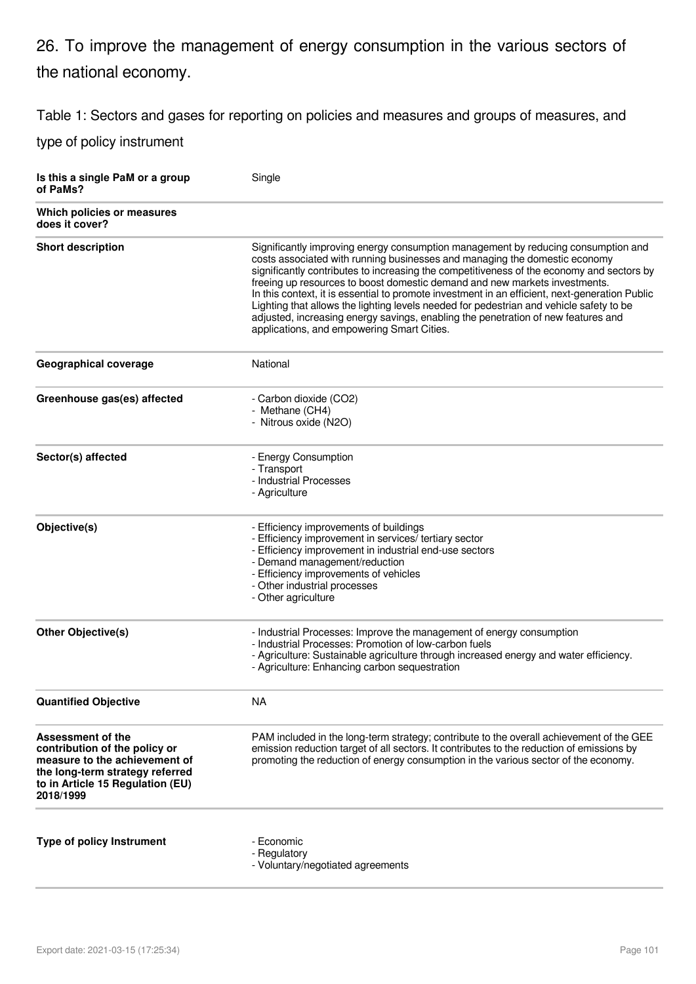# 26. To improve the management of energy consumption in the various sectors of the national economy.

Table 1: Sectors and gases for reporting on policies and measures and groups of measures, and

| Is this a single PaM or a group<br>of PaMs?                                                                                                                             | Single                                                                                                                                                                                                                                                                                                                                                                                                                                                                                                                                                                                                                                                                     |
|-------------------------------------------------------------------------------------------------------------------------------------------------------------------------|----------------------------------------------------------------------------------------------------------------------------------------------------------------------------------------------------------------------------------------------------------------------------------------------------------------------------------------------------------------------------------------------------------------------------------------------------------------------------------------------------------------------------------------------------------------------------------------------------------------------------------------------------------------------------|
| Which policies or measures<br>does it cover?                                                                                                                            |                                                                                                                                                                                                                                                                                                                                                                                                                                                                                                                                                                                                                                                                            |
| <b>Short description</b>                                                                                                                                                | Significantly improving energy consumption management by reducing consumption and<br>costs associated with running businesses and managing the domestic economy<br>significantly contributes to increasing the competitiveness of the economy and sectors by<br>freeing up resources to boost domestic demand and new markets investments.<br>In this context, it is essential to promote investment in an efficient, next-generation Public<br>Lighting that allows the lighting levels needed for pedestrian and vehicle safety to be<br>adjusted, increasing energy savings, enabling the penetration of new features and<br>applications, and empowering Smart Cities. |
| <b>Geographical coverage</b>                                                                                                                                            | National                                                                                                                                                                                                                                                                                                                                                                                                                                                                                                                                                                                                                                                                   |
| Greenhouse gas(es) affected                                                                                                                                             | - Carbon dioxide (CO2)<br>- Methane (CH4)<br>- Nitrous oxide (N2O)                                                                                                                                                                                                                                                                                                                                                                                                                                                                                                                                                                                                         |
| Sector(s) affected                                                                                                                                                      | - Energy Consumption<br>- Transport<br>- Industrial Processes<br>- Agriculture                                                                                                                                                                                                                                                                                                                                                                                                                                                                                                                                                                                             |
| Objective(s)                                                                                                                                                            | - Efficiency improvements of buildings<br>- Efficiency improvement in services/ tertiary sector<br>- Efficiency improvement in industrial end-use sectors<br>- Demand management/reduction<br>- Efficiency improvements of vehicles<br>- Other industrial processes<br>- Other agriculture                                                                                                                                                                                                                                                                                                                                                                                 |
| <b>Other Objective(s)</b>                                                                                                                                               | - Industrial Processes: Improve the management of energy consumption<br>- Industrial Processes: Promotion of low-carbon fuels<br>- Agriculture: Sustainable agriculture through increased energy and water efficiency.<br>- Agriculture: Enhancing carbon sequestration                                                                                                                                                                                                                                                                                                                                                                                                    |
| <b>Quantified Objective</b>                                                                                                                                             | <b>NA</b>                                                                                                                                                                                                                                                                                                                                                                                                                                                                                                                                                                                                                                                                  |
| Assessment of the<br>contribution of the policy or<br>measure to the achievement of<br>the long-term strategy referred<br>to in Article 15 Regulation (EU)<br>2018/1999 | PAM included in the long-term strategy; contribute to the overall achievement of the GEE<br>emission reduction target of all sectors. It contributes to the reduction of emissions by<br>promoting the reduction of energy consumption in the various sector of the economy.                                                                                                                                                                                                                                                                                                                                                                                               |
| <b>Type of policy Instrument</b>                                                                                                                                        | - Economic<br>- Regulatory<br>- Voluntary/negotiated agreements                                                                                                                                                                                                                                                                                                                                                                                                                                                                                                                                                                                                            |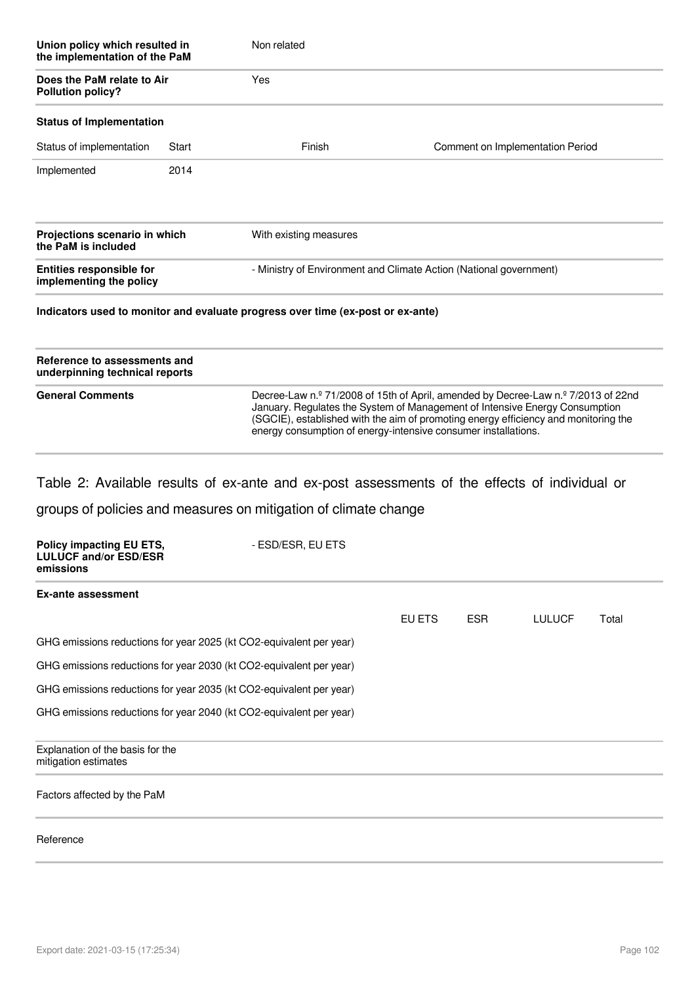| Union policy which resulted in<br>the implementation of the PaM<br>Does the PaM relate to Air<br><b>Pollution policy?</b> |       | Non related<br>Yes                                                 |                                  |  |  |
|---------------------------------------------------------------------------------------------------------------------------|-------|--------------------------------------------------------------------|----------------------------------|--|--|
|                                                                                                                           |       |                                                                    |                                  |  |  |
| Status of implementation                                                                                                  | Start | Finish                                                             | Comment on Implementation Period |  |  |
| Implemented                                                                                                               | 2014  |                                                                    |                                  |  |  |
| Projections scenario in which<br>the PaM is included                                                                      |       | With existing measures                                             |                                  |  |  |
| <b>Entities responsible for</b><br>implementing the policy                                                                |       | - Ministry of Environment and Climate Action (National government) |                                  |  |  |

### **Indicators used to monitor and evaluate progress over time (ex-post or ex-ante)**

| Reference to assessments and<br>underpinning technical reports |                                                                                                                                                                                                                                                                                                                           |
|----------------------------------------------------------------|---------------------------------------------------------------------------------------------------------------------------------------------------------------------------------------------------------------------------------------------------------------------------------------------------------------------------|
| <b>General Comments</b>                                        | Decree-Law n.º 71/2008 of 15th of April, amended by Decree-Law n.º 7/2013 of 22nd<br>January. Regulates the System of Management of Intensive Energy Consumption<br>(SGCIE), established with the aim of promoting energy efficiency and monitoring the<br>energy consumption of energy-intensive consumer installations. |

Table 2: Available results of ex-ante and ex-post assessments of the effects of individual or

groups of policies and measures on mitigation of climate change

| Policy impacting EU ETS,<br><b>LULUCF and/or ESD/ESR</b><br>emissions | - ESD/ESR, EU ETS |        |      |               |       |
|-----------------------------------------------------------------------|-------------------|--------|------|---------------|-------|
| Ex-ante assessment                                                    |                   |        |      |               |       |
|                                                                       |                   | EU ETS | ESR. | <b>LULUCF</b> | Total |
| GHG emissions reductions for year 2025 (kt CO2-equivalent per year)   |                   |        |      |               |       |
| GHG emissions reductions for year 2030 (kt CO2-equivalent per year)   |                   |        |      |               |       |
| GHG emissions reductions for year 2035 (kt CO2-equivalent per year)   |                   |        |      |               |       |
| GHG emissions reductions for year 2040 (kt CO2-equivalent per year)   |                   |        |      |               |       |
| Explanation of the basis for the<br>mitigation estimates              |                   |        |      |               |       |
| Factors affected by the PaM                                           |                   |        |      |               |       |
| Reference                                                             |                   |        |      |               |       |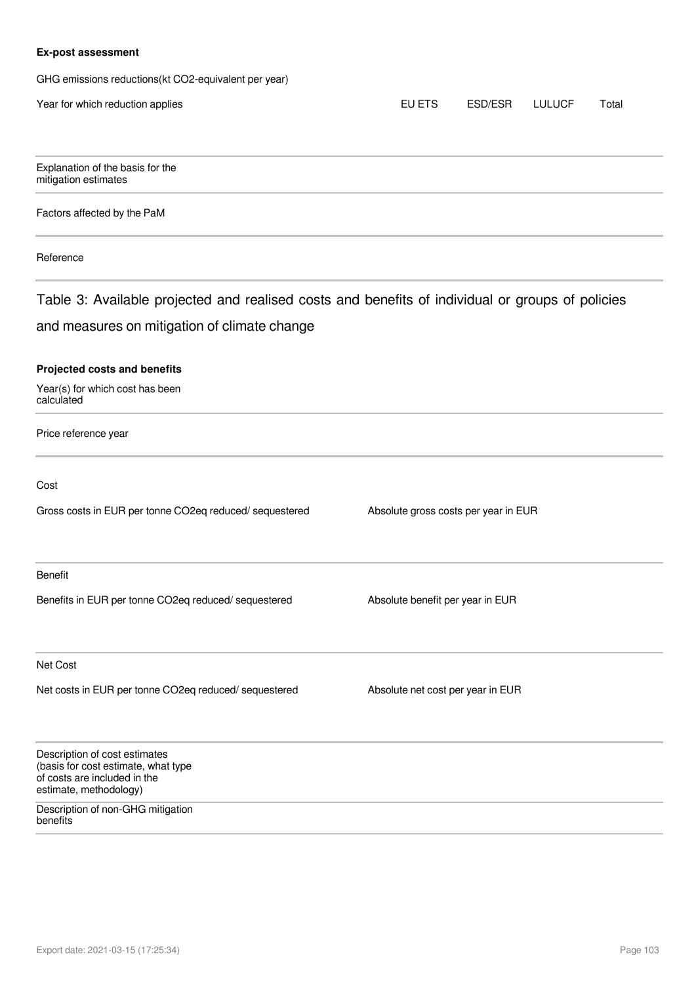### **Ex-post assessment**

GHG emissions reductions(kt CO2-equivalent per year)

| Year for which reduction applies                                                                                               | EU ETS                               | ESD/ESR | <b>LULUCF</b> | Total |
|--------------------------------------------------------------------------------------------------------------------------------|--------------------------------------|---------|---------------|-------|
| Explanation of the basis for the<br>mitigation estimates                                                                       |                                      |         |               |       |
| Factors affected by the PaM                                                                                                    |                                      |         |               |       |
| Reference                                                                                                                      |                                      |         |               |       |
| Table 3: Available projected and realised costs and benefits of individual or groups of policies                               |                                      |         |               |       |
| and measures on mitigation of climate change                                                                                   |                                      |         |               |       |
| <b>Projected costs and benefits</b><br>Year(s) for which cost has been<br>calculated                                           |                                      |         |               |       |
| Price reference year                                                                                                           |                                      |         |               |       |
| Cost                                                                                                                           |                                      |         |               |       |
| Gross costs in EUR per tonne CO2eq reduced/ sequestered                                                                        | Absolute gross costs per year in EUR |         |               |       |
| <b>Benefit</b>                                                                                                                 |                                      |         |               |       |
| Benefits in EUR per tonne CO2eq reduced/ sequestered                                                                           | Absolute benefit per year in EUR     |         |               |       |
| Net Cost                                                                                                                       |                                      |         |               |       |
| Net costs in EUR per tonne CO2eq reduced/ sequestered                                                                          | Absolute net cost per year in EUR    |         |               |       |
| Description of cost estimates<br>(basis for cost estimate, what type<br>of costs are included in the<br>estimate, methodology) |                                      |         |               |       |
| Description of non-GHG mitigation<br>benefits                                                                                  |                                      |         |               |       |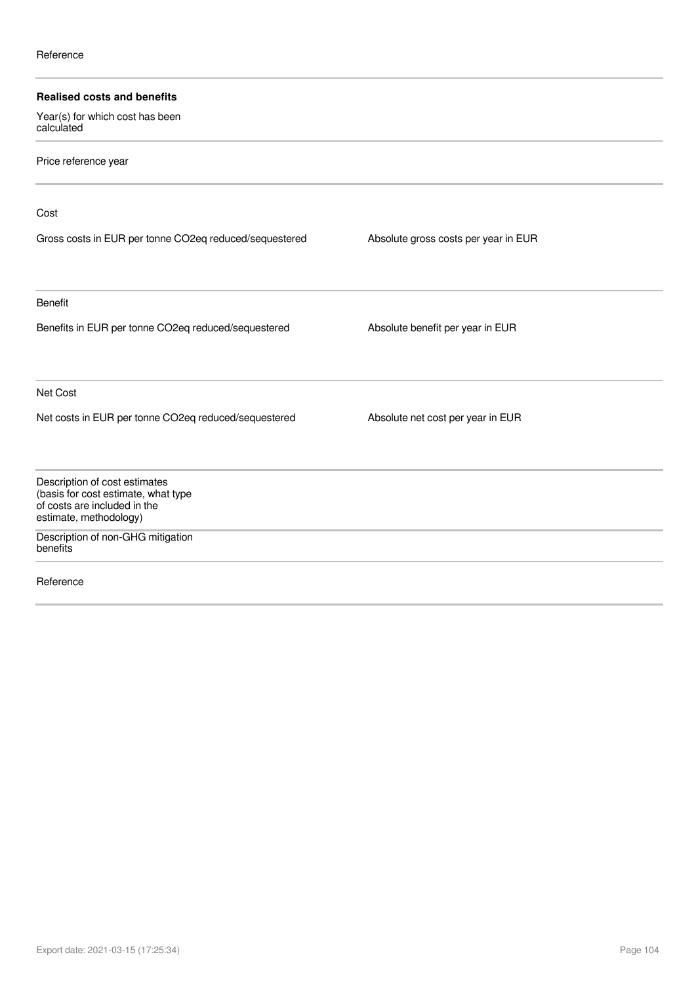| <b>Realised costs and benefits</b>                                                                                             |                                      |  |
|--------------------------------------------------------------------------------------------------------------------------------|--------------------------------------|--|
| Year(s) for which cost has been<br>calculated                                                                                  |                                      |  |
| Price reference year                                                                                                           |                                      |  |
| Cost                                                                                                                           |                                      |  |
| Gross costs in EUR per tonne CO2eq reduced/sequestered                                                                         | Absolute gross costs per year in EUR |  |
| Benefit                                                                                                                        |                                      |  |
| Benefits in EUR per tonne CO2eq reduced/sequestered                                                                            | Absolute benefit per year in EUR     |  |
| Net Cost                                                                                                                       |                                      |  |
| Net costs in EUR per tonne CO2eq reduced/sequestered                                                                           | Absolute net cost per year in EUR    |  |
| Description of cost estimates<br>(basis for cost estimate, what type<br>of costs are included in the<br>estimate, methodology) |                                      |  |
| Description of non-GHG mitigation<br>benefits                                                                                  |                                      |  |
| Reference                                                                                                                      |                                      |  |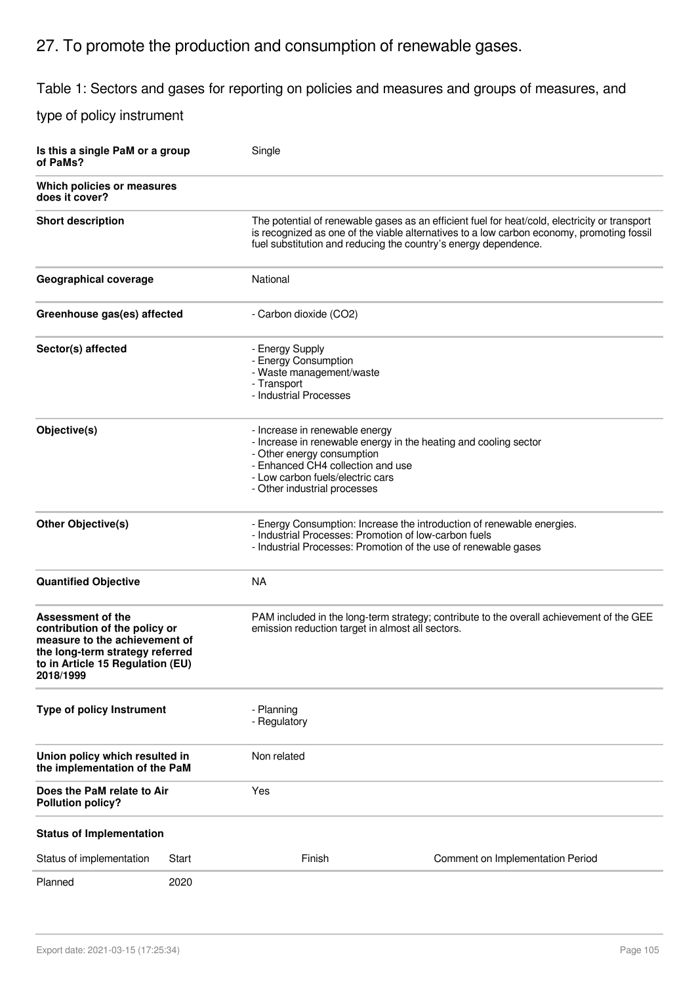# 27. To promote the production and consumption of renewable gases.

## Table 1: Sectors and gases for reporting on policies and measures and groups of measures, and

| Is this a single PaM or a group<br>of PaMs?                                                                                                                             |       | Single                                                                                                                                                                                                                                                        |                                                                                                                                           |  |
|-------------------------------------------------------------------------------------------------------------------------------------------------------------------------|-------|---------------------------------------------------------------------------------------------------------------------------------------------------------------------------------------------------------------------------------------------------------------|-------------------------------------------------------------------------------------------------------------------------------------------|--|
| Which policies or measures<br>does it cover?                                                                                                                            |       |                                                                                                                                                                                                                                                               |                                                                                                                                           |  |
| <b>Short description</b>                                                                                                                                                |       | The potential of renewable gases as an efficient fuel for heat/cold, electricity or transport<br>is recognized as one of the viable alternatives to a low carbon economy, promoting fossil<br>fuel substitution and reducing the country's energy dependence. |                                                                                                                                           |  |
| Geographical coverage                                                                                                                                                   |       | National                                                                                                                                                                                                                                                      |                                                                                                                                           |  |
| Greenhouse gas(es) affected                                                                                                                                             |       | - Carbon dioxide (CO2)                                                                                                                                                                                                                                        |                                                                                                                                           |  |
| Sector(s) affected                                                                                                                                                      |       | - Energy Supply<br>- Energy Consumption<br>- Waste management/waste<br>- Transport<br>- Industrial Processes                                                                                                                                                  |                                                                                                                                           |  |
| Objective(s)                                                                                                                                                            |       | - Increase in renewable energy<br>- Increase in renewable energy in the heating and cooling sector<br>- Other energy consumption<br>- Enhanced CH4 collection and use<br>- Low carbon fuels/electric cars<br>- Other industrial processes                     |                                                                                                                                           |  |
| <b>Other Objective(s)</b>                                                                                                                                               |       | - Industrial Processes: Promotion of low-carbon fuels                                                                                                                                                                                                         | - Energy Consumption: Increase the introduction of renewable energies.<br>- Industrial Processes: Promotion of the use of renewable gases |  |
| <b>Quantified Objective</b>                                                                                                                                             |       | <b>NA</b>                                                                                                                                                                                                                                                     |                                                                                                                                           |  |
| Assessment of the<br>contribution of the policy or<br>measure to the achievement of<br>the long-term strategy referred<br>to in Article 15 Regulation (EU)<br>2018/1999 |       | emission reduction target in almost all sectors.                                                                                                                                                                                                              | PAM included in the long-term strategy; contribute to the overall achievement of the GEE                                                  |  |
| Type of policy Instrument                                                                                                                                               |       | - Planning<br>- Regulatory                                                                                                                                                                                                                                    |                                                                                                                                           |  |
| Union policy which resulted in<br>the implementation of the PaM                                                                                                         |       | Non related                                                                                                                                                                                                                                                   |                                                                                                                                           |  |
| Does the PaM relate to Air<br><b>Pollution policy?</b>                                                                                                                  |       | Yes                                                                                                                                                                                                                                                           |                                                                                                                                           |  |
| <b>Status of Implementation</b>                                                                                                                                         |       |                                                                                                                                                                                                                                                               |                                                                                                                                           |  |
| Status of implementation                                                                                                                                                | Start | Finish                                                                                                                                                                                                                                                        | Comment on Implementation Period                                                                                                          |  |
| Planned                                                                                                                                                                 | 2020  |                                                                                                                                                                                                                                                               |                                                                                                                                           |  |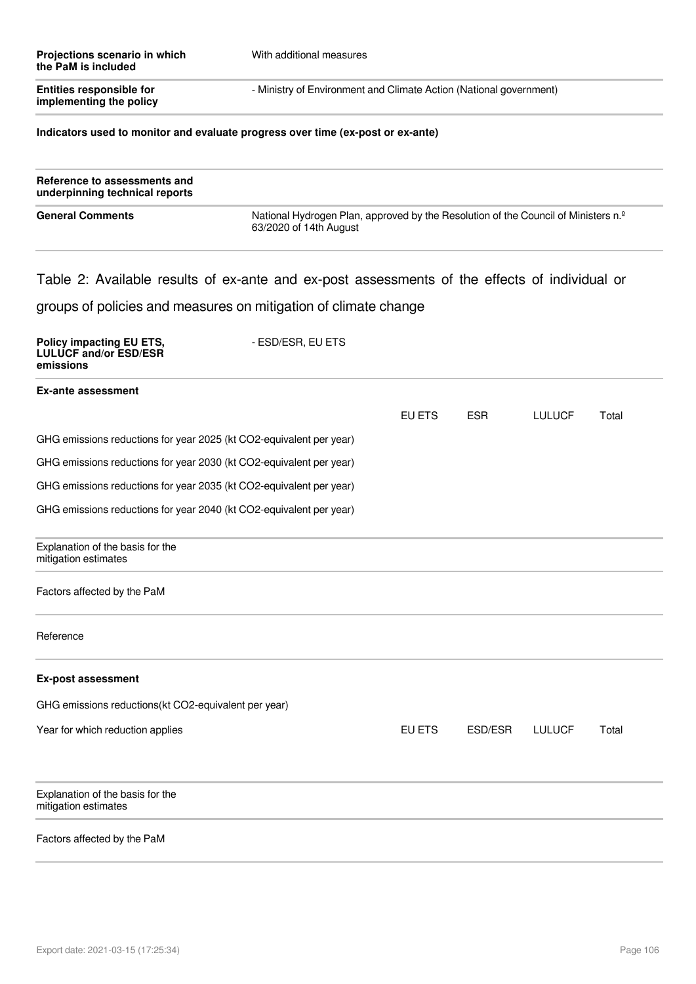|                         | Projections scenario in which<br>the PaM is included | With additional measures                                           |
|-------------------------|------------------------------------------------------|--------------------------------------------------------------------|
| implementing the policy | <b>Entities responsible for</b>                      | - Ministry of Environment and Climate Action (National government) |

### **Indicators used to monitor and evaluate progress over time (ex-post or ex-ante)**

| Reference to assessments and<br>underpinning technical reports |                                                                                                                          |
|----------------------------------------------------------------|--------------------------------------------------------------------------------------------------------------------------|
| <b>General Comments</b>                                        | National Hydrogen Plan, approved by the Resolution of the Council of Ministers n. <sup>2</sup><br>63/2020 of 14th August |

### Table 2: Available results of ex-ante and ex-post assessments of the effects of individual or

### groups of policies and measures on mitigation of climate change

| Policy impacting EU ETS,<br><b>LULUCF and/or ESD/ESR</b><br>emissions | - ESD/ESR, EU ETS |        |            |               |       |
|-----------------------------------------------------------------------|-------------------|--------|------------|---------------|-------|
| <b>Ex-ante assessment</b>                                             |                   |        |            |               |       |
|                                                                       |                   | EU ETS | <b>ESR</b> | <b>LULUCF</b> | Total |
| GHG emissions reductions for year 2025 (kt CO2-equivalent per year)   |                   |        |            |               |       |
| GHG emissions reductions for year 2030 (kt CO2-equivalent per year)   |                   |        |            |               |       |
| GHG emissions reductions for year 2035 (kt CO2-equivalent per year)   |                   |        |            |               |       |
| GHG emissions reductions for year 2040 (kt CO2-equivalent per year)   |                   |        |            |               |       |
| Explanation of the basis for the<br>mitigation estimates              |                   |        |            |               |       |
| Factors affected by the PaM                                           |                   |        |            |               |       |
| Reference                                                             |                   |        |            |               |       |
| <b>Ex-post assessment</b>                                             |                   |        |            |               |       |
| GHG emissions reductions(kt CO2-equivalent per year)                  |                   |        |            |               |       |
| Year for which reduction applies                                      |                   | EU ETS | ESD/ESR    | <b>LULUCF</b> | Total |
| Explanation of the basis for the<br>mitigation estimates              |                   |        |            |               |       |
| Factors affected by the PaM                                           |                   |        |            |               |       |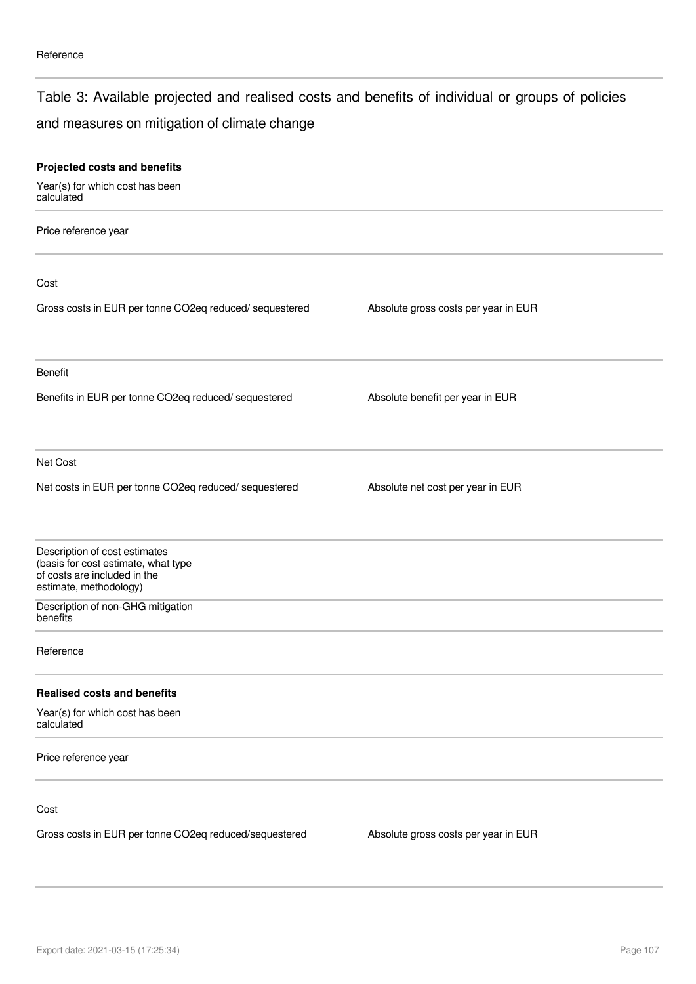### Table 3: Available projected and realised costs and benefits of individual or groups of policies

### and measures on mitigation of climate change

| Projected costs and benefits                                                                                                   |                                      |  |
|--------------------------------------------------------------------------------------------------------------------------------|--------------------------------------|--|
| Year(s) for which cost has been<br>calculated                                                                                  |                                      |  |
| Price reference year                                                                                                           |                                      |  |
| Cost                                                                                                                           |                                      |  |
| Gross costs in EUR per tonne CO2eq reduced/ sequestered                                                                        | Absolute gross costs per year in EUR |  |
| Benefit                                                                                                                        |                                      |  |
| Benefits in EUR per tonne CO2eq reduced/ sequestered                                                                           | Absolute benefit per year in EUR     |  |
| Net Cost                                                                                                                       |                                      |  |
| Net costs in EUR per tonne CO2eq reduced/ sequestered                                                                          | Absolute net cost per year in EUR    |  |
| Description of cost estimates<br>(basis for cost estimate, what type<br>of costs are included in the<br>estimate, methodology) |                                      |  |
| Description of non-GHG mitigation<br>benefits                                                                                  |                                      |  |
| Reference                                                                                                                      |                                      |  |
| <b>Realised costs and benefits</b>                                                                                             |                                      |  |
| Year(s) for which cost has been<br>calculated                                                                                  |                                      |  |
| Price reference year                                                                                                           |                                      |  |
| Cost                                                                                                                           |                                      |  |
| Gross costs in EUR per tonne CO2eq reduced/sequestered                                                                         | Absolute gross costs per year in EUR |  |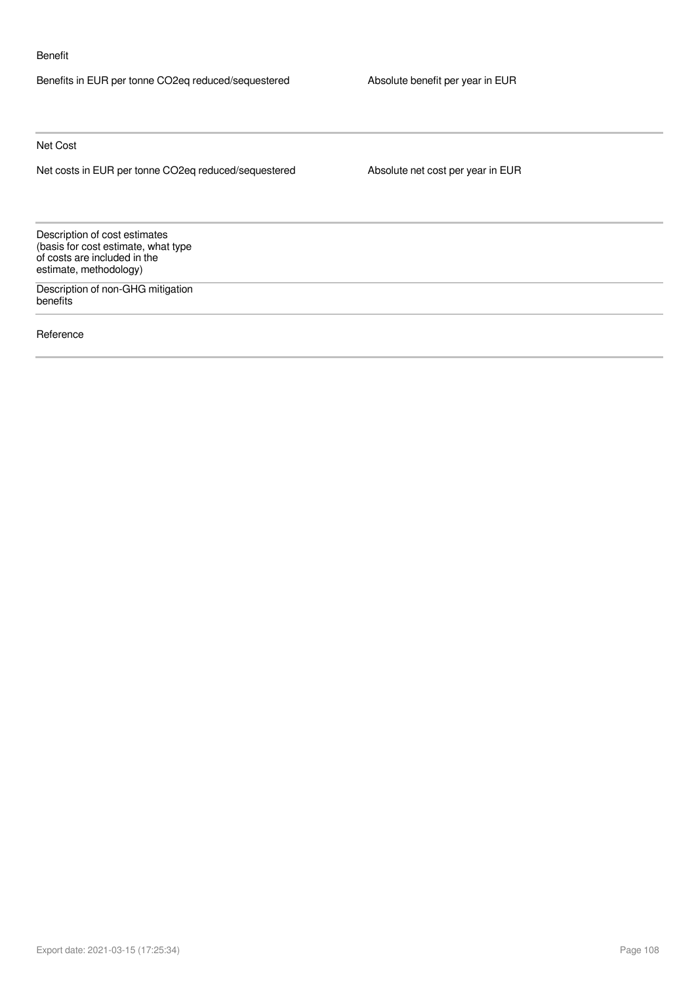#### Benefit

Benefits in EUR per tonne CO2eq reduced/sequestered Absolute benefit per year in EUR

Net Cost

Net costs in EUR per tonne CO2eq reduced/sequestered Absolute net cost per year in EUR

Description of cost estimates (basis for cost estimate, what type of costs are included in the estimate, methodology)

Description of non-GHG mitigation benefits

Reference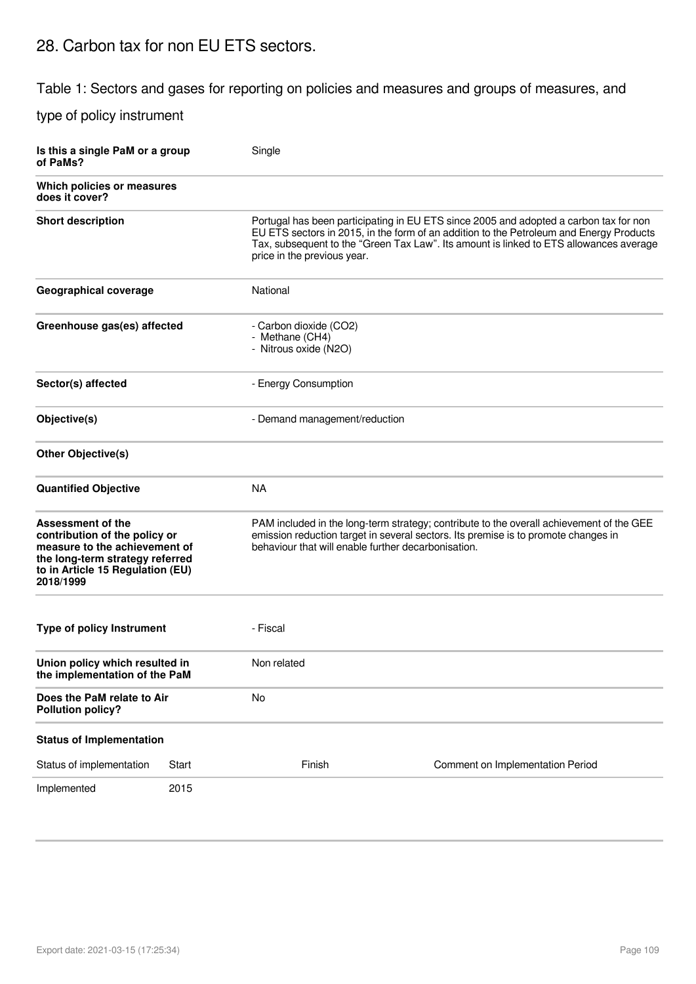### 28. Carbon tax for non EU ETS sectors.

Table 1: Sectors and gases for reporting on policies and measures and groups of measures, and

type of policy instrument

| Is this a single PaM or a group<br>of PaMs?                                                                                                                             |       | Single                                                                                                                                                                                                                                |                                                                                                                                                                                                                                                                            |  |  |
|-------------------------------------------------------------------------------------------------------------------------------------------------------------------------|-------|---------------------------------------------------------------------------------------------------------------------------------------------------------------------------------------------------------------------------------------|----------------------------------------------------------------------------------------------------------------------------------------------------------------------------------------------------------------------------------------------------------------------------|--|--|
| Which policies or measures<br>does it cover?                                                                                                                            |       |                                                                                                                                                                                                                                       |                                                                                                                                                                                                                                                                            |  |  |
| <b>Short description</b>                                                                                                                                                |       | price in the previous year.                                                                                                                                                                                                           | Portugal has been participating in EU ETS since 2005 and adopted a carbon tax for non<br>EU ETS sectors in 2015, in the form of an addition to the Petroleum and Energy Products<br>Tax, subsequent to the "Green Tax Law". Its amount is linked to ETS allowances average |  |  |
| <b>Geographical coverage</b>                                                                                                                                            |       | National                                                                                                                                                                                                                              |                                                                                                                                                                                                                                                                            |  |  |
| Greenhouse gas(es) affected                                                                                                                                             |       | - Carbon dioxide (CO2)<br>- Methane (CH4)<br>- Nitrous oxide (N2O)                                                                                                                                                                    |                                                                                                                                                                                                                                                                            |  |  |
| Sector(s) affected                                                                                                                                                      |       | - Energy Consumption                                                                                                                                                                                                                  |                                                                                                                                                                                                                                                                            |  |  |
| Objective(s)                                                                                                                                                            |       | - Demand management/reduction                                                                                                                                                                                                         |                                                                                                                                                                                                                                                                            |  |  |
| <b>Other Objective(s)</b>                                                                                                                                               |       |                                                                                                                                                                                                                                       |                                                                                                                                                                                                                                                                            |  |  |
| <b>Quantified Objective</b>                                                                                                                                             |       | <b>NA</b>                                                                                                                                                                                                                             |                                                                                                                                                                                                                                                                            |  |  |
| Assessment of the<br>contribution of the policy or<br>measure to the achievement of<br>the long-term strategy referred<br>to in Article 15 Regulation (EU)<br>2018/1999 |       | PAM included in the long-term strategy; contribute to the overall achievement of the GEE<br>emission reduction target in several sectors. Its premise is to promote changes in<br>behaviour that will enable further decarbonisation. |                                                                                                                                                                                                                                                                            |  |  |
| <b>Type of policy Instrument</b>                                                                                                                                        |       | - Fiscal                                                                                                                                                                                                                              |                                                                                                                                                                                                                                                                            |  |  |
| Union policy which resulted in<br>the implementation of the PaM                                                                                                         |       | Non related                                                                                                                                                                                                                           |                                                                                                                                                                                                                                                                            |  |  |
| Does the PaM relate to Air<br><b>Pollution policy?</b>                                                                                                                  |       | No                                                                                                                                                                                                                                    |                                                                                                                                                                                                                                                                            |  |  |
| <b>Status of Implementation</b>                                                                                                                                         |       |                                                                                                                                                                                                                                       |                                                                                                                                                                                                                                                                            |  |  |
| Status of implementation                                                                                                                                                | Start | Finish                                                                                                                                                                                                                                | Comment on Implementation Period                                                                                                                                                                                                                                           |  |  |
| Implemented                                                                                                                                                             | 2015  |                                                                                                                                                                                                                                       |                                                                                                                                                                                                                                                                            |  |  |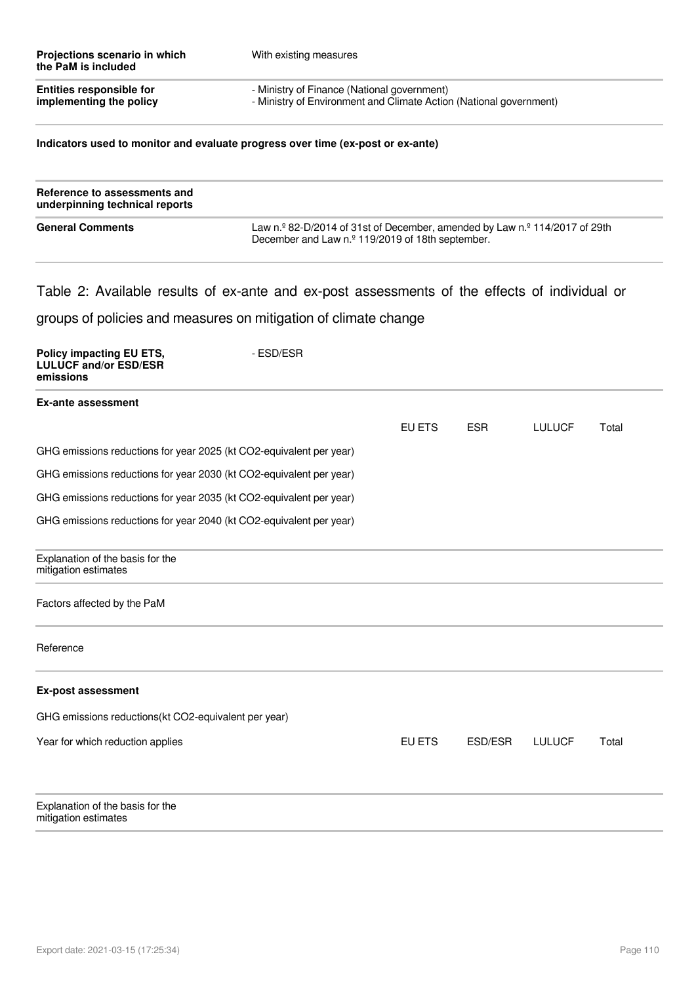| Projections scenario in which<br>the PaM is included | With existing measures                                             |
|------------------------------------------------------|--------------------------------------------------------------------|
| <b>Entities responsible for</b>                      | - Ministry of Finance (National government)                        |
| implementing the policy                              | - Ministry of Environment and Climate Action (National government) |

### **Indicators used to monitor and evaluate progress over time (ex-post or ex-ante)**

| Reference to assessments and<br>underpinning technical reports |                                                                                                                                                              |
|----------------------------------------------------------------|--------------------------------------------------------------------------------------------------------------------------------------------------------------|
| <b>General Comments</b>                                        | Law n. $\degree$ 82-D/2014 of 31st of December, amended by Law n. $\degree$ 114/2017 of 29th<br>December and Law n. <sup>o</sup> 119/2019 of 18th september. |

### Table 2: Available results of ex-ante and ex-post assessments of the effects of individual or

groups of policies and measures on mitigation of climate change

| Policy impacting EU ETS,<br><b>LULUCF and/or ESD/ESR</b><br>emissions | - ESD/ESR |        |            |               |       |
|-----------------------------------------------------------------------|-----------|--------|------------|---------------|-------|
| <b>Ex-ante assessment</b>                                             |           |        |            |               |       |
|                                                                       |           | EU ETS | <b>ESR</b> | <b>LULUCF</b> | Total |
| GHG emissions reductions for year 2025 (kt CO2-equivalent per year)   |           |        |            |               |       |
| GHG emissions reductions for year 2030 (kt CO2-equivalent per year)   |           |        |            |               |       |
| GHG emissions reductions for year 2035 (kt CO2-equivalent per year)   |           |        |            |               |       |
| GHG emissions reductions for year 2040 (kt CO2-equivalent per year)   |           |        |            |               |       |
| Explanation of the basis for the<br>mitigation estimates              |           |        |            |               |       |
| Factors affected by the PaM                                           |           |        |            |               |       |
| Reference                                                             |           |        |            |               |       |
| <b>Ex-post assessment</b>                                             |           |        |            |               |       |
| GHG emissions reductions(kt CO2-equivalent per year)                  |           |        |            |               |       |
| Year for which reduction applies                                      |           | EU ETS | ESD/ESR    | <b>LULUCF</b> | Total |
| Explanation of the basis for the<br>mitigation estimates              |           |        |            |               |       |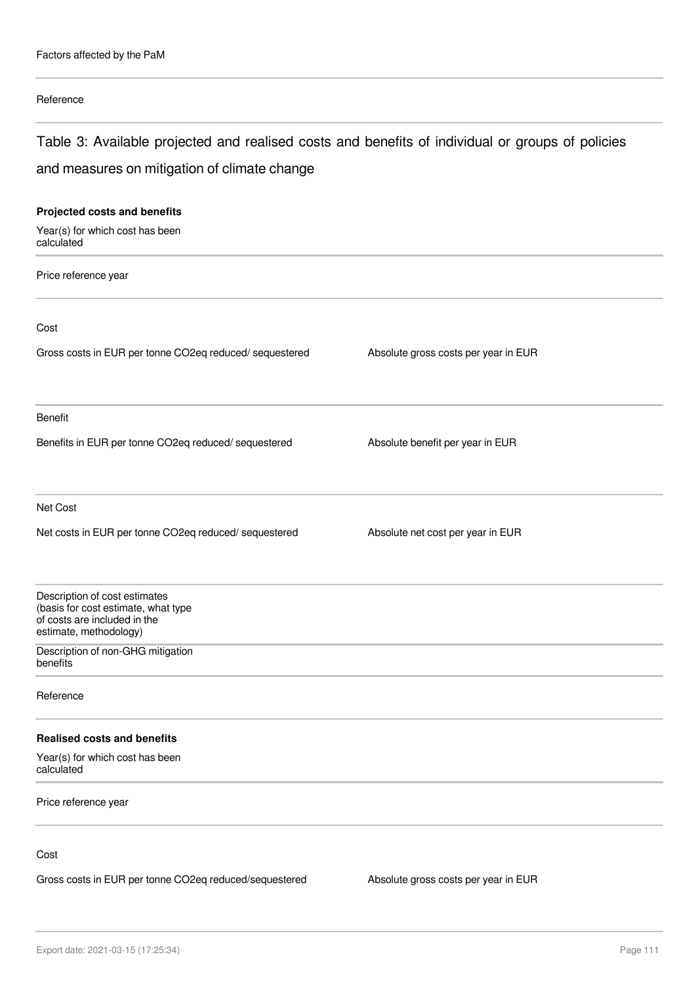### Reference

# Table 3: Available projected and realised costs and benefits of individual or groups of policies and measures on mitigation of climate change

| Projected costs and benefits                                                                                                   |                                      |
|--------------------------------------------------------------------------------------------------------------------------------|--------------------------------------|
| Year(s) for which cost has been<br>calculated                                                                                  |                                      |
| Price reference year                                                                                                           |                                      |
| Cost                                                                                                                           |                                      |
| Gross costs in EUR per tonne CO2eq reduced/sequestered                                                                         | Absolute gross costs per year in EUR |
| Benefit                                                                                                                        |                                      |
| Benefits in EUR per tonne CO2eq reduced/ sequestered                                                                           | Absolute benefit per year in EUR     |
| Net Cost                                                                                                                       |                                      |
| Net costs in EUR per tonne CO2eq reduced/ sequestered                                                                          | Absolute net cost per year in EUR    |
| Description of cost estimates<br>(basis for cost estimate, what type<br>of costs are included in the<br>estimate, methodology) |                                      |
| Description of non-GHG mitigation<br>benefits                                                                                  |                                      |
| Reference                                                                                                                      |                                      |
| <b>Realised costs and benefits</b>                                                                                             |                                      |
| Year(s) for which cost has been<br>calculated                                                                                  |                                      |
| Price reference year                                                                                                           |                                      |
| Cost                                                                                                                           |                                      |

Gross costs in EUR per tonne CO2eq reduced/sequestered Absolute gross costs per year in EUR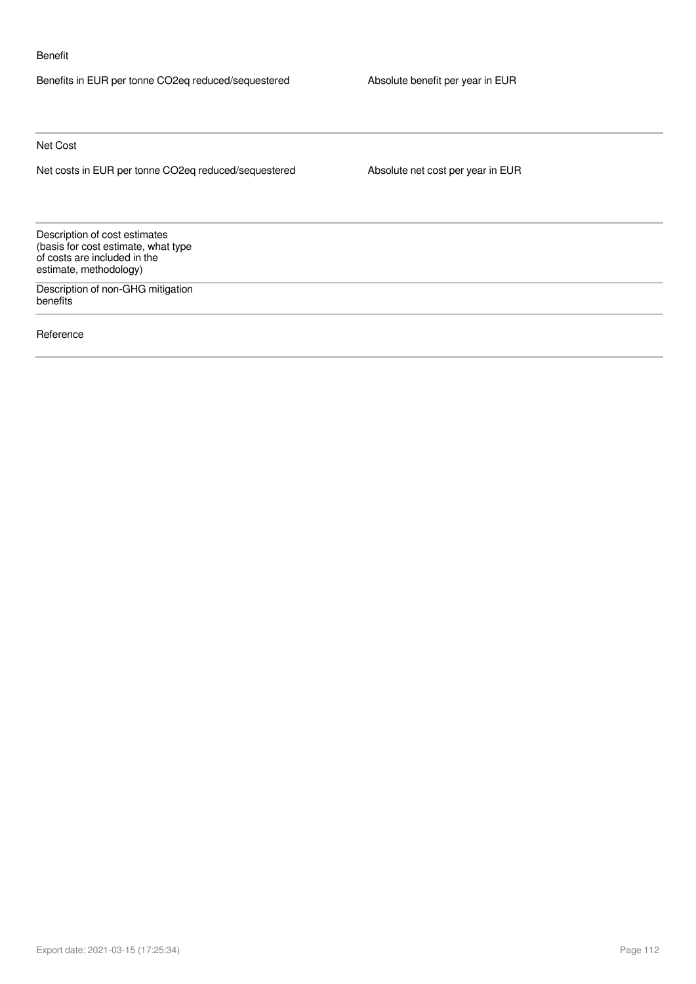#### Benefit

Benefits in EUR per tonne CO2eq reduced/sequestered Absolute benefit per year in EUR

Net Cost

Net costs in EUR per tonne CO2eq reduced/sequestered Absolute net cost per year in EUR

Description of cost estimates (basis for cost estimate, what type of costs are included in the estimate, methodology)

Description of non-GHG mitigation benefits

Reference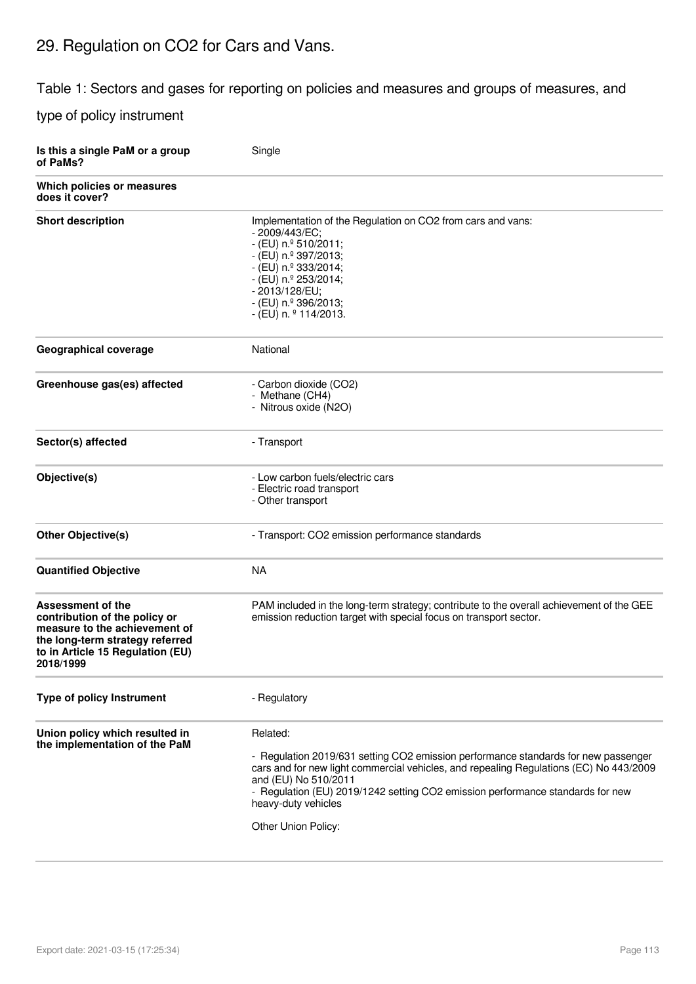# 29. Regulation on CO2 for Cars and Vans.

Table 1: Sectors and gases for reporting on policies and measures and groups of measures, and

type of policy instrument

| Is this a single PaM or a group<br>of PaMs?                                                                                                                                    | Single                                                                                                                                                                                                                                                                                                                                           |
|--------------------------------------------------------------------------------------------------------------------------------------------------------------------------------|--------------------------------------------------------------------------------------------------------------------------------------------------------------------------------------------------------------------------------------------------------------------------------------------------------------------------------------------------|
| Which policies or measures<br>does it cover?                                                                                                                                   |                                                                                                                                                                                                                                                                                                                                                  |
| <b>Short description</b>                                                                                                                                                       | Implementation of the Regulation on CO2 from cars and vans:<br>- 2009/443/EC;<br>$-$ (EU) n. $9$ 510/2011;<br>- (EU) n.º 397/2013;<br>$-$ (EU) n. $9$ 333/2014;<br>- (EU) n.º 253/2014;<br>- 2013/128/EU;<br>- (EU) n.º 396/2013;<br>$-$ (EU) n. $9$ 114/2013.                                                                                   |
| <b>Geographical coverage</b>                                                                                                                                                   | National                                                                                                                                                                                                                                                                                                                                         |
| Greenhouse gas(es) affected                                                                                                                                                    | - Carbon dioxide (CO2)<br>- Methane (CH4)<br>- Nitrous oxide (N2O)                                                                                                                                                                                                                                                                               |
| Sector(s) affected                                                                                                                                                             | - Transport                                                                                                                                                                                                                                                                                                                                      |
| Objective(s)                                                                                                                                                                   | - Low carbon fuels/electric cars<br>- Electric road transport<br>- Other transport                                                                                                                                                                                                                                                               |
| Other Objective(s)                                                                                                                                                             | - Transport: CO2 emission performance standards                                                                                                                                                                                                                                                                                                  |
| <b>Quantified Objective</b>                                                                                                                                                    | <b>NA</b>                                                                                                                                                                                                                                                                                                                                        |
| <b>Assessment of the</b><br>contribution of the policy or<br>measure to the achievement of<br>the long-term strategy referred<br>to in Article 15 Regulation (EU)<br>2018/1999 | PAM included in the long-term strategy; contribute to the overall achievement of the GEE<br>emission reduction target with special focus on transport sector.                                                                                                                                                                                    |
| <b>Type of policy Instrument</b>                                                                                                                                               | - Regulatory                                                                                                                                                                                                                                                                                                                                     |
| Union policy which resulted in<br>the implementation of the PaM                                                                                                                | Related:<br>- Regulation 2019/631 setting CO2 emission performance standards for new passenger<br>cars and for new light commercial vehicles, and repealing Regulations (EC) No 443/2009<br>and (EU) No 510/2011<br>- Regulation (EU) 2019/1242 setting CO2 emission performance standards for new<br>heavy-duty vehicles<br>Other Union Policy: |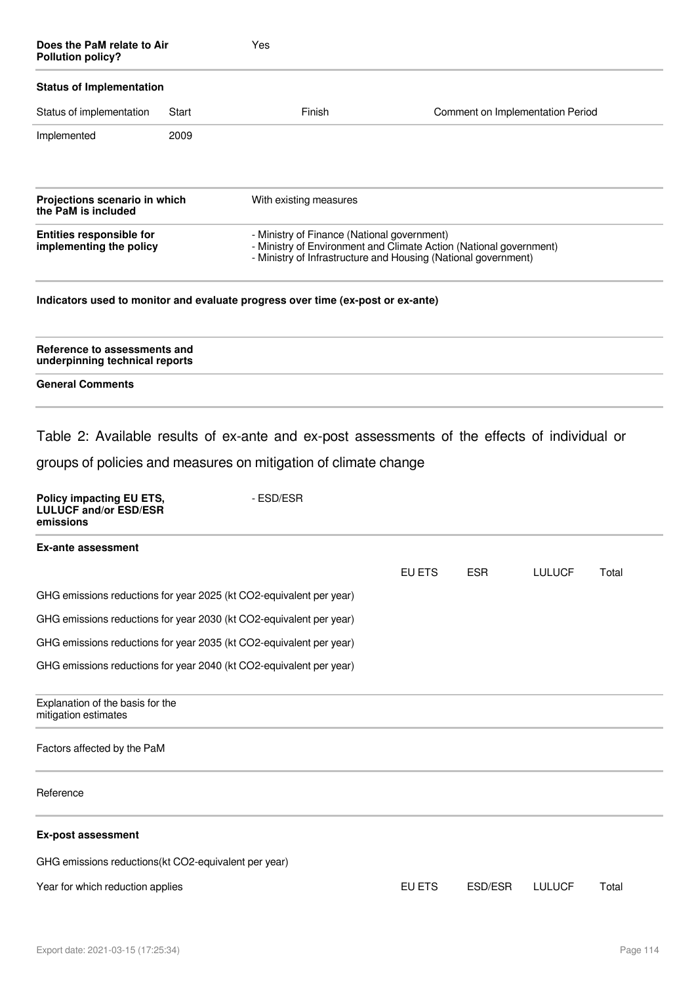| Does the PaM relate to Air<br><b>Pollution policy?</b>                |       | Yes                                                                                                                                                                                 |        |                                  |               |       |
|-----------------------------------------------------------------------|-------|-------------------------------------------------------------------------------------------------------------------------------------------------------------------------------------|--------|----------------------------------|---------------|-------|
| <b>Status of Implementation</b>                                       |       |                                                                                                                                                                                     |        |                                  |               |       |
| Status of implementation                                              | Start | Finish                                                                                                                                                                              |        | Comment on Implementation Period |               |       |
| Implemented                                                           | 2009  |                                                                                                                                                                                     |        |                                  |               |       |
| Projections scenario in which<br>the PaM is included                  |       | With existing measures                                                                                                                                                              |        |                                  |               |       |
| <b>Entities responsible for</b><br>implementing the policy            |       | - Ministry of Finance (National government)<br>- Ministry of Environment and Climate Action (National government)<br>- Ministry of Infrastructure and Housing (National government) |        |                                  |               |       |
|                                                                       |       | Indicators used to monitor and evaluate progress over time (ex-post or ex-ante)                                                                                                     |        |                                  |               |       |
| Reference to assessments and<br>underpinning technical reports        |       |                                                                                                                                                                                     |        |                                  |               |       |
| <b>General Comments</b>                                               |       |                                                                                                                                                                                     |        |                                  |               |       |
| Policy impacting EU ETS,<br><b>LULUCF and/or ESD/ESR</b><br>emissions |       | groups of policies and measures on mitigation of climate change<br>- ESD/ESR                                                                                                        |        |                                  |               |       |
| <b>Ex-ante assessment</b>                                             |       |                                                                                                                                                                                     | EU ETS | <b>ESR</b>                       | <b>LULUCF</b> | Total |
| GHG emissions reductions for year 2025 (kt CO2-equivalent per year)   |       |                                                                                                                                                                                     |        |                                  |               |       |
| GHG emissions reductions for year 2030 (kt CO2-equivalent per year)   |       |                                                                                                                                                                                     |        |                                  |               |       |
| GHG emissions reductions for year 2035 (kt CO2-equivalent per year)   |       |                                                                                                                                                                                     |        |                                  |               |       |
| GHG emissions reductions for year 2040 (kt CO2-equivalent per year)   |       |                                                                                                                                                                                     |        |                                  |               |       |
| Explanation of the basis for the<br>mitigation estimates              |       |                                                                                                                                                                                     |        |                                  |               |       |
| Factors affected by the PaM                                           |       |                                                                                                                                                                                     |        |                                  |               |       |
| Reference                                                             |       |                                                                                                                                                                                     |        |                                  |               |       |
| <b>Ex-post assessment</b>                                             |       |                                                                                                                                                                                     |        |                                  |               |       |
| GHG emissions reductions(kt CO2-equivalent per year)                  |       |                                                                                                                                                                                     |        |                                  |               |       |
| Year for which reduction applies                                      |       |                                                                                                                                                                                     | EU ETS | ESD/ESR                          | <b>LULUCF</b> | Total |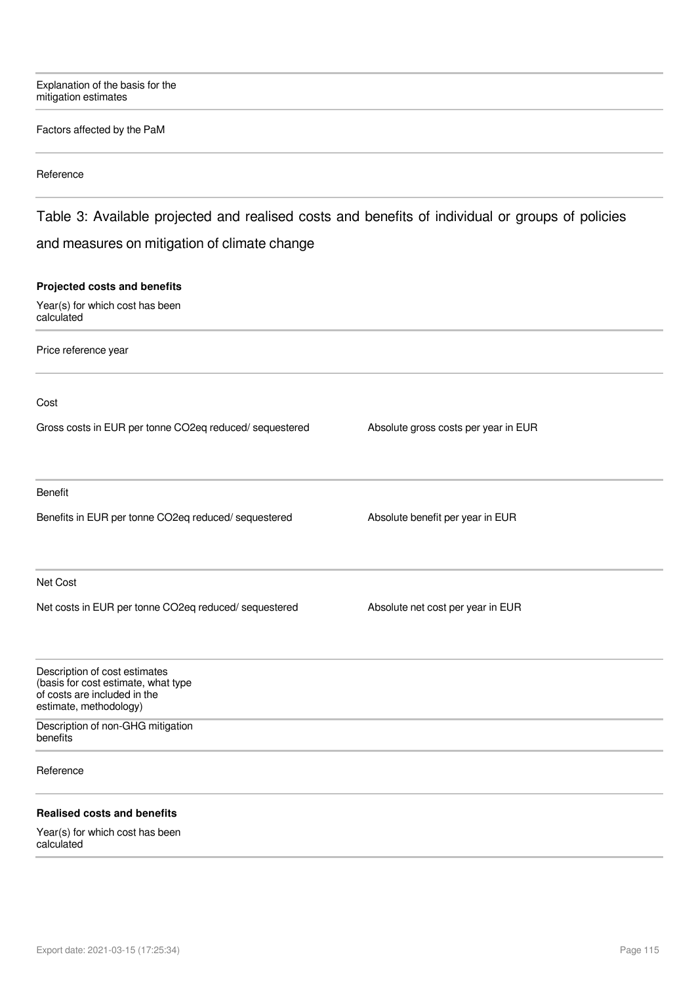Explanation of the basis for the mitigation estimates

### Factors affected by the PaM

### Reference

### Table 3: Available projected and realised costs and benefits of individual or groups of policies and measures on mitigation of climate change

### **Projected costs and benefits**

Year(s) for which cost has been calculated

Price reference year

Cost

Gross costs in EUR per tonne CO2eq reduced/ sequestered Absolute gross costs per year in EUR

Benefit

Benefits in EUR per tonne CO2eq reduced/ sequestered Absolute benefit per year in EUR

Net Cost

Net costs in EUR per tonne CO2eq reduced/ sequestered Absolute net cost per year in EUR

| Description of cost estimates<br>(basis for cost estimate, what type<br>of costs are included in the<br>estimate, methodology) |  |  |
|--------------------------------------------------------------------------------------------------------------------------------|--|--|
| Description of non-GHG mitigation<br>benefits                                                                                  |  |  |
| Reference                                                                                                                      |  |  |
| <b>Realised costs and benefits</b>                                                                                             |  |  |
| $\mathbf{M}$ . The state of $\mathbf{L}$ is the state of $\mathbf{L}$ is the state of $\mathbf{L}$                             |  |  |

Year(s) for which cost has been calculated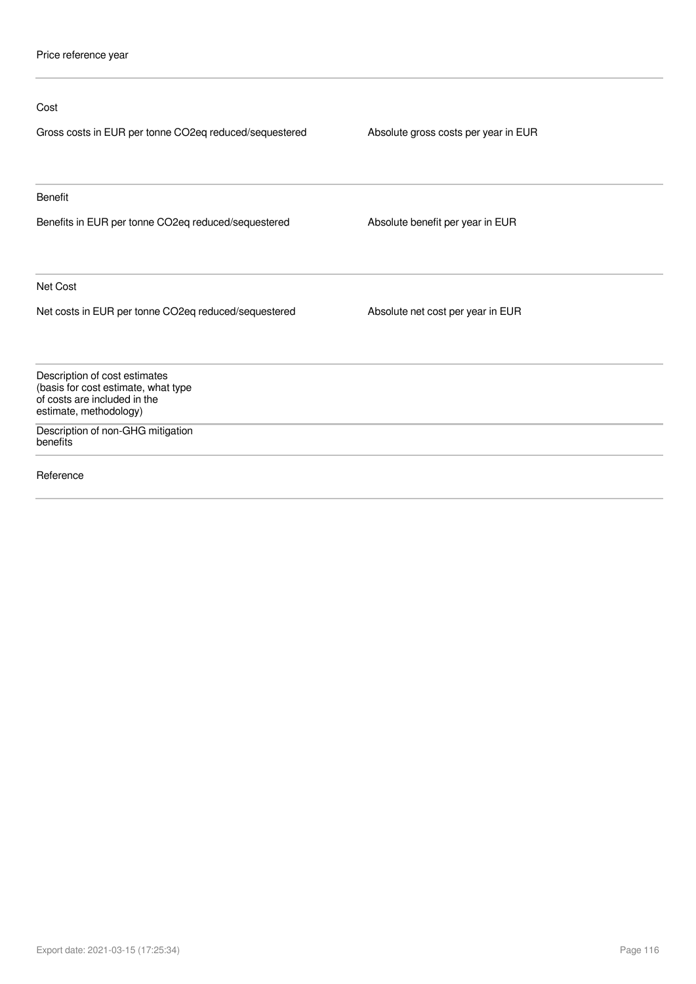| Cost                                                                                                                           |                                      |
|--------------------------------------------------------------------------------------------------------------------------------|--------------------------------------|
| Gross costs in EUR per tonne CO2eq reduced/sequestered                                                                         | Absolute gross costs per year in EUR |
| <b>Benefit</b>                                                                                                                 |                                      |
| Benefits in EUR per tonne CO2eq reduced/sequestered                                                                            | Absolute benefit per year in EUR     |
| Net Cost                                                                                                                       |                                      |
| Net costs in EUR per tonne CO2eq reduced/sequestered                                                                           | Absolute net cost per year in EUR    |
| Description of cost estimates<br>(basis for cost estimate, what type<br>of costs are included in the<br>estimate, methodology) |                                      |
| Description of non-GHG mitigation<br>benefits                                                                                  |                                      |
| Reference                                                                                                                      |                                      |
|                                                                                                                                |                                      |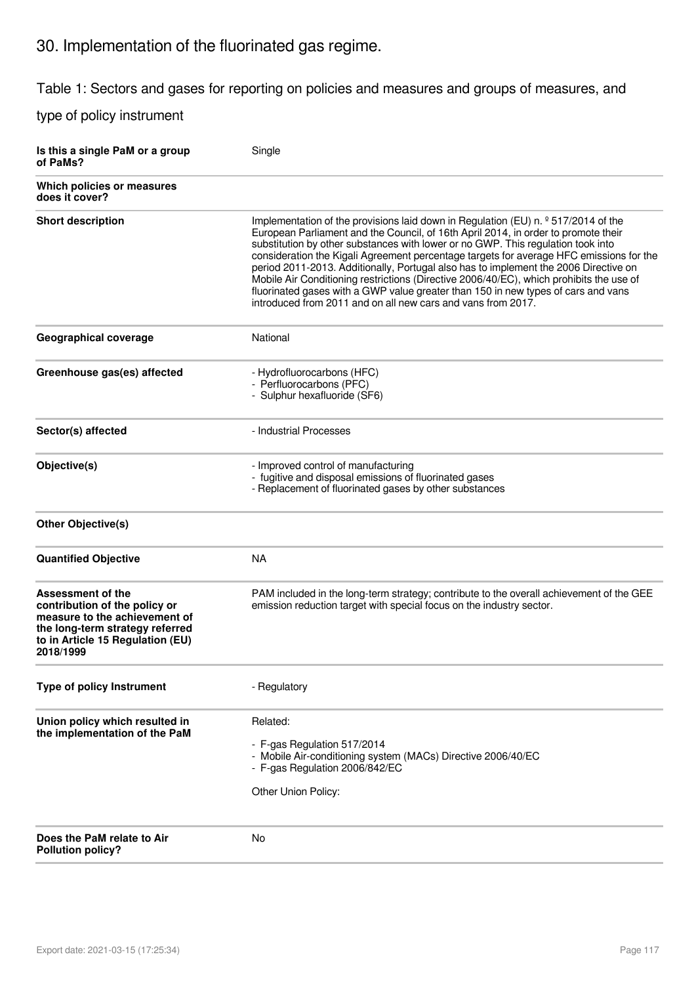# 30. Implementation of the fluorinated gas regime.

Table 1: Sectors and gases for reporting on policies and measures and groups of measures, and

type of policy instrument

| Is this a single PaM or a group<br>of PaMs?                                                                                                                             | Single                                                                                                                                                                                                                                                                                                                                                                                                                                                                                                                                                                                                                                                                                                     |
|-------------------------------------------------------------------------------------------------------------------------------------------------------------------------|------------------------------------------------------------------------------------------------------------------------------------------------------------------------------------------------------------------------------------------------------------------------------------------------------------------------------------------------------------------------------------------------------------------------------------------------------------------------------------------------------------------------------------------------------------------------------------------------------------------------------------------------------------------------------------------------------------|
| Which policies or measures<br>does it cover?                                                                                                                            |                                                                                                                                                                                                                                                                                                                                                                                                                                                                                                                                                                                                                                                                                                            |
| <b>Short description</b>                                                                                                                                                | Implementation of the provisions laid down in Regulation (EU) n. <sup>o</sup> 517/2014 of the<br>European Parliament and the Council, of 16th April 2014, in order to promote their<br>substitution by other substances with lower or no GWP. This regulation took into<br>consideration the Kigali Agreement percentage targets for average HFC emissions for the<br>period 2011-2013. Additionally, Portugal also has to implement the 2006 Directive on<br>Mobile Air Conditioning restrictions (Directive 2006/40/EC), which prohibits the use of<br>fluorinated gases with a GWP value greater than 150 in new types of cars and vans<br>introduced from 2011 and on all new cars and vans from 2017. |
| Geographical coverage                                                                                                                                                   | National                                                                                                                                                                                                                                                                                                                                                                                                                                                                                                                                                                                                                                                                                                   |
| Greenhouse gas(es) affected                                                                                                                                             | - Hydrofluorocarbons (HFC)<br>- Perfluorocarbons (PFC)<br>- Sulphur hexafluoride (SF6)                                                                                                                                                                                                                                                                                                                                                                                                                                                                                                                                                                                                                     |
| Sector(s) affected                                                                                                                                                      | - Industrial Processes                                                                                                                                                                                                                                                                                                                                                                                                                                                                                                                                                                                                                                                                                     |
| Objective(s)                                                                                                                                                            | - Improved control of manufacturing<br>- fugitive and disposal emissions of fluorinated gases<br>- Replacement of fluorinated gases by other substances                                                                                                                                                                                                                                                                                                                                                                                                                                                                                                                                                    |
| Other Objective(s)                                                                                                                                                      |                                                                                                                                                                                                                                                                                                                                                                                                                                                                                                                                                                                                                                                                                                            |
| <b>Quantified Objective</b>                                                                                                                                             | <b>NA</b>                                                                                                                                                                                                                                                                                                                                                                                                                                                                                                                                                                                                                                                                                                  |
| Assessment of the<br>contribution of the policy or<br>measure to the achievement of<br>the long-term strategy referred<br>to in Article 15 Regulation (EU)<br>2018/1999 | PAM included in the long-term strategy; contribute to the overall achievement of the GEE<br>emission reduction target with special focus on the industry sector.                                                                                                                                                                                                                                                                                                                                                                                                                                                                                                                                           |
| Type of policy Instrument                                                                                                                                               | - Regulatory                                                                                                                                                                                                                                                                                                                                                                                                                                                                                                                                                                                                                                                                                               |
| Union policy which resulted in<br>the implementation of the PaM                                                                                                         | Related:<br>- F-gas Regulation 517/2014<br>- Mobile Air-conditioning system (MACs) Directive 2006/40/EC<br>- F-gas Regulation 2006/842/EC<br>Other Union Policy:                                                                                                                                                                                                                                                                                                                                                                                                                                                                                                                                           |
| Does the PaM relate to Air<br><b>Pollution policy?</b>                                                                                                                  | No                                                                                                                                                                                                                                                                                                                                                                                                                                                                                                                                                                                                                                                                                                         |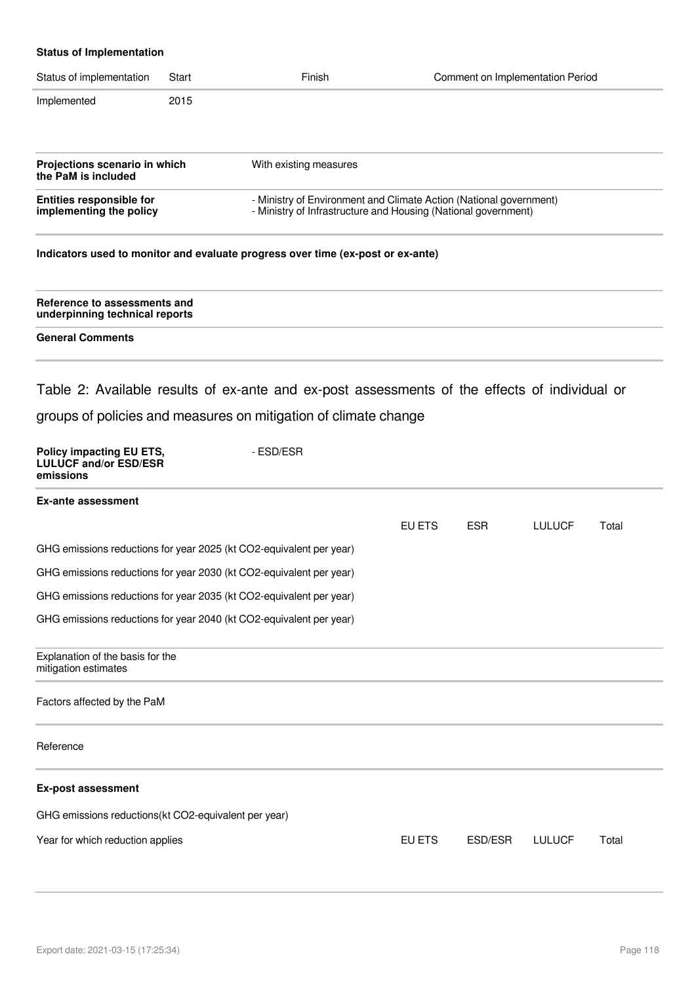### **Status of Implementation**

| Status of implementation                                                                                                                                                                           | Start | Finish                                                                          | Comment on Implementation Period |
|----------------------------------------------------------------------------------------------------------------------------------------------------------------------------------------------------|-------|---------------------------------------------------------------------------------|----------------------------------|
| Implemented                                                                                                                                                                                        | 2015  |                                                                                 |                                  |
|                                                                                                                                                                                                    |       |                                                                                 |                                  |
| Projections scenario in which<br>the PaM is included                                                                                                                                               |       | With existing measures                                                          |                                  |
| - Ministry of Environment and Climate Action (National government)<br><b>Entities responsible for</b><br>- Ministry of Infrastructure and Housing (National government)<br>implementing the policy |       |                                                                                 |                                  |
|                                                                                                                                                                                                    |       | Indicators used to monitor and evaluate progress over time (ex-post or ex-ante) |                                  |
| Reference to assessments and<br>underpinning technical reports                                                                                                                                     |       |                                                                                 |                                  |

**General Comments** 

Table 2: Available results of ex-ante and ex-post assessments of the effects of individual or groups of policies and measures on mitigation of climate change

| EU ETS                                                                                                                                                                                                                                                                                                                                                        | <b>ESR</b> | <b>LULUCF</b> | Total |
|---------------------------------------------------------------------------------------------------------------------------------------------------------------------------------------------------------------------------------------------------------------------------------------------------------------------------------------------------------------|------------|---------------|-------|
|                                                                                                                                                                                                                                                                                                                                                               |            |               |       |
|                                                                                                                                                                                                                                                                                                                                                               |            |               |       |
|                                                                                                                                                                                                                                                                                                                                                               |            |               |       |
|                                                                                                                                                                                                                                                                                                                                                               |            |               |       |
|                                                                                                                                                                                                                                                                                                                                                               |            |               |       |
|                                                                                                                                                                                                                                                                                                                                                               |            |               |       |
|                                                                                                                                                                                                                                                                                                                                                               |            |               |       |
|                                                                                                                                                                                                                                                                                                                                                               |            |               |       |
|                                                                                                                                                                                                                                                                                                                                                               |            |               |       |
| EU ETS                                                                                                                                                                                                                                                                                                                                                        | ESD/ESR    | <b>LULUCF</b> | Total |
| - ESD/ESR<br>GHG emissions reductions for year 2025 (kt CO2-equivalent per year)<br>GHG emissions reductions for year 2030 (kt CO2-equivalent per year)<br>GHG emissions reductions for year 2035 (kt CO2-equivalent per year)<br>GHG emissions reductions for year 2040 (kt CO2-equivalent per year)<br>GHG emissions reductions(kt CO2-equivalent per year) |            |               |       |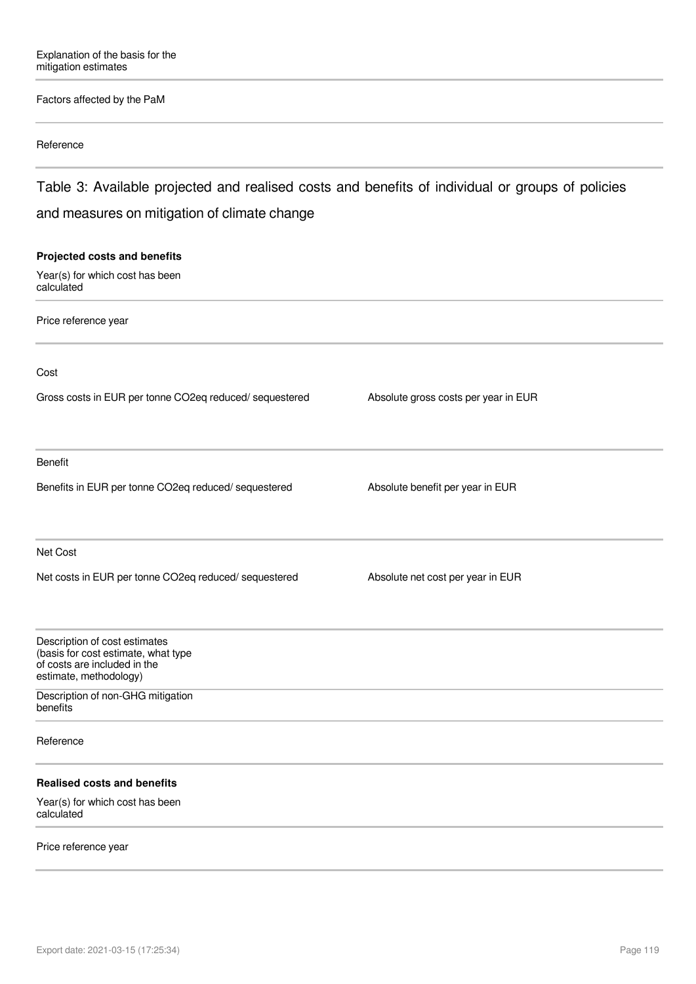### Factors affected by the PaM

#### Reference

Table 3: Available projected and realised costs and benefits of individual or groups of policies and measures on mitigation of climate change

# **Projected costs and benefits** Year(s) for which cost has been calculated Price reference year Cost Gross costs in EUR per tonne CO2eq reduced/ sequestered Absolute gross costs per year in EUR Benefit Benefits in EUR per tonne CO2eq reduced/ sequestered Absolute benefit per year in EUR Net Cost Net costs in EUR per tonne CO2eq reduced/ sequestered Absolute net cost per year in EUR Description of cost estimates (basis for cost estimate, what type of costs are included in the estimate, methodology) Description of non-GHG mitigation benefits Reference **Realised costs and benefits** Year(s) for which cost has been calculated

#### Price reference year